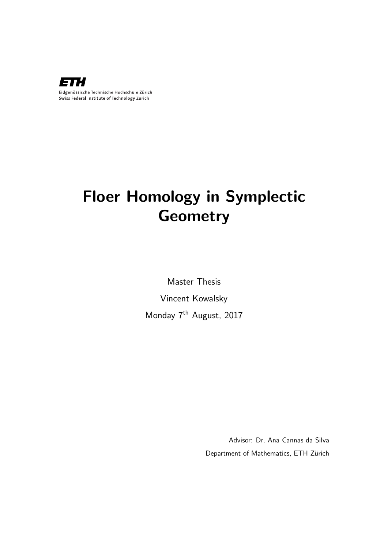

# Floer Homology in Symplectic **Geometry**

Master Thesis Vincent Kowalsky Monday 7<sup>th</sup> August, 2017

> Advisor: Dr. Ana Cannas da Silva Department of Mathematics, ETH Zürich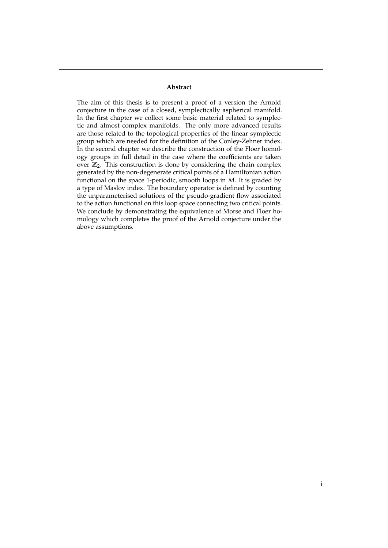#### **Abstract**

The aim of this thesis is to present a proof of a version the Arnold conjecture in the case of a closed, symplectically aspherical manifold. In the first chapter we collect some basic material related to symplectic and almost complex manifolds. The only more advanced results are those related to the topological properties of the linear symplectic group which are needed for the definition of the Conley-Zehner index. In the second chapter we describe the construction of the Floer homology groups in full detail in the case where the coefficients are taken over  $\mathbb{Z}_2$ . This construction is done by considering the chain complex generated by the non-degenerate critical points of a Hamiltonian action functional on the space 1-periodic, smooth loops in *M*. It is graded by a type of Maslov index. The boundary operator is defined by counting the unparameterised solutions of the pseudo-gradient flow associated to the action functional on this loop space connecting two critical points. We conclude by demonstrating the equivalence of Morse and Floer homology which completes the proof of the Arnold conjecture under the above assumptions.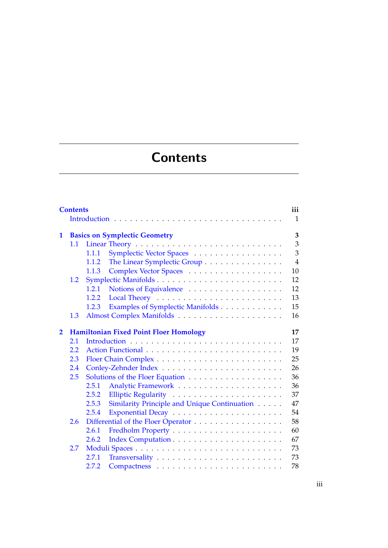# **Contents**

<span id="page-4-0"></span>

|                | <b>Contents</b> |                                                       |                |  |
|----------------|-----------------|-------------------------------------------------------|----------------|--|
|                |                 |                                                       | $\mathbf{1}$   |  |
|                |                 |                                                       |                |  |
| 1              |                 | <b>Basics on Symplectic Geometry</b>                  | 3              |  |
|                | 1.1             |                                                       | 3              |  |
|                |                 | Symplectic Vector Spaces<br>1.1.1                     | 3              |  |
|                |                 | The Linear Symplectic Group<br>1.1.2                  | $\overline{4}$ |  |
|                |                 | Complex Vector Spaces<br>1.1.3                        | 10             |  |
|                | 1.2             | Symplectic Manifolds                                  | 12             |  |
|                |                 | 1.2.1                                                 | 12             |  |
|                |                 | 1.2.2                                                 | 13             |  |
|                |                 | Examples of Symplectic Manifolds<br>1.2.3             | 15             |  |
|                | 1.3             |                                                       | 16             |  |
| $\overline{2}$ |                 | <b>Hamiltonian Fixed Point Floer Homology</b>         | 17             |  |
|                | 2.1             |                                                       | 17             |  |
|                | 2.2             | Action Functional                                     | 19             |  |
|                | 2.3             |                                                       | 25             |  |
|                | 2.4             |                                                       | 26             |  |
|                | 2.5             |                                                       | 36             |  |
|                |                 | 2.5.1                                                 | 36             |  |
|                |                 | 2.5.2                                                 | 37             |  |
|                |                 | Similarity Principle and Unique Continuation<br>2.5.3 | 47             |  |
|                |                 | 2.5.4                                                 | 54             |  |
|                | 2.6             | Differential of the Floer Operator                    | 58             |  |
|                |                 | 2.6.1                                                 | 60             |  |
|                |                 |                                                       |                |  |
|                |                 | 2.6.2                                                 | 67             |  |
|                | 2.7             |                                                       | 73             |  |
|                |                 | 2.7.1                                                 | 73             |  |
|                |                 | 2.7.2                                                 | 78             |  |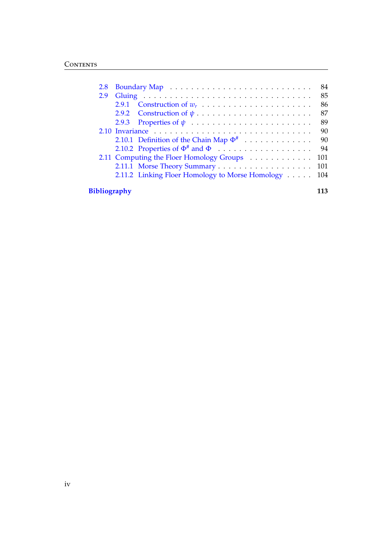| 2.8                 |                                                 | 84  |  |
|---------------------|-------------------------------------------------|-----|--|
| 2.9                 |                                                 | 85  |  |
|                     | 2.9.1                                           | 86  |  |
|                     |                                                 | 87  |  |
|                     | 2.9.3 Properties of $\psi$                      | 89  |  |
|                     |                                                 | 90  |  |
|                     | 2.10.1 Definition of the Chain Map $\Phi^{\#}$  | 90  |  |
|                     |                                                 | 94  |  |
|                     | 2.11 Computing the Floer Homology Groups        | 101 |  |
|                     |                                                 | 101 |  |
|                     | 2.11.2 Linking Floer Homology to Morse Homology | 104 |  |
| <b>Bibliography</b> |                                                 |     |  |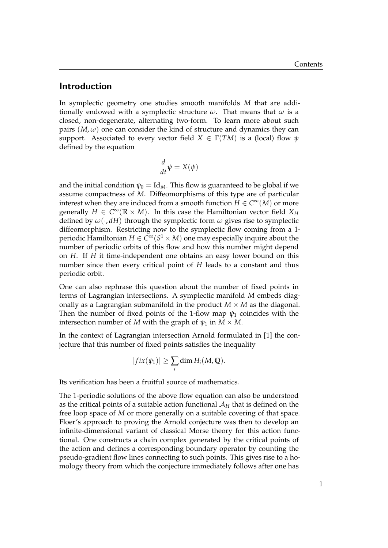#### <span id="page-6-0"></span>Introduction

In symplectic geometry one studies smooth manifolds *M* that are additionally endowed with a symplectic structure *ω*. That means that *ω* is a closed, non-degenerate, alternating two-form. To learn more about such pairs  $(M, \omega)$  one can consider the kind of structure and dynamics they can support. Associated to every vector field  $X \in \Gamma(TM)$  is a (local) flow  $\psi$ defined by the equation

$$
\frac{d}{dt}\psi = X(\psi)
$$

and the initial condition  $\psi_0 = \text{Id}_M$ . This flow is guaranteed to be global if we assume compactness of *M*. Diffeomorphisms of this type are of particular interest when they are induced from a smooth function  $H \in C^{\infty}(M)$  or more generally  $H \in C^{\infty}(\mathbb{R} \times M)$ . In this case the Hamiltonian vector field  $X_H$ defined by  $\omega(\cdot, d)$  through the symplectic form  $\omega$  gives rise to symplectic diffeomorphism. Restricting now to the symplectic flow coming from a 1 periodic Hamiltonian  $H \in C^\infty(S^1 \times M)$  one may especially inquire about the number of periodic orbits of this flow and how this number might depend on *H*. If *H* it time-independent one obtains an easy lower bound on this number since then every critical point of *H* leads to a constant and thus periodic orbit.

One can also rephrase this question about the number of fixed points in terms of Lagrangian intersections. A symplectic manifold *M* embeds diagonally as a Lagrangian submanifold in the product  $M \times M$  as the diagonal. Then the number of fixed points of the 1-flow map  $\psi_1$  coincides with the intersection number of *M* with the graph of  $\psi_1$  in  $M \times M$ .

In the context of Lagrangian intersection Arnold formulated in [\[1\]](#page-118-0) the conjecture that this number of fixed points satisfies the inequality

$$
|fix(\psi_1)| \geq \sum_i \dim H_i(M,\mathbb{Q}).
$$

Its verification has been a fruitful source of mathematics.

The 1-periodic solutions of the above flow equation can also be understood as the critical points of a suitable action functional  $A_H$  that is defined on the free loop space of *M* or more generally on a suitable covering of that space. Floer's approach to proving the Arnold conjecture was then to develop an infinite-dimensional variant of classical Morse theory for this action functional. One constructs a chain complex generated by the critical points of the action and defines a corresponding boundary operator by counting the pseudo-gradient flow lines connecting to such points. This gives rise to a homology theory from which the conjecture immediately follows after one has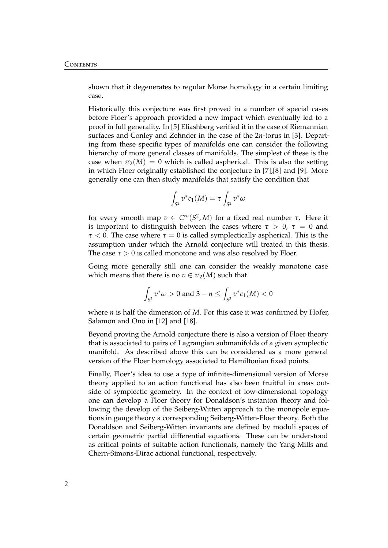shown that it degenerates to regular Morse homology in a certain limiting case.

Historically this conjecture was first proved in a number of special cases before Floer's approach provided a new impact which eventually led to a proof in full generality. In [\[5\]](#page-118-1) Eliashberg verified it in the case of Riemannian surfaces and Conley and Zehnder in the case of the 2*n*-torus in [\[3\]](#page-118-2). Departing from these specific types of manifolds one can consider the following hierarchy of more general classes of manifolds. The simplest of these is the case when  $\pi_2(M) = 0$  which is called aspherical. This is also the setting in which Floer originally established the conjecture in [\[7\]](#page-118-3),[\[8\]](#page-118-4) and [\[9\]](#page-118-5). More generally one can then study manifolds that satisfy the condition that

$$
\int_{S^2} v^* c_1(M) = \tau \int_{S^2} v^* \omega
$$

for every smooth map *v* ∈ *C* <sup>∞</sup>(*S* 2 , *M*) for a fixed real number *τ*. Here it is important to distinguish between the cases where  $\tau > 0$ ,  $\tau = 0$  and *τ* < 0. The case where *τ* = 0 is called symplectically aspherical. This is the assumption under which the Arnold conjecture will treated in this thesis. The case  $\tau > 0$  is called monotone and was also resolved by Floer.

Going more generally still one can consider the weakly monotone case which means that there is no  $v \in \pi_2(M)$  such that

$$
\int_{S^2} v^* \omega > 0 \text{ and } 3 - n \le \int_{S^2} v^* c_1(M) < 0
$$

where *n* is half the dimension of *M*. For this case it was confirmed by Hofer, Salamon and Ono in [\[12\]](#page-119-0) and [\[18\]](#page-119-1).

Beyond proving the Arnold conjecture there is also a version of Floer theory that is associated to pairs of Lagrangian submanifolds of a given symplectic manifold. As described above this can be considered as a more general version of the Floer homology associated to Hamiltonian fixed points.

Finally, Floer's idea to use a type of infinite-dimensional version of Morse theory applied to an action functional has also been fruitful in areas outside of symplectic geometry. In the context of low-dimensional topology one can develop a Floer theory for Donaldson's instanton theory and following the develop of the Seiberg-Witten approach to the monopole equations in gauge theory a corresponding Seiberg-Witten-Floer theory. Both the Donaldson and Seiberg-Witten invariants are defined by moduli spaces of certain geometric partial differential equations. These can be understood as critical points of suitable action functionals, namely the Yang-Mills and Chern-Simons-Dirac actional functional, respectively.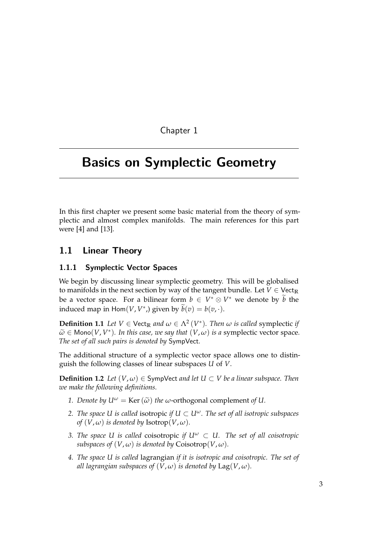Chapter 1

# <span id="page-8-0"></span>Basics on Symplectic Geometry

In this first chapter we present some basic material from the theory of symplectic and almost complex manifolds. The main references for this part were [\[4\]](#page-118-6) and [\[13\]](#page-119-2).

#### <span id="page-8-1"></span>1.1 Linear Theory

#### <span id="page-8-2"></span>1.1.1 Symplectic Vector Spaces

We begin by discussing linear symplectic geometry. This will be globalised to manifolds in the next section by way of the tangent bundle. Let  $V \in \text{Vect}_{\mathbb{R}}$ be a vector space. For a bilinear form  $b \in V^* \otimes V^*$  we denote by  $\widetilde{b}$  the induced map in Hom $(V, V^*)$  given by  $\widetilde{b}(v) = b(v, \cdot)$ .

**Definition 1.1** Let  $V \in \text{Vect}_{\mathbb{R}}$  and  $\omega \in \Lambda^2(V^*)$ . Then  $\omega$  is called symplectic if  $\widetilde{\omega} \in \text{Mono}(V, V^*)$ *. In this case, we say that*  $(V, \omega)$  *is a symplectic vector space.*<br>The set of all such vairs is denoted by Symplectic vector space. *The set of all such pairs is denoted by* SympVect*.*

The additional structure of a symplectic vector space allows one to distinguish the following classes of linear subspaces *U* of *V*.

**Definition 1.2** *Let*  $(V, \omega) \in$  SympVect *and let*  $U \subset V$  *be a linear subspace. Then we make the following definitions.*

- *1. Denote by*  $U^{\omega} = \text{Ker}(\tilde{\omega})$  *the ω*-orthogonal complement *of U*.
- *2. The space U is called isotropic if*  $U \subset U^\omega$ *. The set of all isotropic subspaces of*  $(V, \omega)$  *is denoted by* Isotrop $(V, \omega)$ *.*
- *3. The space U is called coisotropic if*  $U^{\omega} \subset U$ *. The set of all coisotropic subspaces of*  $(V, \omega)$  *is denoted by* Coisotrop $(V, \omega)$ *.*
- *4. The space U is called* lagrangian *if it is isotropic and coisotropic. The set of all lagrangian subspaces of*  $(V, \omega)$  *is denoted by*  $\text{Lag}(V, \omega)$ *.*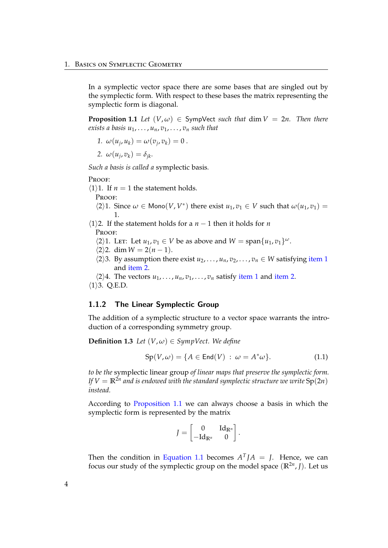In a symplectic vector space there are some bases that are singled out by the symplectic form. With respect to these bases the matrix representing the symplectic form is diagonal.

<span id="page-9-3"></span>**Proposition 1.1** *Let*  $(V, \omega) \in$  SympVect *such that* dim  $V = 2n$ . Then there *exists a basis*  $u_1, \ldots, u_n, v_1, \ldots, v_n$  *such that* 

<span id="page-9-1"></span>1. 
$$
\omega(u_j, u_k) = \omega(v_j, v_k) = 0.
$$

<span id="page-9-2"></span>2. 
$$
\omega(u_j, v_k) = \delta_{jk}.
$$

*Such a basis is called a* symplectic basis*.*

#### PROOF:

 $\langle 1 \rangle$ 1. If *n* = 1 the statement holds.

PROOF:

 $\langle 2 \rangle$ 1. Since  $\omega \in \text{Mono}(V, V^*)$  there exist  $u_1, v_1 \in V$  such that  $\omega(u_1, v_1) =$ 1.

 $\langle 1 \rangle$ 2. If the statement holds for a *n* − 1 then it holds for *n* PROOF:

- $\langle 2 \rangle$ 1. LET: Let  $u_1, v_1 \in V$  be as above and  $W = \text{span}\{u_1, v_1\}^{\omega}$ .
- $\langle 2 \rangle$ 2. dim *W* = 2(*n* − 1).
- $\langle 2 \rangle$ 3. By assumption there exist  $u_2, \ldots, u_n, v_2, \ldots, v_n \in W$  satisfying [item 1](#page-9-1) and [item 2.](#page-9-2)
- $\langle 2 \rangle 4$ . The vectors  $u_1, \ldots, u_n, v_1, \ldots, v_n$  satisfy [item 1](#page-9-1) and [item 2.](#page-9-2)

 $\langle 1 \rangle$ 3. Q.E.D.

#### <span id="page-9-0"></span>1.1.2 The Linear Symplectic Group

The addition of a symplectic structure to a vector space warrants the introduction of a corresponding symmetry group.

**Definition 1.3** *Let*  $(V, \omega) \in \text{SympVect}$ . We define

$$
Sp(V, \omega) = \{ A \in End(V) : \omega = A^* \omega \}. \tag{1.1}
$$

*to be the* symplectic linear group *of linear maps that preserve the symplectic form. If*  $V = \mathbb{R}^{2n}$  *and is endowed with the standard symplectic structure we write*  $\mathrm{Sp}(2n)$ *instead.*

According to [Proposition 1.1](#page-9-3) we can always choose a basis in which the symplectic form is represented by the matrix

<span id="page-9-4"></span>
$$
J=\begin{bmatrix}0&\mathrm{Id}_{\mathbb{R}^n}\\-\mathrm{Id}_{\mathbb{R}^n}&0\end{bmatrix}.
$$

Then the condition in [Equation 1.1](#page-9-4) becomes  $A<sup>T</sup>JA = J$ . Hence, we can focus our study of the symplectic group on the model space (**R**2*<sup>n</sup>* , *J*). Let us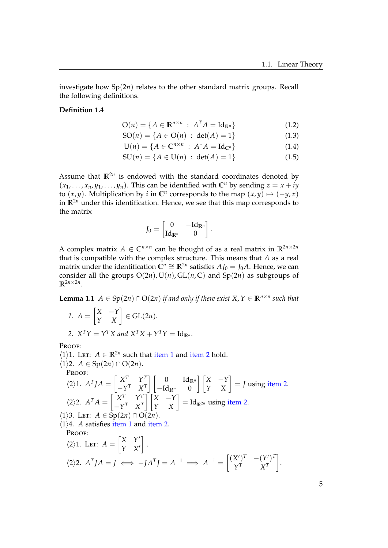investigate how Sp(2*n*) relates to the other standard matrix groups. Recall the following definitions.

#### **Definition 1.4**

$$
\mathcal{O}(n) = \{ A \in \mathbb{R}^{n \times n} : A^T A = \mathrm{Id}_{\mathbb{R}^n} \}
$$
(1.2)

$$
SO(n) = \{ A \in O(n) : \det(A) = 1 \}
$$
 (1.3)

$$
U(n) = \{A \in \mathbb{C}^{n \times n} : A^*A = Id_{\mathbb{C}^n}\}\tag{1.4}
$$

$$
SU(n) = \{ A \in U(n) : \det(A) = 1 \}
$$
 (1.5)

Assume that  $\mathbb{R}^{2n}$  is endowed with the standard coordinates denoted by  $(x_1, \ldots, x_n, y_1, \ldots, y_n)$ . This can be identified with  $\mathbb{C}^n$  by sending  $z = x + iy$ to  $(x, y)$ . Multiplication by *i* in  $\mathbb{C}^n$  corresponds to the map  $(x, y) \mapsto (-y, x)$ in  $\mathbb{R}^{2n}$  under this identification. Hence, we see that this map corresponds to the matrix

$$
J_0 = \begin{bmatrix} 0 & -\mathrm{Id}_{\mathbb{R}^n} \\ \mathrm{Id}_{\mathbb{R}^n} & 0 \end{bmatrix}.
$$

A complex matrix  $A \in \mathbb{C}^{n \times n}$  can be thought of as a real matrix in  $\mathbb{R}^{2n \times 2n}$ that is compatible with the complex structure. This means that *A* as a real matrix under the identification  $\mathbf{C}^n$  ≅  $\mathbb{R}^{2n}$  satisfies  $AJ_0 = J_0A$ . Hence, we can consider all the groups  $O(2n)$ ,  $U(n)$ ,  $GL(n, \mathbb{C})$  and  $Sp(2n)$  as subgroups of  $\mathbb{R}^{2n \times 2n}$ .

<span id="page-10-2"></span><span id="page-10-0"></span>**Lemma 1.1** *A* ∈ Sp(2*n*) ∩ O(2*n*) *if and only if there exist X, Y* ∈  $\mathbb{R}^{n \times n}$  *such that* 

1. 
$$
A = \begin{bmatrix} X & -Y \\ Y & X \end{bmatrix} \in GL(2n).
$$

<span id="page-10-1"></span>2. 
$$
X^T Y = Y^T X
$$
 and  $X^T X + Y^T Y = Id_{\mathbb{R}^n}$ .

Proof:

 $\langle 1 \rangle$ 1. Let: *A* ∈ **R**<sup>2*n*</sup> such that [item 1](#page-10-0) and [item 2](#page-10-1) hold.  $\langle 1 \rangle$ 2. *A* ∈ Sp(2*n*) ∩ O(2*n*). Proof:  $\langle 2 \rangle 1$ *.*  $A^T J A = \begin{bmatrix} X^T & Y^T \\ Y^T & Y^T \end{bmatrix}$  $-Y^T$  *X<sup>T</sup>*  $\begin{bmatrix} 0 & \mathrm{Id}_{\mathbb{R}^n} \end{bmatrix}$  $-\mathrm{Id}_{\mathbb{R}^n}$  0  $\begin{bmatrix} X & -Y \\ Y & X \end{bmatrix} = J$  using [item 2.](#page-10-1)  $\langle 2 \rangle 2$ ,  $A^T A = \begin{bmatrix} X^T & Y^T \\ Y^T & Y^T \end{bmatrix}$  $-Y^T$  *X<sup>T</sup>*  $\begin{bmatrix} X & -Y \\ Y & X \end{bmatrix}$  = Id<sub>R2*n*</sub> using [item 2.](#page-10-1)  $\langle 1 \rangle$ 3. Let:  $A \in Sp(2n) \cap O(2n)$ .  $\langle 1 \rangle$ 4. *A* satisfies [item 1](#page-10-0) and [item 2.](#page-10-1) PROOF:

$$
\langle 2 \rangle 1. \text{ Let: } A = \begin{bmatrix} X & Y' \\ Y & X' \end{bmatrix}.
$$

$$
\langle 2 \rangle 2. A^T J A = J \iff -J A^T J = A^{-1} \implies A^{-1} = \begin{bmatrix} (X')^T & -(Y')^T \\ Y^T & X^T \end{bmatrix}.
$$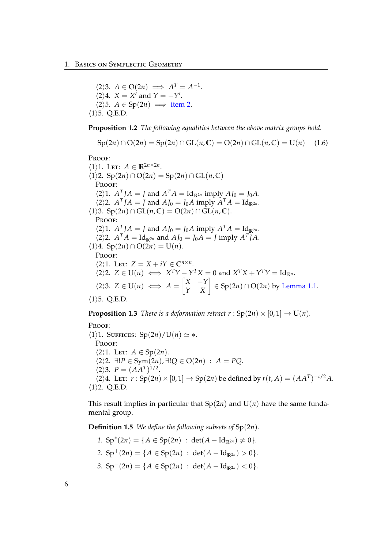$\langle 2 \rangle 3$ .  $A \in O(2n) \implies A^T = A^{-1}$ .  $\langle 2 \rangle 4$ . *X* = *X'* and *Y* =  $-Y'$ .  $\langle 2 \rangle$ 5. *A* ∈ Sp(2*n*)  $\implies$  [item 2.](#page-10-1)  $\langle 1 \rangle$ 5. Q.E.D.

**Proposition 1.2** *The following equalities between the above matrix groups hold.*

$$
Sp(2n) \cap O(2n) = Sp(2n) \cap GL(n, \mathbb{C}) = O(2n) \cap GL(n, \mathbb{C}) = U(n) \quad (1.6)
$$

Proof:

 $\langle 1 \rangle$ 1. LET:  $A \in \mathbb{R}^{2n \times 2n}$ .  $\langle 1 \rangle$ 2. Sp $(2n) \cap O(2n) = Sp(2n) \cap GL(n, \mathbb{C})$ PROOF:  $\langle 2 \rangle 1$ .  $A^T A = J$  and  $A^T A = Id_{\mathbb{R}^{2n}}$  imply  $A J_0 = J_0 A$ .  $\langle 2 \rangle$ 2. *A*<sup>T</sup>*JA* = *J* and *AJ*<sub>0</sub> = *J*<sub>0</sub>*A* imply *A*<sup>T</sup>*A* = Id<sub>R</sub>2*n*</sub>.  $\langle 1 \rangle$ 3. Sp $(2n) \cap GL(n, \mathbb{C}) = O(2n) \cap GL(n, \mathbb{C}).$ PROOF:  $\langle 2 \rangle 1$ .  $A^T J A = J$  and  $A J_0 = J_0 A$  imply  $A^T A = Id_{\mathbb{R}^{2n}}$ .  $\langle 2 \rangle$ 2.  $A^T A = \text{Id}_{\mathbb{R}^{2n}}$  and  $A J_0 = J_0 A = J$  imply  $A^T J A$ .  $\langle 1 \rangle 4$ . Sp $(2n) \cap O(2n) = U(n)$ . PROOF:  $\langle 2 \rangle$ 1. Let:  $Z = X + iY \in \mathbb{C}^{n \times n}$ .  $\langle 2 \rangle$ 2.  $Z \in U(n) \iff X^T Y - Y^T X = 0$  and  $X^T X + Y^T Y = Id_{\mathbb{R}^n}$ .  $\langle 2 \rangle$ 3.  $Z \in U(n) \iff A = \begin{bmatrix} X & -Y \\ Y & X \end{bmatrix} \in \text{Sp}(2n) \cap \text{O}(2n)$  by [Lemma 1.1.](#page-10-2)  $\langle 1 \rangle$ 5. O.E.D.

**Proposition 1.3** *There is a deformation retract r* :  $Sp(2n) \times [0,1] \rightarrow U(n)$ *.* 

Proof:

 $\langle 1 \rangle$ 1. SUFFICES: Sp $(2n)/U(n) \simeq *$ . PROOF:  $\langle 2 \rangle$ 1. LET:  $A \in Sp(2n)$ . h2i2. ∃!*P* ∈ Sym(2*n*), ∃!*Q* ∈ O(2*n*) : *A* = *PQ*.  $\langle 2 \rangle 3$ .  $P = (AA^T)^{1/2}$ .  $\langle 2 \rangle 4$ . LET:  $r : Sp(2n) \times [0,1] \to Sp(2n)$  be defined by  $r(t, A) = (AA^T)^{-t/2}A$ .  $\langle 1 \rangle$ 2. Q.E.D.

This result implies in particular that  $Sp(2n)$  and  $U(n)$  have the same fundamental group.

**Definition 1.5** *We define the following subsets of* Sp(2*n*)*.*

- *1.*  $Sp^{*}(2n) = \{A \in Sp(2n) : det(A Id_{\mathbb{R}^{2n}}) \neq 0\}.$
- 2.  $Sp^+(2n) = \{A \in Sp(2n) : det(A Id_{\mathbb{R}^{2n}}) > 0\}.$
- 3.  $Sp^{-}(2n) = \{A \in Sp(2n) : det(A Id_{\mathbb{R}^{2n}}) < 0\}.$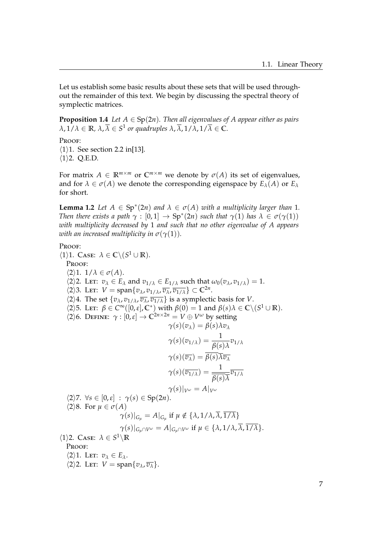Let us establish some basic results about these sets that will be used throughout the remainder of this text. We begin by discussing the spectral theory of symplectic matrices.

**Proposition 1.4** *Let*  $A \in Sp(2n)$ *. Then all eigenvalues of A appear either as pairs*  $\lambda$ ,  $1/\lambda \in \mathbb{R}$ ,  $\lambda$ ,  $\overline{\lambda} \in S^1$  or quadruples  $\lambda$ ,  $\overline{\lambda}$ ,  $1/\lambda$ ,  $1/\overline{\lambda} \in \mathbb{C}$ .

PROOF:

 $\langle 1 \rangle$ 1. See section 2.2 in[\[13\]](#page-119-2).

 $\langle 1 \rangle$ 2. Q.E.D.

For matrix  $A \in \mathbb{R}^{m \times m}$  or  $\mathbb{C}^{m \times m}$  we denote by  $\sigma(A)$  its set of eigenvalues, and for  $\lambda \in \sigma(A)$  we denote the corresponding eigenspace by  $E_{\lambda}(A)$  or  $E_{\lambda}$ for short.

<span id="page-12-0"></span>**Lemma 1.2** Let  $A \in Sp^*(2n)$  and  $\lambda \in \sigma(A)$  with a multiplicity larger than 1. *Then there exists a path*  $\gamma : [0,1] \to \text{Sp}^*(2n)$  *such that*  $\gamma(1)$  *has*  $\lambda \in \sigma(\gamma(1))$ *with multiplicity decreased by* 1 *and such that no other eigenvalue of A appears with an increased multiplicity in*  $\sigma(\gamma(1))$ *.* 

#### Proof:

 $\langle 1 \rangle$ 1. Case:  $\lambda \in \mathbb{C} \backslash (S^1 \cup \mathbb{R})$ . Proof:  $\langle 2 \rangle$ 1. 1/ $\lambda \in \sigma(A)$ .  $\langle 2 \rangle$ 2. Let:  $v_{\lambda} \in E_{\lambda}$  and  $v_{1/\lambda} \in E_{1/\lambda}$  such that  $\omega_0(v_{\lambda}, v_{1/\lambda}) = 1$ .  $\langle 2 \rangle$ 3. Let:  $V = \text{span}\{v_{\lambda}, v_{1/\lambda}, \overline{v_{\lambda}}, \overline{v_{1/\lambda}}\} \subset \mathbb{C}^{2n}$ .  $\langle 2 \rangle 4$ . The set  $\{v_\lambda, v_{1/\lambda}, \overline{v_\lambda}, \overline{v_{1/\lambda}}\}$  is a symplectic basis for *V*.  $\langle 2 \rangle$ 5. LET:  $\beta \in C^{\infty}([0,\varepsilon], \mathbb{C}^*)$  with  $\beta(0) = 1$  and  $\beta(s)\lambda \in \mathbb{C}\setminus (S^1 \cup \mathbb{R})$ .  $\langle 2 \rangle$ 6. DEFINE: *γ* : [0, ε] → C<sup>2*n*×2*n*</sup> = *V* ⊕ *V<sup>ω</sup>* by setting  $\gamma(s)(v_\lambda) = \beta(s)\lambda v_\lambda$  $\gamma(s)(v_{1/\lambda}) = \frac{1}{\beta(s)\lambda}v_{1/\lambda}$  $\gamma(s)(\overline{v_{\lambda}}) = \overline{\beta(s)}\overline{\lambda}\overline{v_{\lambda}}$  $\gamma(s)(\overline{v_{1/\lambda}}) = \frac{1}{\overline{g(s)}}$ *β*(*s*)*λ*  $\overline{v_{1/\lambda}}$ *γ*(*s*)|*V*<sup>*ω*</sup> = *A*|*V*<sup>*ω*</sup>  $\langle 2 \rangle$ 7.  $\forall s \in [0, \varepsilon] : \gamma(s) \in \mathrm{Sp}(2n).$  $\langle 2 \rangle 8$ . For  $\mu \in \sigma(A)$ *γ*(*s*)| $G_{\mu} = A|_{G_{\mu}}$  if  $\mu \notin {\lambda, 1/\lambda, \overline{\lambda}, 1/\lambda}$  $\gamma(s)|_{G_u \cap V^\omega} = A|_{G_u \cap V^\omega}$  if  $\mu \in \{\lambda, 1/\lambda, \overline{\lambda}, \overline{1/\lambda}\}.$  $\langle 1 \rangle$ 2. Case:  $\lambda \in S^1 \backslash \mathbb{R}$ PROOF:  $\langle 2 \rangle$ 1. Let:  $v_{\lambda} \in E_{\lambda}$ .

 $\langle 2 \rangle$ 2. Let:  $V = \text{span}\{v_\lambda, \overline{v_\lambda}\}.$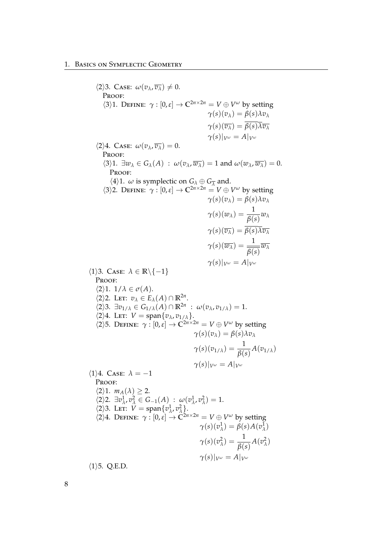$\langle 2 \rangle$ 3. Case:  $\omega(v_\lambda, \overline{v_\lambda}) \neq 0$ . Proof:  $\langle 3 \rangle$ 1. DEFINE:  $\gamma : [0, \varepsilon] \to \mathbb{C}^{2n \times 2n} = V \oplus V^{\omega}$  by setting *γ*(*s*)(*v*<sub> $λ$ ) =  $β(s)λv_{λ}$ </sub>  $\gamma(s)(\overline{v}_\lambda) = \overline{\beta(s)}\overline{\lambda}\overline{v}_\lambda$ *γ*(*s*)|*γω* = *A*|*γω*  $\langle 2 \rangle 4$ . Case:  $\omega(v_\lambda, \overline{v_\lambda}) = 0$ . PROOF:  $\langle 3 \rangle 1$ .  $\exists w_{\lambda} \in G_{\lambda}(A)$ :  $\omega(v_{\lambda}, \overline{w_{\lambda}}) = 1$  and  $\omega(w_{\lambda}, \overline{w_{\lambda}}) = 0$ . PROOF:  $\langle 4 \rangle$ 1. *ω* is symplectic on  $G_{\lambda} \oplus G_{\overline{\lambda}}$  and.  $\langle 3 \rangle$ 2. DEFINE:  $\gamma$  :  $[0, \varepsilon] \to \mathbb{C}^{2n \times 2n} = V \oplus V^{\omega}$  by setting *γ*(*s*)(*v*<sub> $λ$ </sub>) =  $β(s)λv_{λ}$  $\gamma(s)(w_\lambda) = \frac{1}{\beta(s)}w_\lambda$  $\gamma(s)(\overline{v_\lambda}) = \overline{\beta(s)}\overline{\lambda}\overline{v_\lambda}$  $\gamma(s)(\overline{w_{\lambda}}) = \frac{1}{\overline{q_{\lambda}}}$ *β*(*s*) *w<sup>λ</sup> γ*(*s*)|*V*<sup>*ω*</sup> = *A*|*V*<sup>*ω*</sup>  $\langle 1 \rangle$ 3. Case:  $\lambda \in \mathbb{R} \backslash \{-1\}$ PROOF:  $\langle 2 \rangle$ 1. 1/ $\lambda \in \sigma(A)$ .  $\langle 2 \rangle$ 2. Let:  $v_{\lambda} \in E_{\lambda}(A) \cap \mathbb{R}^{2n}$ .  $\langle 2 \rangle 3$ .  $\exists v_{1/\lambda} \in G_{1/\lambda}(A) \cap \mathbb{R}^{2n}$  :  $\omega(v_{\lambda}, v_{1/\lambda}) = 1$ .  $\langle 2 \rangle 4$ . Let:  $V = \text{span}\{v_\lambda, v_{1/\lambda}\}.$  $\langle 2 \rangle$ 5. DEFINE:  $\gamma : [0, \varepsilon] \to \mathbb{C}^{2n \times 2n} = V \oplus V^{\omega}$  by setting  $\gamma(s)(v_\lambda) = \beta(s)\lambda v_\lambda$  $\gamma(s)(v_{1/\lambda}) = \frac{1}{\beta(s)}A(v_{1/\lambda})$ *γ*(*s*)|*V*<sup>*ω*</sup> = *A*|*V*<sup>*ω*</sup>  $\langle 1 \rangle 4$ . Case:  $\lambda = -1$ PROOF:  $\langle 2 \rangle$ 1.  $m_A(\lambda) \geq 2$ .  $\langle 2 \rangle 2$ .  $\exists v^1_\lambda$  $\frac{1}{\lambda}$ ,  $v_{\lambda}^2 \in G_{-1}(A)$  :  $\omega(v_{\lambda}^1)$  $\frac{1}{\lambda}$ ,  $v^2$ <sub>λ</sub>  $_{\lambda}^{2})=1.$  $\langle 2 \rangle$ 3. Let:  $V = \text{span}\{v\}$  $\frac{1}{\lambda}$ ,  $v_\lambda^2$ *λ* }.  $\langle 2 \rangle 4$ . DEFINE:  $\gamma : [0, \varepsilon] \to \widetilde{C}^{2n \times 2n} = V \oplus V^{\omega}$  by setting  $\gamma(s)(v^1_{\lambda}$  $\lambda$ <sup>1</sup>) =  $\beta$ (*s*)*A*(*v*<sup>1</sup><sub> $\lambda$ </sub><sup>1</sup>) *λ* )  $\gamma(s)(v^2_{\lambda})$  $\frac{2}{\lambda}$ ) =  $\frac{1}{\beta}$  $\frac{1}{\beta(s)}A(v_\lambda^2)$ *λ* ) *γ*(*s*)|*γω* = *A*|*γω*  $\langle 1 \rangle$ 5. Q.E.D.

8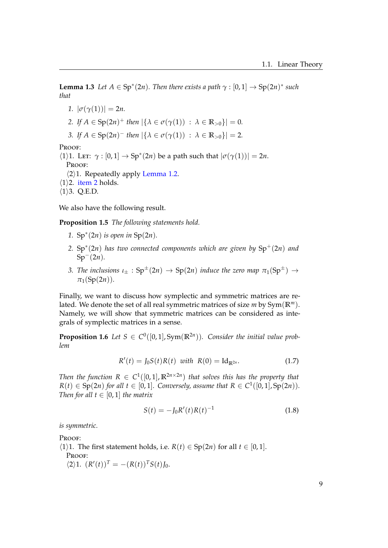**Lemma 1.3** Let  $A \in \text{Sp}^*(2n)$ . Then there exists a path  $\gamma : [0,1] \to \text{Sp}(2n)^*$  such *that*

*1.*  $|\sigma(\gamma(1))| = 2n$ .

<span id="page-14-0"></span>2. If 
$$
A \in \text{Sp}(2n)^+
$$
 then  $|\{\lambda \in \sigma(\gamma(1)) : \lambda \in \mathbb{R}_{>0}\}| = 0$ .

*3. If*  $A \in \text{Sp}(2n)^{-}$  *then*  $|\{\lambda \in \sigma(\gamma(1)) : \lambda \in \mathbb{R}_{>0}\}| = 2$ *.* 

PROOF:

 $\langle 1 \rangle$ 1. LET:  $\gamma$  :  $[0, 1] \rightarrow Sp^*(2n)$  be a path such that  $|\sigma(\gamma(1))| = 2n$ . PROOF:  $\langle 2 \rangle$ 1. Repeatedly apply [Lemma 1.2.](#page-12-0)  $\langle 1 \rangle$ 2. [item 2](#page-14-0) holds.  $\langle 1 \rangle$ 3. Q.E.D.

We also have the following result.

<span id="page-14-1"></span>**Proposition 1.5** *The following statements hold.*

- *1.* Sp<sup>∗</sup> (2*n*) *is open in* Sp(2*n*)*.*
- *2.* Sp<sup>∗</sup> (2*n*) *has two connected components which are given by* Sp+(2*n*) *and* Sp−(2*n*)*.*
- *3. The inclusions*  $\iota_{\pm}$  :  $Sp^{\pm}(2n) \rightarrow Sp(2n)$  *induce the zero map*  $\pi_1(Sp^{\pm}) \rightarrow$  $\pi_1(Sp(2n))$ .

Finally, we want to discuss how symplectic and symmetric matrices are related. We denote the set of all real symmetric matrices of size *m* by Sym(**R***m*). Namely, we will show that symmetric matrices can be considered as integrals of symplectic matrices in a sense.

**Proposition 1.6** Let  $S \in C^0([0,1], Sym(\mathbb{R}^{2n}))$ . Consider the initial value prob*lem*

$$
R'(t) = J_0 S(t) R(t) \text{ with } R(0) = \text{Id}_{\mathbb{R}^{2n}}.
$$
 (1.7)

*Then the function*  $R \in C^1([0,1], \mathbb{R}^{2n \times 2n})$  *that solves this has the property that*  $R(t) \in \text{Sp}(2n)$  *for all*  $t \in [0,1]$ *. Conversely, assume that*  $R \in C^1([0,1], \text{Sp}(2n))$ *. Then for all*  $t \in [0, 1]$  *the matrix* 

$$
S(t) = -J_0 R'(t) R(t)^{-1}
$$
\n(1.8)

*is symmetric.*

Proof:

 $\langle 1 \rangle$ 1. The first statement holds, i.e. *R*(*t*) ∈ Sp(2*n*) for all *t* ∈ [0, 1]. PROOF:  $\langle 2 \rangle$ 1.  $(R'(t))^T = -(R(t))^T S(t) J_0$ .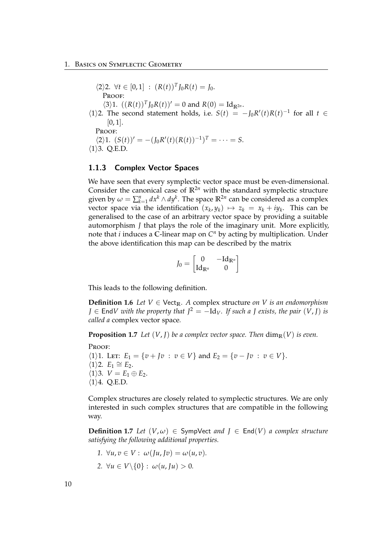$\langle 2 \rangle 2$ .  $\forall t \in [0, 1] : (R(t))^T J_0 R(t) = J_0$ . PROOF:  $\langle 3 \rangle 1$ .  $((R(t))^T J_0 R(t))' = 0$  and  $R(0) = Id_{\mathbb{R}^{2n}}$ .  $\langle 1 \rangle$ 2. The second statement holds, i.e.  $S(t) = -J_0R'(t)R(t)^{-1}$  for all  $t \in$  $[0, 1]$ . PROOF:  $\langle 2 \rangle 1$ .  $(S(t))' = -(J_0 R'(t) (R(t))^{-1})^T = \cdots = S$ .  $\langle 1 \rangle$ 3. Q.E.D.

#### <span id="page-15-0"></span>1.1.3 Complex Vector Spaces

We have seen that every symplectic vector space must be even-dimensional. Consider the canonical case of  $\mathbb{R}^{2n}$  with the standard symplectic structure given by  $\omega = \sum_{k=1}^n dx^k \wedge dy^k$ . The space  $\mathbb{R}^{2n}$  can be considered as a complex vector space via the identification  $(x_k, y_k) \mapsto z_k = x_k + iy_k$ . This can be generalised to the case of an arbitrary vector space by providing a suitable automorphism *J* that plays the role of the imaginary unit. More explicitly, note that *i* induces a **C**-linear map on *C <sup>n</sup>* by acting by multiplication. Under the above identification this map can be described by the matrix

$$
J_0 = \begin{bmatrix} 0 & -\mathrm{Id}_{\mathbb{R}^n} \\ \mathrm{Id}_{\mathbb{R}^n} & 0 \end{bmatrix}
$$

This leads to the following definition.

**Definition 1.6** *Let*  $V \in \text{Vect}_{\mathbb{R}}$ *. A* complex structure *on V is an endomorphism J* ∈ End*V* with the property that  $J^2 = -Id_V$ *. If such a J exists, the pair*  $(V, J)$  *is called a* complex vector space*.*

**Proposition 1.7** Let  $(V, J)$  be a complex vector space. Then  $\dim_{\mathbb{R}}(V)$  is even.

#### PROOF:

 $\langle 1 \rangle$ 1. Let:  $E_1 = \{ v + Jv : v \in V \}$  and  $E_2 = \{ v - Jv : v \in V \}.$  $\langle 1 \rangle$ 2. *E*<sub>1</sub> ≅ *E*<sub>2</sub>.  $\langle 1 \rangle$ 3.  $V = E_1 \oplus E_2$ .  $\langle 1 \rangle$ 4. Q.E.D.

Complex structures are closely related to symplectic structures. We are only interested in such complex structures that are compatible in the following way.

**Definition 1.7** Let  $(V, \omega) \in$  SympVect *and*  $J \in$  End $(V)$  *a complex structure satisfying the following additional properties.*

- *1.*  $\forall u, v \in V : \omega(Iu, Iv) = \omega(u, v).$
- 2.  $\forall u \in V \setminus \{0\} : \omega(u, \mathrm{J}u) > 0.$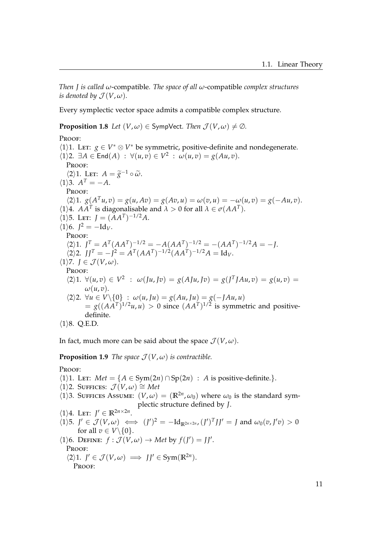*Then J is called ω*-compatible*. The space of all ω*-compatible *complex structures is denoted by*  $\mathcal{J}(V, \omega)$ *.* 

Every symplectic vector space admits a compatible complex structure.

**Proposition 1.8** *Let*  $(V, \omega) \in$  SympVect*. Then*  $\mathcal{J}(V, \omega) \neq \emptyset$ *.* 

#### PROOF:

 $\langle 1 \rangle$ 1. LET:  $g \in V^* \otimes V^*$  be symmetric, positive-definite and nondegenerate.  $\forall$ (1) 2.  $\exists A \in \mathsf{End}(A) : \forall (u, v) \in V^2 : \omega(u, v) = g(Au, v).$ PROOF:  $\langle 2 \rangle 1$ . Let:  $A = \tilde{g}^{-1} \circ \tilde{\omega}$ .  $\langle 1 \rangle$ 3.  $A^T = -A$ . PROOF:  $\chi$ 2 $\rangle$ 1. *g*(*A*<sup>T</sup>*u*, *v*) = *g*(*u*, *Av*) = *g*(*Av*, *u*) = *ω*(*v*, *u*) = −*ω*(*u*, *v*) = *g*(−*Au*, *v*).  $\langle 1 \rangle 4$ . *AA<sup>T</sup>* is diagonalisable and  $\lambda > 0$  for all  $\lambda \in \sigma(AA^T)$ .  $\langle 1 \rangle$ 5. Let:  $J = (AA^T)^{-1/2}A$ .  $\langle 1 \rangle 6$ .  $J^2 = -Id_V$ . Proof:  $\langle 2 \rangle 1$ .  $J^T = A^T (A A^T)^{-1/2} = -A (A A^T)^{-1/2} = -(A A^T)^{-1/2} A = -J$ .  $\langle 2 \rangle 2$ .  $JJ^T = -J^2 = A^T (AA^T)^{-1/2} (AA^T)^{-1/2} A = \text{Id}_V.$  $\langle 1 \rangle$ 7.  $J \in \mathcal{J}(V, \omega)$ . Proof:  $\langle 2 \rangle 1$ .  $\forall (u, v) \in V^2$  :  $\omega(Ju, Jv) = g(AJu, Jv) = g(J^T J A u, v) = g(u, v)$ *ω*(*u*, *v*).  $\langle 2 \rangle$ 2. ∀*u* ∈ *V*\{0} :  $\omega(u, Ju) = g(Au, Ju) = g(-JAu, u)$  $= g((AA^T)^{1/2}u,u) > 0$  since  $(AA^T)^{1/2}$  is symmetric and positivedefinite.  $\langle 1 \rangle 8$ . Q.E.D.

In fact, much more can be said about the space  $\mathcal{J}(V, \omega)$ .

**Proposition 1.9** *The space*  $\mathcal{J}(V, \omega)$  *is contractible.* 

#### PROOF:

 $\langle 1 \rangle$ 1. Let: *Met* = { $A \in Sym(2n) \cap Sp(2n)$  : *A* is positive-definite.}.

 $\langle 1 \rangle$ 2. SUFFICES:  $\mathcal{J}(V, \omega) \cong Met$ 

 $\langle 1 \rangle$ 3. SUFFICES ASSUME:  $(V, \omega) = (\mathbb{R}^{2n}, \omega_0)$  where  $\omega_0$  is the standard symplectic structure defined by *J*.

$$
\langle 1 \rangle 4. \text{LET: } J' \in \mathbb{R}^{2n \times 2n}.
$$
  
\n
$$
\langle 1 \rangle 5. J' \in \mathcal{J}(V, \omega) \iff (J')^2 = -\mathrm{Id}_{\mathbb{R}^{2n \times 2n}} (J')^T J J' = J \text{ and } \omega_0(v, J'v) >
$$
  
\nfor all  $v \in V \setminus \{0\}.$   
\n
$$
\langle 1 \rangle 6. \text{DEFINE: } f : \mathcal{J}(V, \omega) \to Met \text{ by } f(J') = JJ'.
$$
  
\nPROOF:

 $\langle 2 \rangle$ 1.  $J' \in \mathcal{J}(V, \omega) \implies JJ' \in \text{Sym}(\mathbb{R}^{2n}).$ Proof:

<sup>0</sup>*v*) > 0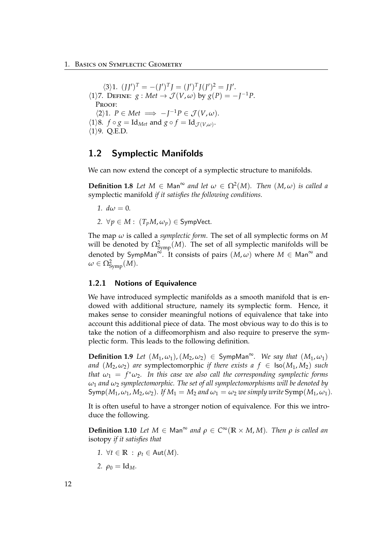$\langle 3 \rangle 1$ .  $(JJ')^T = -(J')^T J = (J')^T J (J')^2 = JJ'.$  $\langle 1 \rangle$ 7. DEFINE: *g* : *Met*  $\rightarrow$   $\mathcal{J}(V, \omega)$  by  $g(P) = -J^{-1}P$ . Proof:  $\langle 2 \rangle 1$ *.*  $P \in Met \implies -J^{-1}P \in \mathcal{J}(V, \omega)$ *.*  $\langle 1 \rangle 8$ .  $f \circ g = \text{Id}_{\text{Met}}$  and  $g \circ f = \text{Id}_{\mathcal{J}(V,\omega)}$ .  $\langle 1 \rangle$ 9. Q.E.D.

### <span id="page-17-0"></span>1.2 Symplectic Manifolds

We can now extend the concept of a symplectic structure to manifolds.

**Definition 1.8** *Let*  $M \in \text{Man}^{\infty}$  *and let*  $\omega \in \Omega^2(M)$ *. Then*  $(M, \omega)$  *is called a* symplectic manifold *if it satisfies the following conditions.*

- 1.  $d\omega = 0$ .
- 2.  $\forall p \in M : (T_pM, \omega_p) \in \text{SympVect}.$

The map *ω* is called a *symplectic form*. The set of all symplectic forms on *M* will be denoted by  $\Omega_\text{Symp}^2(M)$ . The set of all symplectic manifolds will be denoted by SympMan<sup>∞.</sup> It consists of pairs  $(M, \omega)$  where  $M \in \mathsf{Man}^{\infty}$  and  $\omega \in \Omega_\mathrm{Symp}^2(M).$ 

#### <span id="page-17-1"></span>1.2.1 Notions of Equivalence

We have introduced symplectic manifolds as a smooth manifold that is endowed with additional structure, namely its symplectic form. Hence, it makes sense to consider meaningful notions of equivalence that take into account this additional piece of data. The most obvious way to do this is to take the notion of a diffeomorphism and also require to preserve the symplectic form. This leads to the following definition.

**Definition 1.9** *Let*  $(M_1, \omega_1)$ ,  $(M_2, \omega_2) \in \text{SympMan}^\infty$ . We say that  $(M_1, \omega_1)$ *and*  $(M_2, \omega_2)$  *are* symplectomorphic *if there exists a f*  $\in$  **lso** $(M_1, M_2)$  *such that*  $\omega_1 = f^* \omega_2$ . In this case we also call the corresponding symplectic forms *ω*<sup>1</sup> *and ω*<sup>2</sup> *symplectomorphic. The set of all symplectomorphisms will be denoted by*  $\textsf{Symp}(M_1, \omega_1, M_2, \omega_2)$ . If  $M_1 = M_2$  and  $\omega_1 = \omega_2$  we simply write  $\textsf{Symp}(M_1, \omega_1)$ .

It is often useful to have a stronger notion of equivalence. For this we introduce the following.

**Definition 1.10** *Let*  $M \in \mathsf{Man}^{\infty}$  *and*  $\rho \in C^{\infty}(\mathbb{R} \times M, M)$ *. Then*  $\rho$  *is called an* isotopy *if it satisfies that*

- *1.*  $\forall t \in \mathbb{R} : \rho_t \in \text{Aut}(M)$ .
- 2.  $\rho_0 = \text{Id}_M$ .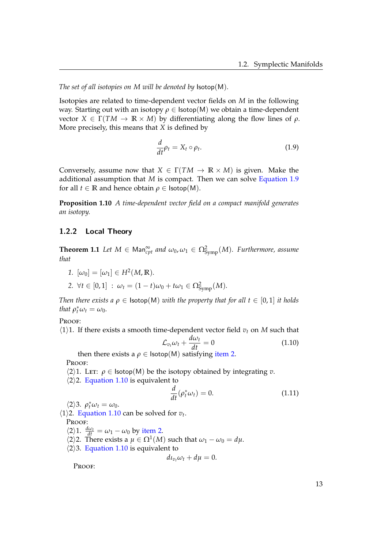*The set of all isotopies on M will be denoted by* Isotop(M)*.*

Isotopies are related to time-dependent vector fields on *M* in the following way. Starting out with an isotopy *ρ* ∈ Isotop(M) we obtain a time-dependent vector *X* ∈ Γ(*TM* → **R** × *M*) by differentiating along the flow lines of *ρ*. More precisely, this means that *X* is defined by

<span id="page-18-1"></span>
$$
\frac{d}{dt}\rho_t = X_t \circ \rho_t. \tag{1.9}
$$

Conversely, assume now that  $X \in \Gamma(TM \to \mathbb{R} \times M)$  is given. Make the additional assumption that *M* is compact. Then we can solve [Equation 1.9](#page-18-1) for all  $t \in \mathbb{R}$  and hence obtain  $\rho \in \text{Isotop}(M)$ .

**Proposition 1.10** *A time-dependent vector field on a compact manifold generates an isotopy.*

#### <span id="page-18-0"></span>1.2.2 Local Theory

**Theorem 1.1** *Let*  $M \in \text{Man}^{\infty}_{cpt}$  *and*  $\omega_0, \omega_1 \in \Omega^2_{\text{Symp}}(M)$ *. Furthermore, assume that*

<span id="page-18-2"></span>*1.*  $[\omega_0] = [\omega_1] \in H^2(M, \mathbb{R})$ .

$$
2. \ \forall t \in [0,1] \ : \ \omega_t = (1-t)\omega_0 + t\omega_1 \in \Omega^2_{\text{Symp}}(M).
$$

*Then there exists a*  $\rho \in$  **Isotop**(M) *with the property that for all t*  $\in$  [0, 1] *it holds that*  $\rho_t^* \omega_t = \omega_0$ *.* 

PROOF:

 $\langle 1 \rangle$ 1. If there exists a smooth time-dependent vector field  $v_t$  on *M* such that

<span id="page-18-3"></span>
$$
\mathcal{L}_{v_t}\omega_t + \frac{d\omega_t}{dt} = 0 \tag{1.10}
$$

then there exists a  $\rho \in \text{Isotop}(M)$  satisfying [item 2.](#page-18-2)

Proof:

 $\langle 2 \rangle$ 1. Let:  $\rho \in \text{Isotop}(M)$  be the isotopy obtained by integrating *v*.

 $\langle 2 \rangle$ 2. [Equation 1.10](#page-18-3) is equivalent to

<span id="page-18-4"></span>
$$
\frac{d}{dt}(\rho_t^* \omega_t) = 0. \tag{1.11}
$$

 $\langle 2 \rangle 3$ .  $\rho_t^* \omega_t = \omega_0$ .

 $\langle 1 \rangle$ 2. [Equation 1.10](#page-18-3) can be solved for  $v_t$ .

Proof:

 $\langle 2 \rangle 1$ .  $\frac{d\omega_t}{dt} = \omega_1 - \omega_0$  by [item 2.](#page-18-2)

 $\langle 2 \rangle$ 2. There exists a  $\mu \in \Omega^1(M)$  such that  $\omega_1 - \omega_0 = d\mu$ .

 $\langle 2 \rangle$ 3. [Equation 1.10](#page-18-3) is equivalent to

$$
d\iota_{v_t}\omega_t + d\mu = 0.
$$

Proof: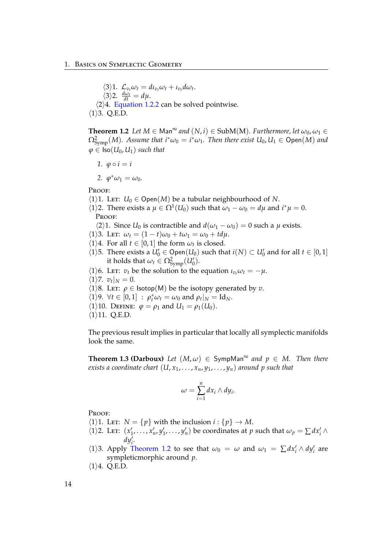$\langle 3 \rangle 1$ .  $\mathcal{L}_{v_t} \omega_t = d \iota_{v_t} \omega_t + \iota_{v_t} d \omega_t$ .  $\langle 3 \rangle 2.$   $\frac{d\omega_t}{dt} = d\mu.$  $\langle 2 \rangle 4$ . [Equation 1.2.2](#page-18-4) can be solved pointwise.  $\langle 1 \rangle$ 3. Q.E.D.

<span id="page-19-0"></span>**Theorem 1.2** *Let*  $M \in \mathsf{Man}^{\infty}$  *and*  $(N, i) \in \mathsf{SubM}(M)$ *. Furthermore, let*  $\omega_0, \omega_1 \in$  $\Omega_{\rm Symp}^2(M)$ . Assume that  $i^*\omega_0 = i^*\omega_1$ . Then there exist  $U_0, U_1 \in {\rm Open}(M)$  and  $\varphi \in \text{Iso}(U_0, U_1)$  *such that* 

*1.*  $\varphi \circ i = i$ 

2.  $\varphi^* \omega_1 = \omega_0$ .

PROOF:

- $\langle 1 \rangle$ 1. LET: *U*<sub>0</sub>  $\in$  Open(*M*) be a tubular neighbourhood of *N*.
- $\langle 1 \rangle$ 2. There exists a  $\mu \in \Omega^1(U_0)$  such that  $\omega_1 \omega_0 = d\mu$  and  $i^*\mu = 0$ . Proof:

 $\langle 2 \rangle$ 1. Since *U*<sub>0</sub> is contractible and  $d(\omega_1 - \omega_0) = 0$  such a  $\mu$  exists.

- $\langle 1 \rangle$ 3. LET:  $\omega_t = (1-t)\omega_0 + t\omega_1 = \omega_0 + t d\mu$ .
- $\langle 1 \rangle 4$ . For all  $t \in [0, 1]$  the form  $\omega_t$  is closed.
- $\langle 1 \rangle$ 5. There exists a *U*<sup> $\prime$ </sup> ∈ Open(*U*<sub>0</sub>) such that *i*(*N*) ⊂ *U*<sup> $\prime$ </sup> and for all *t* ∈ [0, 1] it holds that  $\omega_t \in \Omega_{\text{Symp}}^2(U'_0)$ .
- $\langle 1 \rangle$ 6. Let: *v*<sub>t</sub> be the solution to the equation  $\iota_{v_t} \omega_t = -\mu$ .
- $\langle 1 \rangle$ 7.  $v_t |_N = 0$ .
- $\langle 1 \rangle$ 8. Let:  $\rho \in \text{Isotop}(M)$  be the isotopy generated by *v*.
- $\langle 1 \rangle$ 9.  $\forall t \in [0, 1] : \rho_t^* \omega_t = \omega_0 \text{ and } \rho_t |_{N} = \text{Id}_{N}.$
- $\langle 1 \rangle$ 10. DEFINE:  $\varphi = \rho_1$  and  $U_1 = \rho_1(U_0)$ .
- $\langle 1 \rangle$ 11. Q.E.D.

The previous result implies in particular that locally all symplectic manifolds look the same.

**Theorem 1.3 (Darboux)** *Let*  $(M, \omega) \in$  SympMan<sup> $\infty$ </sup> and  $p \in M$ . Then there *exists a coordinate chart*  $(U, x_1, \ldots, x_n, y_1, \ldots, y_n)$  *around p such that* 

$$
\omega=\sum_{i=1}^n dx_i\wedge dy_i.
$$

Proof:

- $\langle 1 \rangle$ 1. Let:  $N = \{p\}$  with the inclusion  $i : \{p\} \to M$ .
- $\langle 1 \rangle$ 2. Let:  $(x'_1, \ldots, x'_n, y'_1, \ldots, y'_n)$  be coordinates at *p* such that  $\omega_p = \sum dx'_i \wedge y'_i$  $dy_i^{\overline{\imath}}$ .
- $\langle 1 \rangle$ 3. Apply [Theorem 1.2](#page-19-0) to see that  $\omega_0 = \omega$  and  $\omega_1 = \sum dx'_i \wedge dy'_i$  are sympleticmorphic around *p*.
- $\langle 1 \rangle 4$ . Q.E.D.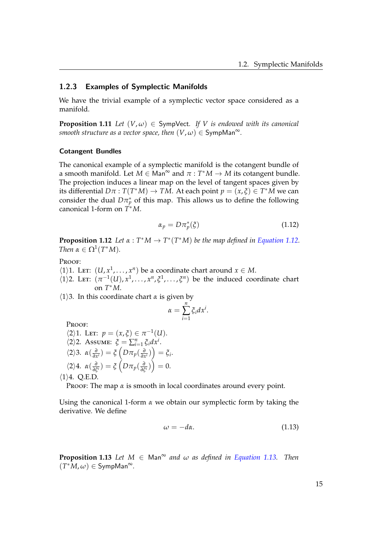#### <span id="page-20-0"></span>1.2.3 Examples of Symplectic Manifolds

We have the trivial example of a symplectic vector space considered as a manifold.

**Proposition 1.11** *Let*  $(V, \omega) \in$  SympVect. If V is endowed with its canonical *smooth structure as a vector space, then*  $(V, \omega) \in \mathsf{SympMan}^\infty$ .

#### Cotangent Bundles

The canonical example of a symplectic manifold is the cotangent bundle of a smooth manifold. Let  $M \in \mathsf{Man}^{\infty}$  and  $\pi : T^*M \to M$  its cotangent bundle. The projection induces a linear map on the level of tangent spaces given by its differential  $D\pi : T(T^*M) \to TM$ . At each point  $p = (x, \xi) \in T^*M$  we can consider the dual  $D\pi_p^*$  of this map. This allows us to define the following canonical 1-form on *T* <sup>∗</sup>*M*.

<span id="page-20-1"></span>
$$
\alpha_p = D \pi_p^*(\xi) \tag{1.12}
$$

**Proposition 1.12** *Let*  $\alpha$  :  $T^*M \to T^*(T^*M)$  *be the map defined in [Equation 1.12.](#page-20-1) Then*  $\alpha \in \Omega^1(T^*M)$ *.* 

#### PROOF:

- $\langle 1 \rangle$ 1. Let:  $(U, x^1, \ldots, x^n)$  be a coordinate chart around  $x \in M$ .
- $\langle 1 \rangle$ 2. Let:  $(\pi^{-1}(U), x^1, \ldots, x^n, \xi^1, \ldots, \xi^n)$  be the induced coordinate chart on *T* <sup>∗</sup>*M*.

 $\langle 1 \rangle$ 3. In this coordinate chart *α* is given by

$$
\alpha=\sum_{i=1}^n \zeta_i dx^i.
$$

Proof:

$$
\langle 2 \rangle 1. \text{LET: } p = (x, \xi) \in \pi^{-1}(U).
$$
  

$$
\langle 2 \rangle 2. \text{ Assume: } \xi = \sum_{i=1}^{n} \xi_i dx^i.
$$
  

$$
\langle 2 \rangle 3. \alpha(\frac{\partial}{\partial x^i}) = \xi \left( D \pi_p(\frac{\partial}{\partial x^i}) \right) = \xi_i.
$$
  

$$
\langle 2 \rangle 4. \alpha(\frac{\partial}{\partial \xi^i}) = \xi \left( D \pi_p(\frac{\partial}{\partial \xi^i}) \right) = 0.
$$

 $\langle 1 \rangle 4$ . Q.E.D.

PROOF: The map  $\alpha$  is smooth in local coordinates around every point.

Using the canonical 1-form *α* we obtain our symplectic form by taking the derivative. We define

<span id="page-20-2"></span>
$$
\omega = -d\alpha. \tag{1.13}
$$

**Proposition 1.13** *Let*  $M \in \text{Man}^{\infty}$  *and*  $\omega$  *as defined in [Equation 1.13.](#page-20-2) Then*  $(T^*M, \omega) \in \mathsf{SympMan}^\infty$ .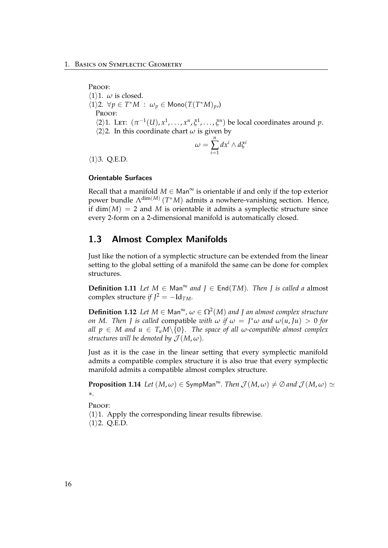PROOF:  $\langle 1 \rangle$ 1. *ω* is closed.  $\langle 1 \rangle$ 2.  $\forall p \in T^*M$  :  $\omega_p \in \text{Mono}(T(T^*M)_{p})$ PROOF:  $\langle 2 \rangle$ 1. Let:  $(\pi^{-1}(U), x^1, \ldots, x^n, \xi^1, \ldots, \xi^n)$  be local coordinates around *p*.  $\langle 2 \rangle$ 2. In this coordinate chart *ω* is given by  $\omega =$ *n* ∑ *i*=1 *dx<sup>i</sup>* ∧ *dξ i*  $\langle 1 \rangle$ 3. Q.E.D.

#### Orientable Surfaces

Recall that a manifold  $M \in$  Man<sup>∞</sup> is orientable if and only if the top exterior power bundle Λdim(*M*) (*T* <sup>∗</sup>*M*) admits a nowhere-vanishing section. Hence, if  $dim(M) = 2$  and *M* is orientable it admits a symplectic structure since every 2-form on a 2-dimensional manifold is automatically closed.

## <span id="page-21-0"></span>1.3 Almost Complex Manifolds

Just like the notion of a symplectic structure can be extended from the linear setting to the global setting of a manifold the same can be done for complex structures.

**Definition 1.11** *Let*  $M$  ∈ Man<sup>∞</sup> *and*  $J$  ∈ End(*TM*)*. Then*  $J$  *is called a* almost complex structure *if*  $I^2 = -Id_{TM}$ *.* 

**Definition 1.12** *Let*  $M \in \text{Man}^{\infty}$ ,  $\omega \in \Omega^2(M)$  and *J an almost complex structure on M. Then J is called* compatible *with*  $\omega$  *if*  $\omega = J^* \omega$  and  $\omega(u, Ju) > 0$  for *all*  $p \in M$  *and*  $u \in T_uM \setminus \{0\}$ . The space of all  $\omega$ -compatible almost complex *structures will be denoted by*  $\mathcal{J}(M,\omega)$ *.* 

Just as it is the case in the linear setting that every symplectic manifold admits a compatible complex structure it is also true that every symplectic manifold admits a compatible almost complex structure.

**Proposition 1.14** *Let*  $(M, \omega) \in \text{SympMan}^{\infty}$ . *Then*  $\mathcal{J}(M, \omega) \neq \emptyset$  *and*  $\mathcal{J}(M, \omega) \simeq$ ∗*.*

Proof:

 $\langle 1 \rangle$ 1. Apply the corresponding linear results fibrewise.  $\langle 1 \rangle$ 2. Q.E.D.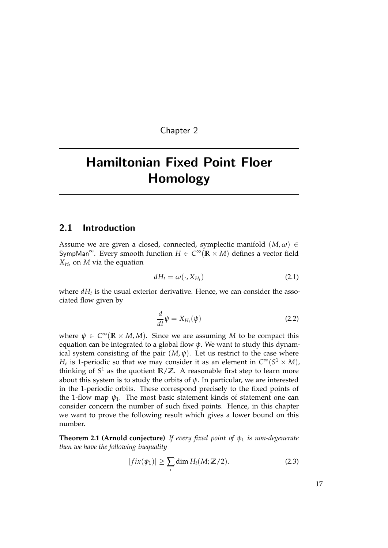Chapter 2

# <span id="page-22-0"></span>Hamiltonian Fixed Point Floer Homology

#### <span id="page-22-1"></span>2.1 Introduction

Assume we are given a closed, connected, symplectic manifold  $(M, \omega) \in$ SympMan<sup>∞</sup>. Every smooth function  $H \in C^{\infty}(\mathbb{R} \times M)$  defines a vector field  $X_{H_t}$  on *M* via the equation

$$
dH_t = \omega(\cdot, X_{H_t})
$$
\n(2.1)

where  $dH_t$  is the usual exterior derivative. Hence, we can consider the associated flow given by

<span id="page-22-4"></span>
$$
\frac{d}{dt}\psi = X_{H_t}(\psi) \tag{2.2}
$$

where  $\psi \in C^{\infty}(\mathbb{R} \times M, M)$ . Since we are assuming M to be compact this equation can be integrated to a global flow *ψ*. We want to study this dynamical system consisting of the pair  $(M, \psi)$ . Let us restrict to the case where *H*<sub>t</sub> is 1-periodic so that we may consider it as an element in  $C^{\infty}(S^1 \times M)$ , thinking of *S* <sup>1</sup> as the quotient **R**/**Z**. A reasonable first step to learn more about this system is to study the orbits of  $\psi$ . In particular, we are interested in the 1-periodic orbits. These correspond precisely to the fixed points of the 1-flow map  $\psi_1$ . The most basic statement kinds of statement one can consider concern the number of such fixed points. Hence, in this chapter we want to prove the following result which gives a lower bound on this number.

<span id="page-22-2"></span>**Theorem 2.1 (Arnold conjecture)** *If every fixed point of ψ*<sup>1</sup> *is non-degenerate then we have the following inequality*

$$
|fix(\psi_1)| \ge \sum_i \dim H_i(M;\mathbb{Z}/2). \tag{2.3}
$$

<span id="page-22-3"></span>17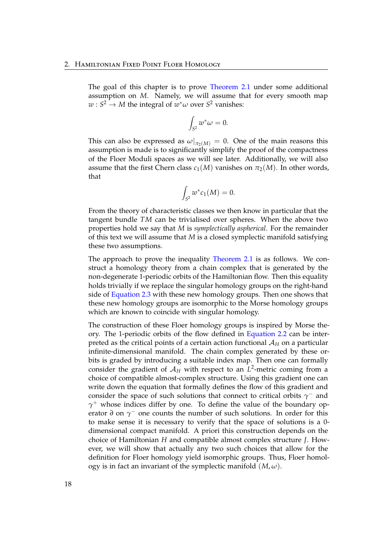The goal of this chapter is to prove [Theorem 2.1](#page-22-2) under some additional assumption on *M*. Namely, we will assume that for every smooth map  $w: S^2 \to M$  the integral of  $w^*\omega$  over  $S^2$  vanishes:

$$
\int_{S^2} w^* \omega = 0.
$$

This can also be expressed as  $\omega|_{\pi_2(M)} = 0$ . One of the main reasons this assumption is made is to significantly simplify the proof of the compactness of the Floer Moduli spaces as we will see later. Additionally, we will also assume that the first Chern class  $c_1(M)$  vanishes on  $\pi_2(M)$ . In other words, that

$$
\int_{S^2} w^* c_1(M) = 0.
$$

From the theory of characteristic classes we then know in particular that the tangent bundle *TM* can be trivialised over spheres. When the above two properties hold we say that *M* is *symplectically aspherical*. For the remainder of this text we will assume that *M* is a closed symplectic manifold satisfying these two assumptions.

The approach to prove the inequality [Theorem 2.1](#page-22-2) is as follows. We construct a homology theory from a chain complex that is generated by the non-degenerate 1-periodic orbits of the Hamiltonian flow. Then this equality holds trivially if we replace the singular homology groups on the right-hand side of [Equation 2.3](#page-22-3) with these new homology groups. Then one shows that these new homology groups are isomorphic to the Morse homology groups which are known to coincide with singular homology.

The construction of these Floer homology groups is inspired by Morse theory. The 1-periodic orbits of the flow defined in [Equation 2.2](#page-22-4) can be interpreted as the critical points of a certain action functional  $A_H$  on a particular infinite-dimensional manifold. The chain complex generated by these orbits is graded by introducing a suitable index map. Then one can formally consider the gradient of  $A_H$  with respect to an  $L^2$ -metric coming from a choice of compatible almost-complex structure. Using this gradient one can write down the equation that formally defines the flow of this gradient and consider the space of such solutions that connect to critical orbits  $\gamma$ <sup>-</sup> and *γ* <sup>+</sup> whose indices differ by one. To define the value of the boundary operator *∂* on *γ*<sup>−</sup> one counts the number of such solutions. In order for this to make sense it is necessary to verify that the space of solutions is a 0 dimensional compact manifold. A priori this construction depends on the choice of Hamiltonian *H* and compatible almost complex structure *J*. However, we will show that actually any two such choices that allow for the definition for Floer homology yield isomorphic groups. Thus, Floer homology is in fact an invariant of the symplectic manifold  $(M, \omega)$ .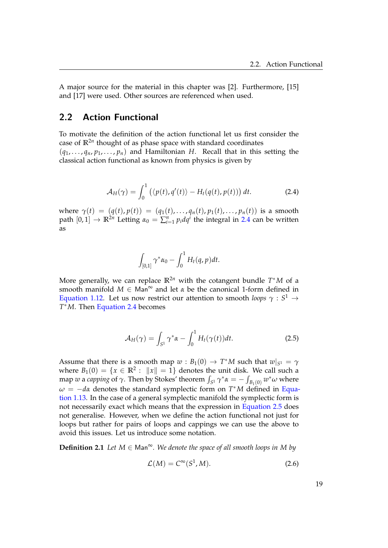A major source for the material in this chapter was [\[2\]](#page-118-7). Furthermore, [\[15\]](#page-119-3) and [\[17\]](#page-119-4) were used. Other sources are referenced when used.

### <span id="page-24-0"></span>2.2 Action Functional

To motivate the definition of the action functional let us first consider the case of **R**2*<sup>n</sup>* thought of as phase space with standard coordinates  $(q_1, \ldots, q_n, p_1, \ldots, p_n)$  and Hamiltonian *H*. Recall that in this setting the classical action functional as known from physics is given by

$$
\mathcal{A}_H(\gamma) = \int_0^1 \left( \langle p(t), q'(t) \rangle - H_t(q(t), p(t)) \right) dt.
$$
 (2.4)

 $w$ here  $\gamma(t) = (q(t), p(t)) = (q_1(t), \ldots, q_n(t), p_1(t), \ldots, p_n(t))$  is a smooth path  $[0,1] \rightarrow \mathbb{R}^{2n}$  Letting  $\alpha_0 = \sum_{i=1}^n p_i dq^i$  the integral in [2.4](#page-24-1) can be written as

<span id="page-24-1"></span>
$$
\int_{[0,1]}\gamma^*\alpha_0-\int_0^1H_t(q,p)dt.
$$

More generally, we can replace **R**2*<sup>n</sup>* with the cotangent bundle *T* <sup>∗</sup>*M* of a smooth manifold  $M \in \mathsf{Man}^{\infty}$  and let  $\alpha$  be the canonical 1-form defined in [Equation 1.12.](#page-20-1) Let us now restrict our attention to smooth *loops*  $\gamma: S^1 \to$ *T* <sup>∗</sup>*M*. Then [Equation 2.4](#page-24-1) becomes

<span id="page-24-2"></span>
$$
\mathcal{A}_H(\gamma) = \int_{S^1} \gamma^* \alpha - \int_0^1 H_t(\gamma(t)) dt.
$$
 (2.5)

Assume that there is a smooth map  $w : B_1(0) \to T^*M$  such that  $w|_{S^1} = \gamma$ where  $B_1(0) = \{x \in \mathbb{R}^2 : ||x|| = 1\}$  denotes the unit disk. We call such a map *w* a *capping* of  $\gamma$ . Then by Stokes' theorem  $\int_{S^1} \gamma^* \alpha = - \int_{B_1(0)} w^* \omega$  where *ω* = −*dα* denotes the standard symplectic form on *T* <sup>∗</sup>*M* defined in [Equa](#page-20-2)[tion 1.13.](#page-20-2) In the case of a general symplectic manifold the symplectic form is not necessarily exact which means that the expression in [Equation 2.5](#page-24-2) does not generalise. However, when we define the action functional not just for loops but rather for pairs of loops and cappings we can use the above to avoid this issues. Let us introduce some notation.

**Definition 2.1** *Let*  $M \in \mathsf{Man}^{\infty}$ *. We denote the space of all smooth loops in*  $M$  *by* 

$$
\mathcal{L}(M) = C^{\infty}(S^1, M). \tag{2.6}
$$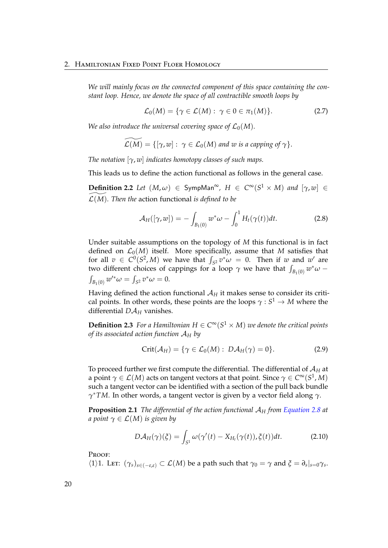*We will mainly focus on the connected component of this space containing the constant loop. Hence, we denote the space of all contractible smooth loops by*

$$
\mathcal{L}_0(M) = \{ \gamma \in \mathcal{L}(M) : \ \gamma \in 0 \in \pi_1(M) \}. \tag{2.7}
$$

*We also introduce the universal covering space of*  $\mathcal{L}_0(M)$ *.* 

$$
\widetilde{\mathcal{L}(M)} = \{[\gamma, w] : \gamma \in \mathcal{L}_0(M) \text{ and } w \text{ is a capping of } \gamma\}.
$$

*The notation* [*γ*, *w*] *indicates homotopy classes of such maps.*

This leads us to define the action functional as follows in the general case.

**Definition 2.2** *Let*  $(M, \omega) \in$  SympMan<sup>∞</sup>,  $H \in C^{\infty}(S^1 \times M)$  *and*  $[\gamma, w] \in$  $\mathcal{L}(M)$ *. Then the* action functional *is defined to be* 

<span id="page-25-0"></span>
$$
\mathcal{A}_H([\gamma, w]) = -\int_{B_1(0)} w^* \omega - \int_0^1 H_t(\gamma(t)) dt.
$$
 (2.8)

Under suitable assumptions on the topology of *M* this functional is in fact defined on  $\mathcal{L}_0(M)$  itself. More specifically, assume that M satisfies that for all  $v \in C^0(S^2, M)$  we have that  $\int_{S^2} v^* \omega = 0$ . Then if *w* and *w*' are two different choices of cappings for a loop  $\gamma$  we have that  $\int_{B_1(0)} w^* \omega \int_{B_1(0)} w'^* \omega = \int_{S^2} v^* \omega = 0.$ 

Having defined the action functional  $A_H$  it makes sense to consider its critical points. In other words, these points are the loops  $\gamma : S^1 \to M$  where the differential  $D\mathcal{A}_H$  vanishes.

**Definition 2.3** For a Hamiltonian  $H \in C^{\infty}(S^1 \times M)$  we denote the critical points *of its associated action function* A*<sup>H</sup> by*

$$
Crit(\mathcal{A}_H) = \{ \gamma \in \mathcal{L}_0(M) : D\mathcal{A}_H(\gamma) = 0 \}.
$$
 (2.9)

To proceed further we first compute the differential. The differential of A*<sup>H</sup>* at a point  $\gamma \in \mathcal{L}(M)$  acts on tangent vectors at that point. Since  $\gamma \in C^\infty(S^1,M)$ such a tangent vector can be identified with a section of the pull back bundle *γ* <sup>∗</sup>*TM*. In other words, a tangent vector is given by a vector field along *γ*.

**Proposition 2.1** *The differential of the action functional* A*<sup>H</sup> from [Equation 2.8](#page-25-0) at a point*  $\gamma \in \mathcal{L}(M)$  *is given by* 

$$
D\mathcal{A}_H(\gamma)(\xi) = \int_{S^1} \omega(\gamma'(t) - X_{H_t}(\gamma(t)), \xi(t))dt.
$$
 (2.10)

PROOF:

 $\langle 1 \rangle$ 1. Let:  $(\gamma_s)_{s \in (-\varepsilon,\varepsilon)} \subset \mathcal{L}(M)$  be a path such that  $\gamma_0 = \gamma$  and  $\xi = \partial_s |_{s=0} \gamma_s$ .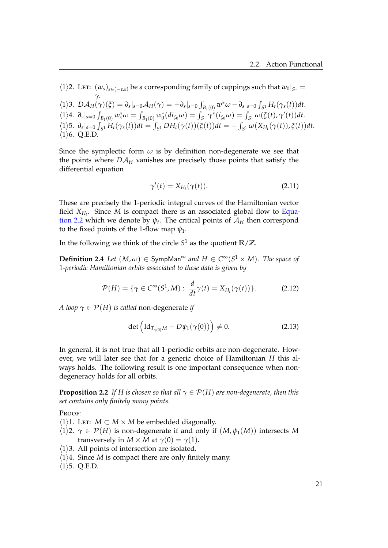$\langle 1 \rangle$ 2. Let:  $(w_s)_{s \in (-\varepsilon,\varepsilon)}$  be a corresponding family of cappings such that  $w_0|_{S^1} =$ *γ*.  $\langle 1 \rangle 3. \ D \mathcal{A}_H(\gamma)(\xi) = \partial_s |_{s=0} \mathcal{A}_H(\gamma) = -\partial_s |_{s=0} \int_{B_1(0)} w^* \omega - \partial_s |_{s=0} \int_{S^1} H_t(\gamma_s(t)) dt.$  $\langle 1 \rangle 4. \; \partial_s |_{s=0} \int_{B_1(0)} w_s^* \omega = \int_{B_1(0)} w_0^* (di_{\xi_0} \omega) = \int_{S^1} \gamma^* (i_{\xi_0} \omega) = \int_{S^1} \omega(\xi(t), \gamma'(t)) dt.$  $\langle 1 \rangle$ 5.  $\partial_s|_{s=0} \int_{S^1} H_t(\gamma_s(t))dt = \int_{S^1} DH_t(\gamma(t))(\xi(t))dt = -\int_{S^1} \omega(X_{H_t}(\gamma(t)), \xi(t))dt.$  $\langle 1 \rangle$ 6. Q.E.D.

Since the symplectic form  $\omega$  is by definition non-degenerate we see that the points where  $D A_H$  vanishes are precisely those points that satisfy the differential equation

$$
\gamma'(t) = X_{H_t}(\gamma(t)).\tag{2.11}
$$

These are precisely the 1-periodic integral curves of the Hamiltonian vector field *XH<sup>t</sup>* . Since *M* is compact there is an associated global flow to [Equa](#page-22-4)[tion 2.2](#page-22-4) which we denote by  $\psi_t$ . The critical points of  $\mathcal{A}_H$  then correspond to the fixed points of the 1-flow map *ψ*1.

In the following we think of the circle *S* <sup>1</sup> as the quotient **R**/**Z**.

 $\mathbf{Definition 2.4}$  *Let*  $(M, \omega) \in \mathsf{SympMan}^{\infty}$  and  $H \in C^{\infty}(S^1 \times M)$ . The space of 1*-periodic Hamiltonian orbits associated to these data is given by*

$$
\mathcal{P}(H) = \{ \gamma \in C^{\infty}(S^1, M) : \frac{d}{dt} \gamma(t) = X_{H_t}(\gamma(t)) \}. \tag{2.12}
$$

*A loop*  $\gamma \in \mathcal{P}(H)$  *is called* non-degenerate *if* 

$$
\det\left(\mathrm{Id}_{T_{\gamma(0)}M}-D\psi_1(\gamma(0))\right)\neq 0. \tag{2.13}
$$

In general, it is not true that all 1-periodic orbits are non-degenerate. However, we will later see that for a generic choice of Hamiltonian *H* this always holds. The following result is one important consequence when nondegeneracy holds for all orbits.

**Proposition 2.2** *If H is chosen so that all*  $\gamma \in \mathcal{P}(H)$  *are non-degenerate, then this set contains only finitely many points.*

Proof:

- $\langle 1 \rangle$ 1. Let: *M* ⊂ *M* × *M* be embedded diagonally.
- $\langle 1 \rangle$ 2.  $\gamma \in \mathcal{P}(H)$  is non-degenerate if and only if  $(M, \psi_1(M))$  intersects M transversely in *M* × *M* at  $\gamma$ (0) =  $\gamma$ (1).
- $\langle 1 \rangle$ 3. All points of intersection are isolated.
- $\langle 1 \rangle 4$ . Since *M* is compact there are only finitely many.
- $\langle 1 \rangle$ 5. Q.E.D.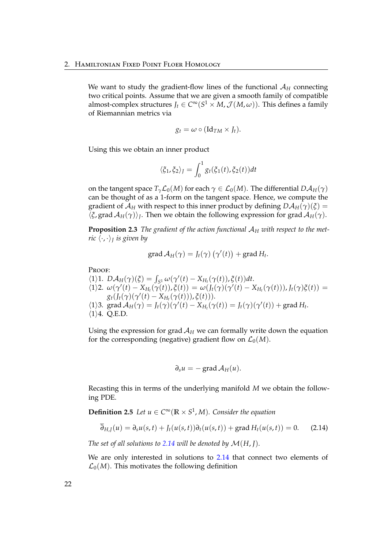We want to study the gradient-flow lines of the functional A*<sup>H</sup>* connecting two critical points. Assume that we are given a smooth family of compatible almost-complex structures  $J_t \in C^{\infty}(S^1 \times M, \mathcal{J}(M,\omega))$ . This defines a family of Riemannian metrics via

$$
g_t = \omega \circ (\mathrm{Id}_{TM} \times J_t).
$$

Using this we obtain an inner product

$$
\langle \xi_1, \xi_2 \rangle_J = \int_0^1 g_t(\xi_1(t), \xi_2(t)) dt
$$

on the tangent space  $T_\gamma L_0(M)$  for each  $\gamma \in L_0(M)$ . The differential  $D\mathcal{A}_H(\gamma)$ can be thought of as a 1-form on the tangent space. Hence, we compute the gradient of  $\mathcal{A}_H$  with respect to this inner product by defining  $D\mathcal{A}_H(\gamma)(\zeta) =$  $\langle \xi$ , grad  $\mathcal{A}_H(\gamma) \rangle$ <sub>*J*</sub>. Then we obtain the following expression for grad  $\mathcal{A}_H(\gamma)$ .

**Proposition 2.3** *The gradient of the action functional*  $A_H$  *with respect to the metric* h·, ·i*<sup>J</sup> is given by*

$$
\operatorname{grad} A_H(\gamma) = J_t(\gamma) \left( \gamma'(t) \right) + \operatorname{grad} H_t.
$$

Proof:

 $\mathcal{A}_{H}(\gamma)(\xi) = \int_{S^1} \omega(\gamma'(t) - X_{H_t}(\gamma(t)), \xi(t))dt.$  $\langle 1 \rangle 2. \omega(\gamma'(t) - X_{H_t}(\gamma(t)), \xi(t)) = \omega(J_t(\gamma)(\gamma'(t) - X_{H_t}(\gamma(t))), J_t(\gamma)\xi(t)) =$  $g_t(f_t(\gamma)(\gamma'(t) - X_{H_t}(\gamma(t))), \xi(t))).$  $\langle 1 \rangle$ 3. grad  $\mathcal{A}_H(\gamma) = J_t(\gamma)(\gamma'(t) - X_{H_t}(\gamma(t)) = J_t(\gamma)(\gamma'(t)) + \text{grad } H_t$ .  $\langle 1 \rangle 4$ . O.E.D.

Using the expression for grad  $A_H$  we can formally write down the equation for the corresponding (negative) gradient flow on  $\mathcal{L}_0(M)$ .

<span id="page-27-0"></span>
$$
\partial_s u = - \operatorname{grad} \mathcal{A}_H(u).
$$

Recasting this in terms of the underlying manifold *M* we obtain the following PDE.

**Definition 2.5** *Let*  $u \in C^\infty(\mathbb{R} \times S^1, M)$ *. Consider the equation* 

$$
\overline{\partial}_{H,J}(u) = \partial_s u(s,t) + J_t(u(s,t))\partial_t(u(s,t)) + \operatorname{grad} H_t(u(s,t)) = 0.
$$
 (2.14)

*The set of all solutions to [2.14](#page-27-0) will be denoted by*  $\mathcal{M}(H, I)$ *.* 

We are only interested in solutions to [2.14](#page-27-0) that connect two elements of  $\mathcal{L}_0(M)$ . This motivates the following definition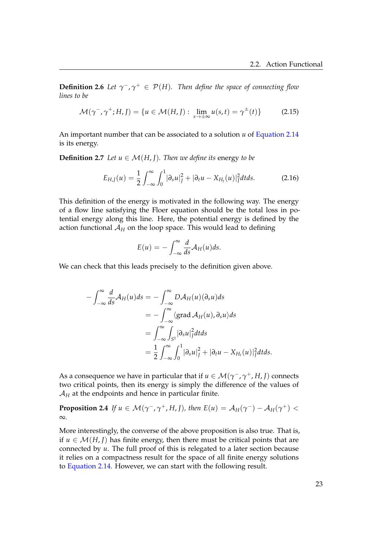**Definition 2.6** *Let*  $\gamma^-$ ,  $\gamma^+$   $\in$   $\mathcal{P}(H)$ . Then define the space of connecting flow *lines to be*

$$
\mathcal{M}(\gamma^-,\gamma^+;H,J) = \{ u \in \mathcal{M}(H,J) : \lim_{s \to \pm \infty} u(s,t) = \gamma^{\pm}(t) \}
$$
(2.15)

An important number that can be associated to a solution *u* of [Equation 2.14](#page-27-0) is its energy.

**Definition 2.7** *Let*  $u \in \mathcal{M}(H, I)$ *. Then we define its energy to be* 

$$
E_{H,J}(u) = \frac{1}{2} \int_{-\infty}^{\infty} \int_{0}^{1} |\partial_s u|_{J}^{2} + |\partial_t u - X_{H_t}(u)|_{J}^{2} dt ds.
$$
 (2.16)

This definition of the energy is motivated in the following way. The energy of a flow line satisfying the Floer equation should be the total loss in potential energy along this line. Here, the potential energy is defined by the action functional  $A_H$  on the loop space. This would lead to defining

$$
E(u) = -\int_{-\infty}^{\infty} \frac{d}{ds} \mathcal{A}_H(u) ds.
$$

We can check that this leads precisely to the definition given above.

$$
-\int_{-\infty}^{\infty} \frac{d}{ds} \mathcal{A}_H(u) ds = -\int_{-\infty}^{\infty} D\mathcal{A}_H(u) (\partial_s u) ds
$$
  

$$
= -\int_{-\infty}^{\infty} \langle \text{grad } \mathcal{A}_H(u), \partial_s u \rangle ds
$$
  

$$
= \int_{-\infty}^{\infty} \int_{S^1} |\partial_s u|^2 f ds
$$
  

$$
= \frac{1}{2} \int_{-\infty}^{\infty} \int_0^1 |\partial_s u|^2 f + |\partial_t u - X_{H_t}(u)|^2 f dt ds.
$$

As a consequence we have in particular that if  $u \in \mathcal{M}(\gamma^-, \gamma^+, H, J)$  connects two critical points, then its energy is simply the difference of the values of  $A_H$  at the endpoints and hence in particular finite.

**Proposition 2.4** *If*  $u \in M(\gamma^-, \gamma^+, H, J)$ , then  $E(u) = A_H(\gamma^-) - A_H(\gamma^+)$ ∞*.*

More interestingly, the converse of the above proposition is also true. That is, if *u* ∈  $M(H, I)$  has finite energy, then there must be critical points that are connected by *u*. The full proof of this is relegated to a later section because it relies on a compactness result for the space of all finite energy solutions to [Equation 2.14.](#page-27-0) However, we can start with the following result.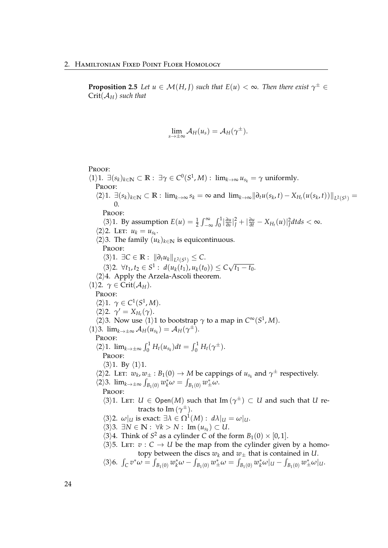**Proposition 2.5** *Let*  $u \in \mathcal{M}(H,I)$  *such that*  $E(u) < \infty$ *. Then there exist*  $\gamma^{\pm} \in$ Crit(A*H*) *such that*

$$
\lim_{s\to\pm\infty} \mathcal{A}_H(u_s) = \mathcal{A}_H(\gamma^{\pm}).
$$

#### PROOF:

 $\langle 1 \rangle 1$ .  $\exists (s_k)_{k \in \mathbb{N}} \subset \mathbb{R} : \exists \gamma \in C^0(S^1, M) : \lim_{k \to \infty} u_{s_k} = \gamma \text{ uniformly.}$ Proof:  $\langle 2\rangle 1. \exists (s_k)_{k\in\mathbb{N}} \subset \mathbb{R}$ :  $\lim_{k\to\infty} s_k = \infty$  and  $\lim_{k\to\infty} \|\partial_t u(s_k,t) - X_{H_t}(u(s_k,t))\|_{L^2(S^1)} =$ 0. Proof:  $\langle 3 \rangle$ 1. By assumption  $E(u) = \frac{1}{2} \int_{-\infty}^{\infty} \int_{0}^{1} \frac{\partial u}{\partial s}$  $\frac{\partial u}{\partial s}|_J^2 + |\frac{\partial u}{\partial t} - X_{H_t}(u)|_J^2 dt ds < \infty$ .  $\langle 2 \rangle 2$ . Let:  $u_k = u_{s_k}$ .  $\langle 2 \rangle$ 3. The family  $(u_k)_{k \in \mathbb{N}}$  is equicontinuous. PROOF:  $\langle 3 \rangle$ 1. ∃*C* ∈ **R** :  $||\partial_t u_k||_{L^2(S^1)}$  ≤ *C*.  $\langle 3 \rangle$ 2.  $\forall t_1, t_2 \in S^1$ :  $d(u_k(t_1), u_k(t_0)) \leq C$ √  $\overline{t_1 - t_0}.$  $\langle 2 \rangle 4$ . Apply the Arzela-Ascoli theorem.  $\langle 1 \rangle$ 2.  $\gamma \in \text{Crit}(\mathcal{A}_H)$ . PROOF:  $\langle 2 \rangle 1$ .  $\gamma \in C^1(S^1, M)$ .  $\langle 2 \rangle$ 2.  $\gamma' = X_{H_t}(\gamma)$ .  $\langle 2 \rangle$ 3. Now use  $\langle 1 \rangle$ 1 to bootstrap  $\gamma$  to a map in  $C^{\infty}(S^1, M)$ .  $\langle 1 \rangle$ 3.  $\lim_{k \to \pm \infty} A_H(u_{s_k}) = A_H(\gamma^{\pm}).$ PROOF:  $\langle 2 \rangle 1$ .  $\lim_{k \to \pm \infty} \int_0^1 H_t(u_{s_k}) dt = \int_0^1 H_t(\gamma^{\pm}).$ Proof:  $\langle 3 \rangle$ 1. By  $\langle 1 \rangle$ 1.  $\langle 2 \rangle$ 2. LET:  $w_k$ ,  $w_{\pm}$ :  $B_1(0) \to M$  be cappings of  $u_{s_k}$  and  $\gamma^{\pm}$  respectively.  $\langle 2 \rangle$ 3. lim<sub>*k→*±∞</sub>  $\int_{B_1(0)} w_k^* \omega = \int_{B_1(0)} w_{\pm}^* \omega$ . PROOF:  $\langle 3 \rangle$ 1. LET:  $U \in \text{Open}(M)$  such that  $\text{Im}(\gamma^{\pm}) \subset U$  and such that  $U$  retracts to Im (*γ* <sup>±</sup>).  $\langle 3 \rangle$ 2.  $\omega|_U$  is exact:  $\exists \lambda \in \Omega^1(M) : d\lambda|_U = \omega|_U$ .  $\langle 3 \rangle$ 3. ∃*N* ∈ **N** :  $\forall k > N$  : Im  $(u_{s_k}) \subset U$ .  $\langle 3 \rangle 4$ . Think of *S*<sup>2</sup> as a cylinder *C* of the form *B*<sub>1</sub>(0) × [0, 1].  $\langle 3 \rangle$ 5. Let:  $v : C \rightarrow U$  be the map from the cylinder given by a homotopy between the discs  $w_k$  and  $w_{\pm}$  that is contained in *U*.  $\langle 3 \rangle 6$ .  $\int_C v^* \omega = \int_{B_1(0)} w_k^* \omega - \int_{B_1(0)} w_{\pm}^* \omega = \int_{B_1(0)} w_k^* \omega |_{U} - \int_{B_1(0)} w_{\pm}^* \omega |_{U}$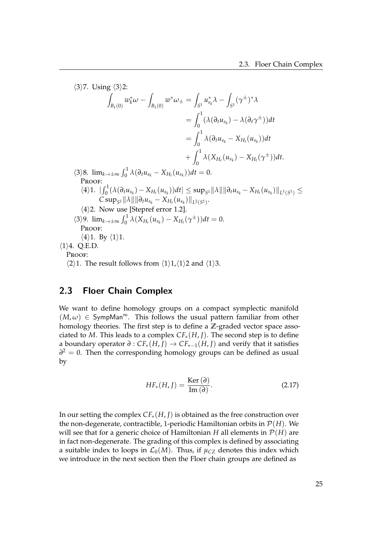$\langle 3 \rangle$ 7. Using  $\langle 3 \rangle$ 2: Z *B*1(0)  $w_k^* \omega - \frac{1}{k}$ *B*1(0)  $w^*\omega_{\pm} =$  $\int_{S^1} u_{s_k}^* \lambda - \int$  $\int_{S^1} (\gamma^{\pm})^* \lambda$  $=$   $\int_1^1$  $\int_0^{\infty} (\lambda(\partial_t u_{s_k}) - \lambda(\partial_t \gamma^{\pm})) dt$  $=$   $\int_1^1$  $\int_{0}^{\infty} \lambda(\partial_t u_{s_k} - X_{H_t}(u_{s_k}))dt$  $+$   $\int_1^1$  $\int_{0}^{1} \lambda (X_{H_r}(u_{s_k}) - X_{H_t}(\gamma^{\pm})) dt.$  $\langle 3 \rangle 8$ .  $\lim_{k \to \pm \infty} \int_0^1 \lambda (\partial_t u_{s_k} - X_{H_t}(u_{s_k})) dt = 0.$ PROOF:  $\langle 4 \rangle 1.$   $||\int_0^1 (\lambda(\partial_t u_{s_k}) - X_{H_t}(u_{s_k})) dt|| \leq \sup_{S^1} ||\lambda|| ||\partial_t u_{s_k} - X_{H_t}(u_{s_k})||_{L^1(S^1)} \leq$  $C \sup_{S^1} ||\lambda|| ||\partial_t u_{s_k} - X_{H_t}(u_{s_k})||_{L^2(S^1)}.$  $\langle 4 \rangle$ 2. Now use [Stepref error 1.2].  $\frac{1}{2}$ (3)  $\lim_{k \to \pm \infty} \int_0^1 \lambda (X_{H_r}(u_{s_k}) - X_{H_t}(\gamma^{\pm})) dt = 0.$ PROOF:  $\langle 4 \rangle$ 1. By  $\langle 1 \rangle$ 1.  $\langle 1 \rangle$ 4. Q.E.D. PROOF:  $\langle 2 \rangle$ 1. The result follows from  $\langle 1 \rangle$ 1, $\langle 1 \rangle$ 2 and  $\langle 1 \rangle$ 3.

### <span id="page-30-0"></span>2.3 Floer Chain Complex

We want to define homology groups on a compact symplectic manifold  $(M, \omega) \in \text{SympMan}^{\infty}$ . This follows the usual pattern familiar from other homology theories. The first step is to define a **Z**-graded vector space associated to *M*. This leads to a complex  $CF_*(H, J)$ . The second step is to define a boundary operator *∂* : *CF*∗(*H*, *J*) → *CF*∗−1(*H*, *J*) and verify that it satisfies *∂*<sup>2</sup> = 0. Then the corresponding homology groups can be defined as usual by

$$
HF_*(H, J) = \frac{\text{Ker}(\partial)}{\text{Im}(\partial)}.
$$
 (2.17)

In our setting the complex *CF*∗(*H*, *J*) is obtained as the free construction over the non-degenerate, contractible, 1-periodic Hamiltonian orbits in  $\mathcal{P}(H)$ . We will see that for a generic choice of Hamiltonian *H* all elements in  $\mathcal{P}(H)$  are in fact non-degenerate. The grading of this complex is defined by associating a suitable index to loops in  $\mathcal{L}_0(M)$ . Thus, if  $\mu_{CZ}$  denotes this index which we introduce in the next section then the Floer chain groups are defined as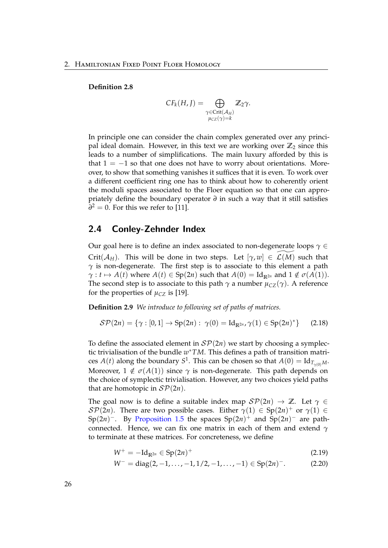#### **Definition 2.8**

$$
CF_k(H, J) = \bigoplus_{\substack{\gamma \in \text{Crit}(\mathcal{A}_H) \\ \mu_{CZ}(\gamma) = k}} \mathbb{Z}_2 \gamma.
$$

In principle one can consider the chain complex generated over any principal ideal domain. However, in this text we are working over  $\mathbb{Z}_2$  since this leads to a number of simplifications. The main luxury afforded by this is that  $1 = -1$  so that one does not have to worry about orientations. Moreover, to show that something vanishes it suffices that it is even. To work over a different coefficient ring one has to think about how to coherently orient the moduli spaces associated to the Floer equation so that one can appropriately define the boundary operator *∂* in such a way that it still satisfies  $\partial^2 = 0$ . For this we refer to [\[11\]](#page-119-5).

#### <span id="page-31-0"></span>2.4 Conley-Zehnder Index

Our goal here is to define an index associated to non-degenerate loops *γ* ∈ Crit( $\mathcal{A}_H$ ). This will be done in two steps. Let  $[\gamma, w] \in \mathcal{L}(M)$  such that *γ* is non-degenerate. The first step is to associate to this element a path  $\gamma: t \mapsto A(t)$  where  $A(t) \in Sp(2n)$  such that  $A(0) = Id_{\mathbb{R}^{2n}}$  and  $1 \notin \sigma(A(1))$ . The second step is to associate to this path  $\gamma$  a number  $\mu_{CZ}(\gamma)$ . A reference for the properties of  $\mu_{CZ}$  is [\[19\]](#page-119-6).

**Definition 2.9** *We introduce to following set of paths of matrices.*

$$
\mathcal{SP}(2n) = \{ \gamma : [0,1] \to \text{Sp}(2n) : \ \gamma(0) = \text{Id}_{\mathbb{R}^{2n}}, \gamma(1) \in \text{Sp}(2n)^{*} \} \qquad (2.18)
$$

To define the associated element in  $\mathcal{SP}(2n)$  we start by choosing a symplectic trivialisation of the bundle *w* <sup>∗</sup>*TM*. This defines a path of transition matrices  $A(t)$  along the boundary  $S^1$ . This can be chosen so that  $A(0) = \mathrm{Id}_{T_{\gamma(0)}M}$ . Moreover,  $1 \notin \sigma(A(1))$  since  $\gamma$  is non-degenerate. This path depends on the choice of symplectic trivialisation. However, any two choices yield paths that are homotopic in  $\mathcal{SP}(2n)$ .

The goal now is to define a suitable index map  $\mathcal{SP}(2n) \to \mathbb{Z}$ . Let  $\gamma \in$  $\mathcal{SP}(2n)$ . There are two possible cases. Either  $\gamma(1) \in \mathrm{Sp}(2n)^+$  or  $\gamma(1) \in$ Sp(2*n*)<sup>-</sup>. By [Proposition 1.5](#page-14-1) the spaces Sp(2*n*)<sup>+</sup> and Sp(2*n*)<sup>-</sup> are pathconnected. Hence, we can fix one matrix in each of them and extend *γ* to terminate at these matrices. For concreteness, we define

$$
W^+ = -\mathrm{Id}_{\mathbb{R}^{2n}} \in \mathrm{Sp}(2n)^+ \tag{2.19}
$$

$$
W^- = \text{diag}(2, -1, \dots, -1, 1/2, -1, \dots, -1) \in \text{Sp}(2n)^-. \tag{2.20}
$$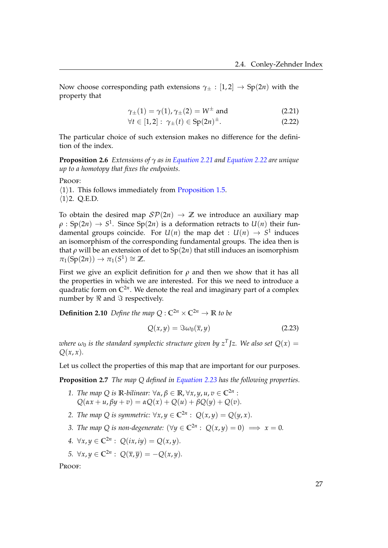Now choose corresponding path extensions  $\gamma_{\pm} : [1,2] \rightarrow Sp(2n)$  with the property that

<span id="page-32-1"></span><span id="page-32-0"></span>
$$
\gamma_{\pm}(1) = \gamma(1), \gamma_{\pm}(2) = W^{\pm}
$$
 and (2.21)

$$
\forall t \in [1,2]: \ \gamma_{\pm}(t) \in \text{Sp}(2n)^{\pm}.\tag{2.22}
$$

The particular choice of such extension makes no difference for the definition of the index.

**Proposition 2.6** *Extensions of γ as in [Equation 2.21](#page-32-0) and [Equation 2.22](#page-32-1) are unique up to a homotopy that fixes the endpoints.*

PROOF:

 $\langle 1 \rangle$ 1. This follows immediately from [Proposition 1.5.](#page-14-1)  $\langle 1 \rangle$ 2. Q.E.D.

To obtain the desired map  $\mathcal{SP}(2n) \to \mathbb{Z}$  we introduce an auxiliary map  $\rho: {\rm Sp}(2n) \rightarrow S^1.$  Since  ${\rm Sp}(2n)$  is a deformation retracts to  $U(n)$  their fundamental groups coincide. For  $U(n)$  the map det :  $U(n) \rightarrow S^1$  induces an isomorphism of the corresponding fundamental groups. The idea then is that  $\rho$  will be an extension of det to  $Sp(2n)$  that still induces an isomorphism  $\pi_1(Sp(2n)) \to \pi_1(S^1) \cong \mathbb{Z}.$ 

First we give an explicit definition for  $\rho$  and then we show that it has all the properties in which we are interested. For this we need to introduce a quadratic form on **C**2*<sup>n</sup>* . We denote the real and imaginary part of a complex number by  $\Re$  and  $\Im$  respectively.

**Definition 2.10** *Define the map*  $Q: \mathbb{C}^{2n} \times \mathbb{C}^{2n} \to \mathbb{R}$  *to be* 

<span id="page-32-2"></span>
$$
Q(x, y) = \Im \omega_0(\overline{x}, y) \tag{2.23}
$$

 $\omega_0$  *is the standard symplectic structure given by*  $z^T$ *Jz. We also set*  $Q(x) =$  $Q(x, x)$ .

Let us collect the properties of this map that are important for our purposes.

**Proposition 2.7** *The map Q defined in [Equation 2.23](#page-32-2) has the following properties.*

- *1. The map Q is* **R***-bilinear:* ∀*α*, *β* ∈ **R**, ∀*x*, *y*, *u*, *v* ∈ **C**2*<sup>n</sup>* :  $Q(\alpha x + u, \beta y + v) = \alpha Q(x) + Q(u) + \beta Q(y) + Q(v).$
- *2. The map Q is symmetric:*  $\forall x, y \in \mathbb{C}^{2n}$  :  $Q(x, y) = Q(y, x)$ *.*
- *3. The map*  $Q$  *is non-degenerate:*  $(\forall y \in \mathbb{C}^{2n} : Q(x, y) = 0) \implies x = 0$ *.*
- *4.*  $\forall x, y \in \mathbb{C}^{2n}$ :  $Q(ix, iy) = Q(x, y)$ .
- *5.* ∀*x*, *y* ∈ **C**<sup>2*n*</sup> :  $Q(\bar{x}, \bar{y}) = -Q(x, y)$ .

PROOF: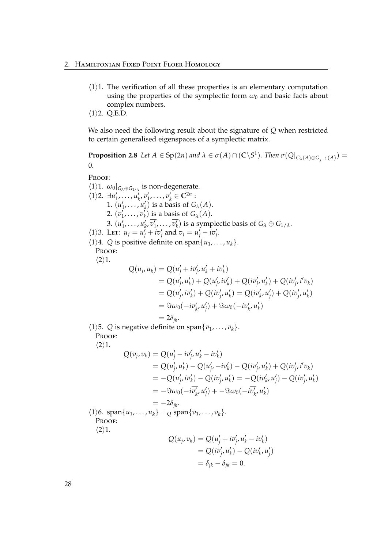- $\langle 1 \rangle$ 1. The verification of all these properties is an elementary computation using the properties of the symplectic form  $\omega_0$  and basic facts about complex numbers.
- $\langle 1 \rangle$ 2. Q.E.D.

We also need the following result about the signature of *Q* when restricted to certain generalised eigenspaces of a symplectic matrix.

**Proposition 2.8** Let  $A \in Sp(2n)$  and  $\lambda \in \sigma(A) \cap (\mathbb{C} \backslash S^1)$ . Then  $\sigma(Q|_{G_{\lambda}(A) \oplus G_{\overline{\lambda}^{-1}}(A)})$ *λ* 0*.*

Proof:

 $\langle 1 \rangle$ 1.  $\omega_0|_{G_\lambda \oplus G_{1/\lambda}}$  is non-degenerate.  $\langle 1 \rangle$ 2.  $\exists u'_1, \dots, u'_k, v'_1, \dots, v'_k \in \mathbb{C}^{2n}$ :  $u_1, \ldots, u_k, v_1, \ldots, v_k \in \mathbb{C}$ <br>1.  $(u'_1, \ldots, u'_k)$  is a basis of  $G_\lambda(A)$ . 2.  $(v'_1, \ldots, v'_k)$  is a basis of  $G_{\overline{\lambda}}(A)$ . 3.  $(u'_1, \ldots, u'_k, \overline{v'_1}, \ldots, \overline{v'_k})$  is a symplectic basis of  $G_\lambda \oplus G_{1/\lambda}$ .  $\langle 1 \rangle$ 3. Let:  $u_j = u_j + iv_j'$  and  $v_j = u_j' - iv_j'$ .  $\langle 1 \rangle$ 4. *Q* is positive definite on span $\{u_1, \ldots, u_k\}.$ PROOF:  $\langle 2 \rangle 1$ .  $Q(u_j, u_k) = Q(u'_j + iv'_j, u'_k + iv'_k)$ =  $Q(u'_j, u'_k) + Q(u'_j, iv'_k) + Q(iv'_j, u'_k) + Q(iv'_j, i'v_k)$  $Q(u'_j, iv'_k) + Q(iv'_j, u'_k) = Q(iv'_k, u'_j) + Q(iv'_j, u'_k)$  $= \Im \omega_0(-i\overline{v'_k}, u'_j) + \Im \omega_0(-i\overline{v'_k}, u'_k)$  $= 2\delta_{ik}$ .  $\langle 1 \rangle$ 5. *Q* is negative definite on span $\{v_1, \ldots, v_k\}$ . PROOF:  $\langle 2 \rangle 1$ .  $Q(v_j, v_k) = Q(u'_j - iv'_j, u'_k - iv'_k)$ =  $Q(u'_j, u'_k) - Q(u'_j, -iv'_k) - Q(iv'_j, u'_k) + Q(iv'_j, i'v_k)$  $= -Q(u'_{j}, iv'_{k}) - Q(iv'_{j}, u'_{k}) = -Q(iv'_{k}, u'_{j}) - Q(iv'_{j}, u'_{k})$  $= -\Im \omega_0(-i\overline{v'_k}, u'_j) + -\Im \omega_0(-i\overline{v'_k}, u'_k)$  $= -2\delta_{ik}$ .  $\{1\}6.$  span $\{u_1, \ldots, u_k\} \perp_0$  span $\{v_1, \ldots, v_k\}.$ PROOF:  $\langle 2 \rangle 1$ .  $Q(u_j, v_k) = Q(u'_j + iv'_j, u'_k - iv'_k)$  $= Q(iv'_j, u'_k) - Q(iv'_k, u'_j)$ 

 $= \delta_{ik} - \delta_{ik} = 0.$ 

28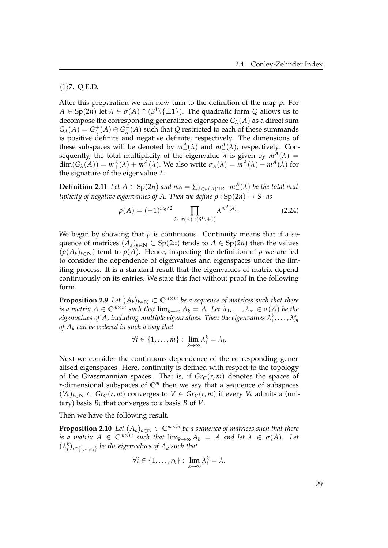#### $\langle 1 \rangle$ 7. Q.E.D.

After this preparation we can now turn to the definition of the map *ρ*. For  $A \in \text{Sp}(2n)$  let  $\lambda \in \sigma(A) \cap (S^1 \setminus \{\pm 1\})$ . The quadratic form  $Q$  allows us to decompose the corresponding generalized eigenspace *Gλ*(*A*) as a direct sum  $G_{\lambda}(A) = G_{\lambda}^{+}$  $\chi^+ (A) \oplus G^-_\lambda$ *λ* (*A*) such that *Q* restricted to each of these summands is positive definite and negative definite, respectively. The dimensions of these subspaces will be denoted by  $m_+^A(\lambda)$  and  $m_-^A(\lambda)$ , respectively. Consequently, the total multiplicity of the eigenvalue  $\lambda$  is given by  $m^A(\lambda)$  =  $dim(G_{\lambda}(A)) = m_+^A(\lambda) + m_-^A(\lambda)$ . We also write  $\sigma_A(\lambda) = m_+^A(\lambda) - m_-^A(\lambda)$  for the signature of the eigenvalue *λ*.

**Definition 2.11** *Let*  $A \in Sp(2n)$  *and*  $m_0 = \sum_{\lambda \in \sigma(A) \cap \mathbb{R}_-} m^A_-(\lambda)$  *be the total multiplicity of negative eigenvalues of A. Then we define ρ* : Sp(2*n*) → *S* 1 *as*

$$
\rho(A) = (-1)^{m_0/2} \prod_{\lambda \in \sigma(A) \cap (S^1 \setminus \pm 1)} \lambda^{m_+^A(\lambda)}.
$$
 (2.24)

We begin by showing that  $\rho$  is continuous. Continuity means that if a sequence of matrices  $(A_k)_{k \in \mathbb{N}} \subset Sp(2n)$  tends to  $A \in Sp(2n)$  then the values  $(\rho(A_k)_{k\in\mathbb{N}})$  tend to  $\rho(A)$ . Hence, inspecting the definition of  $\rho$  we are led to consider the dependence of eigenvalues and eigenspaces under the limiting process. It is a standard result that the eigenvalues of matrix depend continuously on its entries. We state this fact without proof in the following form.

**Proposition 2.9** *Let*  $(A_k)_{k \in \mathbb{N}}$  ⊂  $\mathbb{C}^{m \times m}$  *be a sequence of matrices such that there is a matrix*  $A \in \mathbb{C}^{m \times m}$  *such that*  $\lim_{k \to \infty} A_k = A$ . Let  $\lambda_1, \dots, \lambda_m \in \sigma(A)$  be the eigenvalues of A, including multiple eigenvalues. Then the eigenvalues  $\lambda^k_1,\ldots,\lambda^k_m$ *of A<sup>k</sup> can be ordered in such a way that*

$$
\forall i \in \{1,\ldots,m\} : \lim_{k\to\infty} \lambda_i^k = \lambda_i.
$$

Next we consider the continuous dependence of the corresponding generalised eigenspaces. Here, continuity is defined with respect to the topology of the Grassmannian spaces. That is, if  $Gr_C(r, m)$  denotes the spaces of *r*-dimensional subspaces of **C***<sup>m</sup>* then we say that a sequence of subspaces  $(V_k)_{k \in \mathbb{N}}$  ⊂ *Gr*<sub>**C**</sub>(*r*, *m*) converges to *V* ∈ *Gr*<sub>**C**</sub>(*r*, *m*) if every *V*<sub>*k*</sub> admits a (unitary) basis *B<sup>k</sup>* that converges to a basis *B* of *V*.

Then we have the following result.

**Proposition 2.10** *Let*  $(A_k)_{k \in \mathbb{N}} \subset \mathbb{C}^{m \times m}$  *be a sequence of matrices such that there is a matrix*  $A \in \mathbb{C}^{m \times m}$  *such that*  $\lim_{k \to \infty} A_k = A$  *and let*  $\lambda \in \sigma(A)$ *. Let*  $(\lambda_i^k)_{i \in \{1, \ldots, r_k\}}$  be the eigenvalues of  $A_k$  such that

$$
\forall i \in \{1,\ldots,r_k\} : \lim_{k\to\infty} \lambda_i^k = \lambda.
$$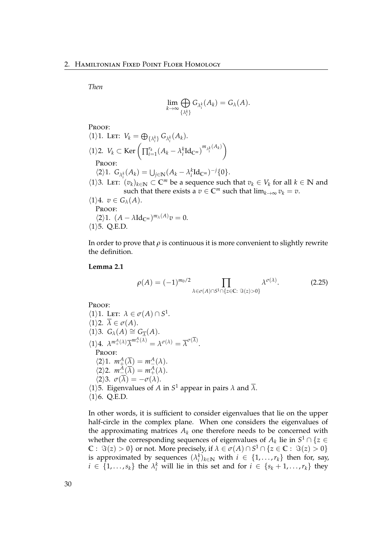*Then*

$$
\lim_{k\to\infty}\bigoplus_{\{\lambda_i^k\}}G_{\lambda_i^k}(A_k)=G_{\lambda}(A).
$$

Proof:

\n- \n
$$
\langle 1 \rangle 1.
$$
 Let:  $V_k = \bigoplus_{\{\lambda_i^k\}} G_{\lambda_i^k}(A_k).$ \n
\n- \n $\langle 1 \rangle 2.$   $V_k \subset \text{Ker} \left( \prod_{i=1}^{r_k} (A_k - \lambda_i^k \text{Id}_{\mathbb{C}^m})^{m_{\lambda_i^k}(A_k)} \right)$ \n
\n- \n ProOF:  $\langle 2 \rangle 1.$   $G_{\lambda_i^k}(A_k) = \bigcup_{j \in \mathbb{N}} (A_k - \lambda_i^k \text{Id}_{\mathbb{C}^m})^{-j} \{0\}.$ \n
\n- \n $\langle 1 \rangle 3.$  Let:  $(v_k)_{k \in \mathbb{N}} \subset \mathbb{C}^m$  be a sequence such that  $v_k \in V_k$  for all  $k \in \mathbb{N}$  and such that there exists a  $v \in \mathbb{C}^m$  such that  $\lim_{k \to \infty} v_k = v$ .\n
\n- \n $\langle 1 \rangle 4.$   $v \in G_{\lambda}(A).$ \n Proor:  $\langle 2 \rangle 1.$   $(A - \lambda \text{Id}_{\mathbb{C}^m})^{m_{\lambda}(A)} v = 0.$ \n
\n- \n $\langle 1 \rangle 5.$  Q.E.D.\n
\n

In order to prove that  $\rho$  is continuous it is more convenient to slightly rewrite the definition.

#### **Lemma 2.1**

$$
\rho(A) = (-1)^{m_0/2} \prod_{\lambda \in \sigma(A) \cap S^1 \cap \{z \in \mathbb{C} : \Im(z) > 0\}} \lambda^{\sigma(\lambda)}.
$$
 (2.25)

PROOF:

 $\langle 1 \rangle$ 1. Let:  $\lambda \in \sigma(A) \cap S^1$ .  $\langle 1 \rangle$ 2.  $\overline{\lambda} \in \sigma(A)$ .  $\langle 1 \rangle$ 3.  $G_{\lambda}(A) \cong G_{\overline{\lambda}}(A)$ .  $\lambda^{m^A_+(\lambda)}\overline{\lambda}^{m^A_+(\lambda)} = \lambda^{\sigma(\lambda)} = \overline{\lambda}^{\sigma(\overline{\lambda})}.$ Proof:  $\langle 2 \rangle 1$ .  $m_+^A(\overline{\lambda}) = m_-^A(\lambda)$ .  $\langle 2 \rangle$ 2.  $m_{\underline{-}}^A(\overline{\lambda}) = m_{+}^A(\lambda)$ .  $\langle 2 \rangle$ 3.  $\sigma(\overline{\lambda}) = -\sigma(\lambda)$ .  $\langle 1 \rangle$ 5. Eigenvalues of *A* in *S*<sup>1</sup> appear in pairs *λ* and  $\overline{\lambda}$ .  $\langle 1 \rangle 6$ . Q.E.D.

In other words, it is sufficient to consider eigenvalues that lie on the upper half-circle in the complex plane. When one considers the eigenvalues of the approximating matrices  $A_k$  one therefore needs to be concerned with whether the corresponding sequences of eigenvalues of  $A_k$  lie in  $S^1 \cap \{z \in \mathbb{R}\}$  $\mathbb{C}: \Im(z) > 0$ } or not. More precisely, if  $\lambda \in \sigma(A) \cap S^1 \cap \{z \in \mathbb{C}: \Im(z) > 0\}$ is approximated by sequences  $(\lambda_i^k)_{k \in \mathbb{N}}$  with  $i \in \{1, ..., r_k\}$  then for, say,  $i \in \{1, \ldots, s_k\}$  the  $\lambda_i^k$  will lie in this set and for  $i \in \{s_k + 1, \ldots, r_k\}$  they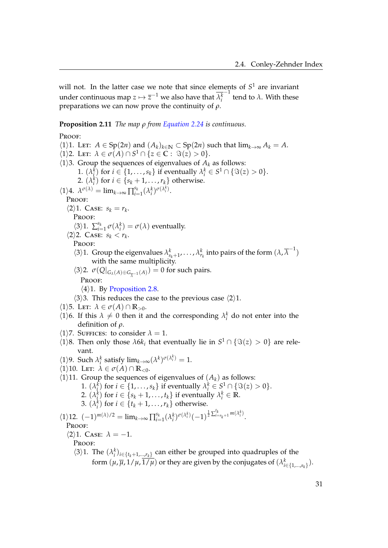will not. In the latter case we note that since elements of *S* <sup>1</sup> are invariant under continuous map  $z \mapsto \overline{z}^{-1}$  we also have that  $\lambda_i^k$  $\frac{-1}{\pi}$  tend to  $\lambda$ . With these preparations we can now prove the continuity of *ρ*.

<span id="page-36-0"></span>**Proposition 2.11** *The map ρ from [Equation 2.24](#page-34-0) is continuous.*

PROOF:  $\langle 1 \rangle$ 1. Let: *A* ∈ Sp(2*n*) and  $(A_k)_{k \in \mathbb{N}}$  ⊂ Sp(2*n*) such that lim<sub>*k*→∞</sub> *A*<sub>*k*</sub> = *A*.  $\langle 1 \rangle$ 2. Let:  $\lambda \in \sigma(A) \cap S^1 \cap \{z \in \mathbb{C} : \Im(z) > 0\}.$  $\langle 1 \rangle$ 3. Group the sequences of eigenvalues of  $A_k$  as follows: 1.  $(\lambda_i^k)$  for  $i \in \{1, \ldots, s_k\}$  if eventually  $\lambda_i^k \in S^1 \cap \{\Im(z) > 0\}.$ 2.  $(\lambda_i^k)$  for  $i \in \{s_k + 1, \ldots, r_k\}$  otherwise.  $\langle 1 \rangle 4$ .  $\lambda^{\sigma(\lambda)} = \lim_{k \to \infty} \prod_{i=1}^{s_k}$  $\sum_{i=1}^{s_k} (\lambda_i^k)^{\sigma(\lambda_i^k)}$ . PROOF:  $\langle 2 \rangle 1$ . Case:  $s_k = r_k$ . Proof:  $\langle 3 \rangle 1$ .  $\sum_{i=1}^{s_k}$  $\int_{i=1}^{s_k} \sigma(\lambda_i^k) = \sigma(\lambda)$  eventually.  $\langle 2 \rangle$ 2. Case:  $s_k < r_k$ . Proof:  $\langle 3 \rangle$ 1. Group the eigenvalues  $\lambda_{s_k+1}^k, \ldots, \lambda_{r_k}^k$  into pairs of the form  $(\lambda, \overline{\lambda}^{-1})$ with the same multiplicity.  $\langle 3 \rangle$ 2.  $\sigma(Q|_{G_{\lambda}(A) \oplus G_{\overline{\lambda}^{-1}}(A)}) = 0$  for such pairs. PROOF:  $\langle 4 \rangle$ 1. By [Proposition 2.8.](#page-33-0)  $\langle 3 \rangle$ 3. This reduces the case to the previous case  $\langle 2 \rangle$ 1.  $\langle 1 \rangle$ 5. Let:  $\lambda \in \sigma(A) \cap \mathbb{R}_{>0}$ .  $\langle 1 \rangle$ 6. If this  $\lambda \neq 0$  then it and the corresponding  $\lambda_i^k$  do not enter into the definition of *ρ*.  $\langle 1 \rangle$ 7. Suffices: to consider  $\lambda = 1$ .  $\langle 1 \rangle 8$ . Then only those  $\lambda 6k_i$  that eventually lie in  $S^1 \cap {\Im(z) > 0}$  are relevant.  $\langle 1 \rangle$ 9. Such  $\lambda_i^k$  satisfy  $\lim_{k \to \infty} (\lambda^k)^{\sigma(\lambda_i^k)} = 1$ .  $\langle 1 \rangle$ 10. Let:  $\lambda \in \sigma(A) \cap \mathbb{R}_{\leq 0}$ .  $\langle 1 \rangle$ 11. Group the sequences of eigenvalues of  $(A_k)$  as follows: 1.  $(\lambda_i^k)$  for  $i \in \{1, ..., s_k\}$  if eventually  $\lambda_i^k \in S^1 \cap \{\Im(z) > 0\}.$ 2.  $(\lambda_i^k)$  for  $i \in \{s_k + 1, \ldots, t_k\}$  if eventually  $\lambda_i^k \in \mathbb{R}$ . 3.  $(\lambda_i^k)$  for  $i \in \{t_k + 1, \ldots, r_k\}$  otherwise.  $\langle 1 \rangle$ 12.  $(-1)^{m(\lambda)/2} = \lim_{k \to \infty} \prod_{i=1}^{s_k}$  $\sum_{i=1}^{s_k} (\lambda_i^k)^{\sigma(\lambda_i^k)} (-1)^{\frac{1}{2} \sum_{i=s_k+1}^{t_k} m(\lambda_i^k)}.$ Proof:  $\langle 2 \rangle$ 1. Case:  $\lambda = -1$ . Proof:  $\langle 3 \rangle$ 1. The  $(\lambda_i^k)_{i \in \{t_k+1,\dots,r_k\}}$  can either be grouped into quadruples of the form  $(\mu, \overline{\mu}, 1/\mu, \overline{1/\mu})$  or they are given by the conjugates of  $(\lambda_{i \in \{1,\dots,s_k\}}^k)$ .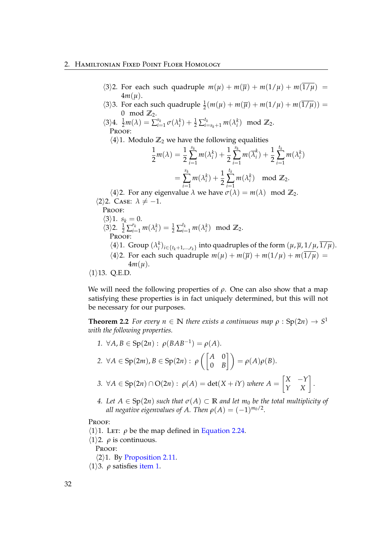## 2. Hamiltonian Fixed Point Floer Homology

- $\langle 3 \rangle$ 2. For each such quadruple  $m(\mu) + m(\overline{\mu}) + m(1/\mu) + m(\overline{1/\mu})$  = 4*m*(*µ*).
- $\langle 3 \rangle$ 3. For each such quadruple  $\frac{1}{2}(m(\mu) + m(\overline{\mu}) + m(1/\mu) + m(\overline{1/\mu}))$  =  $0 \mod \mathbb{Z}_2$ .
- $\langle 3 \rangle 4$ .  $\frac{1}{2}m(\lambda) = \sum_{i=1}^{s_k}$  $\sum_{i=1}^{s_k} \sigma(\lambda_i^k) + \frac{1}{2} \sum_{i=s_k+1}^{t_k} m(\lambda_i^k) \mod \mathbb{Z}_2.$ PROOF:
	- $\langle 4 \rangle$ 1. Modulo  $\mathbb{Z}_2$  we have the following equalities

$$
\frac{1}{2}m(\lambda) = \frac{1}{2} \sum_{i=1}^{s_k} m(\lambda_i^k) + \frac{1}{2} \sum_{i=1}^{s_k} m(\overline{\lambda}_i^k) + \frac{1}{2} \sum_{i=1}^{t_k} m(\lambda_i^k)
$$

$$
= \sum_{i=1}^{s_k} m(\lambda_i^k) + \frac{1}{2} \sum_{i=1}^{t_k} m(\lambda_i^k) \mod \mathbb{Z}_2.
$$

 $\langle 4 \rangle$ 2. For any eigenvalue  $\lambda$  we have  $\sigma(\lambda) = m(\lambda) \mod \mathbb{Z}_2$ .  $\langle 2 \rangle$ 2. Case:  $\lambda \neq -1$ .

PROOF:

 $\langle 3 \rangle 1.$   $s_k = 0.$  $\langle 3 \rangle$ 2.  $\frac{1}{2} \sum_{i=1}^{r_k} m(\lambda_i^k) = \frac{1}{2} \sum_{i=1}^{t_k} m(\lambda_i^k) \mod \mathbb{Z}_2$ . **PROOF**  $\langle 4 \rangle$ 1. Group  $(\lambda_i^k)_{i \in \{t_k+1,\dots,r_k\}}$  into quadruples of the form  $(\mu, \overline{\mu}, 1/\mu, \overline{1/\mu})$ .  $\langle 4 \rangle$ 2. For each such quadruple  $m(\mu) + m(\overline{\mu}) + m(1/\mu) + m(\overline{1/\mu}) =$ 4*m*(*µ*).  $\langle 1 \rangle$ 13. Q.E.D.

We will need the following properties of *ρ*. One can also show that a map satisfying these properties is in fact uniquely determined, but this will not be necessary for our purposes.

**Theorem 2.2** *For every n*  $\in$  **N** *there exists a continuous map*  $\rho$  : Sp $(2n) \rightarrow S^1$ *with the following properties.*

- <span id="page-37-1"></span><span id="page-37-0"></span>*1.* ∀*A*, *B* ∈ Sp(2*n*) : *ρ*(*BAB*−<sup>1</sup> ) = *ρ*(*A*)*.* 2.  $\forall A \in \text{Sp}(2m), B \in \text{Sp}(2n): \rho\left(\begin{bmatrix} A & 0 \\ 0 & B \end{bmatrix}\right)$  $\begin{bmatrix} A & 0 \ 0 & B \end{bmatrix}$  =  $\rho(A)\rho(B)$ . *3.* ∀*A* ∈ Sp(2*n*) ∩ O(2*n*) :  $\rho(A) = \det(X + iY)$  *where*  $A = \begin{bmatrix} X & -Y \\ Y & X \end{bmatrix}$ .
- <span id="page-37-3"></span><span id="page-37-2"></span>*4.* Let  $A \in Sp(2n)$  *such that*  $\sigma(A) \subset \mathbb{R}$  *and let m*<sub>0</sub> *be the total multiplicity of all negative eigenvalues of A. Then*  $\rho(A) = (-1)^{m_0/2}.$

PROOF:

- $\langle 1 \rangle$ 1. Let: *ρ* be the map defined in [Equation 2.24.](#page-34-0)
- $\langle 1 \rangle$ 2. *ρ* is continuous.

PROOF:

- $\langle 2 \rangle$ 1. By [Proposition 2.11.](#page-36-0)
- $\langle 1 \rangle$ 3. *ρ* satisfies [item 1.](#page-37-0)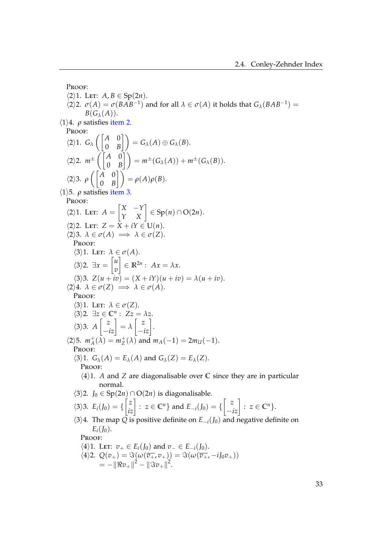Proof:  $\langle 2 \rangle$ 1. LET: *A*, *B*  $\in$  Sp(2*n*).  $\langle 2 \rangle$ 2.  $\sigma(A) = \sigma(BAB^{-1})$  and for all  $\lambda \in \sigma(A)$  it holds that  $G_{\lambda}(BAB^{-1}) =$  $B(G_\lambda(A)).$  $\langle 1 \rangle$ 4. *ρ* satisfies [item 2.](#page-37-1) PROOF:  $\langle 2 \rangle$ 1.  $G_{\lambda}$   $\begin{bmatrix} A & 0 \\ 0 & B \end{bmatrix}$  $\begin{pmatrix} A & 0 \ 0 & B \end{pmatrix} \bigg) = G_\lambda(A) \oplus G_\lambda(B).$  $\langle 2 \rangle$ 2.  $m^{\pm}$   $\begin{pmatrix} A & 0 \\ 0 & B \end{pmatrix}$  $\begin{pmatrix} A & 0 \ 0 & B \end{pmatrix}$  =  $m^{\pm}(G_{\lambda}(A)) + m^{\pm}(G_{\lambda}(B)).$  $\langle 2 \rangle$ 3.  $\rho$   $\begin{pmatrix} A & 0 \\ 0 & B \end{pmatrix}$  $\begin{pmatrix} A & 0 \ 0 & B \end{pmatrix}$  =  $\rho(A)\rho(B)$ .  $\langle 1 \rangle$ 5. *ρ* satisfies [item 3.](#page-37-2) PROOF:  $\langle 2 \rangle$ 1. Let:  $A = \begin{bmatrix} X & -Y \\ Y & X \end{bmatrix} \in \text{Sp}(n) \cap \text{O}(2n).$  $\langle 2 \rangle$ 2. Let:  $Z = \overline{X} + i\gamma \in U(n)$ .  $\langle 2 \rangle 3. \ \lambda \in \sigma(A) \implies \lambda \in \sigma(Z).$ PROOF:  $\langle 3 \rangle$ 1. Let:  $\lambda \in \sigma(A)$ .  $\langle 3 \rangle$ 2. ∃*x* =  $\begin{bmatrix} u \\ v \end{bmatrix}$ *v*  $\Big] \in \mathbb{R}^{2n}$ :  $Ax = \lambda x$ .  $\langle 3 \rangle$ 3.  $Z(u + iv) = (X + iY)(u + iv) = \lambda(u + iv).$  $\langle 2 \rangle 4$ .  $\lambda \in \sigma(Z) \implies \lambda \in \sigma(A)$ . PROOF:  $\langle 3 \rangle$ 1. Let:  $\lambda \in \sigma(Z)$ .  $\langle 3 \rangle$ 2.  $\exists z \in \mathbb{C}^n : Zz = \lambda z$ .  $\langle 3 \rangle 3$ .  $A \begin{bmatrix} z \\ -iz \end{bmatrix} = \lambda \begin{bmatrix} z \\ -iz \end{bmatrix}$ .  $\langle 2 \rangle$ 5.  $m_A^+$  $A^+_{A}(\lambda) = m_Z^+$  $Z_Z^+$ ( $\lambda$ ) and  $m_A(-1) = 2m_U(-1)$ . Proof:  $\langle 3 \rangle$ 1.  $G_{\lambda}(A) = E_{\lambda}(A)$  and  $G_{\lambda}(Z) = E_{\lambda}(Z)$ . PROOF:  $\langle 4 \rangle$ 1. *A* and *Z* are diagonalisable over **C** since they are in particular normal.  $\langle 3 \rangle$ 2. *J*<sub>0</sub> ∈ Sp(2*n*) ∩ O(2*n*) is diagonalisable.  $\langle 3 \rangle 3$ .  $E_i(J_0) = \left\{ \begin{bmatrix} z \\ iz \end{bmatrix} : z \in \mathbb{C}^n \right\}$  and  $E_{-i}(J_0) = \left\{ \begin{bmatrix} z \\ -iz \end{bmatrix} : z \in \mathbb{C}^n \right\}$ .  $\langle 3 \rangle 4$ . The map *Q* is positive definite on  $E_{-i}(J_0)$  and negative definite on  $E_i(I_0)$ . PROOF:  $\langle 4 \rangle$ 1. LET:  $v_+ \in E_i(f_0)$  and  $v_- \in E_{-i}(f_0)$ .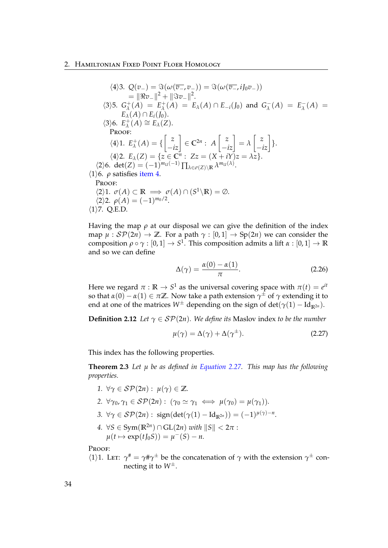### 2. Hamiltonian Fixed Point Floer Homology

$$
\langle 4 \rangle 3. Q(v_{-}) = \Im(\omega(\overline{v_{-}}, v_{-})) = \Im(\omega(\overline{v_{-}}, iJ_{0}v_{-}))
$$
\n
$$
= \|\Re v_{-}\|^{2} + \|\Im v_{-}\|^{2}.
$$
\n
$$
\langle 3 \rangle 5. G_{\lambda}^{+}(A) = E_{\lambda}^{+}(A) = E_{\lambda}(A) \cap E_{-i}(J_{0}) \text{ and } G_{\lambda}^{-}(A) = E_{\lambda}^{-}(A) = E_{\lambda}(A) \cap E_{i}(J_{0}).
$$
\n
$$
\langle 3 \rangle 6. E_{\lambda}^{+}(A) \cong E_{\lambda}(Z).
$$
\nPROOF:  
\n
$$
\langle 4 \rangle 1. E_{\lambda}^{+}(A) = \left\{ \begin{bmatrix} z \\ -iz \end{bmatrix} \in \mathbb{C}^{2n} : A \begin{bmatrix} z \\ -iz \end{bmatrix} = \lambda \begin{bmatrix} z \\ -iz \end{bmatrix} \right\}.
$$
\n
$$
\langle 4 \rangle 2. E_{\lambda}(Z) = \{ z \in \mathbb{C}^{n} : Zz = (X + iY)z = \lambda z \}.
$$
\n
$$
\langle 2 \rangle 6. det(Z) = (-1)^{m_{U}(-1)} \prod_{\lambda \in \sigma(Z) \setminus \mathbb{R}} \lambda^{m_{U}(\lambda)}.
$$
\n
$$
\langle 1 \rangle 6. \rho \text{ satisfies item 4}.
$$
\nPROOF:  
\n
$$
\langle 2 \rangle 1. \sigma(A) \subset \mathbb{R} \implies \sigma(A) \cap (S^{1} \setminus \mathbb{R}) = \emptyset.
$$
\n
$$
\langle 2 \rangle 2. \rho(A) = (-1)^{m_{0}/2}.
$$
\n
$$
\langle 1 \rangle 7. Q.E.D.
$$

Having the map  $\rho$  at our disposal we can give the definition of the index map  $\mu$ :  $\mathcal{SP}(2n) \to \mathbb{Z}$ . For a path  $\gamma : [0,1] \to \text{Sp}(2n)$  we can consider the  $\mathsf{composition}\ \rho\circ\gamma:[0,1]\to S^1.$  This composition admits a lift  $\alpha:[0,1]\to\mathbb{R}$ and so we can define

$$
\Delta(\gamma) = \frac{\alpha(0) - \alpha(1)}{\pi}.
$$
\n(2.26)

Here we regard  $\pi$  :  $\mathbb{R} \to S^1$  as the universal covering space with  $\pi(t) = e^{it}$ so that  $\alpha(0) - \alpha(1) \in \pi \mathbb{Z}$ . Now take a path extension  $\gamma^{\pm}$  of  $\gamma$  extending it to end at one of the matrices  $W^{\pm}$  depending on the sign of det( $\gamma(1) - \text{Id}_{\mathbb{R}^{2n}}$ ).

**Definition 2.12** *Let*  $\gamma \in \mathcal{SP}(2n)$ *. We define its* Maslov index *to be the number* 

<span id="page-39-0"></span>
$$
\mu(\gamma) = \Delta(\gamma) + \Delta(\gamma^{\pm}). \tag{2.27}
$$

This index has the following properties.

**Theorem 2.3** *Let µ be as defined in [Equation 2.27.](#page-39-0) This map has the following properties.*

- *1.*  $\forall \gamma \in \mathcal{SP}(2n): u(\gamma) \in \mathbb{Z}$ .
- <span id="page-39-1"></span>2.  $\forall \gamma_0, \gamma_1 \in \mathcal{SP}(2n) : (\gamma_0 \simeq \gamma_1 \iff \mu(\gamma_0) = \mu(\gamma_1)).$
- <span id="page-39-2"></span>*3.*  $\forall \gamma \in \mathcal{SP}(2n)$  : sign(det( $\gamma(1) - \text{Id}_{\mathbb{R}^{2n}}$ )) = (−1)<sup> $\mu(\gamma) - n$ </sup>.
- <span id="page-39-3"></span>*4.*  $\forall S \in \text{Sym}(\mathbb{R}^{2n}) \cap \text{GL}(2n) \text{ with } ||S|| < 2\pi$ :  $\mu(t \mapsto \exp(tJ_0S)) = \mu^-(S) - n.$

PROOF:

 $\langle 1 \rangle$ 1. Let:  $\gamma^{\#} = \gamma^{\#} \gamma^{\pm}$  be the concatenation of  $\gamma$  with the extension  $\gamma^{\pm}$  connecting it to *W*±.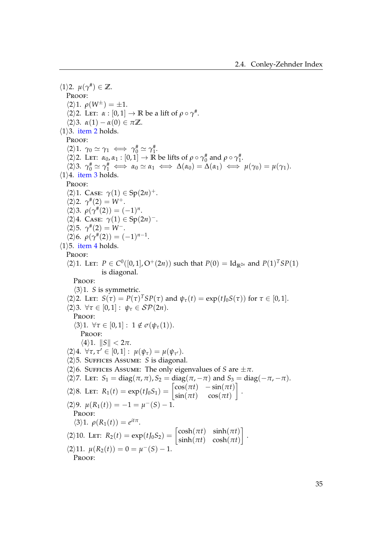$\langle 1 \rangle$ 2.  $\mu(\gamma^{\#}) \in \mathbb{Z}$ . PROOF:  $\langle 2 \rangle 1. \rho(W^{\pm}) = \pm 1.$  $\langle 2 \rangle$ 2. Let:  $\alpha : [0, 1] \to \mathbb{R}$  be a lift of  $\rho \circ \gamma^*$ .  $\langle 2 \rangle$ 3.  $\alpha(1) - \alpha(0) \in \pi \mathbb{Z}$ .  $\langle 1 \rangle$ 3. [item 2](#page-39-1) holds. PROOF:  $\langle 2 \rangle 1. \ \ \gamma_0 \simeq \gamma_1 \iff \gamma_0^* \simeq \gamma_1^*.$  $\langle 2 \rangle$ 2. Let:  $\alpha_0, \alpha_1 : [0, 1] \to \mathbb{R}$  be lifts of  $\rho \circ \gamma_0^*$  and  $\rho \circ \gamma_1^*$ .  $\langle 2 \rangle 3. \ \gamma_0^* \simeq \gamma_1^* \iff \alpha_0 \simeq \alpha_1 \iff \Delta(\alpha_0) = \Delta(\alpha_1) \iff \mu(\gamma_0) = \mu(\gamma_1).$  $\langle 1 \rangle$ 4. [item 3](#page-39-2) holds. Proof:  $\langle 2 \rangle$ 1. Case:  $\gamma(1) \in \text{Sp}(2n)^+$ .  $\langle 2 \rangle 2$ .  $\gamma^*(2) = W^+$ .  $\langle 2 \rangle 3$ .  $\rho(\gamma^*(2)) = (-1)^n$ .  $\langle 2 \rangle 4$ . Case:  $\gamma(1) \in \text{Sp}(2n)^-$ .  $\langle 2 \rangle 5. \ \gamma^* (2) = W^-$ .  $\langle 2 \rangle 6. \ \rho(\gamma^* (2)) = (-1)^{n-1}.$  $\langle 1 \rangle$ 5. [item 4](#page-39-3) holds. PROOF:  $\langle 2 \rangle$ 1. LET:  $P \in C^0([0, 1], O^+(2n))$  such that  $P(0) = Id_{\mathbb{R}^{2n}}$  and  $P(1)^T SP(1)$ is diagonal. PROOF:  $\langle 3 \rangle$ 1. *S* is symmetric.  $\langle 2 \rangle$ 2. Let:  $S(\tau) = P(\tau)^T SP(\tau)$  and  $\psi_{\tau}(t) = \exp(tJ_0S(\tau))$  for  $\tau \in [0,1]$ .  $\langle 2 \rangle$ 3.  $\forall \tau \in [0,1]: \psi_{\tau} \in \mathcal{SP}(2n).$ Proof:  $\langle 3 \rangle 1. \ \forall \tau \in [0,1]: 1 \notin \sigma(\psi_{\tau}(1)).$ PROOF:  $\langle 4 \rangle 1$ .  $\|S\| < 2\pi$ .  $\langle 2 \rangle 4$ .  $\forall \tau, \tau' \in [0, 1] : \mu(\psi_{\tau}) = \mu(\psi_{\tau'}).$  $\langle 2 \rangle$ 5. SUFFICES ASSUME: *S* is diagonal.  $\langle 2 \rangle$ 6. Suffices Assume: The only eigenvalues of *S* are  $\pm \pi$ .  $\langle 2 \rangle$ 7. Let:  $S_1 = \text{diag}(\pi, \pi), S_2 = \text{diag}(\pi, -\pi)$  and  $S_3 = \text{diag}(-\pi, -\pi)$ .  $\langle 2 \rangle 8$ . Let:  $R_1(t) = \exp(t J_0 S_1) = \begin{bmatrix} \cos(\pi t) & -\sin(\pi t) \\ \sin(\pi t) & \cos(\pi t) \end{bmatrix}$  $\sin(\pi t)$   $\cos(\pi t)$ 1 .  $\langle 2 \rangle 9$ .  $\mu(R_1(t)) = -1 = \mu^-(S) - 1$ . Proof:  $\langle 3 \rangle$ 1.  $\rho(R_1(t)) = e^{it\pi}$ .  $\langle 2 \rangle$ 10. Let:  $R_2(t) = \exp(tJ_0S_2) = \begin{bmatrix} \cosh(\pi t) & \sinh(\pi t) \\ \sinh(\pi t) & \cosh(\pi t) \end{bmatrix}$  $sinh(\pi t)$   $cosh(\pi t)$ 1 .  $\langle 2 \rangle$ 11.  $\mu(R_2(t)) = 0 = \mu^-(S) - 1.$ PROOF: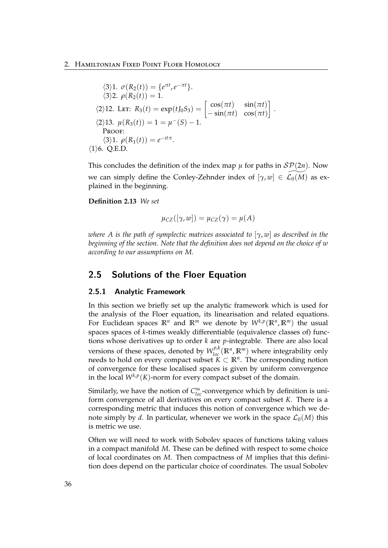$$
\langle 3 \rangle 1. \ \sigma(R_2(t)) = \{e^{\pi t}, e^{-\pi t}\}.
$$
  
\n
$$
\langle 3 \rangle 2. \ \rho(R_2(t)) = 1.
$$
  
\n
$$
\langle 2 \rangle 12. \ \text{LET: } R_3(t) = \exp(tJ_0S_3) = \begin{bmatrix} \cos(\pi t) & \sin(\pi t) \\ -\sin(\pi t) & \cos(\pi t) \end{bmatrix}.
$$
  
\n
$$
\langle 2 \rangle 13. \ \mu(R_3(t)) = 1 = \mu^-(S) - 1.
$$
  
\nPROOF:  
\n
$$
\langle 3 \rangle 1. \ \rho(R_1(t)) = e^{-it\pi}.
$$
  
\n
$$
\langle 1 \rangle 6. \ \text{Q.E.D.}
$$

This concludes the definition of the index map  $\mu$  for paths in  $\mathcal{SP}(2n)$ . Now we can simply define the Conley-Zehnder index of  $[\gamma, w] \in \mathcal{L}_0(M)$  as explained in the beginning.

## **Definition 2.13** *We set*

$$
\mu_{CZ}([\gamma, w]) = \mu_{CZ}(\gamma) = \mu(A)
$$

*where A is the path of symplectic matrices associated to* [*γ*, *w*] *as described in the beginning of the section. Note that the definition does not depend on the choice of w according to our assumptions on M.*

# 2.5 Solutions of the Floer Equation

### 2.5.1 Analytic Framework

In this section we briefly set up the analytic framework which is used for the analysis of the Floer equation, its linearisation and related equations. For Euclidean spaces  $\mathbb{R}^n$  and  $\mathbb{R}^m$  we denote by  $W^{k,p}(\mathbb{R}^n,\mathbb{R}^m)$  the usual spaces spaces of *k*-times weakly differentiable (equivalence classes of) functions whose derivatives up to order *k* are *p*-integrable. There are also local versions of these spaces, denoted by  $W_{loc}^{p,k}(\mathbb{R}^n,\mathbb{R}^m)$  where integrability only needs to hold on every compact subset  $K \subset \mathbb{R}^n$ . The corresponding notion of convergence for these localised spaces is given by uniform convergence in the local  $W^{k,p}(K)$ -norm for every compact subset of the domain.

Similarly, we have the notion of  $C^{\infty}_{loc}$ -convergence which by definition is uniform convergence of all derivatives on every compact subset *K*. There is a corresponding metric that induces this notion of convergence which we denote simply by *d*. In particular, whenever we work in the space  $\mathcal{L}_0(M)$  this is metric we use.

Often we will need to work with Sobolev spaces of functions taking values in a compact manifold *M*. These can be defined with respect to some choice of local coordinates on *M*. Then compactness of *M* implies that this definition does depend on the particular choice of coordinates. The usual Sobolev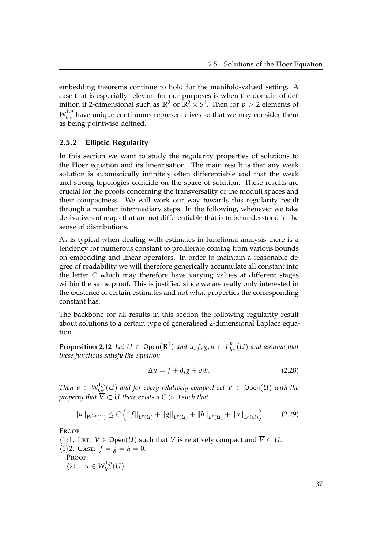embedding theorems continue to hold for the manifold-valued setting. A case that is especially relevant for our purposes is when the domain of definition if 2-dimensional such as  $\mathbb{R}^2$  or  $\mathbb{R}^2 \times S^1$ . Then for  $p > 2$  elements of  $W_{loc}^{1,p}$  have unique continuous representatives so that we may consider them as being pointwise defined.

# 2.5.2 Elliptic Regularity

In this section we want to study the regularity properties of solutions to the Floer equation and its linearisation. The main result is that any weak solution is automatically infinitely often differentiable and that the weak and strong topologies coincide on the space of solution. These results are crucial for the proofs concerning the transversality of the moduli spaces and their compactness. We will work our way towards this regularity result through a number intermediary steps. In the following, whenever we take derivatives of maps that are not differentiable that is to be understood in the sense of distributions.

As is typical when dealing with estimates in functional analysis there is a tendency for numerous constant to proliferate coming from various bounds on embedding and linear operators. In order to maintain a reasonable degree of readability we will therefore generically accumulate all constant into the letter *C* which may therefore have varying values at different stages within the same proof. This is justified since we are really only interested in the existence of certain estimates and not what properties the corresponding constant has.

The backbone for all results in this section the following regularity result about solutions to a certain type of generalised 2-dimensional Laplace equation.

<span id="page-42-0"></span>**Proposition 2.12** *Let*  $U \in \mathsf{Open}(\mathbb{R}^2)$  *and*  $u, f, g, h \in L^p_{loc}(U)$  *and assume that these functions satisfy the equation*

$$
\Delta u = f + \partial_s g + \partial_t h. \tag{2.28}
$$

*Then*  $u \in W^{1,p}_{loc}(U)$  *and for every relatively compact set*  $V \in \mathsf{Open}(U)$  *with the property that*  $\overline{V} \subset U$  *there exists a C*  $>$  *0 such that* 

$$
||u||_{W^{1,p}(V)} \leq C \left( ||f||_{L^p(U)} + ||g||_{L^p(U)} + ||h||_{L^p(U)} + ||u||_{L^p(U)} \right).
$$
 (2.29)

Proof:

- $\langle 1 \rangle$ 1. Let: *V* ∈ Open(*U*) such that *V* is relatively compact and  $\overline{V} \subset U$ .  $\langle 1 \rangle$ 2. Case:  $f = g = h = 0$ . Proof:
	- $\langle 2 \rangle 1$ *.*  $u \in W^{1,p}_{loc}(U)$ *.*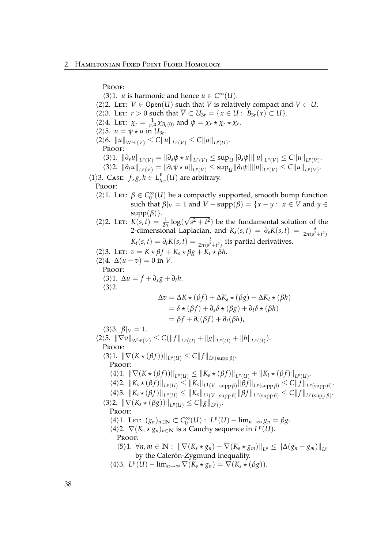Proof:  $\langle 3 \rangle$ 1. *u* is harmonic and hence  $u \in C^{\infty}(U)$ .  $\langle 2 \rangle$ 2. Let: *V* ∈ Open(*U*) such that *V* is relatively compact and  $\overline{V} \subset U$ .  $\langle 2 \rangle$ 3. Let:  $r > 0$  such that  $\overline{V} \subset U_{3r} = \{x \in U : B_{3r}(x) \subset U\}.$  $\langle 2 \rangle$ 4. Let:  $\chi_r = \frac{1}{\pi r^2} \chi_{B_r(0)}$  and  $\psi = \chi_r \star \chi_r \star \chi_r$ .  $\langle 2 \rangle$ 5.  $u = \psi \star u$  in  $U_{3r}$ .  $\langle 2 \rangle 6$ .  $\|u\|_{W^{1,p}(V)} \leq C \|u\|_{L^p(V)} \leq C \|u\|_{L^p(U)}$ . Proof:  $\langle 3 \rangle 1. \| \partial_s u \|_{L^p(V)} = \| \partial_s \psi \star u \|_{L^p(V)} \leq \sup_U \| \partial_s \psi \| \| u \|_{L^p(V)} \leq C \| u \|_{L^p(V)}.$  $\langle 3 \rangle 2. \|\partial_t u\|_{L^p(V)} = \|\partial_t \psi \star u\|_{L^p(V)} \leq \sup_U \|\partial_t \psi\| \|u\|_{L^p(V)} \leq C \|u\|_{L^p(V)}.$  $\langle 1 \rangle$ 3. Case: *f*, *g*, *h*  $\in$  *L*<sup>*p*</sup><sub>*loc*</sub>(*U*) are arbitrary. Proof:  $\langle 2 \rangle$ 1. Let:  $\beta \in C_0^{\infty}(U)$  be a compactly supported, smooth bump function such that  $\beta|_V = 1$  and  $V - \text{supp}(\beta) = \{x - y : x \in V \text{ and } y \in V\}$  $supp(\beta)$ .  $\langle 2 \rangle$ 2. Let: *K*(*s*, *t*) =  $\frac{1}{2π}$  log( √  $(s^2 + t^2)$  be the fundamental solution of the 2-dimensional Laplacian, and  $K_s(s,t) = \partial_s K(s,t) = \frac{s}{2\pi(s^2+t^2)}$  $K_t(s,t) = \partial_t K(s,t) = \frac{t}{2\pi (s^2+t^2)}$  its partial derivatives.  $\langle 2 \rangle$ 3. Let:  $v = K \times \beta f + K_s \times \beta g + K_t \times \beta h$ .  $\langle 2 \rangle 4$ .  $\Delta(u - v) = 0$  in *V*. PROOF:  $\langle 3 \rangle$ 1.  $\Delta u = f + \partial_s g + \partial_t h$ .  $\langle 3 \rangle$ 2.  $\Delta v = \Delta K \star (\beta f) + \Delta K_s \star (\beta \varrho) + \Delta K_t \star (\beta h)$  $= \delta \star (\beta f) + \partial_s \delta \star (\beta g) + \partial_t \delta \star (\beta h)$  $= \beta f + \partial_s(\beta f) + \partial_t(\beta h),$  $\langle 3 \rangle 3$ .  $\beta|_V = 1$ .  $\langle 2 \rangle$ 5.  $\|\nabla v\|_{W^{1,p}(V)} \leq C(\|f\|_{L^p(U)} + \|g\|_{L^p(U)} + \|h\|_{L^p(U)}).$ Proof:  $\langle 3 \rangle$ 1.  $\|\nabla (K \star (\beta f))\|_{L^p(U)} \leq C \|f\|_{L^p(\text{supp }\beta)}.$ Proof:  $\|A\|_1$ .  $\|\nabla (K \star (\beta f))\|_{L^p(U)} \leq \|K_s \star (\beta f)\|_{L^p(U)} + \|K_t \star (\beta f)\|_{L^p(U)}$ .  $\langle 4 \rangle$ 2.  $||K_s \star (\beta f)||_{L^p(U)} \leq ||K_s||_{L^1(V-\text{supp }\beta)} ||\beta f||_{L^p(\text{supp }\beta)} \leq C||f||_{L^p(\text{supp }\beta)}.$  $\langle 4 \rangle$ 3.  $||K_t \star (\beta f)||_{L^p(U)} \leq ||K_s||_{L^1(V-\text{supp }\beta)} ||\beta f||_{L^p(\text{supp }\beta)} \leq C||f||_{L^p(\text{supp }\beta)}.$  $\langle 3 \rangle$ 2.  $\|\nabla (K_s \star (\beta g))\|_{L^p(U)} \leq C \|g\|_{L^p(V)}.$ PROOF:  $\langle 4 \rangle$ 1. LET:  $(g_n)_{n \in \mathbb{N}} \subset C_0^{\infty}(U)$ :  $L^p(U) - \lim_{n \to \infty} g_n = \beta g$ .  $\langle 4 \rangle$ 2.  $\nabla (K_s \star g_n)_{n \in \mathbb{N}}$  is a Cauchy sequence in  $L^p(U)$ . PROOF:  $\langle 5 \rangle 1. \ \forall n, m \in \mathbb{N}: \ \|\nabla (K_s \star g_n) - \nabla (K_s \star g_m)\|_{L^p} \leq \|\Delta(g_n - g_m)\|_{L^p}$ by the Calerón-Zygmund inequality.  $\langle 4 \rangle$ 3.  $L^p(U) - \lim_{n \to \infty} \nabla (K_s \star g_n) = \nabla (K_s \star (\beta g)).$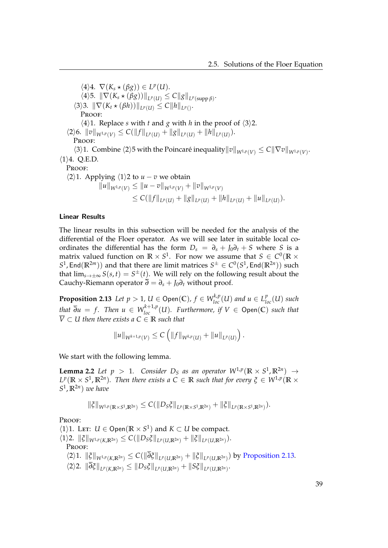$\langle 4 \rangle 4$ .  $\nabla (K_s \star (\beta g)) \in L^p(U)$ .  $\langle 4 \rangle$ 5.  $\|\nabla (K_s \star (\beta g))\|_{L^p(U)} \leq C \|g\|_{L^p(\text{supp }\beta)}.$  $\langle 3 \rangle 3. \|\nabla (K_t \star (\beta h))\|_{L^p(U)} \leq C \|h\|_{L^p(V)}.$ PROOF:  $\langle 4 \rangle$ 1. Replace *s* with *t* and *g* with *h* in the proof of  $\langle 3 \rangle$ 2.  $\langle 2 \rangle 6$ .  $||v||_{W^{1,p}(V)} \leq C(||f||_{L^p(U)} + ||g||_{L^p(U)} + ||h||_{L^p(U)}).$ PROOF:  $\langle 3 \rangle$ 1. Combine  $\langle 2 \rangle$ 5 with the Poincaré inequality  $||v||_{W^{1,p}(V)} \leq C||\nabla v||_{W^{1,p}(V)}$ .  $\langle 1 \rangle 4$ . Q.E.D. Proof:  $\langle 2 \rangle$ 1. Applying  $\langle 1 \rangle$ 2 to  $u - v$  we obtain  $\|u\|_{W^{1,p}(V)} \leq \|u-v\|_{W^{1,p}(V)} + \|v\|_{W^{1,p}(V)}$  $\leq C(||f||_{L^p(U)} + ||g||_{L^p(U)} + ||h||_{L^p(U)} + ||u||_{L^p(U)}).$ 

# Linear Results

The linear results in this subsection will be needed for the analysis of the differential of the Floer operator. As we will see later in suitable local coordinates the differential has the form  $D_s = \partial_s + J_0 \partial_t + S$  where *S* is a matrix valued function on  $\mathbb{R} \times S^1.$  For now we assume that  $S \in C^0(\mathbb{R} \times S^1)$  $S^1$ , End $(\mathbb{R}^{2m})$ ) and that there are limit matrices  $S^{\pm} \in C^0(S^1, \text{End}(\mathbb{R}^{2n}))$  such that  $\lim_{s\to\pm\infty}S(s,t)=S^{\pm}(t)$ . We will rely on the following result about the Cauchy-Riemann operator  $\overline{\partial} = \partial_s + J_0 \partial_t$  without proof.

<span id="page-44-0"></span>**Proposition 2.13** *Let*  $p > 1$ *,*  $U \in \mathsf{Open}(\mathbb{C})$ *,*  $f \in W^{k,p}_{loc}(U)$  *and*  $u \in L^p_{loc}(U)$  *such that*  $\overline{\partial}u = f$ . Then  $u \in W_{loc}^{k+1,p}(U)$ . Furthermore, if  $V \in \mathsf{Open}(\mathbb{C})$  such that  $\overline{V} \subset U$  then there exists a  $C \in \mathbb{R}$  such that

<span id="page-44-1"></span>
$$
||u||_{W^{k+1,p}(V)} \leq C \left( ||f||_{W^{k,p}(U)} + ||u||_{L^p(U)} \right).
$$

We start with the following lemma.

**Lemma 2.2** Let  $p > 1$ . Consider  $D_S$  as an operator  $W^{1,p}(\mathbb{R} \times S^1, \mathbb{R}^{2n}) \to$  $L^p(\mathbb{R} \times S^1, \mathbb{R}^{2n})$ *. Then there exists a* C  $\in$  R *such that for every*  $\xi \in W^{1,p}(\mathbb{R} \times S^1)$ *S* 1 , **R**2*<sup>n</sup>* ) *we have*

$$
\|\xi\|_{W^{1,p}(\mathbb{R}\times S^1,\mathbb{R}^{2n})}\leq C(\|D_S\xi\|_{L^p(\mathbb{R}\times S^1,\mathbb{R}^{2n})}+\|\xi\|_{L^p(\mathbb{R}\times S^1,\mathbb{R}^{2n})}).
$$

Proof:

 $\langle 1 \rangle$ 1. Let: *U*  $\in$  Open( $\mathbb{R} \times S^1$ ) and *K*  $\subset$  *U* be compact.  $\langle 1 \rangle 2$ .  $\|\xi\|_{W^{1,p}(K,\mathbb{R}^{2n})} \leq C(\|D_S\xi\|_{L^p(U,\mathbb{R}^{2n})} + \|\xi\|_{L^p(U,\mathbb{R}^{2n})}).$ PROOF:  $\langle 2 \rangle 1$ .  $\|\xi\|_{W^{1,p}(K,\mathbb{R}^{2n})} \leq C(\|\partial \xi\|_{L^p(U,\mathbb{R}^{2n})} + \|\xi\|_{L^p(U,\mathbb{R}^{2n})})$  by [Proposition 2.13.](#page-44-0)  $\langle 2 \rangle 2$ .  $\|\partial \xi\|_{L^p(K,\mathbb{R}^{2n})} \le \|D_S \xi\|_{L^p(U,\mathbb{R}^{2n})} + \|S \xi\|_{L^p(U,\mathbb{R}^{2n})}.$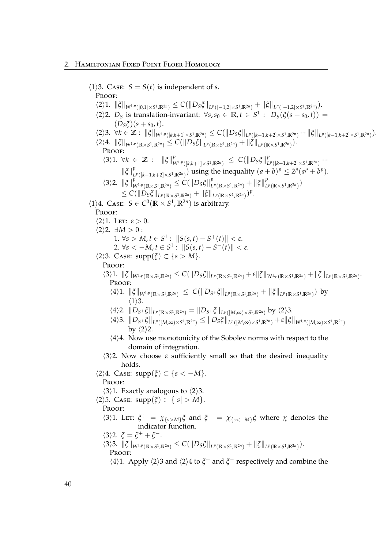# 2. Hamiltonian Fixed Point Floer Homology

 $\langle 1 \rangle$ 3. Case:  $S = S(t)$  is independent of *s*. Proof:  $\langle 2\rangle 1. \| \xi \|_{W^{1,p}([0,1]\times S^1,\mathbb{R}^{2n})} \leq C ( \|D_S \xi \|_{L^p([-1,2]\times S^1,\mathbb{R}^{2n})} + \| \xi \|_{L^p([-1,2]\times S^1,\mathbb{R}^{2n})}).$  $\langle 2 \rangle$ 2. *D<sub>S</sub>* is translation-invariant:  $\forall s, s_0 \in \mathbb{R}, t \in S^1$ :  $D_S(\xi(s+s_0, t))$  =  $(D<sub>S</sub>\xi)(s + s<sub>0</sub>, t).$  $\langle 2 \rangle 3. \ \forall k \in \mathbb{Z}: \ \|\xi\|_{W^{1,p}([k,k+1]\times S^1,\mathbb{R}^{2n})} \leq C(\|D_S\xi\|_{L^p([k-1,k+2]\times S^1,\mathbb{R}^{2n})} + \|\xi\|_{L^p([k-1,k+2]\times S^1,\mathbb{R}^{2n})}).$  $\langle 2 \rangle 4. \| \xi \|_{W^{1,p}(\mathbb{R} \times S^1, \mathbb{R}^{2n})} \leq C ( \| D_S \xi \|_{L^p(\mathbb{R} \times S^1, \mathbb{R}^{2n})} + \| \xi \|_{L^p(\mathbb{R} \times S^1, \mathbb{R}^{2n})}).$ PROOF:  $\langle 3 \rangle 1. \ \forall k \in \mathbb{Z} : \| \xi \|_{V}^{p}$  $W^{1,p}([k,k+1]\times S^1,\mathbb{R}^{2n}) \leq C(||D_S\xi||_L^p)$ *p p*([*k*−1,*k*+2]×*S*<sup>1</sup>,IR<sup>2*n*</sup>)</sub> +  $\|\xi\|_L^p$ *p*<sub>*P*</sub> (*k*−1,*k*+2|×*S*<sup>1</sup>, $\mathbb{R}^{2n}$ )</sub>) using the inequality  $(a + b)^p \leq 2^p(a^p + b^p)$ .  $\langle 3 \rangle$ 2.  $\|\xi\|_{V}^{p}$  $\int_{W^{1,p}(\mathbb{R}\times S^1,\mathbb{R}^{2n})}^{p} \leq C(\|D_S\xi\|_{L^p}^p)$  $\int_{L^p(\mathbb{R}\times S^1,\mathbb{R}^{2n})}^{p} + ||\xi||_L^p$  $\int_{L}^{p}$  (**R**×S<sup>1</sup>,**R**<sup>2*n*</sup>)</sub>)  $\leq C(\|D_{S}\xi\|_{L^{p}(\mathbb{R}\times S^{1},\mathbb{R}^{2n})}+\|\xi\|_{L^{p}(\mathbb{R}\times S^{1},\mathbb{R}^{2n})})^{p}.$  $\langle 1 \rangle$ 4. Case:  $S \in C^0(\mathbb{R} \times S^1, \mathbb{R}^{2n})$  is arbitrary. PROOF:  $\langle 2 \rangle$ 1. Let:  $\varepsilon > 0$ .  $\langle 2 \rangle 2$ .  $\exists M > 0$ : 1. ∀*s* > *M*, *t* ∈ *S*<sup>1</sup> :  $||S(s,t) - S^+(t)|| < ε$ .  $2. \ \forall s < -M, t \in S^1$ :  $||S(s,t) - S^{-}(t)|| < \varepsilon$ .  $\langle 2 \rangle$ 3. Case: supp $(\xi) \subset \{s > M\}.$ PROOF:  $\langle 3\rangle 1. \| \xi \|_{W^{1,p}(\mathbb{R} \times S^1, \mathbb{R}^{2n})} \leq C ( \|D_S \xi \|_{L^p(\mathbb{R} \times S^1, \mathbb{R}^{2n})} + \varepsilon \|\xi\|_{W^{1,p}(\mathbb{R} \times S^1, \mathbb{R}^{2n})} + \|\xi\|_{L^p(\mathbb{R} \times S^1, \mathbb{R}^{2n})}.$ Proof:  $\langle 4 \rangle 1. \| \xi \|_{W^{1,p}(\mathbb{R} \times S^1, \mathbb{R}^{2n})} \leq C ( \| D_{S^+} \xi \|_{L^p(\mathbb{R} \times S^1, \mathbb{R}^{2n})} + \| \xi \|_{L^p(\mathbb{R} \times S^1, \mathbb{R}^{2n})})$  by  $\langle 1 \rangle$ 3.  $\langle 4 \rangle 2.$   $||D_{S^+} \xi||_{L^p(\mathbb{R} \times S^1, \mathbb{R}^{2n})} = ||D_{S^+} \xi||_{L^p([M,\infty) \times S^1, \mathbb{R}^{2n})}$  by  $\langle 2 \rangle 3.$  $\|\langle 4\rangle 3. \|D_{S^+}\xi\|_{L^p([M,\infty)\times S^1,\mathbb{R}^{2n})}\leq \|D_S\xi\|_{L^p([M,\infty)\times S^1,\mathbb{R}^{2n})}+\varepsilon\|\xi\|_{W^{1,p}([M,\infty)\times S^1,\mathbb{R}^{2n})}.$ by  $\langle 2 \rangle$ 2.  $\langle 4 \rangle 4$ . Now use monotonicity of the Sobolev norms with respect to the domain of integration.  $\langle 3 \rangle$ 2. Now choose *ε* sufficiently small so that the desired inequality holds.  $\langle 2 \rangle 4$ . Case:  $supp(\xi) \subset \{s < -M\}.$ PROOF:  $\langle 3 \rangle$ 1. Exactly analogous to  $\langle 2 \rangle$ 3.  $\langle 2 \rangle$ 5. Case: supp $(\xi) \subset \{|s| > M\}.$ PROOF:  $\langle 3 \rangle$ 1. Let:  $\zeta^+ = \chi_{\{s > M\}} \zeta$  and  $\zeta^- = \chi_{\{s < -M\}} \zeta$  where *χ* denotes the indicator function.  $\langle 3 \rangle$ 2.  $\xi = \xi^+ + \xi^-$ .  $\langle 3 \rangle 3. \| \xi \|_{W^{1,p}(\mathbb{R} \times S^1, \mathbb{R}^{2n})} \leq C ( \| D_S \xi \|_{L^p(\mathbb{R} \times S^1, \mathbb{R}^{2n})} + \| \xi \|_{L^p(\mathbb{R} \times S^1, \mathbb{R}^{2n})}).$ PROOF:  $\langle 4 \rangle$ 1. Apply  $\langle 2 \rangle$ 3 and  $\langle 2 \rangle$ 4 to  $\xi$ <sup>+</sup> and  $\xi$ <sup>-</sup> respectively and combine the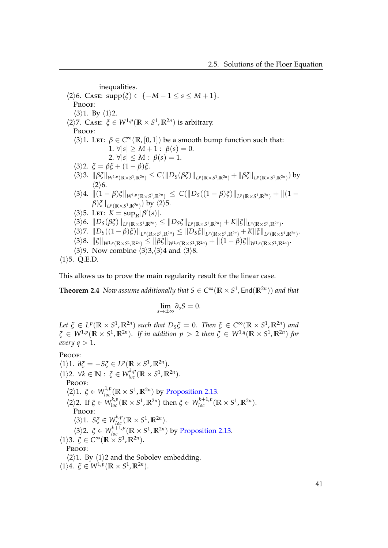inequalities.  $\langle 2 \rangle 6$ . Case:  $supp(\xi) \subset \{-M-1 \leq s \leq M+1\}.$ Proof:  $\langle 3 \rangle$ 1. By  $\langle 1 \rangle$ 2.  $\langle 2 \rangle$ 7. Case:  $\zeta \in W^{1,p}(\mathbb{R} \times S^1, \mathbb{R}^{2n})$  is arbitrary. PROOF:  $\langle 3 \rangle$ 1. LET:  $\beta \in C^{\infty}(\mathbb{R}, [0, 1])$  be a smooth bump function such that: 1.  $\forall |s| \geq M + 1$ :  $\beta(s) = 0$ . 2.  $\forall |s| \leq M : \beta(s) = 1.$ h3i2. *ξ* = *βξ* + (1 − *β*)*ξ*.  $\langle 3 \rangle 3. \|\beta \xi\|_{W^{1,p}(\mathbb{R} \times S^1, \mathbb{R}^{2n})} \leq C(\|D_S(\beta \xi)\|_{L^p(\mathbb{R} \times S^1, \mathbb{R}^{2n})} + \|\beta \xi\|_{L^p(\mathbb{R} \times S^1, \mathbb{R}^{2n})})$  by  $\langle 2 \rangle 6$ .  $\|\langle 3 \rangle 4$ .  $\|(1 - \beta)\xi\|_{W^{1,p}(\mathbb{R} \times S^1, \mathbb{R}^{2n})} \leq C(\|D_S((1 - \beta)\xi)\|_{L^p(\mathbb{R} \times S^1, \mathbb{R}^{2n})} + \|(1 - \beta)\xi\|_{W^{1,p}(\mathbb{R} \times S^1)}$  $\beta$ ) $\xi\|_{L^p(\mathbb{R}\times S^1,\mathbb{R}^{2n})})$  by  $\langle 2\rangle$ 5.  $\langle 3 \rangle$ 5. Let:  $K = \sup_{\mathbb{R}} |\beta'(s)|$ .  $\langle 3 \rangle 6. \|D_S(\beta \xi)\|_{L^p(\mathbb{R} \times S^1, \mathbb{R}^{2n})} \leq \|D_S \xi\|_{L^p(\mathbb{R} \times S^1, \mathbb{R}^{2n})} + K \|\xi\|_{L^p(\mathbb{R} \times S^1, \mathbb{R}^{2n})}.$  $\langle 3 \rangle$ 7.  $||D_S((1-\beta)\xi)||_{L^p(\mathbb{R}\times S^1,\mathbb{R}^{2n})} \leq ||D_S\xi||_{L^p(\mathbb{R}\times S^1,\mathbb{R}^{2n})} + K||\xi||_{L^p(\mathbb{R}\times S^1,\mathbb{R}^{2n})}$  $\langle 3 \rangle 8. \| \xi \|_{W^{1,p}(\mathbb{R} \times S^1, \mathbb{R}^{2n})} \leq \| \beta \xi \|_{W^{1,p}(\mathbb{R} \times S^1, \mathbb{R}^{2n})} + \| (1-\beta) \xi \|_{W^{1,p}(\mathbb{R} \times S^1, \mathbb{R}^{2n})}.$  $\langle 3 \rangle$ 9. Now combine  $\langle 3 \rangle$ 3, $\langle 3 \rangle$ 4 and  $\langle 3 \rangle$ 8.

 $\langle 1 \rangle$ 5. Q.E.D.

This allows us to prove the main regularity result for the linear case.

 $\bf{Theorem 2.4}$  *Now assume additionally that*  $S \in C^\infty(\mathbb{R} \times S^1, \mathsf{End}(\mathbb{R}^{2n}))$  *and that* 

$$
\lim_{s\to\pm\infty}\partial_sS=0.
$$

 $Let \xi \in L^p(\mathbb{R} \times S^1, \mathbb{R}^{2n})$  such that  $D_S\xi = 0$ . Then  $\xi \in C^\infty(\mathbb{R} \times S^1, \mathbb{R}^{2n})$  and  $\zeta \in W^{1,p}(\mathbb{R} \times S^1,\mathbb{R}^{2n}).$  If in addition  $p > 2$  then  $\zeta \in W^{1,q}(\mathbb{R} \times S^1,\mathbb{R}^{2n})$  for *every*  $q > 1$ .

Proof:

 $\langle 1 \rangle$ 1.  $\overline{\partial} \xi = -S\xi \in L^p(\mathbb{R} \times S^1, \mathbb{R}^{2n}).$  $\langle 1 \rangle$ 2.  $\forall k \in \mathbb{N}: \xi \in W_{loc}^{k,p}(\mathbb{R} \times S^1, \mathbb{R}^{2n}).$ PROOF:  $\langle 2 \rangle$ 1.  $\xi \in W_{loc}^{1,p}(\mathbb{R} \times S^1, \mathbb{R}^{2n})$  by [Proposition 2.13.](#page-44-0)  $\langle 2 \rangle$ 2. If  $\xi \in W_{loc}^{k,p}(\mathbb{R} \times S^1, \mathbb{R}^{2n})$  then  $\xi \in W_{loc}^{k+1,p}(\mathbb{R} \times S^1, \mathbb{R}^{2n})$ . PROOF:  $\langle 3 \rangle$ 1.  $S\xi \in W^{k,p}_{loc}(\mathbb{R} \times S^1, \mathbb{R}^{2n}).$  $\langle 3 \rangle$ 2.  $\xi \in W_{loc}^{k+1,p}(\mathbb{R} \times S^1, \mathbb{R}^{2n})$  by [Proposition 2.13.](#page-44-0)  $\langle 1 \rangle$ 3.  $\xi \in C^{\infty}(\mathbb{R} \times S^1, \mathbb{R}^{2n}).$ Proof:  $\langle 2 \rangle$ 1. By  $\langle 1 \rangle$ 2 and the Sobolev embedding.  $\langle 1 \rangle 4$ .  $\xi \in W^{1,p}(\mathbb{R} \times S^1, \mathbb{R}^{2n}).$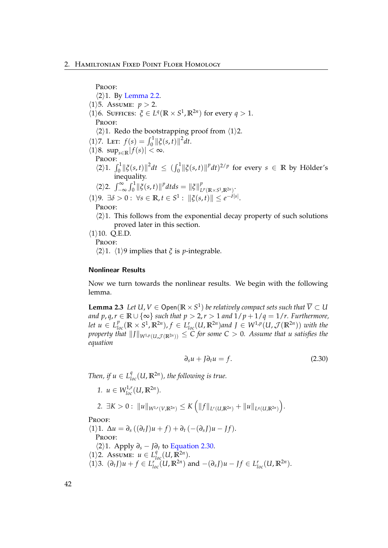Proof:  $\langle 2 \rangle$ 1. By [Lemma 2.2.](#page-44-1)  $\langle 1 \rangle$ 5. Assume: *p* > 2.  $\langle 1 \rangle$ 6. SUFFICES:  $\xi \in L^q(\mathbb{R} \times S^1, \mathbb{R}^{2n})$  for every  $q > 1$ . PROOF:  $\langle 2 \rangle$ 1. Redo the bootstrapping proof from  $\langle 1 \rangle$ 2.  $\langle 1 \rangle$ 7. Let:  $f(s) = \int_0^1 ||\xi(s,t)||^2 dt$ .  $\langle 1 \rangle$ 8. sup<sub>*s*∈**R**</sub> $|f(s)| < \infty$ . Proof:  $\langle 2 \rangle 1$ .  $\int_0^1 ||\xi(s,t)||^2 dt \leq (\int_0^1 ||\xi(s,t)||^p dt)^{2/p}$  for every  $s \in \mathbb{R}$  by Hölder's inequality.  $\langle 2 \rangle 2$ .  $\int_{-\infty}^{\infty} \int_{0}^{1} ||\xi(s, t)||^{p} dt ds = ||\xi||_{L}^{p}$ *L p* (**R**×*S* 1 ,**R**2*n*) .  $\langle 1 \rangle$ 9.  $\exists \delta > 0$ :  $\forall s \in \mathbb{R}, t \in S^1$ :  $\|\xi(s,t)\| \leq e^{-\delta|s|}$ . Proof:  $\langle 2 \rangle$ 1. This follows from the exponential decay property of such solutions proved later in this section.  $\langle 1 \rangle$ 10. O.E.D. PROOF:

 $\langle 2 \rangle$ 1.  $\langle 1 \rangle$ 9 implies that *ξ* is *p*-integrable.

### Nonlinear Results

Now we turn towards the nonlinear results. We begin with the following lemma.

<span id="page-47-1"></span>**Lemma 2.3** Let U,  $V \in \mathsf{Open}(\mathbb{R} \times S^1)$  be relatively compact sets such that  $\overline{V} \subset U$ *and*  $p, q, r \in \mathbb{R} \cup \{\infty\}$  *such that*  $p > 2, r > 1$  *and*  $1/p + 1/q = 1/r$ *. Furthermore,* let  $u \in L_{loc}^p(\mathbb{R} \times S^1, \mathbb{R}^{2n})$ ,  $f \in L_{loc}^r(U, \mathbb{R}^{2n})$  and  $J \in W^{1,p}(U, \mathcal{J}(\mathbb{R}^{2n}))$  with the *property that*  $\|J\|_{W^{1,p}(U,\mathcal{J}(\mathbb{R}^{2n}))}\leq C$  for some  $C>0.$  Assume that  $u$  satisfies the *equation*

<span id="page-47-0"></span>
$$
\partial_s u + J \partial_t u = f. \tag{2.30}
$$

*Then, if*  $u \in L^q_{loc}(U, \mathbb{R}^{2n})$ *, the following is true.* 

*1.*  $u \in W_{loc}^{1,r}(U,\mathbb{R}^{2n}).$  $2. \ \exists K > 0 : \|u\|_{W^{1,r}(V,\mathbb{R}^{2n})} \leq K \left( \|f\|_{L^r(U,\mathbb{R}^{2n})} + \|u\|_{L^q(U,\mathbb{R}^{2n})} \right).$ 

PROOF:

 $\langle 1 \rangle$ 1.  $\Delta u = \partial_s ((\partial_t J)u + f) + \partial_t (-(\partial_s J)u - If).$ PROOF:  $\langle 2 \rangle$ 1. Apply  $\partial_s$  − *J* $\partial_t$  to [Equation 2.30.](#page-47-0)  $\langle 1 \rangle$ 2. Assume:  $u \in L^q_{loc}(U, \mathbb{R}^{2n}).$  $\langle 1 \rangle$ 3.  $(\partial_t J)u + f \in L_{loc}^r(U, \mathbb{R}^{2n})$  and  $-(\partial_s J)u - Jf \in L_{loc}^r(U, \mathbb{R}^{2n})$ .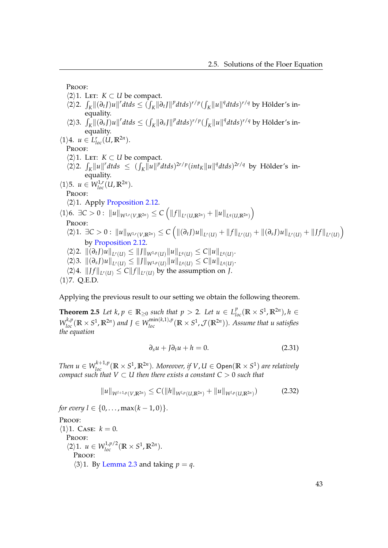PROOF:

- $\langle 2 \rangle$ 1. Let: *K*  $\subset$  *U* be compact.
- $\langle 2 \rangle$ 2.  $\int_K ||(\partial_t J)u||^r dt ds \leq (\int_K ||\partial_t J||^p dt ds)^{r/p} (\int_K ||u||^q dt ds)^{r/q}$  by Hölder's inequality.
- $\langle 2\rangle$ 3.  $\int_K ||(\partial_s J)u||^r dt ds \leq (\int_K ||\partial_s J||^p dt ds)^{r/p} (\int_K ||u||^q dt ds)^{r/q}$  by Hölder's inequality.

 $\langle 1 \rangle 4$ *.*  $u \in L_{loc}^r(U, \mathbb{R}^{2n})$ *.* PROOF:

 $\langle 2 \rangle$ 1. Let: *K* ⊂ *U* be compact.

- $\langle 2 \rangle$ 2.  $\int_K ||u||^r dt ds \leq (\int_K ||u||^p dt ds)^{2r/p} (int_K ||u||^q dt ds)^{2r/q}$  by Hölder's inequality.
- $\langle 1 \rangle$ 5.  $u \in W^{1,r}_{loc}(U,\mathbb{R}^{2n}).$

PROOF:

 $\langle 2 \rangle$ 1. Apply [Proposition 2.12.](#page-42-0)

 $\langle 1 \rangle$ 6.  $\exists C > 0 : \|u\|_{W^{1,r}(V,\mathbb{R}^{2n})} \leq C \left( \|f\|_{L^r(U,\mathbb{R}^{2n})} + \|u\|_{L^q(U,\mathbb{R}^{2n})} \right)$ Proof:

- $\langle 2 \rangle 1. \exists C > 0 : ||u||_{W^{1,r}(V,\mathbb{R}^{2n})} \leq C \left( ||(\partial_t J)u||_{L^r(U)} + ||f||_{L^r(U)} + ||(\partial_s J)u||_{L^r(U)} + ||Jf||_{L^r(U)} \right)$ by [Proposition 2.12.](#page-42-0)
- $\langle 2 \rangle 2. \Vert (\partial_t I)u \Vert_{L^r(U)} \leq \Vert J \Vert_{W^{1,p}(U)} \Vert u \Vert_{L^q(U)} \leq C \Vert u \Vert_{L^q(U)}.$
- $\langle 2 \rangle 3. \Vert (\partial_s J)u \Vert_{L^r(U)} \leq \Vert J \Vert_{W^{1,p}(U)} \Vert u \Vert_{L^q(U)} \leq C \Vert u \Vert_{L^q(U)}.$
- $\langle 2 \rangle 4$ .  $||Jf||_{L^r(U)} \leq C||f||_{L^r(U)}$  by the assumption on *J*.

 $\langle 1 \rangle$ 7. Q.E.D.

Applying the previous result to our setting we obtain the following theorem.

<span id="page-48-2"></span>**Theorem 2.5** *Let*  $k, p \in \mathbb{R}_{\geq 0}$  *such that*  $p > 2$ *. Let*  $u \in L_{loc}^p(\mathbb{R} \times S^1, \mathbb{R}^{2n})$ ,  $h \in$  $W_{loc}^{k,p}(\mathbb{R}\times S^1,\mathbb{R}^{2n})$  and  $J\in W_{loc}^{\min(k,1),p}(\mathbb{R}\times S^1,\mathcal{J}(\mathbb{R}^{2n}))$ *. Assume that u satisfies the equation*

<span id="page-48-1"></span><span id="page-48-0"></span>
$$
\partial_s u + J \partial_t u + h = 0. \tag{2.31}
$$

*Then*  $u \in W_{loc}^{k+1,p}(\mathbb{R} \times S^1, \mathbb{R}^{2n})$ *. Moreover, if*  $V, U \in \mathsf{Open}(\mathbb{R} \times S^1)$  are relatively *compact such that*  $V \subset U$  *then there exists a constant*  $C > 0$  *such that* 

$$
||u||_{W^{l+1,p}(V,\mathbb{R}^{2n})} \leq C(||h||_{W^{l,p}(U,\mathbb{R}^{2n})} + ||u||_{W^{l,p}(U,\mathbb{R}^{2n})})
$$
\n(2.32)

*for every*  $l \in \{0, \ldots, \max(k-1, 0)\}.$ 

PROOF:

 $\langle 1 \rangle$ 1. Case:  $k = 0$ . PROOF:  $\langle 2 \rangle 1$ .  $u \in W^{1,p/2}_{loc}(\mathbb{R} \times S^1, \mathbb{R}^{2n}).$ PROOF:  $\langle 3 \rangle$ 1. By [Lemma 2.3](#page-47-1) and taking *p* = *q*.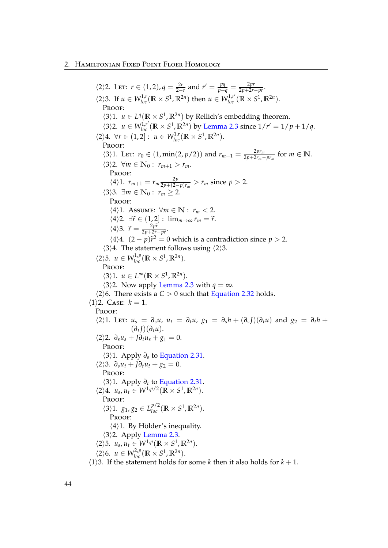#### 2. Hamiltonian Fixed Point Floer Homology

 $\langle 2 \rangle$ 2. Let:  $r \in (1, 2)$ ,  $q = \frac{2r}{2-r}$  and  $r' = \frac{pq}{p+q} = \frac{2pr}{2p+2r-pr}$ .  $\langle 2 \rangle$ 3. If  $u \in W_{loc}^{1,r}(\mathbb{R} \times S^1, \mathbb{R}^{2n})$  then  $u \in W_{loc}^{1,r'}(\mathbb{R} \times S^1, \mathbb{R}^{2n})$ . Proof:  $\langle 3 \rangle$ 1. *u* ∈ *L*<sup>*q*</sup>( $\mathbb{R} \times S^1$ ,  $\mathbb{R}^{2n}$ ) by Rellich's embedding theorem.  $\langle 3 \rangle$ 2. *u*  $\in W^{1,r'}_{loc}(\mathbb{R} \times S^1, \mathbb{R}^{2n})$  by [Lemma 2.3](#page-47-1) since  $1/r' = 1/p + 1/q$ .  $\langle 2 \rangle 4$ .  $\forall r \in (1, 2]: u \in W_{loc}^{1,r}(\mathbb{R} \times S^1, \mathbb{R}^{2n}).$ PROOF:  $\langle 3 \rangle$ 1. Let:  $r_0 \in (1, \min(2, p/2))$  and  $r_{m+1} = \frac{2pr_m}{2p + 2r_m}$  $\frac{2pr_m}{2p+2r_m-pr_m}$  for  $m \in \mathbb{N}$ .  $\langle 3 \rangle$ 2.  $\forall m \in \mathbb{N}_0 : r_{m+1} > r_m$ . Proof:  $\langle 4 \rangle 1$ .  $r_{m+1} = r_m \frac{2p}{2p + 2}$  $\frac{2p}{2p+(2-p)r_m} > r_m$  since  $p > 2$ .  $\langle 3 \rangle$ 3. ∃*m* ∈ **N**<sub>0</sub> : *r*<sub>*m*</sub> > 2. PROOF:  $\langle 4 \rangle$ 1. Assume:  $\forall m \in \mathbb{N} : r_m < 2$ .  $\langle 4 \rangle$ 2.  $\exists \tilde{r} \in (1,2]: \lim_{m \to \infty} r_m = \tilde{r}.$  $\langle 4 \rangle$ 3.  $\widetilde{r} = \frac{2p\widetilde{r}}{2p+2\widetilde{r}}$  $\frac{2p}{2p+2\widetilde{r}-p\widetilde{r}}$ .<br>  $\sim$ 2  $\langle 4 \rangle$ 4.  $(2 - p)\tilde{r}^2 = 0$  which is a contradiction since  $p > 2$ .  $\langle 3 \rangle 4$ . The statement follows using  $\langle 2 \rangle 3$ .  $\langle 2 \rangle$ 5.  $u \in W_{loc}^{1,p}(\mathbb{R} \times S^1, \mathbb{R}^{2n}).$ PROOF:  $\langle 3 \rangle$ 1.  $u \in L^{\infty}(\mathbb{R} \times S^1, \mathbb{R}^{2n}).$  $\langle 3 \rangle$ 2. Now apply [Lemma 2.3](#page-47-1) with  $q = \infty$ .  $\langle 2 \rangle$ 6. There exists a *C* > 0 such that [Equation 2.32](#page-48-0) holds.  $\langle 1 \rangle$ 2. Case:  $k = 1$ . PROOF:  $\langle 2 \rangle$ 1. LET:  $u_s = \partial_s u$ ,  $u_t = \partial_t u$ ,  $g_1 = \partial_s h + (\partial_s J)(\partial_t u)$  and  $g_2 = \partial_t h +$  $(\partial_t I)(\partial_t u)$ .  $\langle 2 \rangle 2$ .  $\partial_s u_s + J \partial_t u_s + g_1 = 0$ . PROOF: h3i1. Apply *∂<sup>s</sup>* to [Equation 2.31.](#page-48-1)  $\langle 2 \rangle 3$ .  $\partial_s u_t + J \partial_t u_t + g_2 = 0$ . PROOF: h3i1. Apply *∂<sup>t</sup>* to [Equation 2.31.](#page-48-1)  $\langle 2 \rangle 4$ .  $u_s, u_t \in W^{1,p/2}(\mathbb{R} \times S^1, \mathbb{R}^{2n}).$ PROOF:  $\langle 3 \rangle 1$ .  $g_1, g_2 \in L_{loc}^{p/2}(\mathbb{R} \times S^1, \mathbb{R}^{2n}).$ PROOF:  $\langle 4 \rangle$ 1. By Hölder's inequality.  $\langle 3 \rangle$ 2. Apply [Lemma 2.3.](#page-47-1)  $\langle 2 \rangle$ 5.  $u_s, u_t \in W^{1,p}(\mathbb{R} \times S^1, \mathbb{R}^{2n}).$  $\langle 2 \rangle 6$ .  $u \in W^{2,p}_{loc}(\mathbb{R} \times S^1, \mathbb{R}^{2n}).$ 

 $\langle 1 \rangle$ 3. If the statement holds for some *k* then it also holds for  $k + 1$ .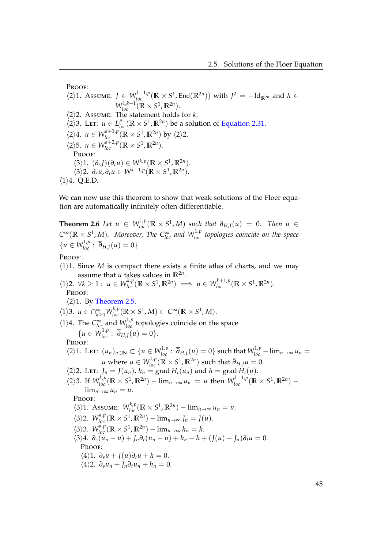Proof:

 $\langle 2 \rangle$ 1. Assume: *J* ∈ *W*<sub>loc</sub><sup>*k*+1,*p*</sup>( $\mathbb{R} \times S^1$ , End( $\mathbb{R}^{2n}$ )) with *J*<sup>2</sup> = −Id<sub> $\mathbb{R}^{2n}$  and *h* ∈</sub>  $W_{loc}^{1,k+1}(\mathbb{R} \times S^1, \mathbb{R}^{2n}).$  $\langle 2 \rangle$ 2. Assume: The statement holds for *k*.  $\langle 2 \rangle$ 3. Let:  $u \in L_{loc}^p(\mathbb{R} \times S^1, \mathbb{R}^{2n})$  be a solution of [Equation 2.31.](#page-48-1)  $\langle 2 \rangle 4$ .  $u \in W^{k+1,p}_{loc}(\mathbb{R} \times S^1, \mathbb{R}^{2n})$  by  $\langle 2 \rangle 2$ .  $\langle 2 \rangle$ 5.  $u \in W_{loc}^{k+2,p}(\mathbb{R} \times S^1, \mathbb{R}^{2n}).$ Proof:  $\langle 3 \rangle$ 1.  $(\partial_s J)(\partial_t u) \in W^{k,p}(\mathbb{R} \times S^1, \mathbb{R}^{2n}).$  $\langle 3 \rangle$ 2.  $\partial_s u, \partial_t u \in W^{k+1,p}(\mathbb{R} \times S^1, \mathbb{R}^{2n}).$  $\langle 1 \rangle$ 4. Q.E.D.

We can now use this theorem to show that weak solutions of the Floer equation are automatically infinitely often differentiable.

<span id="page-50-0"></span>**Theorem 2.6** Let  $u \in W_{loc}^{1,p}(\mathbb{R} \times S^1, M)$  such that  $\overline{\partial}_{H,J}(u) = 0$ . Then  $u \in$  $C^{\infty}(\mathbb{R} \times S^1, M)$ *. Moreover, The*  $C^{\infty}_{loc}$  *and*  $W^{1,p}_{loc}$  *topologies coincide on the space*  ${u \in W^{1,p}_{loc} : \overline{\partial}_{H,J}(u) = 0}.$ 

PROOF:

- $\langle 1 \rangle$ 1. Since *M* is compact there exists a finite atlas of charts, and we may assume that *u* takes values in  $\mathbb{R}^{2n}$ .
- $\forall k \ge 1 : u \in W_{loc}^{k,p}(\mathbb{R} \times S^1, \mathbb{R}^{2n}) \implies u \in W_{loc}^{k+1,p}(\mathbb{R} \times S^1, \mathbb{R}^{2n}).$ Proof:
	- $\langle 2 \rangle$ 1. By [Theorem 2.5.](#page-48-2)

$$
\langle 1 \rangle 3. \, u \in \bigcap_{k \geq 1}^{\infty} W_{loc}^{k,p}(\mathbb{R} \times S^1, M) \subset C^{\infty}(\mathbb{R} \times S^1, M).
$$

 $\langle 1 \rangle$ 4. The  $C_{loc}^{\infty}$  and  $W_{loc}^{1,p}$  topologies coincide on the space  ${u \in W^{1,p}_{loc} : \overline{\partial}_{H,J}(u) = 0}.$ 

Proof:

$$
\langle 2 \rangle 1. \text{ Let: } (u_n)_{n \in \mathbb{N}} \subset \{ u \in W_{loc}^{1,p} : \overline{\partial}_{H,J}(u) = 0 \} \text{ such that } W_{loc}^{1,p} - \lim_{n \to \infty} u_n = u \text{ where } u \in W_{loc}^{1,p}(\mathbb{R} \times S^1, \mathbb{R}^{2n}) \text{ such that } \overline{\partial}_{H,J} u = 0.
$$

- $\langle 2 \rangle$ 2. Let:  $J_n = J(u_n)$ ,  $h_n = \text{grad } H_t(u_n)$  and  $h = \text{grad } H_t(u)$ .
- $\langle 2 \rangle$ 3. If  $W_{loc}^{k,p}(\mathbb{R} \times S^1, \mathbb{R}^{2n}) \lim_{n \to \infty} u_n = u$  then  $W_{loc}^{k+1,p}(\mathbb{R} \times S^1, \mathbb{R}^{2n}) \lim_{n\to\infty}u_n=u.$

PROOF:

$$
\langle 3 \rangle 1. Assume: W^{k,p}_{loc}(\mathbb{R} \times S^1, \mathbb{R}^{2n}) - \lim_{n \to \infty} u_n = u.
$$

$$
\langle 3 \rangle 2. \ W_{loc}^{k,p}(\mathbb{R} \times S^1, \mathbb{R}^{2n}) - \lim_{n \to \infty} J_n = J(u).
$$

$$
\langle 3 \rangle 3. \ W_{loc}^{k,p}(\mathbb{R} \times S^1, \mathbb{R}^{2n}) - \lim_{n \to \infty} h_n = h.
$$

$$
\langle 3 \rangle 4. \ \partial_s \widetilde{u}_n - u + J_n \partial_t (u_n - u) + h_n - h + (J(u) - J_n) \partial_t u = 0.
$$
  
PROOF:

$$
\langle 4 \rangle 1. \ \partial_s u + J(u) \partial_t u + h = 0.
$$

$$
\langle 4 \rangle 2. \ \partial_s u_n + J_n \partial_t u_n + h_n = 0.
$$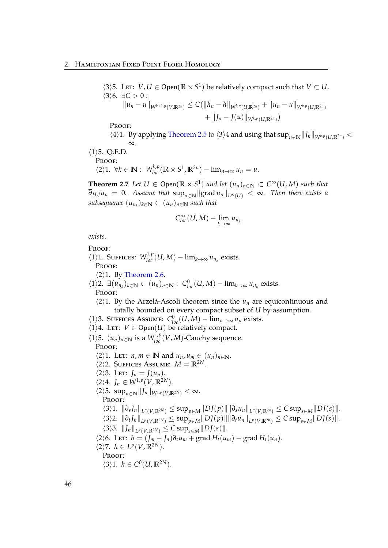$\langle 3 \rangle$ 5. Let: *V*, *U* ∈ Open( $\mathbb{R} \times S^1$ ) be relatively compact such that *V* ⊂ *U*.  $\langle 3 \rangle 6$ .  $\exists C > 0$ :  $||u_n - u||_{W^{k+1,p}(V,\mathbb{R}^{2n})} \leq C(||h_n - h||_{W^{k,p}(U,\mathbb{R}^{2n})} + ||u_n - u||_{W^{k,p}(U,\mathbb{R}^{2n})}$  $+ \|J_n - J(u)\|_{W^{k,p}(U,\mathbb{R}^{2n})})$ 

Proof:

 $\langle 4 \rangle$ 1. By applying [Theorem 2.5](#page-48-2) to  $\langle 3 \rangle$ 4 and using that  $\sup_{n \in \mathbb{N}} ||J_n||_{W^{k,p}(U,\mathbb{R}^{2n})}$ ∞.

 $\langle 1 \rangle$ 5. Q.E.D.

PROOF:

 $\langle 2 \rangle 1$ .  $\forall k \in \mathbb{N} : W^{k,p}_{loc}(\mathbb{R} \times S^1, \mathbb{R}^{2n}) - \lim_{n \to \infty} u_n = u$ .

**Theorem 2.7** *Let*  $U \in \mathsf{Open}(\mathbb{R} \times S^1)$  *and let*  $(u_n)_{n \in \mathbb{N}} \subset C^\infty(U, M)$  *such that*  $\overline{\partial}_{H,I} u_n = 0$ *. Assume that* sup<sub>*n*∈N</sub> ||grad  $u_n$ ||<sub>L∞(*U*)</sub> < ∞*. Then there exists a*  $subsequence (u_{n_k})_{k \in \mathbb{N}} \subset (u_n)_{n \in \mathbb{N}}$  such that

$$
C^{\infty}_{loc}(U,M)-\lim_{k\to\infty}u_{n_k}
$$

*exists.*

Proof:  $\langle 1 \rangle$ 1. SUFFICES:  $W_{loc}^{1,p}(U, M) - \lim_{k \to \infty} u_{n_k}$  exists. Proof:  $\langle 2 \rangle$ 1. By [Theorem 2.6.](#page-50-0)  $\langle 1 \rangle$ 2.  $\exists (u_{n_k})_{k \in \mathbb{N}} \subset (u_n)_{n \in \mathbb{N}} : C^0_{loc}(U, M) - \lim_{k \to \infty} u_{n_k}$  exists. Proof:  $\langle 2 \rangle$ 1. By the Arzelà-Ascoli theorem since the  $u_n$  are equicontinuous and totally bounded on every compact subset of *U* by assumption.  $\langle 1 \rangle$ 3. SUFFICES ASSUME:  $C_{loc}^{0}(U, M) - \lim_{n \to \infty} u_n$  exists.  $\langle 1 \rangle$ 4. LET:  $V \in \text{Open}(U)$  be relatively compact.  $\langle 1 \rangle$ 5.  $(u_n)_{n \in \mathbb{N}}$  is a  $W^{1,p}_{loc}(V, M)$ -Cauchy sequence. PROOF:  $\langle 2 \rangle$ 1. Let: *n*, *m*  $\in \mathbb{N}$  and  $u_n$ ,  $u_m \in (u_n)_{n \in \mathbb{N}}$ .  $\langle 2 \rangle$ 2. SUFFICES ASSUME:  $M = \mathbb{R}^{2N}$ .  $\langle 2 \rangle$ 3. LET:  $J_n = J(u_n)$ .  $\langle 2 \rangle 4$ .  $J_n \in W^{1,p}(V, \mathbb{R}^{2N})$ .  $\langle 2 \rangle$ 5. sup<sub>*n*∈N</sub> || *J<sub>n</sub>* ||  $W^{1,p}(V, \mathbb{R}^{2N})$  < ∞. Proof:  $\langle 3\rangle 1. \|\partial_s J_n\|_{L^p(V,\mathbb{R}^{2N})} \leq \sup_{p\in M} \|DJ(p)\| \|\partial_s u_n\|_{L^p(V,\mathbb{R}^{2n})} \leq C \sup_{s\in M} \|DJ(s)\|.$  $\langle 3 \rangle 2. \|\partial_t J_n\|_{L^p(V,\mathbb{R}^{2N})} \leq \sup_{p \in M} \|DJ(p)\| \|\partial_t u_n\|_{L^p(V,\mathbb{R}^{2n})} \leq C \sup_{s \in M} \|DJ(s)\|.$  $\langle 3 \rangle 3$ .  $||J_n||_{L^p(V,\mathbb{R}^{2N})} \leq C \sup_{s \in M} ||DJ(s)||.$  $\langle 2 \rangle$ 6. LET:  $h = (J_m - J_n) \partial_t u_m + \text{grad } H_t(u_m) - \text{grad } H_t(u_n).$  $\langle 2 \rangle$ 7. *h* ∈ *L<sup>p</sup>*(*V*, **R**<sup>2*N*</sup>). PROOF:  $\langle 3 \rangle 1$ .  $h \in C^0(U, \mathbb{R}^{2N})$ .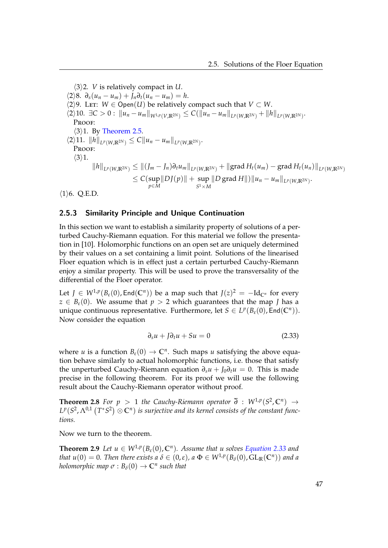$\langle 3 \rangle$ 2. *V* is relatively compact in *U*.  $\langle 2 \rangle 8$ .  $\partial_s(u_n - u_m) + J_n \partial_t(u_n - u_m) = h$ .  $\langle 2 \rangle$ 9. Let: *W* ∈ Open(*U*) be relatively compact such that *V* ⊂ *W*.  $\langle 2 \rangle 10. \ \exists C > 0 : \|u_n - u_m\|_{W^{1,p}(V,\mathbb{R}^{2N})} \leq C(\|u_n - u_m\|_{L^p(W,\mathbb{R}^{2N})} + \|h\|_{L^p(W,\mathbb{R}^{2N})}).$ PROOF:  $\langle 3 \rangle$ 1. By [Theorem 2.5.](#page-48-2)  $\langle 2 \rangle 11. \ \|h\|_{L^p(W,\mathbb{R}^{2N})} \leq C \|u_n - u_m\|_{L^p(W,\mathbb{R}^{2N})}.$ Proof:  $\langle 3 \rangle 1$ .  $\|h\|_{L^p(W,\mathbb{R}^{2N})}\leq \|(J_m-J_n)\partial_tu_m\|_{L^p(W,\mathbb{R}^{2N})}+\| \textrm{grad}\, H_t(u_m)-\textrm{grad}\, H_t(u_n)\|_{L^p(W,\mathbb{R}^{2N})}$ ≤ *C*(sup *p*∈*M*  $\|D J(p)\|$  + sup  $S^1$   $\times$  *M*  $||D \text{ grad } H|| \text{ } ||u_n - u_m||_{L^p(W,\mathbb{R}^{2N})}.$  $\langle 1 \rangle$ 6. Q.E.D.

# 2.5.3 Similarity Principle and Unique Continuation

In this section we want to establish a similarity property of solutions of a perturbed Cauchy-Riemann equation. For this material we follow the presentation in [\[10\]](#page-119-0). Holomorphic functions on an open set are uniquely determined by their values on a set containing a limit point. Solutions of the linearised Floer equation which is in effect just a certain perturbed Cauchy-Riemann enjoy a similar property. This will be used to prove the transversality of the differential of the Floer operator.

Let  $J \in W^{1,p}(B_\varepsilon(0), \text{End}(\mathbb{C}^n))$  be a map such that  $J(z)^2 = -\text{Id}_{\mathbb{C}^n}$  for every  $z \in B_{\varepsilon}(0)$ . We assume that  $p > 2$  which guarantees that the map *J* has a unique continuous representative. Furthermore, let  $S \in L^p(B_\varepsilon(0), \text{End}(\mathbb{C}^n))$ . Now consider the equation

<span id="page-52-0"></span>
$$
\partial_s u + J \partial_t u + S u = 0 \tag{2.33}
$$

where *u* is a function  $B_{\varepsilon}(0) \to \mathbb{C}^n$ . Such maps *u* satisfying the above equation behave similarly to actual holomorphic functions, i.e. those that satisfy the unperturbed Cauchy-Riemann equation  $\partial_s u + J_0 \partial_t u = 0$ . This is made precise in the following theorem. For its proof we will use the following result about the Cauchy-Riemann operator without proof.

**Theorem 2.8** For  $p > 1$  the Cauchy-Riemann operator  $\overline{\partial}$  :  $W^{1,p}(S^2, \mathbb{C}^n) \rightarrow$  $L^p(S^2, \Lambda^{0,1}\left( T^*S^2 \right) \otimes \mathbb C^n)$  *is surjective and its kernel consists of the constant functions.*

<span id="page-52-1"></span>Now we turn to the theorem.

**Theorem 2.9** *Let*  $u \in W^{1,p}(B_\varepsilon(0), \mathbb{C}^n)$ *. Assume that u solves [Equation 2.33](#page-52-0) and that*  $u(0) = 0$ . Then there exists a  $\delta \in (0,\varepsilon)$ , a  $\Phi \in W^{1,p}(B_\delta(0), GL_\mathbb{R}(\mathbb{C}^n))$  and a *holomorphic map*  $\sigma$  :  $B_\delta(0) \to \mathbb{C}^n$  such that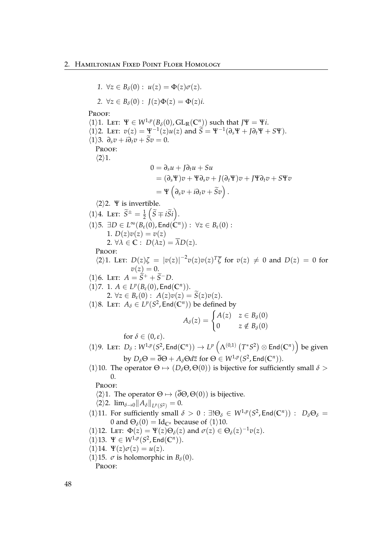*1.*  $\forall z \in B_\delta(0) : u(z) = \Phi(z)\sigma(z)$ . 2.  $\forall z \in B_{\delta}(0) : J(z)\Phi(z) = \Phi(z)i.$ PROOF:  $\langle 1 \rangle$ 1. Let:  $\Psi \in W^{1,p}(B_\delta(0), GL_\mathbb{R}(\mathbb{C}^n))$  such that  $J\Psi = \Psi i$ .  $\langle 1 \rangle$ 2. Let:  $v(z) = \Psi^{-1}(z)u(z)$  and  $\widetilde{S} = \Psi^{-1}(\partial_s \Psi + J \partial_t \Psi + S \Psi).$  $\langle 1 \rangle$ 3.  $\partial_s v + i \partial_t v + \tilde{S} v = 0.$ PROOF:  $\langle 2 \rangle 1$ . 0 = *∂su* + *J∂tu* + *Su*  $= (\partial_s \Psi)v + \Psi \partial_s v + J(\partial_t \Psi)v + J\Psi \partial_t v + S\Psi v$  $= \Psi \left( \partial_s v + i \partial_t v + \widetilde{S} v \right).$  $\langle 2 \rangle$ 2. Ψ is invertible.  $\langle 1 \rangle 4$ . Let:  $\widetilde{S}^{\pm} = \frac{1}{2} \left( \widetilde{S} \mp i \widetilde{S} i \right)$ .  $\forall$  1)5. ∃*D* ∈ *L*<sup>∞</sup>( $B$ <sub>*ε*</sub>(0), End( $\mathbb{C}^n$ )) : ∀*z* ∈  $B$ <sub>*ε*</sub>(0) : 1.  $D(z)v(z) = v(z)$ 2.  $\forall \lambda \in \mathbb{C} : D(\lambda z) = \overline{\lambda}D(z).$ PROOF:  $\langle 2 \rangle$ 1. Let:  $D(z)\zeta = |v(z)|^{-2}v(z)v(z)^{T}\overline{\zeta}$  for  $v(z) \neq 0$  and  $D(z) = 0$  for  $v(z) = 0.$  $\langle 1 \rangle 6$ . Let:  $A = \tilde{S}^+ + \tilde{S}^- D$ .  $\langle 1 \rangle$ 7. 1.  $A \in L^p(B_\varepsilon(0), \text{End}(\mathbb{C}^n)).$ 2.  $\forall z \in B_{\varepsilon}(0) : A(z)v(z) = \widetilde{S}(z)v(z).$  $\langle 1 \rangle$ 8. LET:  $A_{\delta} \in L^p(S^2, \text{End}(\mathbb{C}^n))$  be defined by  $A_{\delta}(z) = \begin{cases} A(z) & z \in B_{\delta}(0) \\ 0 & z \notin B_{\delta}(0) \end{cases}$ 0  $z \notin B_\delta(0)$ for  $\delta \in (0,\varepsilon)$ .  $h(1)$ 9. LET:  $D_{\delta}: W^{1,p}(S^2, \text{End}(\mathbb{C}^n)) \to L^p\left(\Lambda^{(0,1)}\left(T^*S^2\right) \otimes \text{End}(\mathbb{C}^n)\right)$  be given by  $D_{\delta} \Theta = \overline{\partial} \Theta + A_{\delta} \Theta d\overline{z}$  for  $\Theta \in W^{1,p}(S^2, \text{End}(\mathbb{C}^n)).$  $\langle 1 \rangle$ 10. The operator  $\Theta \mapsto (D_{\delta} \Theta, \Theta(0))$  is bijective for sufficiently small  $\delta >$ 0. Proof:  $\langle 2 \rangle$ 1. The operator  $\Theta \mapsto (\overline{\partial} \Theta, \Theta(0))$  is bijective.  $\langle 2 \rangle 2$ .  $\lim_{\delta \to 0} ||A_{\delta}||_{L^{p}(S^{2})} = 0.$  $\langle 1 \rangle$ 11. For sufficiently small  $\delta > 0$ :  $\exists !\Theta_{\delta} \in W^{1,p}(S^2, \text{End}(\mathbb{C}^n))$ :  $D_{\delta} \Theta_{\delta}$ 0 and  $\Theta_{\delta}(0) = \text{Id}_{\mathbb{C}^n}$  because of  $\langle 1 \rangle 10$ .  $\langle 1 \rangle$ 12. Let:  $\Phi(z) = \Psi(z)\Theta_\delta(z)$  and  $\sigma(z) \in \Theta_\delta(z)^{-1}v(z)$ .  $\langle 1 \rangle 13. \Psi \in W^{1,p}(S^2, \text{End}(\mathbb{C}^n)).$  $\langle 1 \rangle$ 14.  $\Psi(z)\sigma(z) = u(z)$ .  $\langle 1 \rangle$ 15.  $\sigma$  is holomorphic in *B*<sub> $\delta$ </sub>(0). PROOF: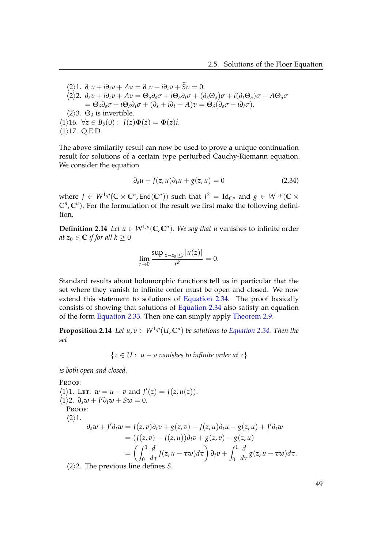$\langle 2 \rangle 1$ .  $\partial_s v + i \partial_t v + Av = \partial_s v + i \partial_t v + \tilde{S} v = 0$ .  $\langle 2 \rangle 2. \ \partial_s v + i \partial_t v + A v = \Theta_\delta \partial_s \sigma + i \Theta_\delta \partial_t \sigma + (\partial_s \Theta_\delta) \sigma + i (\partial_t \Theta_\delta) \sigma + A \Theta_\delta \sigma$  $= \Theta_{\delta} \partial_{s} \sigma + i \Theta_{\delta} \partial_{t} \sigma + (\partial_{s} + i \partial_{t} + A) \sigma = \Theta_{\delta} (\partial_{s} \sigma + i \partial_{t} \sigma).$  $\langle 2 \rangle$ 3.  $\Theta_{\delta}$  is invertible.  $\langle 1 \rangle$ 16.  $\forall z \in B_\delta(0) : I(z)\Phi(z) = \Phi(z)i.$  $\langle 1 \rangle$ 17. Q.E.D.

The above similarity result can now be used to prove a unique continuation result for solutions of a certain type perturbed Cauchy-Riemann equation. We consider the equation

<span id="page-54-0"></span>
$$
\partial_s u + J(z, u)\partial_t u + g(z, u) = 0 \qquad (2.34)
$$

where  $J \in W^{1,p}(\mathbb{C} \times \mathbb{C}^n, \mathsf{End}(\mathbb{C}^n))$  such that  $J^2 = \mathrm{Id}_{\mathbb{C}^n}$  and  $g \in W^{1,p}(\mathbb{C} \times \mathbb{C}^n)$  $\mathbb{C}^n$ ,  $\mathbb{C}^n$ ). For the formulation of the result we first make the following definition.

**Definition 2.14** *Let*  $u \in W^{1,p}(\mathbb{C}, \mathbb{C}^n)$ *. We say that u* vanishes to infinite order *at*  $z_0 \in \mathbb{C}$  *if for all*  $k \geq 0$ 

$$
\lim_{r \to 0} \frac{\sup_{|z - z_0| \le r} |u(z)|}{r^k} = 0.
$$

Standard results about holomorphic functions tell us in particular that the set where they vanish to infinite order must be open and closed. We now extend this statement to solutions of [Equation 2.34.](#page-54-0) The proof basically consists of showing that solutions of [Equation 2.34](#page-54-0) also satisfy an equation of the form [Equation 2.33.](#page-52-0) Then one can simply apply [Theorem 2.9.](#page-52-1)

<span id="page-54-1"></span>**Proposition 2.14** *Let*  $u, v \in W^{1,p}(U, \mathbb{C}^n)$  *be solutions to [Equation 2.34.](#page-54-0) Then the set*

{*z* ∈ *U* : *u* − *v vanishes to infinite order at z*}

*is both open and closed.*

PROOF:  $\langle 1 \rangle$ 1. Let:  $w = u - v$  and  $J'(z) = J(z, u(z)).$  $\langle 1 \rangle$ 2.  $\partial_s w + J' \partial_t w + Sw = 0.$ PROOF:  $\langle 2 \rangle 1$ .  $\partial_s w + J' \partial_t w = J(z, v) \partial_t v + g(z, v) - J(z, u) \partial_t u - g(z, u) + J' \partial_t w$  $= (J(z, v) - J(z, u))\partial_t v + g(z, v) - g(z, u)$  $=\left(\int_0^1$  $\boldsymbol{0}$ *d*  $\frac{d}{d\tau}J(z, u - \tau w)d\tau\right) \partial_t v + \int_0^1$  $\theta$ *d*  $\frac{d}{d\tau}g(z, u - \tau w) d\tau.$  $\langle 2 \rangle$ 2. The previous line defines *S*.

49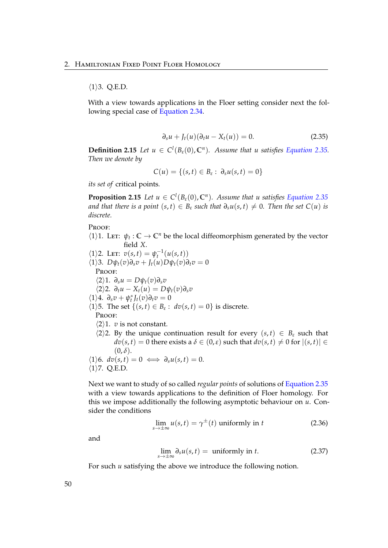### $\langle 1 \rangle$ 3. Q.E.D.

With a view towards applications in the Floer setting consider next the following special case of [Equation 2.34.](#page-54-0)

<span id="page-55-0"></span>
$$
\partial_s u + J_t(u)(\partial_t u - X_t(u)) = 0. \qquad (2.35)
$$

**Definition 2.15** *Let*  $u \in C^l(B_\varepsilon(0), \mathbb{C}^n)$ *. Assume that u satisfies [Equation 2.35.](#page-55-0) Then we denote by*

$$
C(u) = \{(s,t) \in B_{\varepsilon} : \partial_s u(s,t) = 0\}
$$

*its set of* critical points*.*

**Proposition 2.15** *Let*  $u \in C^l(B_\varepsilon(0), \mathbb{C}^n)$ *. Assume that u satisfies [Equation 2.35](#page-55-0) and that there is a point*  $(s, t) \in B_{\varepsilon}$  *such that*  $\partial_s u(s, t) \neq 0$ . Then the set  $C(u)$  *is discrete.*

PROOF:

 $\langle 1 \rangle$ 1. LET:  $\psi_t$ :  $\mathbb{C} \to \mathbb{C}^n$  be the local diffeomorphism generated by the vector field *X*.

 $\langle 1 \rangle$ 2. Let:  $v(s, t) = \psi_t^{-1}(u(s, t))$  $\langle 1 \rangle$ 3.  $D\psi_t(v)\partial_s v + J_t(u)D\psi_t(v)\partial_t v = 0$ PROOF: h2i1. *∂su* = *Dψt*(*v*)*∂sv*  $\langle 2 \rangle 2$ .  $\partial_t u - X_t(u) = D\psi_t(v)\partial_s v$  $\langle 1 \rangle 4$ .  $\partial_s v + \psi_t^* J_t(v) \partial_t v = 0$  $\langle 1 \rangle$ 5. The set  $\{(s, t) \in B_{\varepsilon} : dv(s, t) = 0\}$  is discrete. PROOF:  $\langle 2 \rangle$ 1. *v* is not constant.  $\langle 2 \rangle$ 2. By the unique continuation result for every  $(s, t) \in B_{\varepsilon}$  such that  $dv(s,t) = 0$  there exists a  $\delta \in (0,\varepsilon)$  such that  $dv(s,t) \neq 0$  for  $|(s,t)| \in$  $(0, \delta)$ .

$$
\langle 1 \rangle 6. \, dv(s,t) = 0 \iff \partial_s u(s,t) = 0.
$$
  

$$
\langle 1 \rangle 7. \, Q.E.D.
$$

Next we want to study of so called *regular points* of solutions of [Equation 2.35](#page-55-0) with a view towards applications to the definition of Floer homology. For this we impose additionally the following asymptotic behaviour on *u*. Consider the conditions

$$
\lim_{s \to \pm \infty} u(s, t) = \gamma^{\pm}(t) \text{ uniformly in } t \tag{2.36}
$$

and

<span id="page-55-3"></span><span id="page-55-2"></span><span id="page-55-1"></span>
$$
\lim_{s \to \pm \infty} \partial_s u(s, t) = \text{ uniformly in } t. \tag{2.37}
$$

For such *u* satisfying the above we introduce the following notion.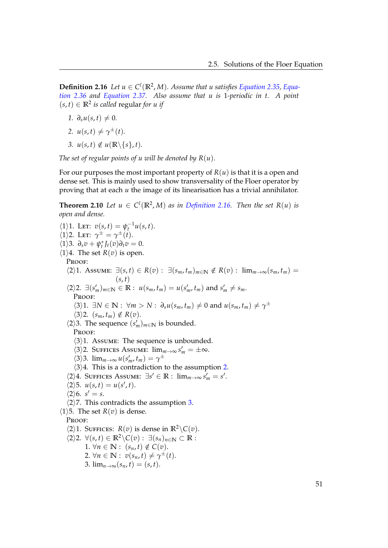**Definition 2.16** *Let*  $u \in C^l(\mathbb{R}^2, M)$ . Assume that u satisfies [Equation 2.35,](#page-55-0) [Equa](#page-55-1)*[tion 2.36](#page-55-1) and [Equation 2.37.](#page-55-2) Also assume that u is* 1*-periodic in t. A point*  $(s, t)$  ∈  $\mathbb{R}^2$  *is called* regular *for u if* 

- *1.*  $∂_5u(s,t) ≠ 0$ .
- <span id="page-56-0"></span>2.  $u(s,t) \neq \gamma^{\pm}(t)$ .
- <span id="page-56-1"></span>*3. u*(*s, t*) ∉ *u*(**R**\{*s*}, *t*).

*The set of regular points of u will be denoted by R*(*u*)*.*

For our purposes the most important property of *R*(*u*) is that it is a open and dense set. This is mainly used to show transversality of the Floer operator by proving that at each *u* the image of its linearisation has a trivial annihilator.

**Theorem 2.10** *Let*  $u \in C^l(\mathbb{R}^2, M)$  *as in [Definition 2.16.](#page-55-3) Then the set*  $R(u)$  *is open and dense.*

 $\langle 1 \rangle$ 1. Let:  $v(s,t) = \psi_t^{-1}u(s,t)$ .  $\langle 1 \rangle$ 2. Let:  $\gamma^{\pm} = \gamma^{\pm}(t)$ .  $\langle 1 \rangle$ 3.  $\partial_s v + \psi_t^* J_t(v) \partial_t v = 0.$  $\langle 1 \rangle 4$ . The set *R*(*v*) is open. Proof:  $\langle 2 \rangle$ 1. Assume:  $\exists (s, t) \in R(v) : \exists (s_m, t_m)_{m \in \mathbb{N}} \notin R(v) : \lim_{m \to \infty} (s_m, t_m) =$  $(s, t)$  $\langle 2 \rangle 2$ .  $\exists (s'_m)_{m \in \mathbb{N}} \in \mathbb{R} : u(s_m, t_m) = u(s'_m, t_m)$  and  $s'_m \neq s_m$ . PROOF:  $\langle 3 \rangle$ 1. ∃*N* ∈ **N** :  $\forall m > N$  :  $\partial_s u(s_m, t_m) \neq 0$  and  $u(s_m, t_m) \neq \gamma^{\pm}$  $\langle 3 \rangle$ 2.  $(s_m, t_m) \notin R(v)$ .  $\langle 2 \rangle$ 3. The sequence  $(s'_m)_{m \in \mathbb{N}}$  is bounded. PROOF:  $\langle 3 \rangle$ 1. Assume: The sequence is unbounded.  $\langle 3 \rangle$ 2. SUFFICES ASSUME:  $\lim_{m \to \infty} s'_m = \pm \infty$ .  $\langle 3 \rangle$ 3.  $\lim_{m \to \infty} u(s'_m, t_m) = \gamma^{\pm}$  $\langle 3 \rangle 4$ . This is a contradiction to the assumption [2.](#page-56-0)  $\langle 2 \rangle 4$ . SUFFICES ASSUME:  $\exists s' \in \mathbb{R} : \lim_{m \to \infty} s'_m = s'.$  $\langle 2 \rangle$ 5.  $u(s,t) = u(s',t)$ .  $\langle 2 \rangle 6$ .  $s' = s$ .  $\langle 2 \rangle$ 7. This contradicts the assumption [3.](#page-56-1)  $\langle 1 \rangle$ 5. The set *R*(*v*) is dense. PROOF:  $\langle 2 \rangle$ 1. SUFFICES: *R*(*v*) is dense in  $\mathbb{R}^2 \setminus C(v)$ .  $\langle 2 \rangle$ 2.  $\forall (s, t) \in \mathbb{R}^2 \setminus C(v) : \exists (s_n)_{n \in \mathbb{N}} \subset \mathbb{R}$ : 1.  $\forall n \in \mathbb{N} : (s_n, t) \notin C(v)$ . 2.  $\forall n \in \mathbb{N}: v(s_n, t) \neq \gamma^{\pm}(t).$ 3.  $\lim_{n \to \infty} (s_n, t) = (s, t).$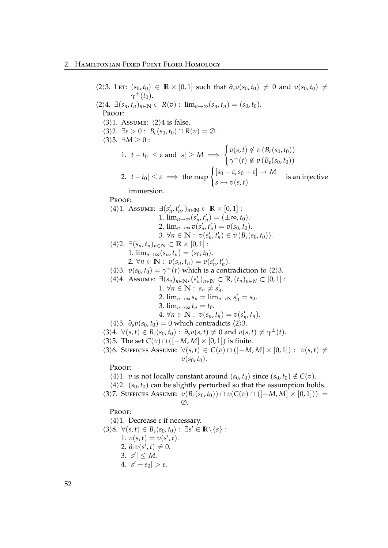$\langle 2 \rangle$ 3. Lett:  $(s_0, t_0) \in \mathbb{R} \times [0, 1]$  such that  $\partial_s v(s_0, t_0) \neq 0$  and  $v(s_0, t_0) \neq 0$ *γ* <sup>±</sup>(*t*0).  $\langle 2 \rangle 4$ .  $\exists (s_n, t_n)_{n \in \mathbb{N}} \subset R(v)$ :  $\lim_{n \to \infty} (s_n, t_n) = (s_0, t_0)$ . PROOF:  $\langle 3 \rangle$ 1. Assume:  $\langle 2 \rangle$ 4 is false.  $\langle 3 \rangle$ 2.  $\exists \varepsilon > 0$ :  $B_{\varepsilon}(s_0, t_0) \cap R(v) = \emptyset$ .  $\langle 3 \rangle$ 3.  $\exists M > 0$ : 1.  $|t - t_0| \leq \varepsilon$  and  $|s| \geq M \implies$  $\int v(s,t) \notin v(B_{\varepsilon}(s_0,t_0))$  $\gamma^{\pm}(t) \notin v(B_{\varepsilon}(s_0, t_0))$ 2.  $|t-t_0| \leq \varepsilon \implies$  the map  $\left\{ \left[ s_0 - \varepsilon, s_0 + \varepsilon \right] \to M \right\}$  $s \mapsto v(s,t)$  is an injective immersion. PROOF:  $\langle 4 \rangle$ 1. Assume:  $\exists (s'_n, t'_n, )_{n \in \mathbb{N}} \subset \mathbb{R} \times [0, 1]$ : 1.  $\lim_{n \to \infty} (s'_n, t'_n) = (\pm \infty, t_0).$ 2.  $\lim_{n\to\infty} v(s'_n, t'_n) = v(s_0, t_0).$ 3.  $\forall n \in \mathbb{N}: v(s'_n, t'_n) \in v(B_{\varepsilon}(s_0, t_0)).$  $\langle 4 \rangle$ 2.  $\exists (s_n, t_n)_{n \in \mathbb{N}} \subset \mathbb{R} \times [0, 1]$ : 1.  $\lim_{n\to\infty} (s_n, t_n) = (s_0, t_0).$ 2.  $\forall n \in \mathbb{N}: v(s_n, t_n) = v(s'_n, t'_n).$  $\langle 4 \rangle$ 3.  $v(s_0, t_0) = \gamma^{\pm}(t)$  which is a contradiction to  $\langle 2 \rangle$ 3.  $\langle 4 \rangle 4$ . Assume:  $\exists (s_n)_{n \in \mathbb{N}}$ ,  $(s'_n)_{n \in \mathbb{N}} \subset \mathbb{R}$ ,  $(t_n)_{n \in \mathbb{N}} \subset [0, 1]$ : 1.  $\forall n \in \mathbb{N}: s_n \neq s'_n$ . 2.  $\lim_{n \to \infty} s_n = \lim_{n \to \infty} s'_n = s_0.$ 3.  $\lim_{n\to\infty} t_n = t_0$ .  $4. \ \forall n \in \mathbb{N}: \ v(s_n, t_n) = v(s'_n, t_n).$  $\langle 4 \rangle$ 5.  $\partial_s v(s_0, t_0) = 0$  which contradicts  $\langle 2 \rangle$ 3.  $\langle 3 \rangle 4$ .  $\forall (s, t) \in B_{\varepsilon}(s_0, t_0): \partial_s v(s, t) \neq 0$  and  $v(s, t) \neq \gamma^{\pm}(t)$ .  $\langle 3 \rangle$ 5. The set *C*(*v*) ∩ ([−*M*, *M*] × [0, 1]) is finite.  $\langle 3 \rangle 6$ . Suffices Assume:  $\forall (s,t) \in C(v) \cap ([-M,M] \times [0,1]) : v(s,t) \neq$  $v(s_0, t_0)$ . Proof:  $\langle 4 \rangle$ 1. *v* is not locally constant around  $(s_0, t_0)$  since  $(s_0, t_0) \notin C(v)$ .  $\langle 4 \rangle$ 2.  $(s_0, t_0)$  can be slightly perturbed so that the assumption holds.  $h(3)7.$  Suffices Assume:  $v(B_{\varepsilon}(s_0,t_0)) \cap v(C(v) \cap ([-M,M] \times [0,1])) =$  $\varnothing$ . PROOF:  $\langle 4 \rangle$ 1. Decrease  $\varepsilon$  if necessary.  $\langle 3 \rangle 8$ .  $\forall (s,t) \in B_{\varepsilon}(s_0,t_0) : \exists s' \in \mathbb{R} \setminus \{s\}$ : 1.  $v(s, t) = v(s', t)$ . 2.  $\partial_s v(s',t) \neq 0$ . 3.  $|s'| \leq M$ .  $4. |s' - s_0| > \varepsilon.$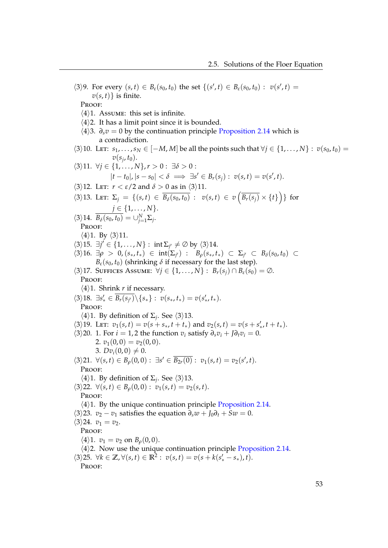$\langle 3 \rangle 9$ . For every  $(s, t) \in B_{\varepsilon}(s_0, t_0)$  the set  $\{(s', t) \in B_{\varepsilon}(s_0, t_0) : v(s', t) =$  $v(s,t)$ } is finite. PROOF:  $\langle 4 \rangle$ 1. Assume: this set is infinite.  $\langle 4 \rangle$ 2. It has a limit point since it is bounded.  $\langle 4 \rangle$ 3.  $\partial_s v = 0$  by the continuation principle [Proposition 2.14](#page-54-1) which is a contradiction.  $\langle 3 \rangle$ 10. Let:  $s_1, \ldots, s_N \in [-M, M]$  be all the points such that  $\forall j \in \{1, \ldots, N\} : v(s_0, t_0) =$  $v(s_j, t_0)$ .  $\langle 3 \rangle$ 11.  $\forall j$  ∈ {1, ..., *N*}, *r* > 0 : ∃*δ* > 0 :  $|t - t_0|, |s - s_0| < \delta \implies \exists s' \in B_r(s_j) : v(s, t) = v(s', t).$  $\langle 3 \rangle$ 12. Let:  $r < \varepsilon/2$  and  $\delta > 0$  as in  $\langle 3 \rangle$ 11.  $\langle 3 \rangle 13.$  LET:  $\Sigma_j = \{(s, t) \in \overline{B_\delta(s_0, t_0)} : v(s, t) \in v(\overline{B_r(s_j)} \times \{t\})\}\)$  for  $j \in \{1, ..., N\}.$  $\langle 3 \rangle 14$ .  $B_\delta(s_0, t_0) = \bigcup_{j=1}^N \Sigma_j$ . PROOF:  $\langle 4 \rangle$ 1. By  $\langle 3 \rangle$ 11.  $\langle 3 \rangle$ 15.  $\exists j' \in \{1, ..., N\}$ : int  $\Sigma_{j'} \neq \emptyset$  by  $\langle 3 \rangle$ 14.  $\langle 3 \rangle$ 16. ∃*ρ* > 0, (*s*<sub>\*</sub>, *t*<sub>\*</sub>) ∈ int( $\Sigma_j$ <sup>*i*</sup>) : *B<sub>ρ</sub>*(*s*<sub>\*</sub>, *t*<sub>\*</sub>) ⊂  $\Sigma_j$ <sup>*i*</sup> ⊂ *B*<sub>δ</sub>(*s*<sub>0</sub>, *t*<sub>0</sub>) ⊂  $B_{\varepsilon}(s_0, t_0)$  (shrinking  $\delta$  if necessary for the last step).  $\langle 3 \rangle$ 17. Suffices Assume:  $\forall j \in \{1, ..., N\} : B_r(s_j) \cap B_{\varepsilon}(s_0) = \emptyset$ . Proof:  $\langle 4 \rangle$ 1. Shrink *r* if necessary.  $\langle 3 \rangle 18. \exists s'_* \in \overline{B_r(s_{j'})} \setminus \{s_*\} : v(s_*, t_*) = v(s'_*, t_*).$ Proof:  $\langle 4 \rangle$ 1. By definition of  $\Sigma_j$ . See  $\langle 3 \rangle$ 13.  $\langle 3 \rangle$ 19. Let:  $v_1(s,t) = v(s + s_*, t + t_*)$  and  $v_2(s,t) = v(s + s'_*, t + t_*)$ .  $\langle 3 \rangle$ 20. 1. For *i* = 1, 2 the function *v<sub>i</sub>* satisfy  $\partial_s v_i + \partial_t v_i = 0$ . 2.  $v_1(0,0) = v_2(0,0)$ . 3.  $Dv_i(0,0) \neq 0$ .  $\langle 3 \rangle 21. \ \forall (s, t) \in B_\rho(0, 0): \ \exists s' \in \overline{B_{2r}(0)}: \ v_1(s, t) = v_2(s', t).$ PROOF:  $\langle 4 \rangle$ 1. By definition of  $\Sigma_j$ . See  $\langle 3 \rangle$ 13.  $\langle 3 \rangle$ 22.  $\forall (s,t) \in B_\rho(0,0): v_1(s,t) = v_2(s,t).$ Proof:  $\langle 4 \rangle$ 1. By the unique continuation principle [Proposition 2.14.](#page-54-1)  $\langle 3 \rangle$ 23. *v*<sub>2</sub> − *v*<sub>1</sub> satisfies the equation  $\partial_s w + J_0 \partial_t + Sw = 0$ .  $\langle 3 \rangle 24. \, v_1 = v_2.$ PROOF:  $\langle 4 \rangle 1$ .  $v_1 = v_2$  on  $B_\rho(0,0)$ .  $\langle 4 \rangle$ 2. Now use the unique continuation principle [Proposition 2.14.](#page-54-1)  $\langle 3 \rangle 25. \ \forall k \in \mathbb{Z}, \forall (s, t) \in \mathbb{R}^2 : \ v(s, t) = v(s + k(s'_* - s_*), t).$ PROOF: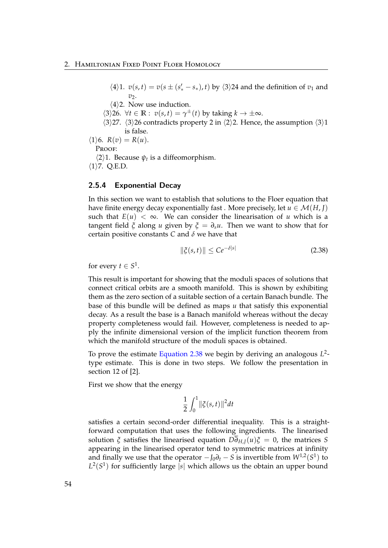- $\langle 4 \rangle$ 1.  $v(s,t) = v(s \pm (s'_{*} s_{*}), t)$  by  $\langle 3 \rangle$ 24 and the definition of  $v_1$  and  $v_2$ .
- $\langle 4 \rangle$ 2. Now use induction.
- $\langle 3 \rangle$ 26.  $\forall t \in \mathbb{R} : v(s, t) = \gamma^{\pm}(t)$  by taking  $k \to \pm \infty$ .
- $\langle 3 \rangle$ 27.  $\langle 3 \rangle$ 26 contradicts property 2 in  $\langle 2 \rangle$ 2. Hence, the assumption  $\langle 3 \rangle$ 1 is false.
- $\langle 1 \rangle 6$ .  $R(v) = R(u)$ . Proof:  $\langle 2 \rangle$ 1. Because  $\psi_t$  is a diffeomorphism.  $\langle 1 \rangle$ 7. Q.E.D.

## 2.5.4 Exponential Decay

In this section we want to establish that solutions to the Floer equation that have finite energy decay exponentially fast . More precisely, let  $u \in \mathcal{M}(H, J)$ such that  $E(u) < \infty$ . We can consider the linearisation of *u* which is a tangent field  $\zeta$  along *u* given by  $\zeta = \partial_s u$ . Then we want to show that for certain positive constants *C* and *δ* we have that

<span id="page-59-0"></span>
$$
\|\xi(s,t)\| \le Ce^{-\delta|s|} \tag{2.38}
$$

for every  $t \in S^1$ .

This result is important for showing that the moduli spaces of solutions that connect critical orbits are a smooth manifold. This is shown by exhibiting them as the zero section of a suitable section of a certain Banach bundle. The base of this bundle will be defined as maps *u* that satisfy this exponential decay. As a result the base is a Banach manifold whereas without the decay property completeness would fail. However, completeness is needed to apply the infinite dimensional version of the implicit function theorem from which the manifold structure of the moduli spaces is obtained.

To prove the estimate [Equation 2.38](#page-59-0) we begin by deriving an analogous *L* 2 type estimate. This is done in two steps. We follow the presentation in section 12 of [\[2\]](#page-118-0).

First we show that the energy

$$
\frac{1}{2}\int_0^1 \lVert \xi(s,t) \rVert^2 dt
$$

satisfies a certain second-order differential inequality. This is a straightforward computation that uses the following ingredients. The linearised solution  $\zeta$  satisfies the linearised equation  $D\overline{\partial}_{HJ}(u)\zeta = 0$ , the matrices *S* appearing in the linearised operator tend to symmetric matrices at infinity and finally we use that the operator  $-J_0\partial_t - S$  is invertible from  $W^{1,2}(S^1)$  to  $L^2(S^1)$  for sufficiently large |s| which allows us the obtain an upper bound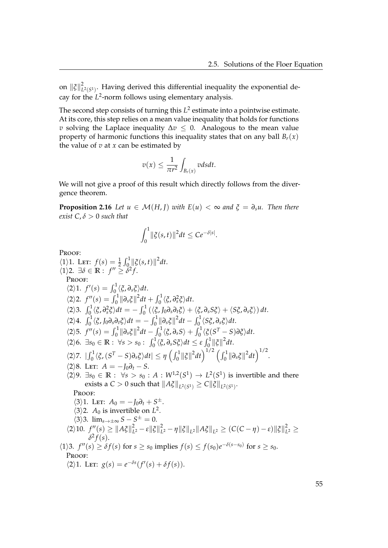on  $\left\Vert \boldsymbol{\tilde{\zeta}}\right\Vert _{L}^{2}$  $L^2(S^1)$ . Having derived this differential inequality the exponential decay for the *L* 2 -norm follows using elementary analysis.

The second step consists of turning this  $L^2$  estimate into a pointwise estimate. At its core, this step relies on a mean value inequality that holds for functions *v* solving the Laplace inequality  $\Delta v \leq 0$ . Analogous to the mean value property of harmonic functions this inequality states that on any ball  $B_r(x)$ the value of  $v$  at  $x$  can be estimated by

$$
v(x) \leq \frac{1}{\pi r^2} \int_{B_r(x)} v ds dt.
$$

We will not give a proof of this result which directly follows from the divergence theorem.

**Proposition 2.16** *Let*  $u \in \mathcal{M}(H, I)$  *with*  $E(u) < \infty$  *and*  $\xi = \partial_s u$ . Then there *exist*  $C, \delta > 0$  *such that* 

$$
\int_0^1 \|\xi(s,t)\|^2 dt \leq Ce^{-\delta|s|}.
$$

Proof:

 $\langle 1 \rangle$ 1. Let:  $f(s) = \frac{1}{2} \int_0^1 ||\xi(s,t)||^2 dt$ .  $\langle 1 \rangle$ 2.  $\exists \delta \in \mathbb{R} : f'' \geq \delta^2 f$ . PROOF:  $\langle 2 \rangle 1$ .  $f'(s) = \int_0^1 \langle \xi, \partial_s \xi \rangle dt$ .  $\langle 2 \rangle 2$ .  $f''(s) = \int_0^1 ||\partial_s \xi||^2 dt + \int_0^1 \langle \xi, \partial_s^2 \xi \rangle dt$ .  $\langle 2 \rangle$ 2.  $\int_0^1 \langle \xi, \partial_s^2 \xi \rangle dt = -\int_0^1 (\langle \xi, J_0 \partial_s \partial_t \xi \rangle + \langle \xi, \partial_s S \xi \rangle + \langle S \xi, \partial_s \xi \rangle) dt.$  $\langle 2 \rangle 4$ .  $\int_0^1 \langle \xi, J_0 \partial_s \partial_t \xi \rangle dt = - \int_0^1 ||\partial_s \xi||^2 dt - \int_0^1 \langle S \xi, \partial_s \xi \rangle dt$ .  $\langle 2 \rangle$ 5.  $f''(s) = \int_0^1 ||\partial_s \xi||^2 dt - \int_0^1 \langle \xi, \partial_s S \rangle + \int_0^1 \langle \xi(S^T - S) \partial \xi \rangle dt.$  $\langle 2 \rangle 6$ .  $\exists s_0 \in \mathbb{R} : \ \forall s > s_0 : \ \int_0^1 \langle \xi, \partial_s S \xi \rangle dt \leq \varepsilon \int_0^1 {\|\xi\|^2} dt.$  $\langle 2 \rangle$ 7.  $\left| \int_0^1 \langle \xi, (S^T - S) \partial_s \xi \rangle dt \right| \leq \eta \left( \int_0^1 ||\xi||^2 dt \right)^{1/2} \left( \int_0^1 ||\partial_s \xi||^2 dt \right)^{1/2}.$  $\langle 2 \rangle 8$ . Let:  $A = -J_0 \partial_t - S$ .  $\langle 2 \rangle 9$ . ∃*s*<sup>0</sup> ∈ **R** :  $\forall s > s$ <sup>0</sup> : *A* :  $W^{1,2}(S^1) \rightarrow L^2(S^1)$  is invertible and there  $\text{exists a } C > 0 \text{ such that } \|A\tilde{\zeta}\|_{L^2(S^1)} \geq C \|\tilde{\zeta}\|_{L^2(S^1)}.$ PROOF:  $\langle 3 \rangle$ 1. Let:  $A_0 = -J_0 \partial_t + S^{\pm}$ .  $\langle 3 \rangle$ 2. *A*<sub>0</sub> is invertible on *L*<sup>2</sup>.  $\langle 3 \rangle$ 3. lim<sub>*s*→±∞</sub> *S* – *S*<sup>±</sup> = 0.  $\langle 2 \rangle 10. f''(s) \geq ||A\xi||_L^2$  $L^2$  – ε $\|\xi\|_L^2$  $\frac{2}{L^2} - \eta \|\xi\|_{L^2} \|A\xi\|_{L^2} \geq (C(C-\eta) - \varepsilon) \|\xi\|_{L^2}^2$  $\frac{2}{L^2} \geq$  $\delta^2 f(s)$ .  $\langle 1 \rangle$ 3. *f*<sup>''</sup>(*s*)  $\geq \delta f(s)$  for  $s \geq s_0$  implies  $f(s) \leq f(s_0)e^{-\delta(s-s_0)}$  for  $s \geq s_0$ . PROOF:  $\langle 2 \rangle$ 1. LET:  $g(s) = e^{-\delta s} (f'(s) + \delta f(s)).$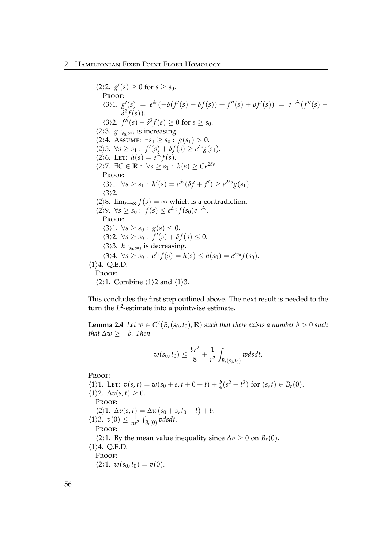### 2. Hamiltonian Fixed Point Floer Homology

 $\langle 2 \rangle 2$ .  $g'(s) \geq 0$  for  $s \geq s_0$ . PROOF:  $\langle 3 \rangle 1. \ \ g'(s) = e^{\delta s}(-\delta(f'(s) + \delta f(s)) + f''(s) + \delta f'(s)) = e^{-\delta s}(f''(s) \delta^2 f(s)$ ).  $\langle 3 \rangle 2$ .  $f''(s) - \delta^2 f(s) \ge 0$  for  $s \ge s_0$ .  $\langle 2 \rangle$ 3.  $g|_{[s_0,\infty)}$  is increasing.  $\langle 2 \rangle 4$ . Assume: ∃*s*<sub>1</sub> ≥ *s*<sub>0</sub> : *g*(*s*<sub>1</sub>) > 0.  $\forall s \geq s_1 : f'(s) + \delta f(s) \geq e^{\delta s} g(s_1).$  $\langle 2 \rangle 6$ . LET:  $h(s) = e^{\delta s} f(s)$ .  $\langle 2 \rangle$ 7.  $\exists C \in \mathbb{R} : \forall s \geq s_1 : h(s) \geq Ce^{2\delta s}.$ PROOF:  $\langle 3 \rangle 1. \ \forall s \geq s_1 : h'(s) = e^{\delta s}(\delta f + f') \geq e^{2\delta s}g(s_1).$  $\langle 3 \rangle$ 2.  $\langle 2 \rangle$ 8. lim<sub>*s*→∞</sub>  $f(s) = \infty$  which is a contradiction.  $\langle 2 \rangle 9$ .  $\forall s \ge s_0 : f(s) \le e^{\delta s_0} f(s_0) e^{-\delta s}$ . PROOF:  $\langle 3 \rangle 1. \ \forall s \geq s_0 : g(s) \leq 0.$  $\langle 3 \rangle 2$ .  $\forall s \geq s_0 : f'(s) + \delta f(s) \leq 0$ .  $\langle 3 \rangle$ 3. *h*|<sub>[*s*0,∞)</sub> is decreasing.  $\langle 3 \rangle 4$ .  $\forall s \ge s_0 : e^{\delta s} f(s) = h(s) \le h(s_0) = e^{\delta s_0} f(s_0)$ .  $\langle 1 \rangle 4$ . Q.E.D. PROOF:  $\langle 2 \rangle$ 1. Combine  $\langle 1 \rangle$ 2 and  $\langle 1 \rangle$ 3.

This concludes the first step outlined above. The next result is needed to the turn the L<sup>2</sup>-estimate into a pointwise estimate.

<span id="page-61-0"></span>**Lemma 2.4** *Let*  $w \in C^2(B_r(s_0, t_0), \mathbb{R})$  *such that there exists a number b* > 0 *such that* ∆*w* ≥ −*b. Then*

$$
w(s_0, t_0) \le \frac{br^2}{8} + \frac{1}{r^2} \int_{B_r(s_0, t_0)} w ds dt.
$$

Proof:

 $\langle 1 \rangle$ 1. Let:  $v(s,t) = w(s_0 + s, t + 0 + t) + \frac{b}{4}(s^2 + t^2)$  for  $(s,t) \in B_r(0)$ .  $\langle 1 \rangle$ 2.  $\Delta v(s,t) \geq 0$ . PROOF:  $\Delta v(s, t) = \Delta w(s_0 + s, t_0 + t) + b.$  $\langle 1 \rangle$ 3.  $v(0) \leq \frac{1}{\pi r^2} \int_{B_r(0)} v ds dt$ . PROOF:  $\langle 2 \rangle$ 1. By the mean value inequality since  $\Delta v$  ≥ 0 on *B*<sup>*r*</sup>(0).  $\langle 1 \rangle 4$ . Q.E.D. PROOF:  $\langle 2 \rangle 1. \ w(s_0, t_0) = v(0).$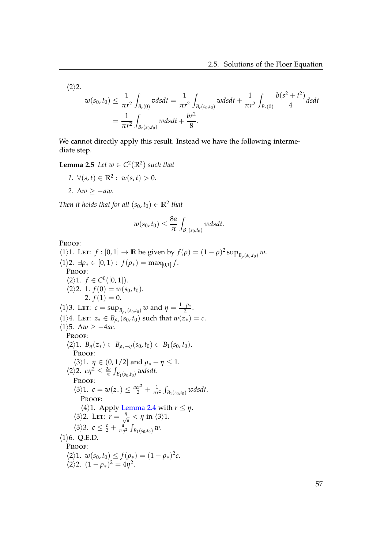$\langle 2 \rangle 2$ .

$$
w(s_0, t_0) \le \frac{1}{\pi r^2} \int_{B_r(0)} v ds dt = \frac{1}{\pi r^2} \int_{B_r(s_0, t_0)} w ds dt + \frac{1}{\pi r^2} \int_{B_r(0)} \frac{b(s^2 + t^2)}{4} ds dt
$$
  
=  $\frac{1}{\pi r^2} \int_{B_r(s_0, t_0)} w ds dt + \frac{br^2}{8}.$ 

We cannot directly apply this result. Instead we have the following intermediate step.

**Lemma 2.5** *Let*  $w \in C^2(\mathbb{R}^2)$  *such that* 

*1.*  $\forall (s,t) \in \mathbb{R}^2 : w(s,t) > 0.$ *2.*  $\Delta w$  ≥ −*aw*.

*Then it holds that for all*  $(s_0, t_0) \in \mathbb{R}^2$  *that* 

$$
w(s_0, t_0) \leq \frac{8a}{\pi} \int_{B_1(s_0, t_0)} w ds dt.
$$

Proof:

(1). Let: 
$$
f : [0,1] \rightarrow \mathbb{R}
$$
 be given by  $f(\rho) = (1 - \rho)^2 \sup_{B_{\rho}(s_0, t_0)} w$ .  
\n(1)2.  $\exists \rho_* \in [0,1): f(\rho_*) = \max_{[0,1]} f$ .  
\nPROOF:  
\n(2).1.  $f(0) = w(s_0, t_0)$ .  
\n2.  $f(1) = 0$ .  
\n(1).3. Let:  $c = \sup_{B_{\rho_*}(s_0, t_0)} w$  and  $\eta = \frac{1 - \rho_*}{2}$ .  
\n(1).4. Let:  $z_* \in B_{\rho_*}(s_0, t_0)$  such that  $w(z_*) = c$ .  
\n(1).5.  $\Delta w \ge -4ac$ .  
\nPROOF:  
\n(2).1.  $B_{\eta}(z_*) \subset B_{\rho_* + \eta}(s_0, t_0) \subset B_1(s_0, t_0)$ .  
\nPROOF:  
\n(3).1.  $\eta \in (0, 1/2]$  and  $\rho_* + \eta \le 1$ .  
\n(2).2.  $c\eta^2 \le \frac{2a}{\pi} \int_{B_1(s_0, t_0)} w ds dt$ .  
\nPROOF:  
\n(3).1.  $c = w(z_*) \le \frac{acr^2}{2} + \frac{1}{\pi r^2} \int_{B_1(s_0, t_0)} w ds dt$ .  
\nPROOF:  
\n(4).1. Apply Lemma 2.4 with  $r \le \eta$ .  
\n(3).2. Let:  $r = \frac{\eta}{\sqrt{a}} < \eta$  in (3).1.  
\n(3).3.  $c \le \frac{c}{2} + \frac{a}{\pi r^2} \int_{B_1(s_0, t_0)} w$ .  
\n(1).6. Q.E.D.  
\nPROOF:  
\n(2).1.  $w(s_0, t_0) \le f(\rho_*) = (1 - \rho_*)^2 c$ .  
\n(2).2.  $(1 - \rho_*)^2 = 4\eta^2$ .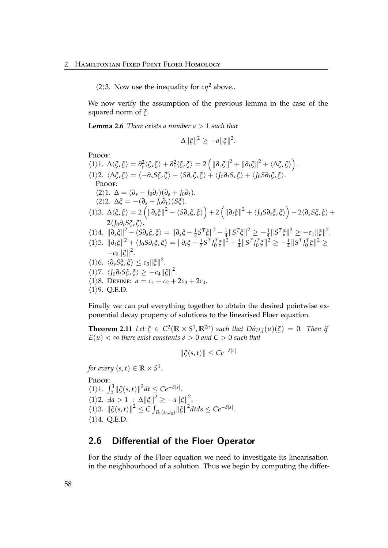$\langle 2 \rangle$ 3. Now use the inequality for *cη*<sup>2</sup> above..

We now verify the assumption of the previous lemma in the case of the squared norm of *ξ*.

**Lemma 2.6** *There exists a number a* > 1 *such that*

$$
\Delta \|\xi\|^2 \ge -a \|\xi\|^2.
$$

PROOF:

FROOF.  
\n
$$
\langle 1 \rangle 1. \Delta \langle \xi, \xi \rangle = \partial_t^2 \langle \xi, \xi \rangle + \partial_s^2 \langle \xi, \xi \rangle = 2 \left( \|\partial_s \xi\|^2 + \|\partial_t \xi\|^2 + \langle \Delta \xi, \xi \rangle \right).
$$
\n
$$
\langle 1 \rangle 2. \langle \Delta \xi, \xi \rangle = \langle -\partial_s S \xi, \xi \rangle - \langle S \partial_s \xi, \xi \rangle + \langle J_0 \partial_t S, \xi \rangle + \langle J_0 S \partial_t \xi, \xi \rangle.
$$
\nPROOF:  
\n
$$
\langle 2 \rangle 1. \Delta = (\partial_s - J_0 \partial_t)(\partial_s + J_0 \partial_t).
$$
\n
$$
\langle 2 \rangle 2. \Delta \xi = -(\partial_s - J_0 \partial_t)(S \xi).
$$
\n
$$
\langle 1 \rangle 3. \Delta \langle \xi, \xi \rangle = 2 \left( \|\partial_s \xi\|^2 - \langle S \partial_s \xi, \xi \rangle \right) + 2 \left( \|\partial_t \xi\|^2 + \langle J_0 S \partial_t \xi, \xi \rangle \right) - 2 \langle \partial_s S \xi, \xi \rangle + 2 \langle J_0 \partial_t S \xi, \xi \rangle.
$$
\n
$$
\langle 1 \rangle 4. \|\partial_s \xi\|^2 - \langle S \partial_s \xi, \xi \rangle = \|\partial_s \xi - \frac{1}{2} S^T \xi\|^2 - \frac{1}{4} \|S^T \xi\|^2 \ge -\frac{1}{4} \|S^T \xi\|^2 \ge -c_1 \|\xi\|^2.
$$
\n
$$
\langle 1 \rangle 5. \|\partial_t \xi\|^2 + \langle J_0 S \partial_t \xi, \xi \rangle = \|\partial_t \xi + \frac{1}{2} S^T J_0^T \xi\|^2 - \frac{1}{4} \|S^T J_0^T \xi\|^2 \ge -\frac{1}{4} \|S^T J_0^T \xi\|^2 \ge -c_2 \|\xi\|^2.
$$
\n
$$
\langle 1 \rangle 6. \langle \partial_s S \xi, \xi \rangle \le c_3 \|\xi\|^2.
$$
\n
$$
\langle 1 \rangle 7. \langle J_0 \partial_t S \xi, \xi \rangle \ge -c_4 \|\xi\|^2.
$$
\n
$$
\langle 1 \rangle 8. \text{DEFINE: } a
$$

Finally we can put everything together to obtain the desired pointwise exponential decay property of solutions to the linearised Floer equation.

**Theorem 2.11** Let  $\xi \in C^2(\mathbb{R} \times S^1, \mathbb{R}^{2n})$  such that  $D\overline{\partial}_{H,J}(u)(\xi) = 0$ . Then if  $E(u) < \infty$  *there exist constants*  $\delta > 0$  *and*  $C > 0$  *such that* 

 $\|\xi(s,t)\| < Ce^{-\delta|s|}$ 

*for every*  $(s,t)\in \mathbb{R}\times S^1$ . Proof:  $\langle 1 \rangle 1$ .  $\int_0^1 ||\xi(s,t)||^2 dt \leq Ce^{-\delta|s|}$ .  $\langle 1 \rangle 2$ .  $\exists a > 1$  :  $\Delta ||\xi||^2 \ge -a||\xi||^2$ .  $\left|\frac{\zeta(s,t)}{s}\right|^2 \le C \int_{B_1(s_0,t_0)} \|\xi\|^2 dt ds \le Ce^{-\delta|s|}.$  $\langle 1 \rangle 4$ . Q.E.D.

# 2.6 Differential of the Floer Operator

For the study of the Floer equation we need to investigate its linearisation in the neighbourhood of a solution. Thus we begin by computing the differ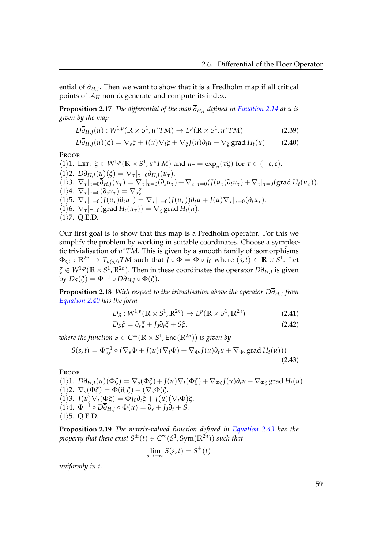ential of *∂H*,*<sup>J</sup>* . Then we want to show that it is a Fredholm map if all critical points of  $A_H$  non-degenerate and compute its index.

**Proposition 2.17** *The differential of the map ∂H*,*<sup>J</sup> defined in [Equation 2.14](#page-27-0) at u is given by the map*

$$
D\overline{\partial}_{H,J}(u):W^{1,p}(\mathbb{R}\times S^1,u^*TM)\to L^p(\mathbb{R}\times S^1,u^*TM) \tag{2.39}
$$

<span id="page-64-0"></span>
$$
D\overline{\partial}_{H,J}(u)(\xi) = \nabla_s \xi + J(u)\nabla_t \xi + \nabla_{\xi}J(u)\partial_t u + \nabla_{\xi} \operatorname{grad} H_t(u) \tag{2.40}
$$

PROOF:

 $\langle 1 \rangle$ 1. Let:  $\xi \in W^{1,p}(\mathbb{R} \times S^1, \mu^* TM)$  and  $u_\tau = \exp_{\mu}(\tau \xi)$  for  $\tau \in (-\varepsilon, \varepsilon)$ .  $\langle 1 \rangle$ 2.  $D\overline{\partial}_{H,J}(u)(\xi) = \nabla_{\tau}|_{\tau=0}\overline{\partial}_{H,J}(u_{\tau}).$  $\langle 1 \rangle$ 3.  $\nabla_{\tau} \vert_{\tau=0} \overline{\partial}_{H,J}(\overline{u}_{\tau}) = \nabla_{\tau} \vert_{\tau=0} (\partial_s u_{\tau}) + \nabla_{\tau} \vert_{\tau=0} (J(u_{\tau}) \partial_t u_{\tau}) + \nabla_{\tau} \vert_{\tau=0} (\text{grad } H_t(u_{\tau})).$  $\langle 1 \rangle 4$ .  $\nabla_{\tau}|_{\tau=0}(\partial_s u_{\tau}) = \nabla_s \xi$ .  $\langle 1 \rangle$ 5.  $\nabla_{\tau}|_{\tau=0} (J(u_{\tau}) \partial_t u_{\tau}) = \nabla_{\tau}|_{\tau=0} (J(u_{\tau})) \partial_t u + J(u) \nabla_{\tau}|_{\tau=0} (\partial_t u_{\tau}).$  $\langle 1 \rangle$ 6.  $\nabla_{\tau}|_{\tau=0}(\text{grad } H_t(u_{\tau})) = \nabla_{\xi} \text{grad } H_t(u).$  $\langle 1 \rangle$ 7. Q.E.D.

Our first goal is to show that this map is a Fredholm operator. For this we simplify the problem by working in suitable coordinates. Choose a symplectic trivialisation of *u* <sup>∗</sup>*TM*. This is given by a smooth family of isomorphisms  $\Phi_{s,t}:\mathbb{R}^{2n}\to T_{u(s,t)}TM$  such that  $J\circ \Phi=\Phi\circ J_0$  where  $(s,t)\in \mathbb{R}\times S^1.$  Let *ξ* ∈ *W*1,*<sup>p</sup>* (**R** × *S* 1 , **R**2*<sup>n</sup>* ). Then in these coordinates the operator *D∂H*,*<sup>J</sup>* is given  $\overline{b}$ **y**  $D_S(\xi) = \Phi^{-1} \circ D\overline{\partial}_{H,J} \circ \Phi(\xi)$ .

**Proposition 2.18** *With respect to the trivialisation above the operator D∂H*,*<sup>J</sup> from [Equation 2.40](#page-64-0) has the form*

<span id="page-64-2"></span>
$$
D_S: W^{1,p}(\mathbb{R} \times S^1, \mathbb{R}^{2n}) \to L^p(\mathbb{R} \times S^1, \mathbb{R}^{2n})
$$
\n(2.41)

$$
D_S \xi = \partial_s \xi + J_0 \partial_t \xi + S \xi. \tag{2.42}
$$

 $\mathcal{C}^\infty(\mathbb{R}\times S^1,\mathsf{End}(\mathbb{R}^{2n}))$  *is given by* 

$$
S(s,t) = \Phi_{s,t}^{-1} \circ (\nabla_s \Phi + J(u)(\nabla_t \Phi) + \nabla_{\Phi} J(u)\partial_t u + \nabla_{\Phi} \text{. grad } H_t(u)))
$$
\n(2.43)

Proof:

 $\langle 1 \rangle 1.$   $D\overline{\partial}_{H,J}(u)(\Phi \xi) = \nabla_s(\Phi \xi) + J(u)\nabla_t(\Phi \xi) + \nabla_{\Phi \xi}J(u)\partial_t u + \nabla_{\Phi \xi}$  grad  $H_t(u)$ .  $\langle 1 \rangle$ 2.  $\nabla_s(\Phi \xi) = \Phi(\partial_s \xi) + (\nabla_s \Phi) \xi$ .  $\langle 1 \rangle$ 3.  $J(u)\nabla_t(\Phi \xi) = \Phi J_0 \partial_t \xi + J(u)(\nabla_t \Phi)\xi.$  $\langle 1 \rangle 4$ .  $\Phi^{-1} \circ D\overline{\partial}_{H,J} \circ \Phi(u) = \partial_s + J_0 \partial_t + S$ .  $\langle 1 \rangle$ 5. Q.E.D.

**Proposition 2.19** *The matrix-valued function defined in [Equation 2.43](#page-64-1) has the property that there exist*  $S^{\pm}(t) \in C^{\infty}(S^1, \text{Sym}(\mathbb{R}^{2n}))$  *such that* 

<span id="page-64-1"></span>
$$
\lim_{s \to \pm \infty} S(s, t) = S^{\pm}(t)
$$

*uniformly in t.*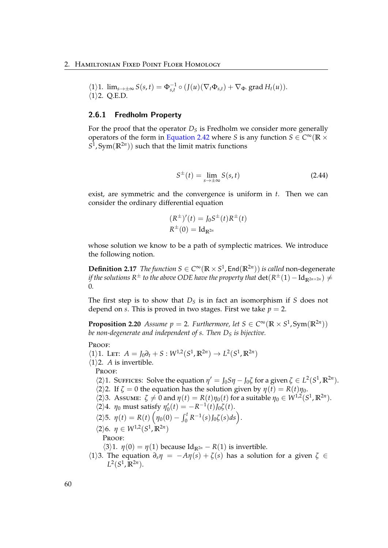$$
\langle 1 \rangle 1. \lim_{s \to \pm \infty} S(s, t) = \Phi_{s, t}^{-1} \circ (J(u)(\nabla_t \Phi_{s, t}) + \nabla_{\Phi} \text{. grad } H_t(u)).
$$
  

$$
\langle 1 \rangle 2. Q.E.D.
$$

## 2.6.1 Fredholm Property

For the proof that the operator  $D<sub>S</sub>$  is Fredholm we consider more generally operators of the form in [Equation 2.42](#page-64-2) where *S* is any function  $S \in C^\infty(\mathbb{R} \times \mathbb{R})$  $S^1$ , Sym $(\mathbb{R}^{2n})$  such that the limit matrix functions

$$
S^{\pm}(t) = \lim_{s \to \pm \infty} S(s, t)
$$
 (2.44)

exist, are symmetric and the convergence is uniform in *t*. Then we can consider the ordinary differential equation

$$
(R^{\pm})'(t) = J_0 S^{\pm}(t) R^{\pm}(t)
$$
  

$$
R^{\pm}(0) = \mathrm{Id}_{\mathbb{R}^{2n}}
$$

whose solution we know to be a path of symplectic matrices. We introduce the following notion.

**Definition 2.17** *The function*  $S \in C^{\infty}(\mathbb{R} \times S^1)$ , End $(\mathbb{R}^{2n})$  *is called* non-degenerate *if the solutions R* $^{\pm}$  *to the above ODE have the property that*  $\det(R^{\pm}(1)-\mathrm{Id}_{\mathbb{R}^{2n\times2n}})\neq0$ 0*.*

The first step is to show that  $D<sub>S</sub>$  is in fact an isomorphism if *S* does not depend on *s*. This is proved in two stages. First we take  $p = 2$ .

**Proposition 2.20** *Assume p* = 2*. Furthermore, let*  $S \in C^{\infty}(\mathbb{R} \times S^1, Sym(\mathbb{R}^{2n}))$ *be non-degenerate and independent of s. Then D<sup>S</sup> is bijective.*

### PROOF:

 $\langle 1 \rangle$ 1. LET:  $A = J_0 \partial_t + S : W^{1,2}(S^1, \mathbb{R}^{2n}) \to L^2(S^1, \mathbb{R}^{2n})$ 

 $\langle 1 \rangle$ 2. *A* is invertible.

PROOF:

 $\langle 2 \rangle$ 1. Suffices: Solve the equation  $\eta' = J_0 S \eta - J_0 \zeta$  for a given  $\zeta \in L^2(S^1, \mathbb{R}^{2n})$ .

- $\langle 2 \rangle$ 2. If  $\zeta = 0$  the equation has the solution given by  $\eta(t) = R(t)\eta_0$ .
- $\langle 2 \rangle$ 3. Assume:  $\zeta \neq 0$  and  $\eta(t) = R(t)\eta_0(t)$  for a suitable  $\eta_0 \in W^{1,2}(S^1,\mathbb{R}^{2n})$ .
- $\langle 2 \rangle 4$ . *η*<sup>0</sup> must satisfy  $\eta'_{0}(t) = -R^{-1}(t)J_{0}\zeta(t)$ .
- $\langle 2 \rangle$ 5.  $\eta(t) = R(t) \left( \eta_0(0) \int_0^t R^{-1}(s) J_0 \zeta(s) ds \right).$
- $\langle 2 \rangle 6$ .  $\eta \in W^{1,2}(S^1,\mathbb{R}^{2n})$ PROOF:

 $\langle 3 \rangle$ 1. *η*(0) = *η*(1) because Id<sub>R</sub><sub>2*n*</sub> – *R*(1) is invertible.

 $\langle 1 \rangle$ 3. The equation  $\partial_s \eta = -A\eta(s) + \zeta(s)$  has a solution for a given  $\zeta \in$  $L^2(S^1, \mathbb{R}^{2n}).$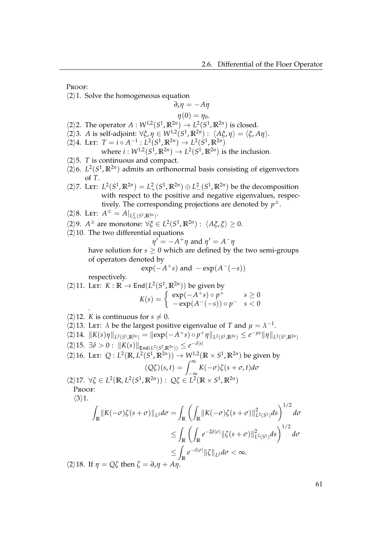Proof:

 $\langle 2 \rangle$ 1. Solve the homogeneous equation

$$
\partial_s \eta = -A\eta
$$

$$
\eta(0)=\eta_0.
$$

- $\langle 2 \rangle$ 2. The operator  $A: W^{1,2}(S^1, \mathbb{R}^{2n}) \to L^2(S^1, \mathbb{R}^{2n})$  is closed.
- $\langle 2 \rangle$ 3. *A* is self-adjoint:  $\forall \xi, \eta \in W^{1,2}(S^1, \mathbb{R}^{2n}) : \langle A\xi, \eta \rangle = \langle \xi, A\eta \rangle.$
- $\langle 2 \rangle 4$ . LET:  $T = i \circ A^{-1} : L^2(S^1, \mathbb{R}^{2n}) \to L^2(S^1, \mathbb{R}^{2n})$

where 
$$
i: W^{1,2}(S^1, \mathbb{R}^{2n}) \to L^2(S^1, \mathbb{R}^{2n})
$$
 is the inclusion.

- $\langle 2 \rangle$ 5. *T* is continuous and compact.
- $\langle 2 \rangle$ 6. *L*<sup>2</sup>(*S*<sup>1</sup>, **R**<sup>2*n*</sup>) admits an orthonormal basis consisting of eigenvectors of *T*.
- $\langle 2 \rangle$ 7. LET:  $L^2(S^1, \mathbb{R}^{2n}) = L^2_+(S^1, \mathbb{R}^{2n}) \oplus L^2_-(S^1, \mathbb{R}^{2n})$  be the decomposition with respect to the positive and negative eigenvalues, respectively. The corresponding projections are denoted by *p* ±.
- $\langle 2 \rangle 8$ . LET:  $A^{\pm} = A|_{L^2_{\pm}(S^1,\mathbb{R}^{2n})}$ .
- $\langle 2 \rangle$ 9. *A*<sup>±</sup> are monotone:  $\forall \xi \in L^2(S^1, \mathbb{R}^{2n}) : \langle A\xi, \xi \rangle \ge 0$ .
- $\langle 2 \rangle$ 10. The two differential equations

$$
\eta' = -A^+ \eta
$$
 and  $\eta' = A^- \eta$ 

have solution for  $s \geq 0$  which are defined by the two semi-groups of operators denoted by

$$
\exp(-A^+s)
$$
 and  $-\exp(A^-(-s))$ 

respectively.

$$
\langle 2 \rangle 11. \text{ Let: } K: \mathbb{R} \to \text{End}(L^2(S^1, \mathbb{R}^{2n})) \text{ be given by}
$$
\n
$$
K(s) = \begin{cases} \exp(-A^+s) \circ p^+ & s \ge 0\\ -\exp(A^-(-s)) \circ p^- & s < 0 \end{cases}
$$

- $\langle 2 \rangle$ 12. *K* is continuous for  $s \neq 0$ .
- $\langle 2 \rangle$ 13. Let: *λ* be the largest positive eigenvalue of *T* and  $\mu = \lambda^{-1}$ .  $\langle 2\rangle 14. \ \|K(s)\eta\|_{L^2(S^1,\mathbb{R}^{2n})} = \|\exp(-A^+s)\circ p^+\eta\|_{L^2(S^1,\mathbb{R}^{2n})} \leq e^{-\mu s}\|\eta\|_{L^2(S^1,\mathbb{R}^{2n})}$  $\langle 2 \rangle 15. \exists \delta > 0 : \| K(s) \|_{\text{End}(L^2(S^2, \mathbb{R}^{2n}))} \leq e^{-\delta |s|}$  $\langle 2 \rangle 16$ . Let:  $Q: L^2(\mathbb{R}, L^2(S^1, \mathbb{R}^{2n})) \to W^{1,2}(\mathbb{R} \times S^1, \mathbb{R}^{2n})$  be given by  $(Q\zeta)(s,t) = \int_{-\infty}^{\infty} K(-\sigma)\zeta(s+\sigma,t)d\sigma$  $\langle 2 \rangle$ 17.  $\forall \zeta \in L^2(\mathbb{R}, L^2(S^1, \mathbb{R}^{2n})) : Q\zeta \in L^2(\mathbb{R} \times S^1, \mathbb{R}^{2n})$ Proof:  $\langle 3 \rangle 1$ . Z  $\int_{\mathbb{R}} \| K(-\sigma) \zeta(s+\sigma) \|_{L^2} d\sigma = \int$ **R**  $\sqrt{2}$  $\int_{\mathbb{R}}$   $\|K(-\sigma)\zeta(s+\sigma)\|_{L}^{2}$ <sup>2</sup><sub>*L*<sup>2</sup>(*S*<sup>1</sup>)</sub>*ds*  $\bigg)^{1/2}$ *dσ*  $\leq$ **R**  $\sqrt{2}$  $\int_{\mathbb{R}} e^{-2\delta|\sigma|} \|\zeta(s+\sigma)\|_{L}^2$  $\int_{L^2(S^1)}^2 ds$ <sup>1/2</sup> dσ  $\leq$  $\int_{\mathbb{R}} e^{-\delta|\sigma|} \|\zeta\|_{L^2} d\sigma < \infty.$  $\langle 2 \rangle$ 18. If  $\eta = Q\zeta$  then  $\zeta = \partial_s \eta + A\eta$ .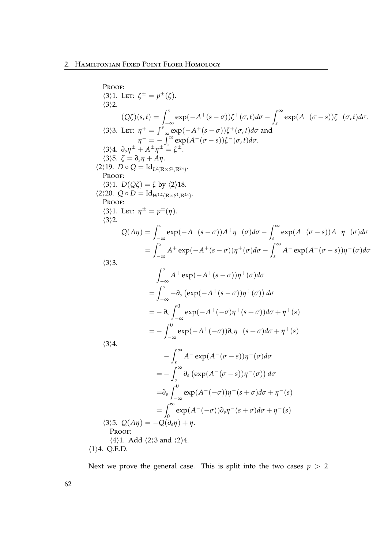Proof:  
\n(3)1. Let: 
$$
\xi^{\pm} = p^{\pm}(\xi)
$$
.  
\n(3)2.  
\n(0\xi)(s,t) =  $\int_{-\infty}^{s} \exp(-A^{+}(s-\sigma))\xi^{+}(\sigma,t)d\sigma - \int_{s}^{\infty} \exp(A^{-}(\sigma-s))\xi^{-}(\sigma,t)d\sigma$ .  
\n(3)3. Let:  $\eta^{+} = \int_{-\infty}^{s} \exp(-A^{+}(s-\sigma))\xi^{+}(\sigma,t)d\sigma$  and  
\n(3)4.  $\partial_{s}\eta^{+} + A^{+}\eta^{+} = \xi^{\pm}$ .  
\n(3)5.  $\xi = \partial_{s}\eta + A\eta$ .  
\n(2)19. Do Q = Id<sub>2</sub>(R<sub>W2</sub>(R<sub>W3</sub>);R<sup>2n</sup>).  
\nPROOF:  
\n(3)1.  $D(Q\xi) = \xi$  by (2)18.  
\n(2)20. Q<sub>0</sub>  $D = \text{Id}_{W^{12}(R\times S^{1},R^{2n})}$ .  
\nPROOF:  
\n(3)1. Let:  $\eta^{\pm} = p^{\pm}(\eta)$ .  
\n(3)2.  
\nQ( $A\eta$ ) =  $\int_{-\infty}^{s} \exp(-A^{+}(s-\sigma))A^{+}\eta^{+}(\sigma)d\sigma - \int_{s}^{\infty} \exp(A^{-}(\sigma-s))A^{-}\eta^{-}(\sigma)d\sigma$   
\n=  $\int_{-\infty}^{s} A^{+} \exp(-A^{+}(s-\sigma))\eta^{+}(\sigma)d\sigma$   
\n=  $\int_{-\infty}^{s} A^{+} \exp(-A^{+}(s-\sigma))\eta^{+}(\sigma)d\sigma$   
\n=  $-\partial_{s}\int_{-\infty}^{0} \exp(-A^{+}(-\sigma)\eta^{+}(s+\sigma))d\sigma + \eta^{+}(s)$   
\n=  $-\int_{-\infty}^{0} \exp(-A^{+}(-\sigma))\partial_{s}\eta^{+}(s+\sigma)d\sigma + \eta^{+}(s)$   
\n(3)4.  
\n $-\int_{s}^{\infty} A^{-} \exp(A^{-}(\sigma-s))\eta^{-}(\sigma)d\sigma$   
\n=  $-\int_{s}^{\infty} \partial_{s} (\exp(A^{-}$ 

 $\langle 1 \rangle 4. Q.E.D.$ 

Next we prove the general case. This is split into the two cases  $p > 2$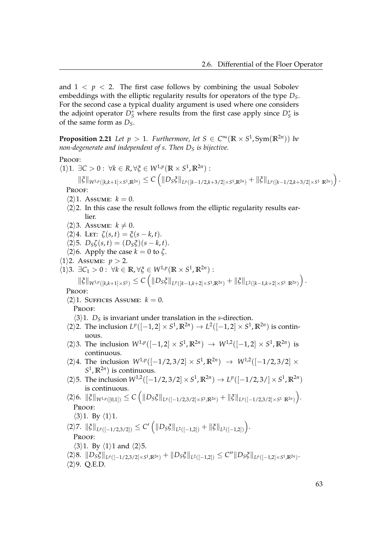and  $1 \leq p \leq 2$ . The first case follows by combining the usual Sobolev embeddings with the elliptic regularity results for operators of the type *DS*. For the second case a typical duality argument is used where one considers the adjoint operator  $D^*_S$  where results from the first case apply since  $D^*_S$  is of the same form as *DS*.

<span id="page-68-0"></span>**Proposition 2.21** Let  $p > 1$ . Furthermore, let  $S \in C^{\infty}(\mathbb{R} \times S^1, Sym(\mathbb{R}^{2n}))$  be *non-degenerate and independent of s. Then D<sup>S</sup> is bijective.*

# Proof:

 $\langle 1 \rangle$ 1.  $\exists C > 0$ :  $\forall k \in R, \forall \xi \in W^{1,p}(\mathbb{R} \times S^1, \mathbb{R}^{2n})$ :  $\|\xi\|_{W^{1,p}([k,k+1]\times S^1,\mathbb{R}^{2n})}\leq C\left(\|D_S\xi\|_{L^p([k-1/2,k+3/2]\times S^1,\mathbb{R}^{2n})}+\|\xi\|_{L^p([k-1/2,k+3/2]\times S^1,\mathbb{R}^{2n})}\right).$ PROOF:  $\langle 2 \rangle$ 1. Assume:  $k = 0$ .  $\langle 2 \rangle$ 2. In this case the result follows from the elliptic regularity results earlier.  $\langle 2 \rangle$ 3. Assume:  $k \neq 0$ .  $\langle 2 \rangle 4$ . Let:  $\zeta(s,t) = \zeta(s-k,t)$ .  $\langle 2 \rangle 5$ .  $D_S \zeta(s,t) = (D_S \zeta)(s-k,t)$ .  $\langle 2 \rangle$ 6. Apply the case  $k = 0$  to  $\zeta$ .  $\langle 1 \rangle$ 2. Assume: *p* > 2.  $\langle 1 \rangle$ 3.  $\exists C_1 > 0 : \forall k \in \mathbb{R}, \forall \xi \in W^{1,p}(\mathbb{R} \times S^1, \mathbb{R}^{2n})$ :  $\|\xi\|_{W^{1,p}([k,k+1]\times S^1)} \leq C \left( \|D_S \xi\|_{L^p([k-1,k+2]\times S^1,\mathbb{R}^{2n})} + \|\xi\|_{L^2([k-1,k+2]\times S^1,\mathbb{R}^{2n})} \right).$ PROOF:  $\langle 2 \rangle$ 1. Suffices Assume:  $k = 0$ . Proof:  $\langle 3 \rangle$ 1. *D*<sub>S</sub> is invariant under translation in the *s*-direction.  $\langle 2 \rangle$ 2. The inclusion  $L^p([-1,2] \times S^1, \mathbb{R}^{2n}) \to L^2([-1,2] \times S^1, \mathbb{R}^{2n})$  is continuous.  $\langle 2 \rangle$ 3. The inclusion  $W^{1,p}([-1,2] \times S^1,\mathbb{R}^{2n}) \to W^{1,2}([-1,2] \times S^1,\mathbb{R}^{2n})$  is continuous.  $\langle 2 \rangle 4$ . The inclusion  $W^{1,p}([-1/2,3/2] \times S^1, \mathbb{R}^{2n}) \rightarrow W^{1,2}([-1/2,3/2] \times S^1, \mathbb{R}^{2n})$  $S^1$ ,  $\mathbb{R}^{2n}$ ) is continuous.  $\langle 2 \rangle$ 5. The inclusion  $W^{1,2}([-1/2, 3/2] \times S^1, \mathbb{R}^{2n}) \to L^p([-1/2, 3/] \times S^1, \mathbb{R}^{2n})$ is continuous.  $\langle 2 \rangle 6. \| \xi \|_{W^{1,p}([0,1])} \leq C \left( \|D_S \xi \|_{L^p([-1/2,3/2] \times S^1, \mathbb{R}^{2n})} + \| \xi \|_{L^p([-1/2,3/2] \times S^1, \mathbb{R}^{2n})} \right).$ PROOF:  $\langle 3 \rangle$ 1. By  $\langle 1 \rangle$ 1.  $\langle 2 \rangle$ 7.  $\|\xi\|_{L^p([-1/2,3/2])} \leq C' \left( \|D_S \xi\|_{L^2([-1,2])} + \|\xi\|_{L^2([-1,2])} \right).$ Proof:  $\langle 3 \rangle$ 1. By  $\langle 1 \rangle$ 1 and  $\langle 2 \rangle$ 5.  $\langle 2 \rangle 8. \Vert D_S \xi \Vert_{L^p([-1/2,3/2] \times S^1, \mathbb{R}^{2n})} + \Vert D_S \xi \Vert_{L^2([-1,2])} \leq C'' \Vert D_S \xi \Vert_{L^p([-1,2] \times S^1, \mathbb{R}^{2n})}.$  $\langle 2 \rangle$ 9. Q.E.D.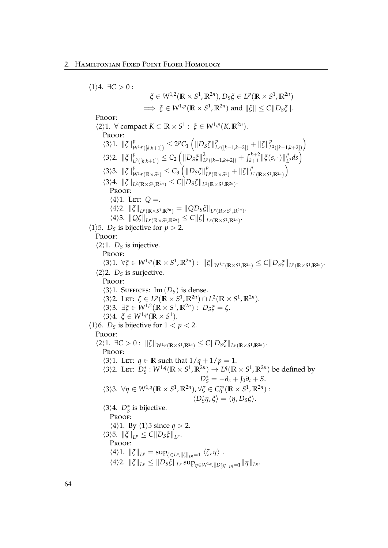$\langle 1 \rangle 4$ .  $\exists C > 0$ :  $\zeta \in W^{1,2}(\mathbb{R} \times S^1, \mathbb{R}^{2n})$ ,  $D_S \zeta \in L^p(\mathbb{R} \times S^1, \mathbb{R}^{2n})$  $\implies \xi \in W^{1,p}(\mathbb{R} \times S^1, \mathbb{R}^{2n})$  and  $\|\xi\| \leq C \|D_S\xi\|.$ Proof:  $\langle 2 \rangle$ 1.  $\forall$  compact  $K \subset \mathbb{R} \times S^1$ :  $\xi \in W^{1,p}(K,\mathbb{R}^{2n})$ . PROOF:  $\langle 3 \rangle 1$ .  $\|\xi\|_{V}^{p}$  $\frac{p}{W^{1,p}([k,k+1])} \leq 2^p C_1 \left( \left\| D_S \xi \right\|_L^p \right)$  $P_{L^p([k-1,k+2])}$  +  $\|\xi\|_{L}^p$  $\binom{p}{L^2([k-1,k+2])}$  $\langle 3 \rangle$ 2.  $\|\xi\|_{L}^{p}$  $\sum_{L^2([k,k+1])}^p \leq C_2 \left( \left\| D_S \xi \right\|_L^2 \right)$  $\int_{L^p([k-1,k+2])}^{2} + \int_{k+1}^{k+2} \lVert \xi(s,\cdot) \rVert_{L^p}^p$  $_{L^2}^p ds$  $\langle 3 \rangle$ 3.  $\|\xi\|_{V}^{p}$  $\frac{p}{W^{1,p}(\mathbb{R}\times S^1)}\leq C_3\left(\|D_S\tilde{\zeta}\|^p_L\right)$  $\int_{L^p(\mathbb{R}\times S^1)}^p + ||\xi||_L^p$  $L^p(\mathbb{R}\times S^1,\mathbb{R}^{2n})$  $\setminus$  $\langle 3 \rangle 4$ .  $\|\xi\|_{L^2(\mathbb{R}\times S^1,\mathbb{R}^{2n})} \leq C \|D_S\xi\|_{L^2(\mathbb{R}\times S^1,\mathbb{R}^{2n})}$ . PROOF:  $\langle 4 \rangle$ 1. Let:  $Q =$ .  $\langle 4 \rangle$ 2.  $\|\xi\|_{L^p(\mathbb{R}\times S^1,\mathbb{R}^{2n})} = \|QD_S\xi\|_{L^p(\mathbb{R}\times S^1,\mathbb{R}^{2n})}.$  $\langle 4 \rangle$ 3.  $||Q\zeta||_{L^p(\mathbb{R}\times S^1,\mathbb{R}^{2n})} \leq C||\zeta||_{L^p(\mathbb{R}\times S^1,\mathbb{R}^{2n})}$ .  $\langle 1 \rangle$ 5. *D<sub>S</sub>* is bijective for *p* > 2. PROOF:  $\langle 2 \rangle$ 1. *D<sub>S</sub>* is injective. PROOF:  $\langle 3 \rangle 1. \ \forall \xi \in W^{1,p}(\mathbb{R} \times S^1, \mathbb{R}^{2n}) : \| \xi \|_{W^{1,p}(\mathbb{R} \times S^1, \mathbb{R}^{2n})} \leq C \| D_S \xi \|_{L^p(\mathbb{R} \times S^1, \mathbb{R}^{2n})}.$  $\langle 2 \rangle$ 2. *D<sub>S</sub>* is surjective. Proof:  $\langle 3 \rangle$ 1. SUFFICES: Im  $(D<sub>S</sub>)$  is dense.  $\langle 3 \rangle$ 2. Let:  $\zeta \in L^p(\mathbb{R} \times S^1, \mathbb{R}^{2n}) \cap L^2(\mathbb{R} \times S^1, \mathbb{R}^{2n}).$  $\langle 3 \rangle$ 3.  $\exists \xi \in W^{1,2}(\mathbb{R} \times S^1, \mathbb{R}^{2n}) : D_S \xi = \zeta.$  $\langle 3 \rangle 4$ .  $\xi \in W^{1,p}(\mathbb{R} \times S^1)$ .  $\langle 1 \rangle$ 6. *D<sub>S</sub>* is bijective for  $1 < p < 2$ . Proof:  $\langle 2 \rangle 1$ .  $\exists C > 0$ :  $\|\xi\|_{W^{1,p}(\mathbb{R} \times S^1, \mathbb{R}^{2n})} \leq C \|D_S \xi\|_{L^p(\mathbb{R} \times S^1, \mathbb{R}^{2n})}$ . PROOF:  $\langle 3 \rangle$ 1. Let:  $q \in \mathbb{R}$  such that  $1/q + 1/p = 1$ .  $\langle 3 \rangle$ 2. Let:  $D^*_S : W^{1,q}(\mathbb{R} \times S^1, \mathbb{R}^{2n}) \to L^q(\mathbb{R} \times S^1, \mathbb{R}^{2n})$  be defined by  $D_S^* = -\partial_s + J_0\partial_t + S$ .  $\langle 3 \rangle$ 3.  $\forall \eta \in W^{1,q}(\mathbb{R} \times S^1, \mathbb{R}^{2n})$ ,  $\forall \xi \in C_0^{\infty}(\mathbb{R} \times S^1, \mathbb{R}^{2n})$ :  $\langle D^*_S \eta, \xi \rangle = \langle \eta, D_S \xi \rangle.$  $\langle 3 \rangle 4$ .  $D^*_S$  is bijective. PROOF:  $\langle 4 \rangle$ 1. By  $\langle 1 \rangle$ 5 since *q* > 2.  $\langle 3 \rangle$ 5.  $\|\xi\|_{L^p} \leq C \|D_S \xi\|_{L^p}$ . PROOF:  $\langle 4 \rangle$ 1.  $\|\xi\|_{L^p} = \sup_{\zeta \in L^q, \|\zeta\|_{L^q} = 1} |\langle \zeta, \eta \rangle|$ .  $\|A\|_{L^p} \leq \|D_S\xi\|_{L^p} \sup_{\eta \in W^{1,q}, \|D_S^*\eta\|_{L^q}} = \|\eta\|_{L^q}.$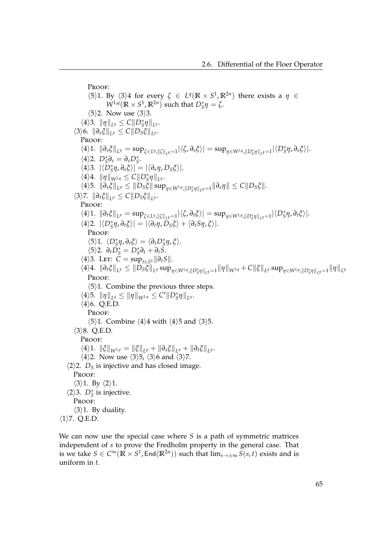PROOF:  $\langle 5 \rangle$ 1. By  $\langle 3 \rangle$ 4 for every  $\zeta \in L^q(\mathbb{R} \times S^1, \mathbb{R}^{2n})$  there exists a  $\eta \in$  $W^{1,q}(\mathbb{R} \times S^1, \mathbb{R}^{2n})$  such that  $D^*_S \eta = \zeta$ .  $\langle 5 \rangle$ 2. Now use  $\langle 3 \rangle$ 3.  $\langle 4 \rangle$ 3.  $\|\eta\|_{L^q} \leq C \|D_{S}^*\eta\|_{L^q}.$  $\langle 3 \rangle 6. \|\partial_s \xi\|_{L^p} \leq C \|D_S \xi\|_{L^p}.$ PROOF:  $\langle 4 \rangle 1. \|\partial_s \xi\|_{L^p} = \sup_{\zeta \in L^q, \|\zeta\|_{L^q} = 1} |\langle \zeta, \partial_s \xi \rangle| = \sup_{\eta \in W^{1,q}, \|D^*_S \eta\|_{L^q} = 1} |\langle D^*_S \eta, \partial_s \xi \rangle|.$  $\langle 4 \rangle$ 2.  $D^*_S \partial_s = \partial_s D^*_S$ .  $\langle 4 \rangle$ 3.  $|\langle \overline{D}_S^* \eta, \partial_s \xi \rangle| = |\langle \partial_s \eta, D_S \xi \rangle|$ .  $\langle 4 \rangle 4$ .  $\|\eta\|_{W^{1,q}} \leq C \|D_{S}^{*}\eta\|_{L^{q}}$ .  $\|\langle A\rangle 5. \|B_s \xi\|_{L^p} \leq \|D_s \xi\| \sup_{\eta \in W^{1,q}, \|D^*_s \eta\|_{L^q}} = 1} \|\partial_s \eta\| \leq C \|D_s \xi\|.$  $\langle 3 \rangle$ 7.  $\|\partial_t \xi\|_{L^p} \leq C \|D_S \xi\|_{L^p}$ . PROOF:  $\langle 4 \rangle 1. \|\partial_t \xi\|_{L^p} = \sup_{\zeta \in L^q, \|\zeta\|_{L^q} = 1} |\langle \zeta, \partial_t \xi \rangle| = \sup_{\eta \in W^{1,q}, \|D^*_S \eta\|_{L^q} = 1} |\langle D^*_S \eta, \partial_t \xi \rangle|.$  $\langle 4 \rangle$ 2.  $|\langle D^*_S \eta, \partial_t \xi \rangle| = |\langle \partial_t \eta, D_S \xi \rangle + \langle \partial_t S \eta, \xi \rangle|.$ PROOF:  $\langle 5 \rangle$ 1.  $\langle D^*_S \eta, \partial_t \xi \rangle = \langle \partial_t D^*_S \eta, \xi \rangle.$  $\langle 5 \rangle 2$ .  $\partial_t D_S^* = D_S^* \partial_t + \partial_t S$ .  $\langle 4 \rangle$ 3. Let:  $\check{C} = \sup_{t \in S^1} ||\partial_t S||$ .  $\|\langle 4\rangle 4. \,\,\|\partial_t \xi\|_{L^p} \leq \|D_S\xi\|_{L^q} \sup_{\eta \in W^{1,q}, \|D^*_S\eta\|_{L^q} = 1} \|\eta\|_{W^{1,q}} + C \|\xi\|_{L^p} \sup_{\eta \in W^{1,q}, \|D^*_S\eta\|_{L^q} = 1} \|\eta\|_{L^q}$ Proof:  $\langle 5 \rangle$ 1. Combine the previous three steps.  $\|\varphi\|_{L^q} \leq \|\eta\|_{W^{1,q}} \leq C' \|D^*_S \eta\|_{L^q}.$  $\langle 4 \rangle 6$ . Q.E.D. PROOF:  $\langle 5 \rangle$ 1. Combine  $\langle 4 \rangle$ 4 with  $\langle 4 \rangle$ 5 and  $\langle 3 \rangle$ 5.  $\langle 3 \rangle 8$ . Q.E.D. PROOF:  $\|\langle 4 \rangle\|$ ,  $\|\xi\|_{W^{1,p}} = \|\xi\|_{L^p} + \|\partial_s \xi\|_{L^p} + \|\partial_t \xi\|_{L^p}.$  $\langle 4 \rangle$ 2. Now use  $\langle 3 \rangle$ 5,  $\langle 3 \rangle$ 6 and  $\langle 3 \rangle$ 7.  $\langle 2 \rangle$ 2. *D<sub>S</sub>* is injective and has closed image. PROOF:  $\langle 3 \rangle 1$ . By  $\langle 2 \rangle 1$ .  $\langle 2 \rangle$ 3. *D*<sup>\*</sup><sub>*S*</sub> is injective. Proof:  $\langle 3 \rangle$ 1. By duality.  $\langle 1 \rangle$ 7. Q.E.D.

We can now use the special case where *S* is a path of symmetric matrices independent of *s* to prove the Fredholm property in the general case. That is we take  $S\in C^\infty(\mathbb{R}\times S^1,$  End $(\mathbb{R}^{2n}))$  such that  $\lim_{s\to\pm\infty}S(s,t)$  exists and is uniform in *t*.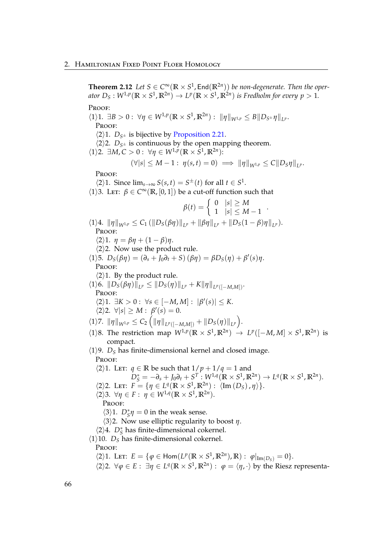**Theorem 2.12** *Let*  $S \in C^{\infty}(\mathbb{R} \times S^1, \text{End}(\mathbb{R}^{2n}))$  *be non-degenerate. Then the oper*ator  $D_S:W^{1,p}(\mathbb{R}\times S^1,\mathbb{R}^{2n})\to L^p(\mathbb{R}\times S^1,\mathbb{R}^{2n})$  is Fredholm for every  $p>1$ . Proof:

 $\langle 1 \rangle 1. \exists B > 0 : \forall \eta \in W^{1,p}(\mathbb{R} \times S^1, \mathbb{R}^{2n}) : ||\eta||_{W^{1,p}} \leq B||D_{S^{\pm}}\eta||_{L^p}.$ Proof:

 $\langle 2 \rangle$ 1. *D*<sub>*S*<sup>±</sup> is bijective by [Proposition 2.21.](#page-68-0)</sub>

 $\langle 2 \rangle$ 2.  $D_{S^{\pm}}$  is continuous by the open mapping theorem.

 $\langle 1 \rangle$ 2.  $\exists M, C > 0 : \forall \eta \in W^{1,p}(\mathbb{R} \times S^1, \mathbb{R}^{2n})$ :

$$
(\forall |s| \leq M-1 : \eta(s,t) = 0) \implies ||\eta||_{W^{1,p}} \leq C||D_S\eta||_{L^p}.
$$

PROOF:

 $\langle 2 \rangle 1$ . Since  $\lim_{s \to \infty} S(s, t) = S^{\pm}(t)$  for all  $t \in S^1$ .

 $\langle 1 \rangle$ 3. LET:  $\beta \in C^{\infty}(\mathbb{R}, [0, 1])$  be a cut-off function such that

$$
\beta(t) = \begin{cases}\n0 & |s| \ge M \\
1 & |s| \le M - 1\n\end{cases}.
$$
\n
$$
\langle 1 \rangle 4. \|\eta\|_{W^{1,p}} \le C_1 \left( \|D_S(\beta \eta)\|_{L^p} + \|\beta \eta\|_{L^p} + \|D_S(1 - \beta) \eta\|_{L^p} \right).
$$
\nPROOF:\n
$$
\langle 2 \rangle 1. \ \eta = \beta \eta + (1 - \beta) \eta.
$$
\n
$$
\langle 2 \rangle 2. \text{ Now use the product rule.}
$$
\n
$$
\langle 1 \rangle 5. \ D_S(\beta \eta) = (\partial_s + J_0 \partial_t + S) (\beta \eta) = \beta D_S(\eta) + \beta'(s) \eta.
$$
\nPROOF:\n
$$
\langle 2 \rangle 1. \text{ By the product rule.}
$$
\n
$$
\langle 1 \rangle 6. \|\ D_S(\beta \eta)\|_{L^p} \le \|\ D_S(\eta)\|_{L^p} + K \|\eta\|_{L^p([-M,M])}.
$$
\nPROOF:\n
$$
\langle 2 \rangle 1. \ \exists K > 0: \ \forall s \in [-M, M] : \ |\beta'(s)| \le K.
$$
\n
$$
\langle 2 \rangle 2. \ \forall |s| \ge M : \ \beta'(s) = 0.
$$
\n
$$
\langle 1 \rangle 7. \ \|\eta\|_{W^{1,p}} \le C_2 \left( \|\eta\|_{L^p([-M,M])} + \|D_S(\eta)\|_{L^p} \right).
$$

- 
- $\langle 1 \rangle$ 8. The restriction map  $W^{1,p}(\mathbb{R} \times S^1, \mathbb{R}^{2n}) \to L^p([-M, M] \times S^1, \mathbb{R}^{2n})$  is compact.
- $\langle 1 \rangle$ 9. *D*<sub>S</sub> has finite-dimensional kernel and closed image. PROOF:
- $\langle 2 \rangle$ 1. Let: *q*  $\in \mathbb{R}$  be such that  $1/p + 1/q = 1$  and  $D_S^* = -\partial_s + J_0\partial_t + S^T : W^{1,q}(\mathbb{R} \times S^1, \mathbb{R}^{2n}) \to L^q(\mathbb{R} \times S^1, \mathbb{R}^{2n}).$  $\langle 2 \rangle$ 2. Let:  $F = \{ \eta \in L^q(\mathbb{R} \times S^1, \mathbb{R}^{2n}) : \langle \text{Im}(D_S), \eta \rangle \}.$  $\langle 2 \rangle$ 3.  $\forall \eta \in F: \eta \in W^{1,q}(\mathbb{R} \times S^1, \mathbb{R}^{2n}).$ PROOF:  $\langle 3 \rangle$ 1.  $D^*_{S} \eta = 0$  in the weak sense.  $\langle 3 \rangle$ 2. Now use elliptic regularity to boost *η*.  $\langle 2 \rangle 4$ . *D*<sup>\*</sup><sub>*S*</sub> has finite-dimensional cokernel.  $\langle 1 \rangle$ 10. *D<sub>S</sub>* has finite-dimensional cokernel.

### PROOF:

- $\langle 2 \rangle$ 1. LET:  $E = \{ \varphi \in \text{Hom}(L^p(\mathbb{R} \times S^1, \mathbb{R}^{2n}), \mathbb{R}) : \varphi|_{\text{Im}(D_S)} = 0 \}.$
- $\langle 2 \rangle$ 2.  $\forall \varphi \in E: \exists \eta \in L^q(\mathbb{R} \times S^1, \mathbb{R}^{2n}) : \varphi = \langle \eta, \cdot \rangle$  by the Riesz representa-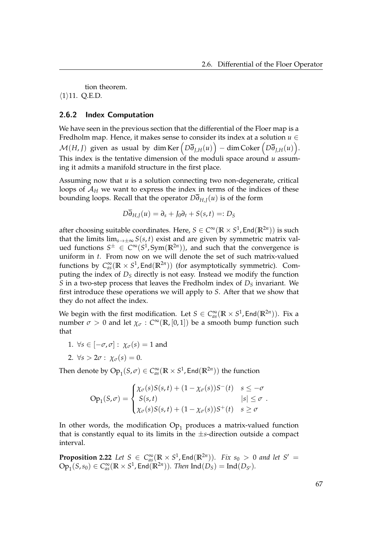tion theorem.

 $\langle 1 \rangle$ 11. Q.E.D.

### 2.6.2 Index Computation

We have seen in the previous section that the differential of the Floer map is a Fredholm map. Hence, it makes sense to consider its index at a solution  $u \in$  $\mathcal{M}(H, J)$  given as usual by dim Ker  $\left( D\overline{\partial}_{J,H}(u) \right) - \dim \mathrm{Coker}\left( D\overline{\partial}_{J,H}(u) \right)$ . This index is the tentative dimension of the moduli space around *u* assuming it admits a manifold structure in the first place.

Assuming now that *u* is a solution connecting two non-degenerate, critical loops of  $A_H$  we want to express the index in terms of the indices of these bounding loops. Recall that the operator  $D\overline{\partial}_{H,J}(u)$  is of the form

$$
D\overline{\partial}_{H,J}(u)=\partial_s+J_0\partial_t+S(s,t)=:D_S
$$

after choosing suitable coordinates. Here,  $S \in C^\infty(\mathbb{R} \times S^1$ , End $(\mathbb{R}^{2n}))$  is such that the limits  $\lim_{s\to\pm\infty} S(s,t)$  exist and are given by symmetric matrix valued functions  $S^{\pm} \in C^{\infty}(S^1, Sym(\mathbb{R}^{2n}))$ , and such that the convergence is uniform in *t*. From now on we will denote the set of such matrix-valued functions by  $C_{as}^{\infty}(\mathbb{R} \times S^1, \text{End}(\mathbb{R}^{2n}))$  (for asymptotically symmetric). Computing the index of *D<sup>S</sup>* directly is not easy. Instead we modify the function *S* in a two-step process that leaves the Fredholm index of  $D<sub>S</sub>$  invariant. We first introduce these operations we will apply to *S*. After that we show that they do not affect the index.

We begin with the first modification. Let  $S \in C_{as}^{\infty}(\mathbb{R} \times S^1, \text{End}(\mathbb{R}^{2n}))$ . Fix a number  $\sigma > 0$  and let  $\chi_{\sigma} : C^{\infty}(\mathbb{R}, [0, 1])$  be a smooth bump function such that

- 1.  $\forall s \in [-\sigma, \sigma] : \chi_{\sigma}(s) = 1$  and
- 2.  $\forall s > 2\sigma : \chi_{\sigma}(s) = 0.$

Then denote by  $Op_1(S, \sigma) \in C^{\infty}_{as}(\mathbb{R} \times S^1, \text{End}(\mathbb{R}^{2n}))$  the function

$$
Op_1(S,\sigma) = \begin{cases} \chi_{\sigma}(s)S(s,t) + (1 - \chi_{\sigma}(s))S^-(t) & s \leq -\sigma \\ S(s,t) & |s| \leq \sigma \\ \chi_{\sigma}(s)S(s,t) + (1 - \chi_{\sigma}(s))S^+(t) & s \geq \sigma \end{cases}.
$$

In other words, the modification  $\operatorname{Op}_1$  produces a matrix-valued function that is constantly equal to its limits in the ±*s*-direction outside a compact interval.

**Proposition 2.22** Let  $S \in C_{as}^{\infty}(\mathbb{R} \times S^1, \text{End}(\mathbb{R}^{2n}))$ *. Fix*  $s_0 > 0$  *and let*  $S' =$  $\text{Op}_1(S, s_0) \in C_{as}^{\infty}(\mathbb{R} \times S^1, \text{End}(\mathbb{R}^{2n}))$ *. Then*  $\text{Ind}(D_S) = \text{Ind}(D_{S'})$ *.*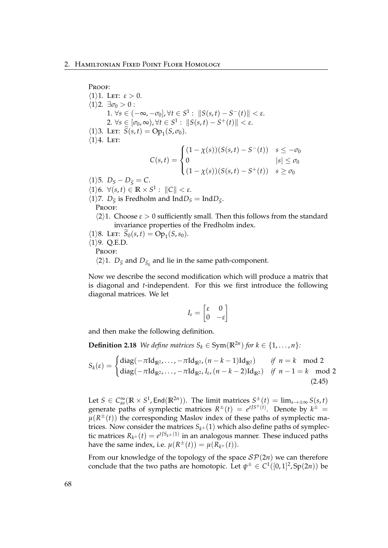Proof:  $\langle 1 \rangle$ 1. Let:  $\varepsilon > 0$ .  $\langle 1 \rangle$ 2.  $\exists \sigma_0 > 0$ : 1. ∀*s* ∈ (-∞, -*σ*<sub>0</sub>], ∀*t* ∈ *S*<sup>1</sup>:  $||S(s,t) - S^{-}(t)|| < ε$ .  $2. \ \forall s \in [\sigma_0, \infty)$ ,  $\forall t \in S^1 : \|S(s, t) - S^+(t)\| < \varepsilon$ .  $\langle 1 \rangle$ 3. LET:  $\widetilde{S}(s,t) = \text{Op}_1(S,\sigma_0).$  $\langle 1 \rangle 4$ . Let:  $C(s,t) =$  $\sqrt{ }$  $\int$  $\overline{\mathcal{L}}$  $(1 - \chi(s))(S(s,t) - S^{-}(t))$   $s \leq -\sigma_0$ 0  $|s| \leq \sigma_0$  $(1 - \chi(s))(S(s,t) - S^+(t))$   $s \geq \sigma_0$  $\langle 1 \rangle$ 5.  $D_S - D_{\widetilde{S}} = C$ .  $\langle 1 \rangle 6. \ \forall (s, t) \in \mathbb{R} \times S^1: ||C|| < \varepsilon.$  $\langle 1 \rangle$ 7. *D*<sub> $\tilde{S}$ </sub> is Fredholm and Ind*D*<sub>*S*</sub> = Ind*D*<sub> $\tilde{S}$ .</sub> PROOF:  $\langle 2 \rangle$ 1. Choose  $\varepsilon > 0$  sufficiently small. Then this follows from the standard invariance properties of the Fredholm index.  $\langle 1 \rangle$ 8. LET:  $\widetilde{S}_0(s,t) = \overline{\text{Op}}_1(s,s_0)$ .  $\langle 1 \rangle$ 9. Q.E.D. Proof:  $\langle 2 \rangle$ 1. *D*<sub> $\tilde{S}$ </sub> and *D*<sub> $\tilde{S}_0$ </sub> and lie in the same path-component.

Now we describe the second modification which will produce a matrix that is diagonal and *t*-independent. For this we first introduce the following diagonal matrices. We let

<span id="page-73-0"></span>
$$
I_{\varepsilon} = \begin{bmatrix} \varepsilon & 0 \\ 0 & -\varepsilon \end{bmatrix}
$$

and then make the following definition.

**Definition 2.18** *We define matrices*  $S_k \in Sym(\mathbb{R}^{2n})$  *for*  $k \in \{1, ..., n\}$ *:* 

$$
S_k(\varepsilon) = \begin{cases} \text{diag}(-\pi \text{Id}_{\mathbb{R}^2}, \dots, -\pi \text{Id}_{\mathbb{R}^2}, (n-k-1) \text{Id}_{\mathbb{R}^2}) & \text{if } n = k \mod 2\\ \text{diag}(-\pi \text{Id}_{\mathbb{R}^2}, \dots, -\pi \text{Id}_{\mathbb{R}^2}, I_{\varepsilon}, (n-k-2) \text{Id}_{\mathbb{R}^2}) & \text{if } n-1 = k \mod 2\\ (2.45) & \end{cases}
$$

Let  $S \in C_{as}^{\infty}(\mathbb{R} \times S^1, \text{End}(\mathbb{R}^{2n}))$ . The limit matrices  $S^{\pm}(t) = \lim_{s \to \pm \infty} S(s, t)$ generate paths of symplectic matrices  $R^{\pm}(t) = e^{t/5}$  *e*<sup>t/s $\pm$ </sup> (*t*). Denote by  $k^{\pm}$  =  $\mu(R^{\pm}(t))$  the corresponding Maslov index of these paths of symplectic matrices. Now consider the matrices  $S_{k^{\pm}}(1)$  which also define paths of symplectic matrices  $R_{k^{\pm}}(t) = e^{t \int S_{k^{\pm}}(1)}$  in an analogous manner. These induced paths have the same index, i.e.  $\mu(R^{\pm}(t)) = \mu(R_{k^{\pm}}(t)).$ 

From our knowledge of the topology of the space  $\mathcal{SP}(2n)$  we can therefore conclude that the two paths are homotopic. Let  $\psi^{\pm} \in C^1([0,1]^2, Sp(2n))$  be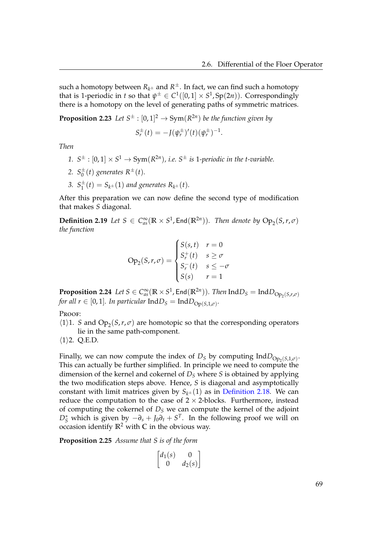such a homotopy between  $R_{k^{\pm}}$  and  $R^{\pm}.$  In fact, we can find such a homotopy that is 1-periodic in *t* so that  $\psi^{\pm} \in C^1([0,1] \times S^1, \text{Sp}(2n))$ . Correspondingly there is a homotopy on the level of generating paths of symmetric matrices.

**Proposition 2.23** Let  $S^{\pm} : [0,1]^2 \rightarrow \text{Sym}(R^{2n})$  be the function given by

 $S_r^{\pm}(t) = -J(\psi_r^{\pm})'(t)(\psi_r^{\pm})^{-1}.$ 

*Then*

- 1.  $S^{\pm}$  :  $[0,1] \times S^1 \rightarrow \text{Sym}(R^{2n})$ , *i.e.*  $S^{\pm}$  *is* 1-periodic in the t-variable.
- 2.  $S_0^{\pm}$  $_{0}^{\pm}(t)$  generates  $R^{\pm}(t)$ .
- 3.  $S_1^{\pm}$  $j_1^{\pm}(t) = S_{k^{\pm}}(1)$  and generates  $R_{k^{\pm}}(t)$ .

After this preparation we can now define the second type of modification that makes *S* diagonal.

**Definition 2.19** Let  $S \in C^{\infty}_{as}(\mathbb{R} \times S^1, \text{End}(\mathbb{R}^{2n}))$ . Then denote by  $\text{Op}_2(S,r,\sigma)$ *the function*

$$
Op_2(S,r,\sigma) = \begin{cases} S(s,t) & r=0\\ S_r^+(t) & s \ge \sigma\\ S_r^-(t) & s \le -\sigma\\ S(s) & r=1 \end{cases}
$$

 ${\bf Proposition 2.24}$   $Let\ S\in C^\infty_{as}(\mathbb{R}\times S^1, \mathsf{End}(\mathbb{R}^{2n})).$   $Then\ {\bf Ind}D_S=\mathrm{Ind}D_{\mathrm{Op}_2(S,r,\sigma)}$ *for all r*  $\in$  [0,1]. *In particular*  $\text{Ind}D_S = \text{Ind}D_{\text{Op}(S,1,\sigma)}$ .

PROOF:

- $\langle 1 \rangle$ 1. *S* and Op<sub>2</sub>(*S*,*r*, *σ*) are homotopic so that the corresponding operators lie in the same path-component.
- $\langle 1 \rangle$ 2. Q.E.D.

Finally, we can now compute the index of *D<sub>S</sub>* by computing Ind $D_{\text{Op}_2(S,1,\sigma)}$ . This can actually be further simplified. In principle we need to compute the dimension of the kernel and cokernel of *D<sup>S</sup>* where *S* is obtained by applying the two modification steps above. Hence, *S* is diagonal and asymptotically constant with limit matrices given by  $S_{k^{\pm}}(1)$  as in [Definition 2.18.](#page-73-0) We can reduce the computation to the case of  $2 \times 2$ -blocks. Furthermore, instead of computing the cokernel of  $D<sub>S</sub>$  we can compute the kernel of the adjoint  $D^*_{\mathcal{S}}$  which is given by  $-\partial_s + J_0 \partial_t + S^T$ . In the following proof we will on occasion identify  $\mathbb{R}^2$  with  $\mathbb C$  in the obvious way.

**Proposition 2.25** *Assume that S is of the form*

$$
\begin{bmatrix} d_1(s) & 0 \\ 0 & d_2(s) \end{bmatrix}
$$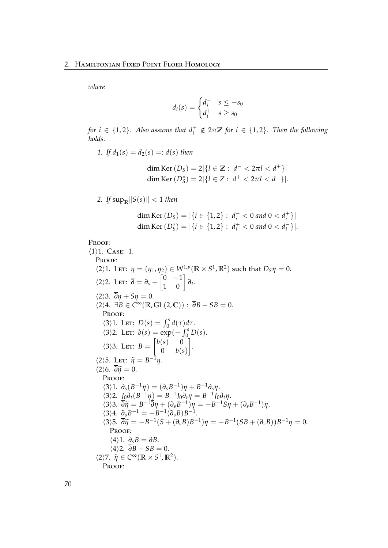*where*

$$
d_i(s) = \begin{cases} d_i^- & s \le -s_0 \\ d_i^+ & s \ge s_0 \end{cases}
$$

*for*  $i \in \{1,2\}$ . Also assume that  $d_i^{\pm} \notin 2\pi \mathbb{Z}$  *for*  $i \in \{1,2\}$ . Then the following *holds.*

*1. If*  $d_1(s) = d_2(s) =: d(s)$  *then* 

$$
\dim \text{Ker}\,(D_S) = 2|\{l \in \mathbb{Z} : d^- < 2\pi l < d^+\}|
$$
\n
$$
\dim \text{Ker}\,(D_S^*) = 2|\{l \in Z : d^+ < 2\pi l < d^-\}|.
$$

2. If  $\sup_{\mathbb{R}} \|S(s)\| < 1$  then

$$
\dim \text{Ker}(D_S) = |\{i \in \{1, 2\} : d_i^- < 0 \text{ and } 0 < d_i^+\}|
$$
\n
$$
\dim \text{Ker}(D_S^*) = |\{i \in \{1, 2\} : d_i^+ < 0 \text{ and } 0 < d_i^-\}|.
$$

Proof:

 $\langle 1 \rangle$ 1. Case: 1. Proof:  $\langle 2 \rangle$ 1. Let:  $\eta = (\eta_1, \eta_2) \in W^{1,p}(\mathbb{R} \times S^1, \mathbb{R}^2)$  such that  $D_S \eta = 0$ .  $\langle 2 \rangle$ 2. Let:  $\overline{\partial} = \partial_s + \begin{bmatrix} 0 & -1 \\ 1 & 0 \end{bmatrix} \partial_t.$  $\langle 2 \rangle 3$ .  $\overline{\partial} \eta + S \eta = 0$ .  $\langle 2 \rangle 4$ .  $\exists B \in C^{\infty}(\mathbb{R}, GL(2,\mathbb{C})) : \overline{\partial}B + SB = 0.$ PROOF:  $\langle 3 \rangle$ 1. Let:  $D(s) = \int_0^s d(\tau) d\tau$ .  $\langle 3 \rangle$ 2. Let:  $b(s) = \exp(-\int_0^s D(s)$ .  $\langle 3 \rangle$ 3. Let:  $B = \begin{bmatrix} b(s) & 0 \\ 0 & b(s) \end{bmatrix}$ 0 *b*(*s*) 1 .  $\langle 2 \rangle$ 5. Let:  $\widetilde{\eta} = B^{-1}\eta$ .<br>  $\langle 2 \rangle \leq \overline{3} \widetilde{\eta} = 0$  $\langle 2 \rangle 6$ .  $\overline{\partial} \widetilde{\eta} = 0$ . PROOF:  $\langle 3 \rangle 1$ .  $\partial_s (B^{-1}\eta) = (\partial_s B^{-1})\eta + B^{-1}\partial_s \eta$ .  $\langle 3 \rangle 2$ .  $J_0 \partial_t (B^{-1} \eta) = B^{-1} J_0 \partial_t \eta = B^{-1} J_0 \partial_t \eta$ .  $\langle 3 \rangle$ 3.  $\overline{\partial} \widetilde{\eta} = B^{-1} \overline{\partial} \eta + (\partial_s B^{-1}) \eta = -B^{-1} S \eta + (\partial_s B^{-1}) \eta.$ <br>  $\langle 3 \rangle$ 4.  $\overline{\partial} \overline{\eta} = B^{-1} \overline{\partial} \eta + (\partial_s B^{-1}) \eta = -B^{-1} S \eta + (\partial_s B^{-1}) \eta.$  $\langle 3 \rangle 4$ .  $\partial_s B^{-1} = -B^{-1} (\partial_s B) B^{-1}$ .  $\langle 3 \rangle$ 5.  $\overline{\partial} \tilde{\eta} = -B^{-1}(S + (\partial_s B)B^{-1})\eta = -B^{-1}(SB + (\partial_s B))B^{-1}\eta = 0.$ PROOF:  $\langle 4 \rangle 1$ .  $\partial_s B = \overline{\partial} B$ .  $\langle 4 \rangle 2$ .  $\overline{\partial}B + SB = 0$ .  $\langle 2 \rangle$ 7.  $\tilde{\eta} \in C^{\infty}(\mathbb{R} \times S^1, \mathbb{R}^2)$ .<br>**PROOF:** PROOF: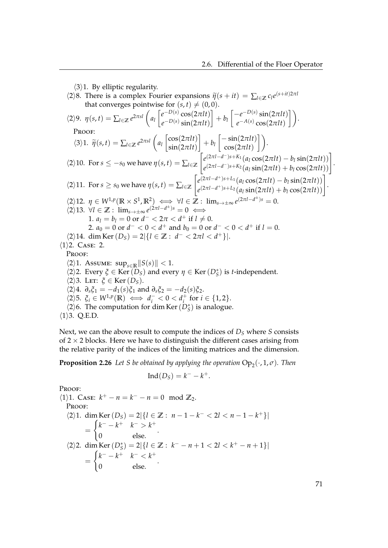$\langle 3 \rangle$ 1. By elliptic regularity.

- $\langle 2 \rangle$ 8. There is a complex Fourier expansions  $\tilde{\eta}(s + it) = \sum_{l \in \mathbb{Z}} c_l e^{(s+it)2\pi l}$ that converges pointwise for  $(s, t) \neq (0, 0)$ .  $\langle 2 \rangle$ 9.  $\eta(s,t) = \sum_{l \in \mathbb{Z}} e^{2\pi s l} \left( a_l \right)$  $\int e^{-D(s)} \cos(2\pi l t)$  $e^{-D(s)}\sin(2\pi lt)$  $\left] + b_l \left[ \frac{-e^{-D(s)} \sin(2\pi l t)}{e^{-A(s)} \cos(2\pi l t)} \right]$  $e^{-A(s)}\cos(2\pi lt)$  $\bigg]$ . Proof:  $\langle 3 \rangle$ 1.  $\widetilde{\eta}(s,t) = \sum_{l \in \mathbb{Z}} e^{2\pi s l} \left( a_l \right)$  $\left[\cos(2\pi l t)\right]$  $\sin(2\pi l t)$  $\left] + b_l \left[ \frac{-\sin(2\pi l t)}{\cos(2\pi l t)} \right]$  $\begin{bmatrix} -\sin(2\pi lt) \\ \cos(2\pi lt) \end{bmatrix}.$  $\langle 2 \rangle$ 10. For  $s \leq -s_0$  we have  $\eta(s, t) = \sum_{l \in \mathbb{Z}}$  $\int e^{(2\pi l - d^-)s + K_1}(a_l \cos(2\pi l t) - b_l \sin(2\pi l t))$  $e^{(2\pi l - d^{-})s + K_{1}}(a_{l}\cos(2\pi lt) - b_{l}\sin(2\pi lt))\e^{(2\pi l - d^{-})s + K_{2}}(a_{l}\sin(2\pi lt) + b_{l}\cos(2\pi lt))\right]$ .  $\langle 2 \rangle$ 11. For *s*  $\geq$  *s*<sub>0</sub> we have  $\eta(s,t) = \sum_{l \in \mathbb{Z}}$  $\int e^{(2\pi l - d^+)s + L_1} (a_l \cos(2\pi l t) - b_l \sin(2\pi l t))$  $e^{(2\pi l - d^+)s + L_1}(a_l\cos(2\pi lt) - b_l\sin(2\pi lt))\n e^{(2\pi l - d^+)s + L_2}(a_l\sin(2\pi lt) + b_l\cos(2\pi lt))$ .  $\langle 2 \rangle 12.$   $\eta \in W^{1,p}(\mathbb{R} \times S^1, \mathbb{R}^2) \iff \forall l \in \mathbb{Z} : \lim_{s \to \pm \infty} e^{(2\pi l - d^{\pm})s} = 0.$  $\langle 2 \rangle 13. \ \forall l \in \mathbb{Z} : \lim_{s \to \pm \infty} e^{(2\pi l - d^{\pm})s} = 0 \iff$ 1.  $a_l = b_l = 0$  or  $d^- < 2\pi < d^+$  if  $l \neq 0$ . 2.  $a_0 = 0$  or  $d^- < 0 < d^+$  and  $b_0 = 0$  or  $d^- < 0 < d^+$  if  $l = 0$ .  $\langle 2 \rangle$ 14. dim Ker $(D_S) = 2 | \{ l \in \mathbb{Z} : d^- < 2\pi l < d^+ \} |$ .  $\langle 1 \rangle$ 2. Case: 2. PROOF:  $\langle 2 \rangle$ 1. Assume: sup<sub>*s*∈R</sub> ||S(*s*)|| < 1.  $\langle 2 \rangle$ 2. Every  $\zeta \in \text{Ker}(D_S)$  and every  $\eta \in \text{Ker}(D_S^*)$  is *t*-independent.  $\langle 2 \rangle$ 3. Let:  $\xi \in \text{Ker}(D_S)$ .  $\langle 2 \rangle 4$ .  $\partial_s \xi_1 = -d_1(s) \xi_1$  and  $\partial_s \xi_2 = -d_2(s) \xi_2$ .  $\langle 2 \rangle$ 5.  $\xi_i \in W^{1,p}(\mathbb{R}) \iff d_i^ < 0 < d_i^+$  $i^+$  for  $i \in \{1,2\}$ .  $\langle 2 \rangle$  6. The computation for dim Ker  $(D^*_S)$  is analogue.
- $\langle 1 \rangle$ 3. Q.E.D.

Next, we can the above result to compute the indices of *D<sup>S</sup>* where *S* consists of  $2 \times 2$  blocks. Here we have to distinguish the different cases arising from the relative parity of the indices of the limiting matrices and the dimension.

**Proposition 2.26** Let S be obtained by applying the operation  $\text{Op}_2(\cdot,1,\sigma)$ . Then

$$
Ind(D_S)=k^- - k^+.
$$

PROOF:  $\langle 1 \rangle$ 1. Case:  $k^+ - n = k^- - n = 0 \mod \mathbb{Z}_2$ . Proof:  $\langle 2 \rangle 1.$  dim Ker  $(D_S) = 2$  {*l* ∈ **Z** :  $n - 1 - k^-$  < 2*l* <  $n - 1 - k^+$ } | =  $\int k^{-} - k^{+} k^{-} > k^{+}$ 0 else. .  $\langle 2 \rangle$ 2. dim Ker(*D*<sup>\*</sup><sub>S</sub>) = 2|{*l* ∈ **Z** : *k*<sup>−</sup> − *n* + 1 < 2*l* < *k*<sup>+</sup> − *n* + 1}| =  $\int k^{-} - k^{+} k^{-} < k^{+}$ 0 else. .

71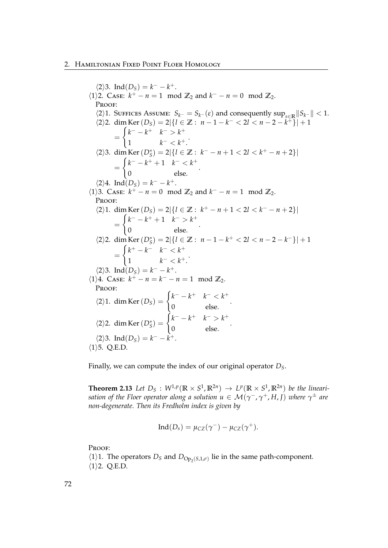$\langle 2 \rangle 3$ . Ind $(D_S) = k^- - k^+$ .  $\langle 1 \rangle$ 2. Case:  $k^+ - n = 1 \mod \mathbb{Z}_2$  and  $k^- - n = 0 \mod \mathbb{Z}_2$ . PROOF:  $\langle 2 \rangle$ 1. SUFFICES ASSUME:  $S_{k^-} = S_{k^-}(\varepsilon)$  and consequently sup<sub>*s*∈R</sub> ||  $S_{k^-}$ || < 1.  $\langle 2 \rangle$ 2. dim Ker $(D_S) = 2|\{l \in \mathbb{Z} : n - 1 - k^- < 2l < n - 2 - k^+\}| + 1$ =  $\int k^{-} - k^{+} k^{-} > k^{+}$ 1  $k^- < k^+$ .  $\langle 2 \rangle$ 3. dim Ker $(D^*_{S}) = 2$ |{*l* ∈ **Z** :  $k^- - n + 1 < 2l < k^+ - n + 2$ }| =  $\int k^{-} - k^{+} + 1 \quad k^{-} < k^{+}$ 0 else. .  $\langle 2 \rangle 4$ . Ind $(D_S) = k^- - k$ +.  $\langle 1 \rangle$ 3. Case:  $k^+ - n = 0 \mod \mathbb{Z}_2$  and  $k^- - n = 1 \mod \mathbb{Z}_2$ . PROOF:  $\langle 2 \rangle 1.$  dim Ker  $(D_S) = 2$  {*l* ∈ **Z** :  $k^+ - n + 1 < 2l < k^- - n + 2$ } =  $\int k^{-} - k^{+} + 1 \quad k^{-} > k^{+}$ 0 else. .  $\langle 2 \rangle$ 2. dim Ker(*D*<sup>\*</sup><sub>S</sub>) = 2|{*l* ∈ **Z** : *n* − 1 − *k*<sup>+</sup> < 2*l* < *n* − 2 − *k*<sup>−</sup>}|+ 1 =  $\int k^+ - k^- \quad k^- < k^+$ 1  $k^- < k^+$ .  $\langle 2 \rangle$ 3. Ind $(D_S) = k^- - k$ +.  $\langle 1 \rangle 4$ . Case:  $k^+ - n = k^- - n = 1 \mod \mathbb{Z}_2$ . PROOF:  $\langle 2 \rangle$ 1. dim Ker $(D_S)$  =  $\int k^{-} - k^{+} k^{-} < k^{+}$ 0 else. .  $\langle 2 \rangle$ 2. dim Ker $(D^*_S)$  =  $\int k^{-} - k^{+} k^{-} > k^{+}$ 0 else. .  $\langle 2 \rangle$ 3. Ind $(D_S) = k^- - k$ +.  $\langle 1 \rangle$ 5. Q.E.D.

Finally, we can compute the index of our original operator *DS*.

**Theorem 2.13** Let  $D_S$  :  $W^{1,p}(\mathbb{R} \times S^1, \mathbb{R}^{2n}) \to L^p(\mathbb{R} \times S^1, \mathbb{R}^{2n})$  be the lineari $s$ *ation of the Floer operator along a solution*  $u \in {\mathcal M}(\gamma^-,\gamma^+,H,I)$  *where*  $\gamma^\pm$  *are non-degenerate. Then its Fredholm index is given by*

$$
Ind(D_s) = \mu_{CZ}(\gamma^-) - \mu_{CZ}(\gamma^+).
$$

Proof:

 $\langle 1 \rangle$ 1. The operators *D<sub>S</sub>* and *D*<sub>Op<sub>2</sub>(*S*,1,*σ*)</sub> lie in the same path-component.

 $\langle 1 \rangle$ 2. Q.E.D.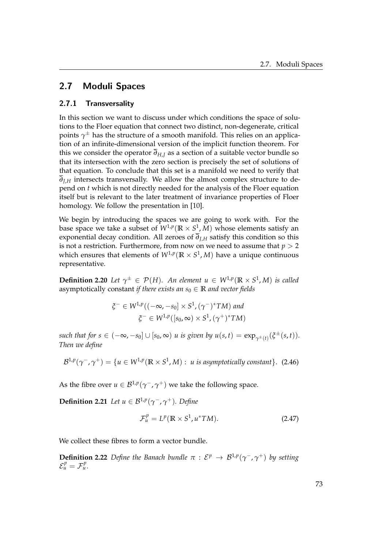# 2.7 Moduli Spaces

## 2.7.1 Transversality

In this section we want to discuss under which conditions the space of solutions to the Floer equation that connect two distinct, non-degenerate, critical points *γ* <sup>±</sup> has the structure of a smooth manifold. This relies on an application of an infinite-dimensional version of the implicit function theorem. For this we consider the operator  $\overline{\partial}_{H,J}$  as a section of a suitable vector bundle so that its intersection with the zero section is precisely the set of solutions of that equation. To conclude that this set is a manifold we need to verify that  $\overline{\partial}_{I,H}$  intersects transversally. We allow the almost complex structure to depend on *t* which is not directly needed for the analysis of the Floer equation itself but is relevant to the later treatment of invariance properties of Floer homology. We follow the presentation in [\[10\]](#page-119-0).

We begin by introducing the spaces we are going to work with. For the base space we take a subset of  $W^{1,p}(\mathbb{R} \times S^1,M)$  whose elements satisfy an exponential decay condition. All zeroes of  $\overline{\partial}_{I,H}$  satisfy this condition so this is not a restriction. Furthermore, from now on we need to assume that  $p > 2$ which ensures that elements of  $W^{1,p}(\mathbb{R} \times S^1,M)$  have a unique continuous representative.

**Definition 2.20** *Let*  $\gamma^{\pm} \in \mathcal{P}(H)$ *. An element*  $u \in W^{1,p}(\mathbb{R} \times S^1, M)$  *is called* asymptotically constant *if there exists an*  $s_0 \in \mathbb{R}$  *and vector fields* 

$$
\xi^{-} \in W^{1,p}((-\infty, -s_0] \times S^1, (\gamma^{-})^*TM) \text{ and}
$$
  

$$
\xi^{-} \in W^{1,p}([s_0, \infty) \times S^1, (\gamma^{+})^*TM)
$$

 $such that for s \in (-\infty, -s_0] \cup [s_0, \infty)$  *u* is given by  $u(s, t) = \exp_{\gamma^{\pm}(t)}(\xi^{\pm}(s, t)).$ *Then we define*

$$
\mathcal{B}^{1,p}(\gamma^-, \gamma^+) = \{ u \in W^{1,p}(\mathbb{R} \times S^1, M) : u \text{ is asymptotically constant} \}. \tag{2.46}
$$

As the fibre over  $u \in \mathcal{B}^{1,p}(\gamma^-, \gamma^+)$  we take the following space.

**Definition 2.21** *Let*  $u \in \mathcal{B}^{1,p}(\gamma^-, \gamma^+)$ *. Define* 

$$
\mathcal{F}_u^p = L^p(\mathbb{R} \times S^1, u^*TM). \tag{2.47}
$$

We collect these fibres to form a vector bundle.

**Definition 2.22** Define the Banach bundle  $\pi$  :  $\mathcal{E}^p \to \mathcal{B}^{1,p}(\gamma^-, \gamma^+)$  by setting  $\mathcal{E}_u^p = \mathcal{F}_u^p$ .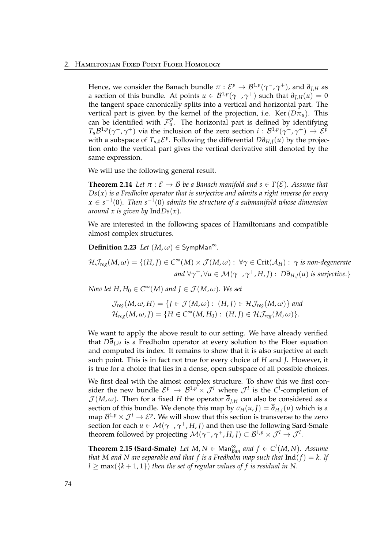### 2. Hamiltonian Fixed Point Floer Homology

Hence, we consider the Banach bundle  $\pi:\mathcal{E}^p\to\mathcal{B}^{1,p}(\gamma^-,\gamma^+)$ , and  $\overline{\partial}_{J,H}$  as a section of this bundle. At points  $u \in \mathcal{B}^{1,p}(\gamma^-, \gamma^+)$  such that  $\overline{\partial}_{J,H}(u) = 0$ the tangent space canonically splits into a vertical and horizontal part. The vertical part is given by the kernel of the projection, i.e. Ker( $D\pi$ <sup>*u*</sup>). This can be identified with  $\mathcal{F}_{u}^{p}$ . The horizontal part is defined by identifying  $T_u\mathcal{B}^{1,p}(\gamma^-,\gamma^+)$  via the inclusion of the zero section  $i:\mathcal{B}^{1,p}(\gamma^-,\gamma^+)\to \mathcal{E}^p$ with a subspace of  $T_{u,0} \mathcal{E}^p$ . Following the differential  $D\overline{\partial}_{H,J}(u)$  by the projection onto the vertical part gives the vertical derivative still denoted by the same expression.

We will use the following general result.

**Theorem 2.14** Let  $\pi : \mathcal{E} \to \mathcal{B}$  be a Banach manifold and  $s \in \Gamma(\mathcal{E})$ . Assume that  $Ds(x)$  *is a Fredholm operator that is surjective and admits a right inverse for every*  $x \in s^{-1}(0)$ . Then  $s^{-1}(0)$  admits the structure of a submanifold whose dimension *around x is given by* Ind*Ds*(*x*)*.*

We are interested in the following spaces of Hamiltonians and compatible almost complex structures.

**Definition 2.23** *Let*  $(M, \omega) \in \mathsf{SympMan}^\infty$ .

 $\mathcal{H}\mathcal{J}_{reg}(M,\omega) = \{(H,J) \in C^{\infty}(M) \times \mathcal{J}(M,\omega): \ \forall \gamma \in Crit(\mathcal{A}_H): \ \gamma \text{ is non-degenerate}\}$ *and* ∀*γ* <sup>±</sup>, ∀*u* ∈ M(*γ* <sup>−</sup>, *γ* <sup>+</sup>, *H*, *J*) : *D∂H*,*J*(*u*) *is surjective.*}

*Now let H*,  $H_0 \in C^{\infty}(M)$  and  $J \in \mathcal{J}(M, \omega)$ . We set

$$
\mathcal{J}_{reg}(M,\omega,H) = \{J \in \mathcal{J}(M,\omega) : (H,J) \in \mathcal{H}_{\mathcal{J}reg}(M,\omega)\} \text{ and}
$$
  

$$
\mathcal{H}_{reg}(M,\omega,J) = \{H \in C^{\infty}(M,H_0) : (H,J) \in \mathcal{H}_{\mathcal{J}reg}(M,\omega)\}.
$$

We want to apply the above result to our setting. We have already verified that *D∂J*,*<sup>H</sup>* is a Fredholm operator at every solution to the Floer equation and computed its index. It remains to show that it is also surjective at each such point. This is in fact not true for every choice of *H* and *J*. However, it is true for a choice that lies in a dense, open subspace of all possible choices.

We first deal with the almost complex structure. To show this we first consider the new bundle  ${\cal E}^p\, \to\, {\cal B}^{1,p}\times {\cal J}^l$  where  ${\cal J}^l$  is the  ${\cal C}^l$ -completion of  $\mathcal{J}(M,\omega)$ . Then for a fixed *H* the operator  $\overline{\partial}_{I,H}$  can also be considered as a section of this bundle. We denote this map by  $\sigma_H(u, J) = \overline{\partial}_{H,J}(u)$  which is a map  $\mathcal{B}^{1,p}\times\mathcal{J}^{l}\to\mathcal{E}^{p}.$  We will show that this section is transverse to the zero section for each  $u \in \mathcal{M}(\gamma^-, \gamma^+, H, J)$  and then use the following Sard-Smale theorem followed by projecting  $\mathcal{M}(\gamma^-, \gamma^+, H, J) \subset \mathcal{B}^{1,p} \times \mathcal{J}^1 \to \mathcal{J}^1$ .

**Theorem 2.15 (Sard-Smale)** Let  $M, N \in \text{Man}^{\infty}_{Ban}$  and  $f \in C^l(M, N)$ . Assume *that* M and N are separable and that f is a Fredholm map such that  $Ind(f) = k$ . If  $l \geq \max(\{k+1,1\})$  *then the set of regular values of f is residual in N.*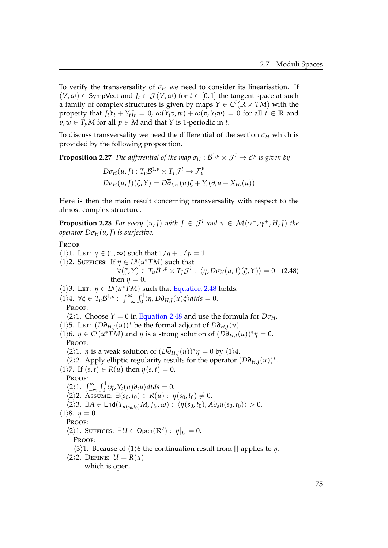To verify the transversality of  $\sigma_H$  we need to consider its linearisation. If  $(V, \omega) \in$  SympVect and  $J_t \in \mathcal{J}(V, \omega)$  for  $t \in [0, 1]$  the tangent space at such a family of complex structures is given by maps  $Y \in C^l(\mathbb{R} \times TM)$  with the property that  $J_tY_t + Y_tJ_t = 0$ ,  $\omega(Y_t v, w) + \omega(v, Y_t w) = 0$  for all  $t \in \mathbb{R}$  and  $v, w \in T_pM$  for all  $p \in M$  and that *Y* is 1-periodic in *t*.

To discuss transversality we need the differential of the section  $\sigma_H$  which is provided by the following proposition.

**Proposition 2.27** The differential of the map  $\sigma_H : \mathcal{B}^{1,p} \times \mathcal{J}^l \to \mathcal{E}^p$  is given by

<span id="page-80-0"></span> $D\sigma_H(u, J) : T_u \mathcal{B}^{1,p} \times T_J \mathcal{J}^l \to \mathcal{F}_u^p$  $D\sigma_H(u, J)(\xi, Y) = D\partial_{J,H}(u)\xi + Y_t(\partial_t u - X_{H_t}(u))$ 

Here is then the main result concerning transversality with respect to the almost complex structure.

**Proposition 2.28** *For every*  $(u, J)$  *with*  $J \in \mathcal{J}^l$  *and*  $u \in \mathcal{M}(\gamma^-, \gamma^+, H, J)$  *the operator*  $D\sigma_H(u, J)$  *is surjective.* 

PROOF:

 $\langle 1 \rangle$ 1. Let:  $q \in (1, \infty)$  such that  $1/q + 1/p = 1$ .  $\langle 1 \rangle$ 2. SUFFICES: If  $\eta \in L^q(u^*TM)$  such that  $\forall (\xi, Y) \in T_u \mathcal{B}^{1,p} \times T_J \mathcal{J}^l : \langle \eta, D\sigma_H(u, J)(\xi, Y) \rangle = 0$  (2.48) then  $\eta = 0$ .  $\langle 1 \rangle$ 3. Let:  $\eta \in L^q(u^*TM)$  such that [Equation 2.48](#page-80-0) holds.  $\langle 1 \rangle 4$ .  $\forall \xi \in T_u \mathcal{B}^{1,p}$ :  $\int_{-\infty}^{\infty} \int_0^1 \langle \eta, D \overline{\partial}_{H,J}(u) \xi \rangle dt ds = 0$ . PROOF:  $\langle 2 \rangle$ 1. Choose *Y* = 0 in [Equation 2.48](#page-80-0) and use the formula for *D* $\sigma$ *H*.  $\langle 1 \rangle$ 5. LET:  $(D\overline{\partial}_{H,J}(u))^*$  be the formal adjoint of  $D\overline{\partial}_{H,J}(u)$ .  $\langle 1 \rangle$ 6. *η*  $\in$  *C*<sup>*l*</sup>( $u$ \**TM*) and *η* is a strong solution of  $(D\overline{\partial}_{H,J}(u))^*$ *η* = 0. Proof:  $\langle 2 \rangle$ 1. *η* is a weak solution of  $(D\partial_{H,J}(u))^* \eta = 0$  by  $\langle 1 \rangle$ 4.  $\langle 2 \rangle$ 2. Apply elliptic regularity results for the operator  $(D\overline{\partial}_{H,J}(u))^*$ .  $\langle 1 \rangle$ 7. If  $(s, t) \in R(u)$  then  $\eta(s, t) = 0$ . PROOF:  $\langle 2 \rangle$ 1.  $\int_{-\infty}^{\infty} \int_{0}^{1} \langle \eta, Y_t(u) \partial_t u \rangle dt ds = 0.$  $\langle 2 \rangle$ 2. Assume:  $\exists (s_0, t_0) \in R(u) : \eta(s_0, t_0) \neq 0.$  $\langle 2 \rangle 3$ .  $\exists A \in \text{End}(T_{u(s_0,t_0)}M, J_{t_0}, \omega): \langle \eta(s_0,t_0), A \partial_s u(s_0,t_0) \rangle > 0.$  $\langle 1 \rangle 8$ .  $\eta = 0$ . PROOF:  $\langle 2 \rangle$ 1. SUFFICES:  $\exists U \in \text{Open}(\mathbb{R}^2) : \eta|_U = 0.$ PROOF:  $\langle 3 \rangle$ 1. Because of  $\langle 1 \rangle$ 6 the continuation result from [] applies to *η*.  $\langle 2 \rangle$ 2. DEFINE:  $U = R(u)$ which is open.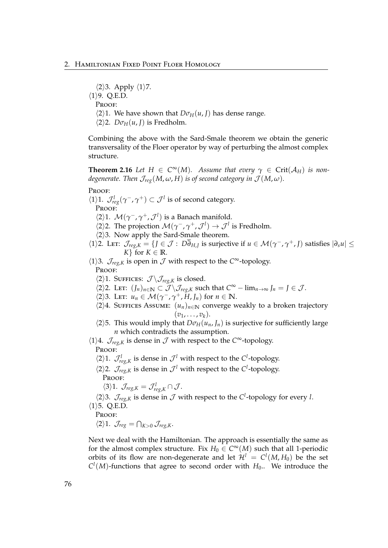$\langle 2 \rangle$ 3. Apply  $\langle 1 \rangle$ 7.  $\langle 1 \rangle$ 9. Q.E.D. PROOF:  $\langle 2 \rangle$ 1. We have shown that  $D\sigma_H(u, J)$  has dense range.  $\langle 2 \rangle$ 2. *D* $\sigma$ <sub>*H*</sub>(*u*, *J*) is Fredholm.

Combining the above with the Sard-Smale theorem we obtain the generic transversality of the Floer operator by way of perturbing the almost complex structure.

**Theorem 2.16** *Let*  $H \in C^{\infty}(M)$ *. Assume that every*  $\gamma \in \text{Crit}(\mathcal{A}_H)$  *is nondegenerate. Then*  $\mathcal{J}_{reg}(M, \omega, H)$  *is of second category in*  $\mathcal{J}(M, \omega)$ *.* 

Proof:

 $\langle 1 \rangle$ 1.  $\mathcal{J}_{reg}^l(\gamma^-,\gamma^+) \subset \mathcal{J}^l$  is of second category. PROOF:

- $\langle 2 \rangle$ 1.  $\mathcal{M}(\gamma^-, \gamma^+, \mathcal{J}^l)$  is a Banach manifold.
- $\langle 2 \rangle$ 2. The projection  $\mathcal{M}(\gamma^-, \gamma^+, \mathcal{J}^l) \to \mathcal{J}^l$  is Fredholm.
- $\langle 2 \rangle$ 3. Now apply the Sard-Smale theorem.
- $\langle 1 \rangle$ 2. Let:  $\mathcal{J}_{reg,K} = \{ J \in \mathcal{J} : D\overline{\partial}_{H,J} \text{ is surjective if } u \in \mathcal{M}(\gamma^-, \gamma^+, J) \text{ satisfies } |\partial_s u| \leq$ *K*} for  $K \in \mathbb{R}$ .

 $\langle 1 \rangle$ 3.  $\mathcal{J}_{reg,K}$  is open in  $\mathcal J$  with respect to the *C*<sup>∞</sup>-topology. PROOF:

 $\langle 2 \rangle$ 1. SUFFICES:  $\mathcal{J} \setminus \mathcal{J}_{reg,K}$  is closed.

- $\langle 2 \rangle$ 2. LET:  $(J_n)_{n \in \mathbb{N}}$  ⊂  $\mathcal{J} \setminus \mathcal{J}_{reg,K}$  such that  $C^{\infty} \lim_{n \to \infty} J_n = J \in \mathcal{J}$ .
- $\langle 2 \rangle$ 3. Let:  $u_n \in \mathcal{M}(\gamma^-, \gamma^+, H, J_n)$  for  $n \in \mathbb{N}$ .
- $\langle 2 \rangle$ 4. Suffices Assume:  $(u_n)_{n \in \mathbb{N}}$  converge weakly to a broken trajectory  $(v_1, \ldots, v_k)$ .
- $\langle 2 \rangle$ 5. This would imply that  $D\sigma_H(u_n, J_n)$  is surjective for sufficiently large *n* which contradicts the assumption.
- $\langle 1 \rangle$ 4.  $\mathcal{J}_{reg,K}$  is dense in  $\mathcal J$  with respect to the  $C^{\infty}$ -topology. PROOF:
	- $\langle 2 \rangle$ 1.  $\mathcal{J}^l_{reg,k}$  is dense in  $\mathcal{J}^l$  with respect to the *C*<sup>*l*</sup>-topology.
	- $\langle 2 \rangle$ 2.  $\mathcal{J}_{reg,K}$  is dense in  $\mathcal{J}^l$  with respect to the *C*<sup>*l*</sup>-topology. Proof:

 $\langle 3 \rangle 1$ *.*  $\mathcal{J}_{reg,K} = \mathcal{J}_{reg,K}^l \cap \mathcal{J}$ .

 $\langle 2 \rangle$ 3.  $\mathcal{J}_{reg,K}$  is dense in  $\mathcal{J}$  with respect to the *C*<sup>*l*</sup>-topology for every *l*.  $\langle 1 \rangle$ 5. Q.E.D.

PROOF:

 $\langle 2 \rangle 1$ .  $\mathcal{J}_{reg} = \bigcap_{K>0} \mathcal{J}_{reg,K}$ .

Next we deal with the Hamiltonian. The approach is essentially the same as for the almost complex structure. Fix  $H_0 \in C^{\infty}(M)$  such that all 1-periodic orbits of its flow are non-degenerate and let  $\mathcal{H}^l = C^l(M, H_0)$  be the set  $C^l(M)$ -functions that agree to second order with  $H_0$ .. We introduce the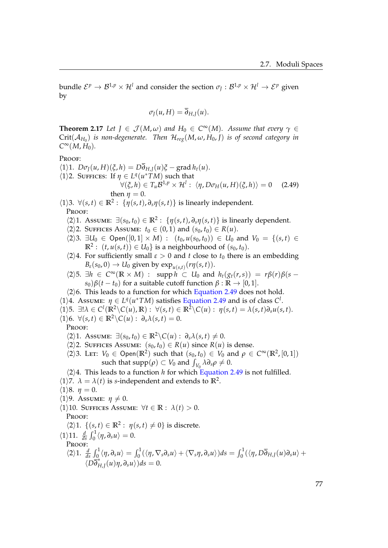bundle  $\mathcal{E}^p\to\mathcal{B}^{1,p}\times\mathcal{H}^l$  and consider the section  $\sigma_J:\mathcal{B}^{1,p}\times\mathcal{H}^l\to\mathcal{E}^p$  given by

<span id="page-82-0"></span>
$$
\sigma_J(u,H)=\overline{\partial}_{H,J}(u).
$$

**Theorem 2.17** *Let*  $J \in \mathcal{J}(M, \omega)$  *and*  $H_0 \in C^{\infty}(M)$ *. Assume that every*  $\gamma \in$  $\operatorname{Crit}(\mathcal{A}_{H_0})$  *is non-degenerate. Then*  $\mathcal{H}_{reg}(M,\omega,H_0,J)$  *is of second category in*  $C^{\infty}(M, H_0)$ .

### PROOF:

- $\sqrt{(1)}$ 1.  $D\sigma_I(u, H)(\xi, h) = D\overline{\partial}_{H,I}(u)\xi \text{grad }h_t(u)$ .  $\langle 1 \rangle$ 2. SUFFICES: If  $\eta \in L^q(u^*TM)$  such that  $\forall (\xi, h) \in T_u \mathcal{B}^{1,p} \times \mathcal{H}^l : \langle \eta, D\sigma_H(u, H)(\xi, h) \rangle = 0$  (2.49) then  $n = 0$ .
- $\langle 1 \rangle$ 3.  $\forall (s,t) \in \mathbb{R}^2$ :  $\{\eta(s,t), \partial_s \eta(s,t)\}$  is linearly independent. PROOF:
	- $\langle 2 \rangle$ 1. Assume:  $\exists (s_0, t_0) \in \mathbb{R}^2$ :  $\{\eta(s, t), \partial_s \eta(s, t)\}$  is linearly dependent.
	- $\langle 2 \rangle$ 2. SUFFICES ASSUME: *t*<sub>0</sub> ∈ (0, 1) and (*s*<sub>0</sub>, *t*<sub>0</sub>) ∈ *R*(*u*).
	- $\langle 2 \rangle$ 3. ∃*U*<sub>0</sub> ∈ Open([0, 1] × *M*) : (*t*<sub>0</sub>, *u*(*s*<sub>0</sub>, *t*<sub>0</sub>)) ∈ *U*<sub>0</sub> and *V*<sub>0</sub> = {(*s*, *t*) ∈  $\mathbb{R}^2$  :  $(t, u(s, t)) \in U_0$  is a neighbourhood of  $(s_0, t_0)$ .
	- $\langle 2 \rangle 4$ . For sufficiently small  $\varepsilon > 0$  and *t* close to  $t_0$  there is an embedding  $B_{\varepsilon}(s_0, 0) \to U_0$  given by  $\exp_{u(s,t)}(r\eta(s,t)).$
	- $\langle 2 \rangle$ 5.  $\exists h \in C^{\infty}(\mathbb{R} \times M)$  : supp  $h \subset U_0$  and  $h_t(g_t(r,s)) = r\beta(r)\beta(s s)$ *s*<sub>0</sub>) $β(t − t_0)$  for a suitable cutoff function  $β : ℝ → [0, 1]$ .
	- $\langle 2 \rangle$ 6. This leads to a function for which [Equation 2.49](#page-82-0) does not hold.
- $\langle 1 \rangle$ 4. Assume:  $\eta \in L^q(u^*TM)$  satisfies [Equation 2.49](#page-82-0) and is of class *C*<sup>1</sup>.
- $\langle 1 \rangle$ 5.  $\exists! \lambda \in C^l(\mathbb{R}^2 \setminus C(u), \mathbb{R}) : \forall (s, t) \in \mathbb{R}^2 \setminus C(u) : \eta(s, t) = \lambda(s, t) \partial_s u(s, t).$
- $\langle 1 \rangle$ 6.  $\forall (s,t) \in \mathbb{R}^2 \setminus C(u) : \partial_s \lambda(s,t) = 0.$

PROOF:

 $\langle 2 \rangle$ 1. Assume:  $\exists (s_0, t_0) \in \mathbb{R}^2 \setminus C(u) : \partial_s \lambda(s, t) \neq 0.$ 

- $\langle 2 \rangle$ 2. SUFFICES ASSUME:  $(s_0, t_0) \in R(u)$  since  $R(u)$  is dense.
- $\langle 2 \rangle$ 3. LET:  $V_0 \in \text{Open}(\mathbb{R}^2)$  such that  $(s_0, t_0) \in V_0$  and  $\rho \in C^\infty(\mathbb{R}^2, [0, 1])$ such that  $\text{supp}(\rho) \subset V_0$  and  $\int_{V_0} \lambda \partial_s \rho \neq 0$ .
- $\langle 2 \rangle 4$ . This leads to a function *h* for which [Equation 2.49](#page-82-0) is not fulfilled.
- $\langle 1 \rangle$ 7.  $\lambda = \lambda(t)$  is *s*-independent and extends to  $\mathbb{R}^2$ .
- $\langle 1 \rangle 8$ .  $\eta = 0$ .
- $\langle 1 \rangle$ 9. Assume:  $\eta \neq 0$ .
- $\langle 1 \rangle$ 10. Suffices Assume:  $\forall t \in \mathbb{R} : \lambda(t) > 0$ .

PROOF:

- $\langle 2 \rangle$ 1.  $\{(s, t) \in \mathbb{R}^2 : \eta(s, t) \neq 0\}$  is discrete.
- $\langle 1 \rangle$ 11.  $\frac{d}{ds} \int_0^1 \langle \eta, \partial_s u \rangle = 0.$ PROOF:

$$
\langle 2\rangle 1. \frac{d}{ds} \int_0^1 \langle \eta, \partial_s u \rangle = \int_0^1 (\langle \eta, \nabla_s \partial_s u \rangle + \langle \nabla_s \eta, \partial_s u \rangle) ds = \int_0^1 (\langle \eta, D\overline{\partial}_{H,J}(u)\partial_s u \rangle + \langle D\overline{\partial}_{H,J}(u)\eta, \partial_s u \rangle) ds = 0.
$$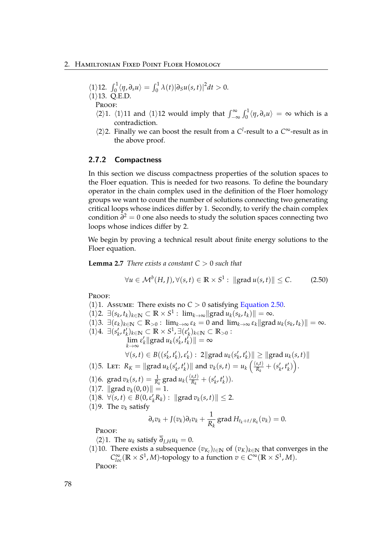$$
\langle 1 \rangle 12. \int_0^1 \langle \eta, \partial_s u \rangle = \int_0^1 \lambda(t) |\partial_s u(s, t)|^2 dt > 0.
$$
  

$$
\langle 1 \rangle 13. \text{ Q.E.D.}
$$

PROOF:

- $\langle 2 \rangle$ 1.  $\langle 1 \rangle$ 11 and  $\langle 1 \rangle$ 12 would imply that  $\int_{-\infty}^{\infty} \int_{0}^{1} \langle \eta, \partial_s u \rangle = \infty$  which is a contradiction.
- $\langle 2 \rangle$ 2. Finally we can boost the result from a *C*<sup>*l*</sup>-result to a *C*<sup>∞</sup>-result as in the above proof.

## 2.7.2 Compactness

In this section we discuss compactness properties of the solution spaces to the Floer equation. This is needed for two reasons. To define the boundary operator in the chain complex used in the definition of the Floer homology groups we want to count the number of solutions connecting two generating critical loops whose indices differ by 1. Secondly, to verify the chain complex condition *∂* <sup>2</sup> = 0 one also needs to study the solution spaces connecting two loops whose indices differ by 2.

We begin by proving a technical result about finite energy solutions to the Floer equation.

**Lemma 2.7** *There exists a constant C* > 0 *such that*

<span id="page-83-0"></span>
$$
\forall u \in \mathcal{M}^b(H, J), \forall (s, t) \in \mathbb{R} \times S^1 : \| \text{grad } u(s, t) \| \leq C. \tag{2.50}
$$

Proof:

 $\langle 1 \rangle$ 1. Assume: There exists no *C* > 0 satisfying [Equation 2.50.](#page-83-0)  $\langle 1 \rangle$ 2.  $\exists (s_k, t_k)_{k \in \mathbb{N}} \subset \mathbb{R} \times S^1$ :  $\lim_{k \to \infty} || \text{grad } u_k(s_k, t_k) || = \infty$ .  $\langle 1 \rangle$ 3.  $\exists (\varepsilon_k)_{k \in \mathbb{N}} \subset \mathbb{R}_{>0}$ :  $\lim_{k \to \infty} \varepsilon_k = 0$  and  $\lim_{k \to \infty} \varepsilon_k || \text{grad } u_k(s_k, t_k) || = \infty$ .  $\langle 1 \rangle 4$ . ∃ $(s'_k, t'_k)_{k \in \mathbb{N}}$  ⊂ **R** × **S**<sup>1</sup>, ∃ $(\varepsilon'_k)_{k \in \mathbb{N}}$  ⊂ **R** > 0 :  $\lim_{k\to\infty} \varepsilon'_k$ ||grad  $u_k(s'_k, t'_k)$ || = ∞  $\forall (s, t) \in B((s'_k, t'_k), \varepsilon'_k): 2\|\text{grad }u_k(s'_k, t'_k)\| \geq \|\text{grad }u_k(s, t)\|$  $\langle 1 \rangle$ 5. Let:  $R_K = ||\text{grad } u_k(s'_k, t'_k)||$  and  $v_k(s, t) = u_k\left(\frac{(s, t)}{R_k}\right)$  $\frac{\left(s,t\right)}{R_k}+\left(s'_k,t'_k\right)\right).$  $\langle 1 \rangle$ 6. grad  $v_k(s,t) = \frac{1}{R_k}$  grad  $u_k(\frac{(s,t)}{R_k})$  $\frac{(s,t)}{R_k} + (s'_k, t'_k)).$  $\langle 1 \rangle$ 7. ||grad  $v_k(0, 0)$ || = 1.  $\langle 1 \rangle 8$ .  $\forall (s, t) \in B(0, \varepsilon'_k R_k) : \| \text{grad } v_k(s, t) \| \leq 2.$  $\langle 1 \rangle$ 9. The  $v_k$  satisfy *∂*<sup>*s*</sup>*v*<sup>*k*</sup> + *J*(*v*<sub>*k*</sub>)*∂t*<sup>*v*<sub>*k*</sub> +  $\frac{1}{p}$ </sup>  $\frac{1}{R_k}$  grad  $H_{t_k+t/R_k}(v_k) = 0.$ PROOF:  $\langle 2 \rangle$ 1. The *u<sub>k</sub>* satisfy  $\overline{\partial}_{L}$ *Hu<sub>k</sub>* = 0.  $\langle 1 \rangle$ 10. There exists a subsequence  $(v_{K_l})_{l \in \mathbb{N}}$  of  $(v_K)_{k \in \mathbb{N}}$  that converges in the

 $C_{loc}^{\infty}(\mathbb{R} \times S^1, M)$ -topology to a function  $v \in C^{\infty}(\mathbb{R} \times S^1, M)$ .

Proof: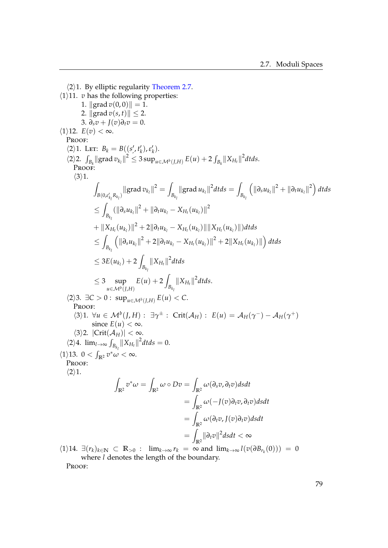$\langle 2 \rangle$ 1. By elliptic regularity [Theorem 2.7.](#page-51-0)  $\langle 1 \rangle$ 11. *v* has the following properties: 1.  $\| \text{grad } v(0, 0) \| = 1.$ 2.  $\| \text{grad } v(s, t) \| \leq 2$ . 3.  $\partial_s v + I(v)\partial_t v = 0.$  $\langle 1 \rangle$ 12.  $E(v) < \infty$ . Proof:  $\langle 2 \rangle 1$ . Let:  $B_k = B((s', t'_k), \varepsilon'_k)$ . , *k k*  $\langle 2 \rangle 2$ .  $\int_{B_k} ||\operatorname{grad} v_{k_l}||^2 \leq 3 \sup_{u \in \mathcal{M}^b(J,H)} E(u) + 2 \int_{B_k} ||X_{H_t}||^2 dt ds.$ PROOF:  $\langle 3 \rangle 1$ . Z  $\int_{B(0,\varepsilon'_{k_l}R_{k_l})}\lVert \operatorname{grad} v_{k_l}\rVert^2=\int$ *l l*  $\int_{B_{k_l}} \lVert \operatorname{grad} u_{k_l} \rVert^2 dt ds = \int$ *l Bk l*  $\left( \left\| \partial_s u_{k_l} \right\|^2 + \left\| \partial_t u_{k_l} \right\|^2 \right) dt ds$  $\leq$  $\frac{1}{B_{k_l}} (\|\partial_s u_{k_l}\|^2 + \|\partial_t u_{k_l} - X_{H_t}(u_{k_l})\|^2)$ *l*  $+ \left\| X_{H_t}(u_{k_l}) \right\|^2 + 2 \| \partial_t u_{k_l} - X_{H_t}(u_{k_l}) \| \| X_{H_t}(u_{k_l}) \| ) dt ds$  $\leq$ *Bk l*  $\left( \left\| \partial_s u_{k_l} \right\|^2 + 2 \left\| \partial_t u_{k_l} - X_{H_l}(u_{k_l}) \right\|^2 + 2 \left\| X_{H_l}(u_{k_l}) \right\| \right) dt ds$  $\leq 3E(u_{k_l}) + 2$  $\int_{B_{k_l}} \|X_{H_t}\|^2 dt ds$ *l*  $\leq 3$  sup *u*∈M*b*(*J*,*H*)  $E(u) + 2$  $B_{k}$  $\|X_{H_t}\|^2 dt ds.$  $\langle 2 \rangle$ 3. ∃*C* > 0 : sup<sub>*u*∈*M*</sub>*b*(*J*,*H*) *E*(*u*) < *C*. PROOF:  $\langle 3 \rangle 1$ .  $\forall u \in \mathcal{M}^b(J, H) : \exists \gamma^{\pm} : \text{Crit}(\mathcal{A}_H) : E(u) = \mathcal{A}_H(\gamma^-) - \mathcal{A}_H(\gamma^+)$ since  $E(u) < \infty$ .  $\langle 3 \rangle$ 2. |Crit $(\mathcal{A}_H)$ | < ∞.  $\langle 2 \rangle 4$ .  $\lim_{l \to \infty} \int_{B_{k_l}} ||X_{H_t}||^2 dt ds = 0$ .  $\langle 1 \rangle$ 13.  $0 < \int_{\mathbb{R}^2} v^* \omega < \infty$ . PROOF:  $\langle 2 \rangle 1$ . Z  $\int_{\mathbb{R}^2} v^* \omega = \int$  $\int_{\mathbb{R}^2} \omega \circ Dv = \int$ **R**2 *ω*(*∂sv*, *∂tv*)*dsdt*  $=$ **R**2 *ω*(−*J*(*v*)*∂tv*, *∂tv*)*dsdt*  $=$ **R**2 *ω*(*∂tv*, *J*(*v*)*∂tv*)*dsdt*  $=$  $\int_{\mathbb{R}^2}$ ||∂<sub>t</sub> $v$ ||<sup>2</sup>dsdt < ∞  $\lim_{k\to\infty}$   $l(v_k)_{k\in\mathbb{N}}$  ⊂  $\mathbb{R}_{>0}$  :  $\lim_{k\to\infty}$   $r_k = \infty$  and  $\lim_{k\to\infty}$   $l(v(\partial B_{r_k}(0))) = 0$ 

where *l* denotes the length of the boundary.

Proof: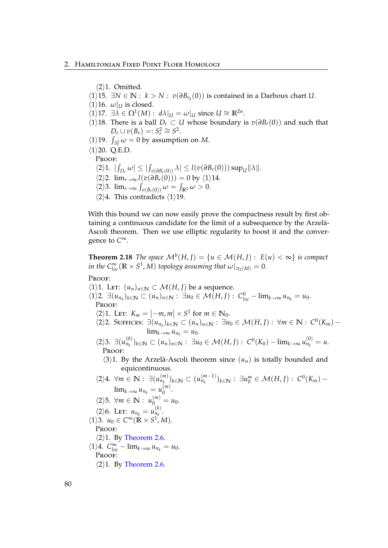$\langle 2 \rangle$ 1. Omitted.

- $\langle 1 \rangle$ 15. ∃*N* ∈ **N** : *k* > *N* : *v*( $\partial B_{r_k}(0)$ ) is contained in a Darboux chart *U*.
- $\langle 1 \rangle$ 16.  $\omega|_U$  is closed.
- $\langle 1 \rangle$ 17.  $\exists \lambda \in \Omega^1(M) : d\lambda|_U = \omega|_U$  since  $U \cong \mathbb{R}^{2n}$ .
- $\langle 1 \rangle$ 18. There is a ball *D*<sup>*r*</sup> ⊂ *U* whose boundary is *v*( $\partial B_r$ (0)) and such that  $D_r \cup v(B_r) =: S_r^2 \cong S^2.$
- $\langle 1 \rangle$ 19.  $\int_{S_r^2} \omega = 0$  by assumption on *M*.
- $\langle 1 \rangle$ 20. Q.E.D.

PROOF:

- $\langle 2 \rangle 1.$   $| \int_{D_r} \omega | \leq | \int_{v(\partial B_r(0))} \lambda | \leq l(v(\partial B_r(0))) \sup_U ||\lambda||.$
- $\langle 2 \rangle$ 2.  $\lim_{r \to \infty} l(v(\partial B_r(0))) = 0$  by  $\langle 1 \rangle$ 14.
- $\langle 2 \rangle$ 3.  $\lim_{r \to \infty} \int_{v(B_r(0))} \omega = \int_{\mathbb{R}^2} \omega > 0.$
- $\langle 2 \rangle 4$ . This contradicts  $\langle 1 \rangle 19$ .

With this bound we can now easily prove the compactness result by first obtaining a continuous candidate for the limit of a subsequence by the Arzela-` Ascoli theorem. Then we use elliptic regularity to boost it and the convergence to *C* ∞.

**Theorem 2.18** *The space*  $\mathcal{M}^b(H,I) = \{u \in \mathcal{M}(H,I): E(u) < \infty\}$  is compact *in the*  $C^{\infty}_{loc}(\mathbb{R} \times S^1, M)$  *topology assuming that*  $\omega|_{\pi_2(M)} = 0$ *.* 

PROOF:

 $\langle 1 \rangle$ 1. LET:  $(u_n)_{n \in \mathbb{N}} \subset \mathcal{M}(H, J)$  be a sequence.  $\{1\}2. \exists (u_{n_k})_{k\in\mathbb{N}} \subset (u_n)_{n\in\mathbb{N}} : \exists u_0 \in \mathcal{M}(H,I) : C^0_{loc} - \lim_{k\to\infty} u_{n_k} = u_0.$ PROOF:  $\langle 2 \rangle$ 1. Let:  $K_m = [-m, m] \times S^1$  for  $m \in \mathbb{N}_0$ .  $\langle 2 \rangle$ 2. Suffices: ∃ $(u_{n_k})_{k \in \mathbb{N}}$  ⊂  $(u_n)_{n \in \mathbb{N}}$ : ∃ $u_0 \in \mathcal{M}(H, J)$ : ∀ $m \in \mathbb{N}$ :  $C^0(K_m)$  –  $\lim_{k\to\infty}u_{n_k}=u_0.$  $\langle 2 \rangle$ 3. ∃ $(u_{n_k}^{(0)}$  $\lim_{n_k}$   $\int_{k \in \mathbb{N}}$  ⊂  $(u_n)_{n \in \mathbb{N}}$  : ∃*u*<sub>0</sub> ∈  $\mathcal{M}(H, J)$  :  $C^0(K_0) - \lim_{k \to \infty} u_{n_k}^{(0)} = u$ . Proof:  $\langle 3 \rangle$ 1. By the Arzelà-Ascoli theorem since  $(u_n)$  is totally bounded and equicontinuous.  $\langle 2 \rangle 4$ . ∀*m* ∈ **N** : ∃( $u_{n_k}^{(m)}$  $\binom{m}{n_k}$ <sub>*k*∈**N** ⊂ (*u*<sub>n<sub>k</sub></sub><sup>*m*−1)</sup></sub>  $(n_{n+1})$ <sub>*n*k</sub> :  $\exists u_0^m \in \mathcal{M}(H,I)$  :  $C^0(K_m)$  –  $\lim_{k\to\infty}u_{n_k}=u_0^{(m)}$  $\begin{matrix} 0 & 0 \\ 0 & 0 \end{matrix}$  $\langle 2 \rangle$ 5. ∀*m* ∈ **N** :  $u_0^{(m)} = u_0$ .  $\langle 2 \rangle 6$ . Let:  $u_{n_k} = u_{n_k}^{(k)}$  $\binom{n}{n_k}$ .  $\langle 1 \rangle$ 3.  $u_0 \in C^\infty(\mathbb{R} \times S^1, M).$ PROOF:  $\langle 2 \rangle$ 1. By [Theorem 2.6.](#page-50-0)  $\langle 1 \rangle 4$ .  $C_{loc}^{\infty} - \lim_{k \to \infty} u_{n_k} = u_0$ . PROOF:  $\langle 2 \rangle$ 1. By [Theorem 2.6.](#page-50-0)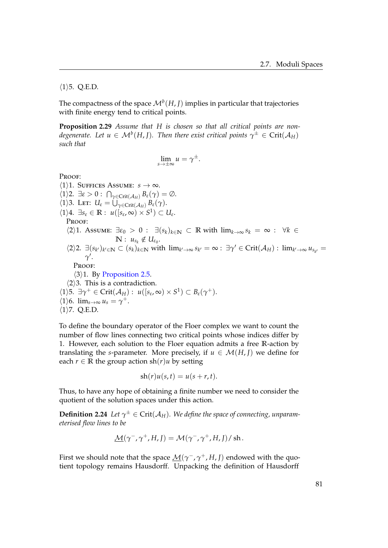$\langle 1 \rangle$ 5. Q.E.D.

The compactness of the space  $\mathcal{M}^b(H,I)$  implies in particular that trajectories with finite energy tend to critical points.

**Proposition 2.29** *Assume that H is chosen so that all critical points are non* $d$ egenerate. Let  $u \in {\mathcal M}^b(H,J).$  Then there exist critical points  $\gamma^\pm \in \mathrm{Crit}({\mathcal A}_H)$ *such that*

$$
\lim_{s\to\pm\infty}u=\gamma^{\pm}.
$$

Proof:

 $\langle 1 \rangle$ 1. Suffices Assume: *s*  $\rightarrow \infty$ .  $\langle 1 \rangle$ 2.  $\exists \varepsilon > 0$ :  $\bigcap_{\gamma \in \text{Crit}(\mathcal{A}_H)} B_{\varepsilon}(\gamma) = \emptyset$ .  $\langle 1 \rangle$ 3. Let:  $U_{\epsilon} = \bigcup_{\gamma \in \text{Crit}(\mathcal{A}_H)} B_{\epsilon}(\gamma)$ .  $\langle 1 \rangle 4$ .  $\exists s_{\varepsilon} \in \mathbb{R} : u([s_{\varepsilon}, \infty) \times S^1) \subset U_{\varepsilon}$ . Proof:  $\langle 2 \rangle$ 1. Assume:  $\exists \varepsilon_0 > 0$  :  $\exists (s_k)_{k \in \mathbb{N}} \subset \mathbb{R}$  with  $\lim_{k \to \infty} s_k = \infty$  :  $\forall k \in \mathbb{N}$  $\mathbb{N}: u_{s_k} \notin U_{\varepsilon_0}.$  $\langle 2 \rangle 2$ .  $\exists (s_{k'})_{k' \in \mathbb{N}} \subset (s_k)_{k \in \mathbb{N}}$  with  $\lim_{k' \to \infty} s_{k'} = \infty$ :  $\exists \gamma' \in \text{Crit}(\mathcal{A}_H)$ :  $\lim_{k' \to \infty} u_{s_{k'}} =$  $\gamma'$ . Proof:  $\langle 3 \rangle$ 1. By [Proposition 2.5.](#page-28-0)  $\langle 2 \rangle$ 3. This is a contradiction.  $\langle 1 \rangle$ 5.  $\exists \gamma^+ \in Crit(\mathcal{A}_H): u([s_{\varepsilon}, \infty) \times S^1) \subset B_{\varepsilon}(\gamma^+).$  $\langle 1 \rangle$ 6.  $\lim_{s \to \infty} u_s = \gamma^+$ .  $\langle 1 \rangle$ 7. Q.E.D.

To define the boundary operator of the Floer complex we want to count the number of flow lines connecting two critical points whose indices differ by 1. However, each solution to the Floer equation admits a free **R**-action by translating the *s*-parameter. More precisely, if  $u \in \mathcal{M}(H, I)$  we define for each  $r \in \mathbb{R}$  the group action sh( $r$ )*u* by setting

$$
sh(r)u(s,t) = u(s+r,t).
$$

Thus, to have any hope of obtaining a finite number we need to consider the quotient of the solution spaces under this action.

 $\bf{Definition 2.24}$  *Let*  $\gamma^{\pm} \in \mathrm{Crit}(\mathcal{A}_H)$ . We define the space of connecting, unparam*eterised flow lines to be*

$$
\underline{\mathcal{M}}(\gamma^-,\gamma^+,H,J)=\mathcal{M}(\gamma^-,\gamma^+,H,J)/\operatorname{sh}.
$$

First we should note that the space  $\underline{\mathcal{M}}(\gamma^-, \gamma^+, H, J)$  endowed with the quotient topology remains Hausdorff. Unpacking the definition of Hausdorff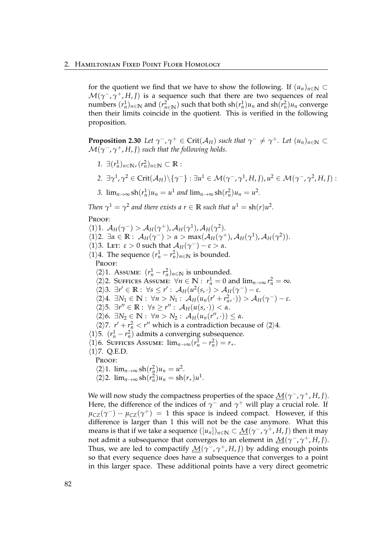for the quotient we find that we have to show the following. If  $(u_n)_{n \in \mathbb{N}} \subset$  $\mathcal{M}(\gamma^-,\gamma^+,H,I)$  is a sequence such that there are two sequences of real  $(n\ln n)$   $(n\ln n)$  and  $(r_n^2)$  such that both  $\frac{1}{n}n(n)$  and  $\frac{1}{n}n^2$  converge then their limits coincide in the quotient. This is verified in the following proposition.

**Proposition 2.30** Let  $\gamma^-$ ,  $\gamma^+ \in \text{Crit}(\mathcal{A}_H)$  such that  $\gamma^- \neq \gamma^+$ . Let  $(u_n)_{n \in \mathbb{N}} \subset$  $\mathcal{M}(\gamma^{-},\gamma^{+},H,J)$  such that the following holds.

- *1.* ∃ $(r_n^1)_{n \in \mathbb{N}}$ ,  $(r_n^2)_{n \in \mathbb{N}} \subset \mathbb{R}$ :
- $2. \ \exists \gamma^1, \gamma^2 \in \mathrm{Crit}(\mathcal{A}_H)\backslash\{\gamma^-\} : \exists u^1 \in \mathcal{M}(\gamma^-, \gamma^1, H, J), u^2 \in \mathcal{M}(\gamma^-, \gamma^2, H, J) :$
- 3.  $\lim_{n\to\infty} \frac{\text{sh}(r_n^1)u_n = u^1 \text{ and } \lim_{n\to\infty} \frac{\text{sh}(r_n^2)u_n = u^2.$

*Then*  $\gamma^1 = \gamma^2$  and there exists a  $r \in \mathbb{R}$  such that  $u^1 = \text{sh}(r)u^2$ .

PROOF:

 $\langle 1 \rangle$ 1.  $\mathcal{A}_H(\gamma^-) > \mathcal{A}_H(\gamma^+)$ ,  $\mathcal{A}_H(\gamma^1)$ ,  $\mathcal{A}_H(\gamma^2)$ .  $\langle 1 \rangle$ 2.  $\exists \alpha \in \mathbb{R}: \mathcal{A}_H(\gamma^-) > \alpha > \max(\mathcal{A}_H(\gamma^+), \mathcal{A}_H(\gamma^1), \mathcal{A}_H(\gamma^2)).$  $\langle 1 \rangle$ 3. Let:  $\varepsilon > 0$  such that  $\mathcal{A}_H(\gamma^-) - \varepsilon > \alpha$ .  $\langle 1 \rangle$ 4. The sequence  $(r_n^1 - r_n^2)_{n \in \mathbb{N}}$  is bounded. PROOF:  $\langle 2 \rangle$ 1. Assume:  $(r_n^1 - r_n^2)_{n \in \mathbb{N}}$  is unbounded.  $\langle 2 \rangle$ 2. SUFFICES ASSUME:  $\forall n \in \mathbb{N} : r_n^1 = 0$  and  $\lim_{n \to \infty} r_n^2 = \infty$ .  $\langle 2 \rangle$ 3.  $\exists r' \in \mathbb{R} : \forall s \leq r' : \mathcal{A}_H(u^2(s, \cdot) > \mathcal{A}_H(\gamma^-) - \varepsilon.$  $\langle 2 \rangle 4$ .  $\exists N_1 \in \mathbb{N} : \forall n > N_1 : \mathcal{A}_H(u_n(r' + r_n^2, \cdot)) > \mathcal{A}_H(\gamma^-) - \varepsilon$ .  $\langle 2 \rangle$ 5.  $\exists r'' \in \mathbb{R} : \forall s \geq r'' : \mathcal{A}_H(u(s, \cdot)) < \alpha.$  $\langle 2 \rangle$ 6.  $\exists N_2 \in \mathbb{N} : \forall n > N_2 : \mathcal{A}_H(u_n(r'',\cdot)) \leq \alpha.$  $\langle 2 \rangle$ 7.  $r' + r_n^2 < r''$  which is a contradiction because of  $\langle 2 \rangle$ 4.  $\langle 1 \rangle$ 5.  $(r_n^1 - r_n^2)$  admits a converging subsequence.  $\langle 1 \rangle$ 6. SUFFICES ASSUME:  $\lim_{n \to \infty} (r_n^{\overline{1}} - r_n^2) = r_*$ .  $\langle 1 \rangle$ 7. Q.E.D. Proof:  $\langle 2 \rangle 1$ .  $\lim_{n \to \infty} \frac{\text{sh}(r_n^2) u_n}{n} = u^2$ .  $\langle 2 \rangle 2$ .  $\lim_{n \to \infty} \frac{\text{sh}(r_n^2) u_n}{\text{sh}(r_*) u_n^1}$ .

We will now study the compactness properties of the space  $M(γ<sup>−</sup>, γ<sup>+</sup>, H, J)$ .</u> Here, the difference of the indices of  $\gamma^-$  and  $\gamma^+$  will play a crucial role. If  $\mu_{CZ}(\gamma^-) - \mu_{CZ}(\gamma^+) = 1$  this space is indeed compact. However, if this difference is larger than 1 this will not be the case anymore. What this means is that if we take a sequence  $([u_n])_{n\in\mathbb{N}}\subset \underline{\mathcal{M}}(\gamma^-,\gamma^+,H,I)$  then it may not admit a subsequence that converges to an element in  $M(γ^-, γ^+, H, J)$ . Thus, we are led to compactify  $\mathcal{M}(\gamma^-, \gamma^+, H, J)$  by adding enough points so that every sequence does have a subsequence that converges to a point in this larger space. These additional points have a very direct geometric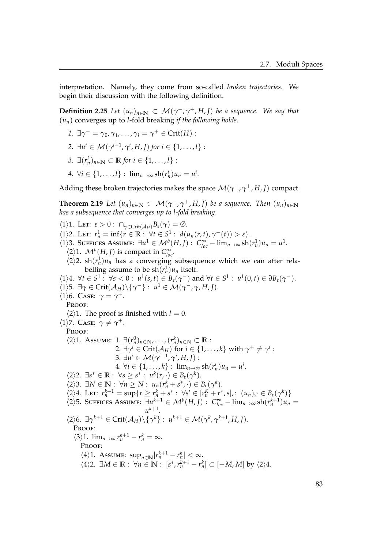interpretation. Namely, they come from so-called *broken trajectories*. We begin their discussion with the following definition.

**Definition 2.25** *Let*  $(u_n)_{n \in \mathbb{N}} \subset \mathcal{M}(\gamma^-, \gamma^+, H, J)$  *be a sequence. We say that* (*un*) converges up to *l*-fold breaking *if the following holds.*

- *1*.  $∃γ<sup>−</sup> = γ<sub>0</sub>, γ<sub>1</sub>, ..., γ<sub>l</sub> = γ<sup>+</sup> ∈ Crit(H)$ :
- 2.  $\exists u^i \in \mathcal{M}(\gamma^{i-1}, \gamma^i, H, J)$  for  $i \in \{1, \ldots, l\}$ :
- *3.* ∃ $(r_n^i)_{n \in \mathbb{N}}$  ⊂ **R** *for*  $i \in \{1, ..., l\}$ :
- *4.*  $\forall i \in \{1, ..., l\} : \lim_{n \to \infty} \text{sh}(r_n^i) u_n = u^i.$

Adding these broken trajectories makes the space  $\mathcal{M}(\gamma^-, \gamma^+, H, J)$  compact.

<span id="page-88-0"></span>**Theorem 2.19** *Let*  $(u_n)_{n \in \mathbb{N}} \subset \mathcal{M}(\gamma^-, \gamma^+, H, I)$  *be a sequence. Then*  $(u_n)_{n \in \mathbb{N}}$ *has a subsequence that converges up to l-fold breaking.*

 $\langle 1 \rangle$ 1. LET:  $\varepsilon > 0$ :  $\bigcap_{\gamma \in \text{Crit}(\mathcal{A}_H)} B_{\varepsilon}(\gamma) = \emptyset$ .  $\langle 1 \rangle$ 2. Let:  $r_n^1 = \inf \{ r \in \mathbb{R} : \forall t \in S^1 : d(u_n(r,t), \gamma^-(t)) > \varepsilon \}.$  $\langle 1 \rangle$ 3. SUFFICES ASSUME:  $\exists u^1 \in \mathcal{M}^b(H, J) : C^{\infty}_{loc} - \lim_{n \to \infty} \frac{\sin(r_n^1)}{n_n} = u^1$ .  $\langle 2 \rangle$ 1.  $\mathcal{M}^b(H, J)$  is compact in  $C^{\infty}_{loc}$ .  $\langle 2 \rangle$ 2. sh $(r_n^1)$  $u_n$  has a converging subsequence which we can after relabelling assume to be  $\sh(r_n^1)\mu_n$  itself.  $\forall 1 \in S^1 : \forall s < 0 : u^1(s,t) \in \overline{B_\varepsilon}(\gamma^-)$  and  $\forall t \in S^1 : u^1(0,t) \in \partial B_\varepsilon(\gamma^-).$  $\langle 1 \rangle$ 5.  $\exists \gamma \in \text{Crit}(\mathcal{A}_H) \setminus \{\gamma^-\} : u^1 \in \mathcal{M}(\gamma^-, \gamma, H, J).$  $\langle 1 \rangle$ 6. Саѕе:  $\gamma = \gamma^+$ . PROOF:  $\langle 2 \rangle$ 1. The proof is finished with  $l = 0$ .  $\langle 1 \rangle$ 7. Case:  $\gamma \neq \gamma^+$ . PROOF:  $\langle 2 \rangle$ 1. Assume: 1. ∃ $(r_n^0)_{n \in \mathbb{N}}$ , ...,  $(r_n^k)_{n \in \mathbb{N}}$  ⊂  $\mathbb{R}$  : 2.  $\exists \gamma^i \in \mathrm{Crit}(\mathcal{A}_H)$  for  $i \in \{1, \dots, k\}$  with  $\gamma^+ \neq \gamma^i$  :  $3. \ \exists u^{i} \in \mathcal{M}(\gamma^{i-1}, \gamma^{i}, H, J)$ : 4. ∀*i* ∈ {1, . . . , *k*} : lim<sub>*n*→∞</sub> sh( $r_n^i$ )*u<sub>n</sub>* = *u*<sup>*i*</sup>.  $\langle 2 \rangle 2$ .  $\exists s^* \in \mathbb{R} : \forall s \geq s^* : u^k(r, \cdot) \in B_{\varepsilon}(\gamma^k).$  $\langle 2 \rangle 3$ .  $\exists N \in \mathbb{N} : \forall n \geq N : u_n(r_n^k + s^*, \cdot) \in B_{\varepsilon}(\gamma^k).$  $\langle 2 \rangle 4$ . LET:  $r_n^{k+1} = \sup \{ r \ge r_n^k + s^* : \forall s' \in [r_n^K + r^*, s], : (u_n)_{s'} \in B_{\varepsilon}(\gamma^k) \}$  $\langle 2 \rangle$ 5. SUFFICES ASSUME:  $\exists u^{k+1} \in \mathcal{M}^b(H, J)$ :  $C_{loc}^{\infty} - \lim_{n \to \infty} \frac{\sinh((r_n^{k+1}) u_n)}{n}$  $u^{k+1}$ .  $\langle 2 \rangle$ 6.  $\exists \gamma^{k+1} \in \text{Crit}(\mathcal{A}_H) \setminus \{\gamma^k\} : u^{k+1} \in \mathcal{M}(\gamma^k, \gamma^{k+1}, H, J).$ Proof:  $\langle 3 \rangle 1$ .  $\lim_{n \to \infty} r_n^{k+1} - r_n^k = \infty$ . PROOF:  $\langle 4 \rangle$ 1. Assume:  $\sup_{n \in \mathbb{N}} |r_n^{k+1} - r_n^k| < \infty$ .  $\langle 4 \rangle$ 2. ∃*M* ∈ **R** :  $\forall n \in \mathbb{N}$  :  $[s^*, r_n^{k+1} - r_n^k]$  ⊂ [−*M*, *M*] by  $\langle 2 \rangle$ 4.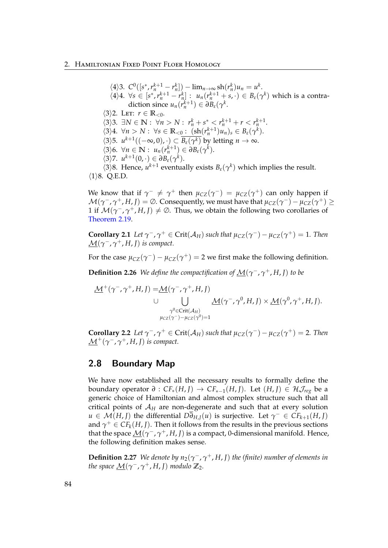### 2. Hamiltonian Fixed Point Floer Homology

 $\langle 4 \rangle 3. \ C^{0}([s^*, r_n^{k+1} - r_n^k]) - \lim_{n \to \infty} \frac{\sin(r_n^k)}{n} u_n = u^k.$  $\langle 4 \rangle 4$ .  $\forall s \in [s^*, r_n^{k+1} - r_n^k]$ :  $u_n(r_n^{k+1} + s, \cdot) \in B_{\varepsilon}(\gamma^k)$  which is a contradiction since  $u_n(r_n^{k+1}) \in \partial B_{\varepsilon}(\gamma^k)$ .  $\langle 3 \rangle$ 2. Let:  $r \in \mathbb{R}_{< 0}$ .  $\langle 3 \rangle 3$ .  $\exists N \in \mathbb{N}: \forall n > N: r_n^k + s^* \leq r_n^{k+1} + r \leq r_n^{k+1}.$  $\langle 3 \rangle 4$ .  $\forall n > N : \forall s \in \mathbb{R}_{< 0} : (\text{sh}(r_n^{k+1})u_n)_s \in B_{\varepsilon}(\gamma^k)$ .  $\langle 3 \rangle$ 5.  $u^{k+1}((-\infty,0), \cdot) \subset \overline{B_{\varepsilon}(\gamma^k)}$  by letting  $n \to \infty$ .  $\langle 3 \rangle 6$ .  $\forall n \in \mathbb{N}: u_n(r_n^{k+1}) \in \partial B_{\varepsilon}(\gamma^k)$ .  $\langle 3 \rangle$ 7.  $u^{k+1}(0, \cdot) \in \partial B_{\varepsilon}(\gamma^k)$ .  $\langle 3 \rangle 8$ . Hence,  $u^{k+1}$  eventually exists  $B_{\varepsilon}(\gamma^k)$  which implies the result.  $\langle 1 \rangle 8$ . Q.E.D.

We know that if  $\gamma^- \neq \gamma^+$  then  $\mu_{CZ}(\gamma^-) = \mu_{CZ}(\gamma^+)$  can only happen if  $\mathcal{M}(\gamma^-,\gamma^+,H,I)=\emptyset$ . Consequently, we must have that  $\mu_{CZ}(\gamma^-)-\mu_{CZ}(\gamma^+)\geq 0$ 1 if  $\mathcal{M}(\gamma^-, \gamma^+, H, J) \neq \emptyset$ . Thus, we obtain the following two corollaries of [Theorem 2.19.](#page-88-0)

**Corollary 2.1** *Let*  $\gamma^-$ ,  $\gamma^+ \in \text{Crit}(\mathcal{A}_H)$  *such that*  $\mu_{CZ}(\gamma^-) - \mu_{CZ}(\gamma^+) = 1$ *. Then*  $\underline{\mathcal{M}}(\gamma^-,\gamma^+,H,I)$  is compact.

For the case  $\mu_{CZ}(\gamma^-) - \mu_{CZ}(\gamma^+) = 2$  we first make the following definition.

**Definition 2.26** *We define the compactification of*  $\underline{\mathcal{M}}(\gamma^-, \gamma^+, H, J)$  *to be* 

$$
\underline{\mathcal{M}}^+(\gamma^-, \gamma^+, H, J) = \underline{\mathcal{M}}(\gamma^-, \gamma^+, H, J)
$$
\n
$$
\cup \qquad \bigcup_{\substack{\gamma^0 \in \text{Crit}(\mathcal{A}_H) \\ \mu_{CZ}(\gamma^-) - \mu_{CZ}(\gamma^0) = 1}} \underline{\mathcal{M}}(\gamma^-, \gamma^0, H, J) \times \underline{\mathcal{M}}(\gamma^0, \gamma^+, H, J).
$$

**Corollary 2.2** *Let*  $\gamma^-$ ,  $\gamma^+ \in \text{Crit}(\mathcal{A}_H)$  *such that*  $\mu_{CZ}(\gamma^-) - \mu_{CZ}(\gamma^+) = 2$ *. Then*  $\mathcal{M}^+(\gamma^-, \gamma^+, H, J)$  *is compact.* 

# 2.8 Boundary Map

We have now established all the necessary results to formally define the boundary operator  $\partial$  :  $CF_*(H,I)$  →  $CF_{*-1}(H,I)$ . Let  $(H,I) \in \mathcal{H}_{reg}$  be a generic choice of Hamiltonian and almost complex structure such that all critical points of A*<sup>H</sup>* are non-degenerate and such that at every solution  $u \in \mathcal{M}(H, J)$  the differential  $D\overline{\partial}_{H, J}(u)$  is surjective. Let  $\gamma^- \in CF_{k+1}(H, J)$ and  $\gamma^+ \in CF_k(H, J)$ . Then it follows from the results in the previous sections that the space  $\underline{\mathcal{M}}(\gamma^-, \gamma^+, H, J)$  is a compact, 0-dimensional manifold. Hence, the following definition makes sense.

**Definition 2.27** *We denote by*  $n_2(\gamma^-$ ,  $\gamma^+$ , *H*, *J*) *the (finite) number of elements in the space*  $\underline{\mathcal{M}}(\gamma^-, \gamma^+, H, J)$  *modulo*  $\mathbb{Z}_2$ *.*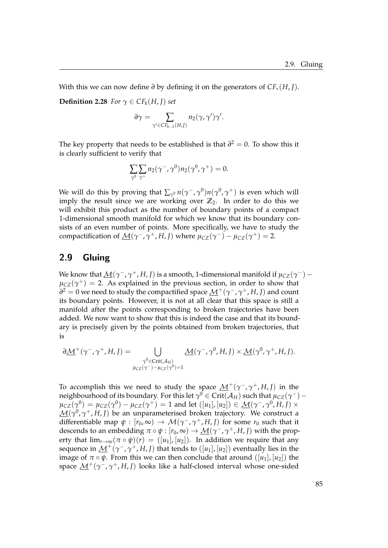With this we can now define *∂* by defining it on the generators of *CF*∗(*H*, *J*).

**Definition 2.28** *For*  $\gamma \in CF_k(H, J)$  *set* 

$$
\partial \gamma = \sum_{\gamma' \in CF_{k-1}(H,J)} n_2(\gamma, \gamma') \gamma'.
$$

The key property that needs to be established is that  $\partial^2 = 0$ . To show this it is clearly sufficient to verify that

$$
\sum_{\gamma^0}\sum_{\gamma^+}n_2(\gamma^-,\gamma^0)n_2(\gamma^0,\gamma^+)=0.
$$

We will do this by proving that  $\sum_{\gamma^0} n(\gamma^-,\gamma^0) n(\gamma^0,\gamma^+)$  is even which will imply the result since we are working over  $\mathbb{Z}_2$ . In order to do this we will exhibit this product as the number of boundary points of a compact 1-dimensional smooth manifold for which we know that its boundary consists of an even number of points. More specifically, we have to study the compactification of  $\underline{\mathcal{M}}(\gamma^-, \gamma^+, H, J)$  where  $\mu_{CZ}(\gamma^-) - \mu_{CZ}(\gamma^+) = 2$ .

# 2.9 Gluing

We know that  $\underline{\mathcal{M}}(\gamma^-, \gamma^+, H, J)$  is a smooth, 1-dimensional manifold if  $\mu_{CZ}(\gamma^-)$  –  $\mu_{CZ}(\gamma^+) = 2$ . As explained in the previous section, in order to show that  $\hat{\theta}^2 = 0$  we need to study the compactified space  $\underline{\mathcal{M}}^+(\gamma^-,\gamma^+,H,I)$  and count its boundary points. However, it is not at all clear that this space is still a manifold after the points corresponding to broken trajectories have been added. We now want to show that this is indeed the case and that its boundary is precisely given by the points obtained from broken trajectories, that is

$$
\partial \underline{\mathcal{M}}^+(\gamma^-,\gamma^+,H,J) = \bigcup_{\substack{\gamma^0 \in \text{Crit}(\mathcal{A}_H) \\ \mu_{CZ}(\gamma^-)-\mu_{CZ}(\gamma^0)=1}} \underline{\mathcal{M}}(\gamma^-,\gamma^0,H,J) \times \underline{\mathcal{M}}(\gamma^0,\gamma^+,H,J).
$$

To accomplish this we need to study the space  $\mathcal{M}^+(\gamma^-,\gamma^+,H,I)$  in the neighbourhood of its boundary. For this let  $\gamma^0\in\mathrm{Crit}(\mathcal{A}_H)$  such that  $\mu_{CZ}(\gamma^-) \mu_{CZ}(\gamma^0) = \mu_{CZ}(\gamma^0) - \mu_{CZ}(\gamma^+) = 1$  and let  $([u_1],[u_2]) \in \mathcal{M}(\gamma^-,\gamma^0,H,J) \times$  $\underline{\mathcal{M}}(\gamma^0,\gamma^+,H,I)$  be an unparameterised broken trajectory. We construct a differentiable map  $\psi : [r_0, \infty) \to \mathcal{M}(\gamma^-, \gamma^+, H, J)$  for some  $r_0$  such that it descends to an embedding  $\pi \circ \psi : [r_0, \infty) \to \underline{\mathcal{M}}(\gamma^-, \gamma^+, H, J)$  with the property that  $\lim_{r\to\infty}$  $(\pi \circ \psi)(r) = (\vert u_1 \vert, \vert u_2 \vert)$ . In addition we require that any sequence in <u>M</u><sup>+</sup>( $γ$ <sup>−</sup>,  $γ$ <sup>+</sup>, *H*, *J*) that tends to ([*u*<sub>1</sub>], [*u*<sub>2</sub>]) eventually lies in the image of  $\pi \circ \psi$ . From this we can then conclude that around  $([u_1], [u_2])$  the space M+(*γ* <sup>−</sup>, *γ* <sup>+</sup>, *H*, *J*) looks like a half-closed interval whose one-sided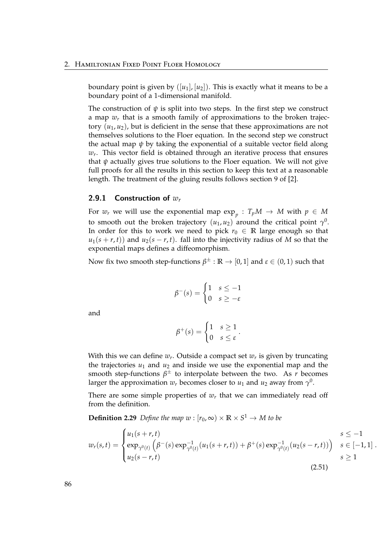boundary point is given by  $([u_1], [u_2])$ . This is exactly what it means to be a boundary point of a 1-dimensional manifold.

The construction of  $\psi$  is split into two steps. In the first step we construct a map *w<sup>r</sup>* that is a smooth family of approximations to the broken trajectory  $(u_1, u_2)$ , but is deficient in the sense that these approximations are not themselves solutions to the Floer equation. In the second step we construct the actual map  $\psi$  by taking the exponential of a suitable vector field along *wr* . This vector field is obtained through an iterative process that ensures that  $\psi$  actually gives true solutions to the Floer equation. We will not give full proofs for all the results in this section to keep this text at a reasonable length. The treatment of the gluing results follows section 9 of [\[2\]](#page-118-0).

## 2.9.1 Construction of *w<sup>r</sup>*

For  $w_r$  we will use the exponential map  $\exp_p$  :  $T_pM \to M$  with  $p \in M$ to smooth out the broken trajectory  $(u_1, u_2)$  around the critical point  $\gamma^0$ . In order for this to work we need to pick  $r_0 \in \mathbb{R}$  large enough so that  $u_1(s + r, t)$  and  $u_2(s - r, t)$ . fall into the injectivity radius of *M* so that the exponential maps defines a diffeomorphism.

Now fix two smooth step-functions  $\beta^{\pm}:\mathbb{R}\to[0,1]$  and  $\varepsilon\in(0,1)$  such that

$$
\beta^-(s) = \begin{cases} 1 & s \le -1 \\ 0 & s \ge -\varepsilon \end{cases}
$$

and

<span id="page-91-0"></span>
$$
\beta^+(s) = \begin{cases} 1 & s \ge 1 \\ 0 & s \le \varepsilon \end{cases}.
$$

With this we can define *w<sup>r</sup>* . Outside a compact set *w<sup>r</sup>* is given by truncating the trajectories  $u_1$  and  $u_2$  and inside we use the exponential map and the smooth step-functions  $\beta^{\pm}$  to interpolate between the two. As *r* becomes larger the approximation  $w_r$  becomes closer to  $u_1$  and  $u_2$  away from  $\gamma^0$ .

There are some simple properties of  $w<sub>r</sub>$  that we can immediately read off from the definition.

**Definition 2.29** *Define the map*  $w : [r_0, \infty) \times \mathbb{R} \times S^1 \rightarrow M$  to be

$$
w_r(s,t) = \begin{cases} u_1(s+r,t) & s \le -1 \\ \exp_{\gamma^0(t)} \left( \beta^-(s) \exp_{\gamma^0(t)}^{-1} (u_1(s+r,t)) + \beta^+(s) \exp_{\gamma^0(t)}^{-1} (u_2(s-r,t)) \right) & s \in [-1,1] \\ u_2(s-r,t) & s \ge 1 \end{cases}
$$
 (2.51)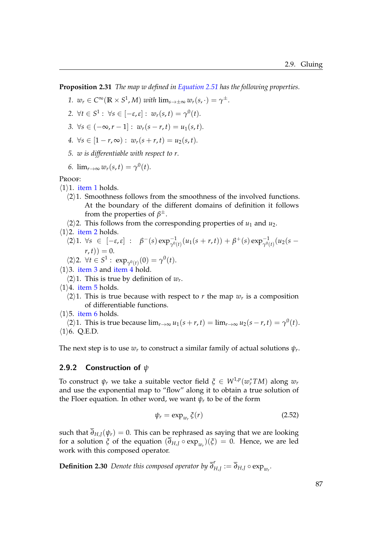<span id="page-92-0"></span>**Proposition 2.31** *The map w defined in [Equation 2.51](#page-91-0) has the following properties.*

1. 
$$
w_r \in C^{\infty}(\mathbb{R} \times S^1, M)
$$
 with  $\lim_{s \to \pm \infty} w_r(s, \cdot) = \gamma^{\pm}$ .

<span id="page-92-1"></span>
$$
2. \ \forall t \in S^1 : \ \forall s \in [-\varepsilon, \varepsilon] : \ w_r(s, t) = \gamma^0(t).
$$

- <span id="page-92-2"></span>*3.* ∀*s* ∈  $(-\infty, r-1]$  :  $w_r(s-r, t) = u_1(s, t)$ .
- <span id="page-92-3"></span>*4.*  $\forall s \in [1 - r, \infty) : w_r(s + r, t) = u_2(s, t).$
- <span id="page-92-4"></span>*5. w is differentiable with respect to r.*

<span id="page-92-5"></span>6. 
$$
\lim_{r\to\infty} w_r(s,t) = \gamma^0(t).
$$

PROOF:

- $\langle 1 \rangle$ 1. [item 1](#page-92-0) holds.
	- $\langle 2 \rangle$ 1. Smoothness follows from the smoothness of the involved functions. At the boundary of the different domains of definition it follows from the properties of *β* ±.
	- $\langle 2 \rangle$ 2. This follows from the corresponding properties of *u*<sub>1</sub> and *u*<sub>2</sub>.
- $\langle 1 \rangle$ 2. [item 2](#page-92-1) holds.
	- $\beta^{-1}(2)$ 1.  $\forall s \in [-\varepsilon, \varepsilon] : \beta^{-}(s) \exp_{\gamma^{0}(t)}^{-1}(u_{1}(s+r, t)) + \beta^{+}(s) \exp_{\gamma^{0}(t)}^{-1}(u_{2}(s-r))$  $(r, t)$ ) = 0.

$$
\langle 2 \rangle 2. \ \forall t \in S^1 : \ \exp_{\gamma^0(t)}(0) = \gamma^0(t).
$$

- $\langle 1 \rangle$ 3. [item 3](#page-92-2) and [item 4](#page-92-3) hold.
	- $\langle 2 \rangle$ 1. This is true by definition of  $w_r$ .
- $\langle 1 \rangle$ 4. [item 5](#page-92-4) holds.
	- $\langle 2 \rangle$ 1. This is true because with respect to *r* the map  $w_r$  is a composition of differentiable functions.
- $\langle 1 \rangle$ 5. [item 6](#page-92-5) holds.

 $\langle 2 \rangle 1$ . This is true because  $\lim_{r \to \infty} u_1(s+r, t) = \lim_{r \to \infty} u_2(s-r, t) = \gamma^0(t)$ .  $\langle 1 \rangle$ 6. Q.E.D.

The next step is to use  $w_r$  to construct a similar family of actual solutions  $\psi_r$ .

## 2.9.2 Construction of *ψ*

To construct  $\psi_r$  we take a suitable vector field  $\xi \in W^{1,p}(w_r^*TM)$  along  $w_r$ and use the exponential map to "flow" along it to obtain a true solution of the Floer equation. In other word, we want  $\psi_r$  to be of the form

<span id="page-92-6"></span>
$$
\psi_r = \exp_{w_r} \xi(r) \tag{2.52}
$$

such that  $\overline{\partial}_{H,J}(\psi_r) = 0$ . This can be rephrased as saying that we are looking for a solution *ξ* of the equation  $(\partial_{H,J} \circ \exp_{w_r})(\xi) = 0$ . Hence, we are led work with this composed operator.

**Definition 2.30** *Denote this composed operator by ∂ r*  $H_{H,J}^{\prime} := \partial_{H,J} \circ \exp_{w_r}$ .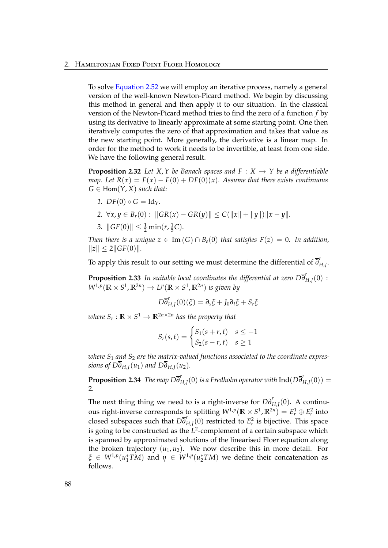To solve [Equation 2.52](#page-92-6) we will employ an iterative process, namely a general version of the well-known Newton-Picard method. We begin by discussing this method in general and then apply it to our situation. In the classical version of the Newton-Picard method tries to find the zero of a function *f* by using its derivative to linearly approximate at some starting point. One then iteratively computes the zero of that approximation and takes that value as the new starting point. More generally, the derivative is a linear map. In order for the method to work it needs to be invertible, at least from one side. We have the following general result.

**Proposition 2.32** Let  $X, Y$  be Banach spaces and  $F : X \rightarrow Y$  be a differentiable *map.* Let  $R(x) = F(x) - F(0) + DF(0)(x)$ . Assume that there exists continuous  $G \in \text{Hom}(Y, X)$  *such that:* 

- *1.*  $DF(0) \circ G = Id_Y$ .
- *2.* ∀*x*, *y* ∈ *B*<sub>*r*</sub>(0) :  $||GR(x) GR(y)|| ≤ C(||x|| + ||y||) ||x y||$ .
- 3.  $\|GF(0)\| \leq \frac{1}{2} \min(r, \frac{1}{5})$  $(\frac{1}{5}C)$ .

*Then there is a unique*  $z \in \text{Im}(G) \cap B_{\varepsilon}(0)$  *that satisfies*  $F(z) = 0$ *. In addition,*  $||z|| \leq 2||GF(0)||.$ 

To apply this result to our setting we must determine the differential of  $\overline{\delta}^r_I$ *H*,*J* .

**Proposition 2.33** *In suitable local coordinates the differential at zero*  $D\overline{\delta}^r_I$  $'_{H,J}(0):$  $W^{1,p}(\mathbb{R} \times S^1, \mathbb{R}^{2n}) \to L^p(\mathbb{R} \times S^1, \mathbb{R}^{2n})$  *is given by* 

$$
D\overline{\partial}_{H,J}^r(0)(\xi)=\partial_s\xi+J_0\partial_t\xi+S_r\xi
$$

 $\mathbb{R}^n$  where  $S_r: \mathbb{R} \times S^1 \to \mathbb{R}^{2n \times 2n}$  has the property that

$$
S_r(s,t) = \begin{cases} S_1(s+r,t) & s \le -1 \\ S_2(s-r,t) & s \ge 1 \end{cases}
$$

*where S*<sup>1</sup> *and S*<sup>2</sup> *are the matrix-valued functions associated to the coordinate expressions of D* $\overline{\partial}_{H,J}(u_1)$  *and D* $\overline{\partial}_{H,J}(u_2)$ *.* 

**Proposition 2.34** *The map*  $D\overline{\delta}^r$ *H*,*J* (0) *is a Fredholm operator with* Ind(*D∂ r*  $'_{H,J}(0)) =$ 2*.*

The next thing thing we need to is a right-inverse for  $D\overline{\delta}^r_R$ *H*,*J* (0). A continuous right-inverse corresponds to splitting  $W^{1,p}(\mathbb{R} \times S^1, \mathbb{R}^{2n}) = E^1_r \oplus E^2_r$  into closed subspaces such that *D∂ r*  $H_{H,J}(0)$  restricted to  $E_r^2$  is bijective. This space is going to be constructed as the *L* 2 -complement of a certain subspace which is spanned by approximated solutions of the linearised Floer equation along the broken trajectory  $(u_1, u_2)$ . We now describe this in more detail. For  $\zeta \in W^{1,p}(u_1^*TM)$  and  $\eta \in W^{1,p}(u_2^*TM)$  we define their concatenation as follows.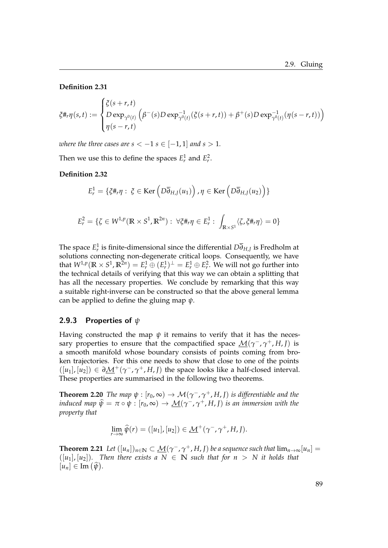### **Definition 2.31**

$$
\xi \#_r \eta(s,t) := \begin{cases} \xi(s+r,t) \\ D \exp_{\gamma^0(t)} \left( \beta^-(s) D \exp_{\gamma^0(t)}^{-1} (\xi(s+r,t)) + \beta^+(s) D \exp_{\gamma^0(t)}^{-1} (\eta(s-r,t)) \right) \\ \eta(s-r,t) \end{cases}
$$

*where the three cases are s*  $<-1$  *s*  $\in$   $[-1,1]$  *and s*  $>1$ *.* 

Then we use this to define the spaces  $E_r^1$  and  $E_r^2$ .

**Definition 2.32**

$$
E_r^1 = \{ \xi \#_r \eta : \xi \in \text{Ker}\left( D \overline{\partial}_{H,J}(u_1) \right), \eta \in \text{Ker}\left( D \overline{\partial}_{H,J}(u_2) \right) \}
$$

$$
E_r^2 = \{ \zeta \in W^{1,p}(\mathbb{R} \times S^1, \mathbb{R}^{2n}) : \ \forall \xi \#_r \eta \in E_r^1 : \ \int_{\mathbb{R} \times S^1} \langle \zeta, \xi \#_r \eta \rangle = 0 \}
$$

The space  $E_r^1$  is finite-dimensional since the differential  $D\overline{\partial}_{H,J}$  is Fredholm at solutions connecting non-degenerate critical loops. Consequently, we have that  $W^{1,p}(\mathbb{R} \times S^1, \mathbb{R}^{2n}) = E^1_r \oplus (E^1_r)^{\perp} = E^1_r \oplus E^2_r$ . We will not go further into the technical details of verifying that this way we can obtain a splitting that has all the necessary properties. We conclude by remarking that this way a suitable right-inverse can be constructed so that the above general lemma can be applied to define the gluing map *ψ*.

## 2.9.3 Properties of *ψ*

Having constructed the map  $\psi$  it remains to verify that it has the necessary properties to ensure that the compactified space  $M(γ^-$ , γ<sup>+</sup>, *H*, *J*) is a smooth manifold whose boundary consists of points coming from broken trajectories. For this one needs to show that close to one of the points  $([u_1],[u_2]) \in \partial M^+(\gamma^-,\gamma^+,H,J)$  the space looks like a half-closed interval. These properties are summarised in the following two theorems.

**Theorem 2.20** *The map*  $\psi : [r_0, \infty) \to \mathcal{M}(\gamma^-, \gamma^+, H, J)$  *is differentiable and the induced map*  $\widehat{\psi} = \pi \circ \psi : [r_0, \infty) \to \underline{\mathcal{M}}(\gamma^-, \gamma^+, H, J)$  *is an immersion with the property that*

$$
\lim_{r \to \infty} \widehat{\psi}(r) = ([u_1],[u_2]) \in \underline{\mathcal{M}}^+(\gamma^-, \gamma^+, H, J).
$$

**Theorem 2.21** *Let*  $([u_n])_{n\in\mathbb{N}}\subset \underline{\mathcal{M}}(\gamma^-, \gamma^+, H, I)$  *be a sequence such that*  $\lim_{n\to\infty} [u_n]=$  $([u_1], [u_2])$ . Then there exists a  $N \in \mathbb{N}$  such that for  $n > N$  it holds that  $[u_n] \in \text{Im}(\widehat{\psi}).$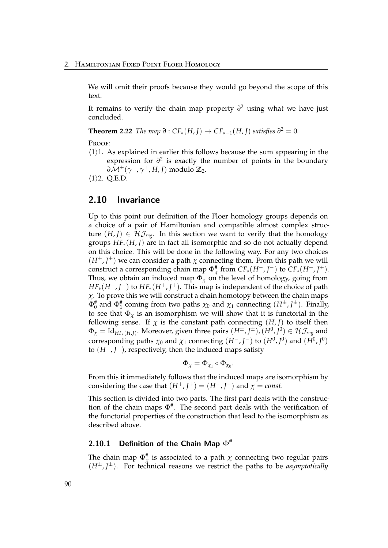We will omit their proofs because they would go beyond the scope of this text.

It remains to verify the chain map property *∂* <sup>2</sup> using what we have just concluded.

**Theorem 2.22** *The map*  $\partial$  :  $CF_*(H, J) \rightarrow CF_{*-1}(H, J)$  *satisfies*  $\partial^2 = 0$ *.* 

PROOF:

 $\langle 1 \rangle$ 1. As explained in earlier this follows because the sum appearing in the expression for  $\partial^2$  is exactly the number of points in the boundary *∂*M+(*γ* <sup>−</sup>, *γ* <sup>+</sup>, *H*, *J*) modulo **Z**2.

 $\langle 1 \rangle$ 2. Q.E.D.

## 2.10 Invariance

Up to this point our definition of the Floer homology groups depends on a choice of a pair of Hamiltonian and compatible almost complex structure  $(H, J) \in \mathcal{H}_{\mathcal{I}_{\text{rec}}}$ . In this section we want to verify that the homology groups *HF*∗(*H*, *J*) are in fact all isomorphic and so do not actually depend on this choice. This will be done in the following way. For any two choices  $(H^{\pm}, J^{\pm})$  we can consider a path  $\chi$  connecting them. From this path we will construct a corresponding chain map  $\Phi_{\chi}^*$  from  $CF_*(H^-, J^-)$  to  $CF_*(H^+, J^+)$ . Thus, we obtain an induced map  $\Phi_{\chi}$  on the level of homology, going from *HF*<sub>∗</sub>(*H*<sup>−</sup>, *J*<sup>−</sup>) to *HF*<sub>∗</sub>(*H*<sup>+</sup>, *J*<sup>+</sup>). This map is independent of the choice of path *χ*. To prove this we will construct a chain homotopy between the chain maps  $\Phi_0^{\#}$  and  $\Phi_1^{\#}$  coming from two paths  $\chi_0$  and  $\chi_1$  connecting  $(H^{\pm}, J^{\pm})$ . Finally, to see that  $\Phi_{\chi}$  is an isomorphism we will show that it is functorial in the following sense. If  $\chi$  is the constant path connecting  $(H, J)$  to itself then  $\Phi_\chi = \mathrm{Id}_{HF_*(H,J)}.$  Moreover, given three pairs  $(H^\pm, J^\pm)$ ,  $(H^0, J^0) \in \mathcal{HJ}_{reg}$  and corresponding paths  $\chi_0$  and  $\chi_1$  connecting  $(H^-, J^-)$  to  $(H^0, J^0)$  and  $(H^0, J^0)$ to  $(H^{\mp}, J^{\pm})$ , respectively, then the induced maps satisfy

$$
\Phi_\chi=\Phi_{\chi_1}\circ\Phi_{\chi_0}.
$$

From this it immediately follows that the induced maps are isomorphism by considering the case that  $(H^+, J^+) = (H^-, J^-)$  and  $\chi = const$ .

This section is divided into two parts. The first part deals with the construction of the chain maps  $\Phi^*$ . The second part deals with the verification of the functorial properties of the construction that lead to the isomorphism as described above.

## 2.10.1 Definition of the Chain Map  $\Phi^{\#}$

The chain map  $\Phi_{\chi}^{\#}$  is associated to a path  $\chi$  connecting two regular pairs  $(H^{\pm}, J^{\pm})$ . For technical reasons we restrict the paths to be *asymptotically*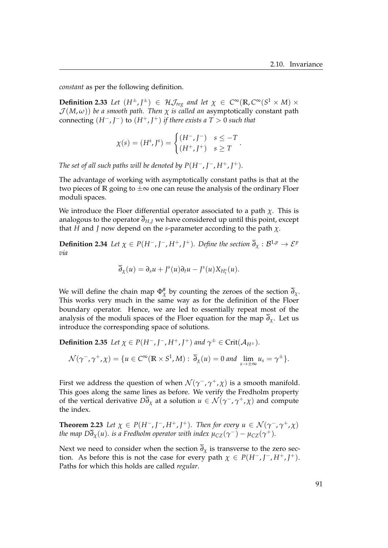*constant* as per the following definition.

**Definition 2.33** Let  $(H^{\pm}, J^{\pm}) \in \mathcal{H}$   $\mathcal{J}_{reg}$  and let  $\chi \in C^{\infty}(\mathbb{R}, C^{\infty}(S^1 \times M) \times$  $J(M,\omega)$ ) *be a smooth path. Then*  $\chi$  *is called an* asymptotically constant path connecting  $(H^-, J^-)$  to  $(H^+, J^+)$  *if there exists a*  $T > 0$  *such that* 

$$
\chi(s) = (H^s, J^s) = \begin{cases} (H^-, J^-) & s \leq -T \\ (H^+, J^+) & s \geq T \end{cases}.
$$

*The set of all such paths will be denoted by*  $P(H^-, J^-, H^+, J^+)$ *.* 

The advantage of working with asymptotically constant paths is that at the two pieces of **R** going to  $\pm \infty$  one can reuse the analysis of the ordinary Floer moduli spaces.

We introduce the Floer differential operator associated to a path  $\chi$ . This is analogous to the operator  $\overline{\partial}_{H,J}$  we have considered up until this point, except that *H* and *J* now depend on the *s*-parameter according to the path *χ*.

**Definition 2.34** Let  $\chi \in P(H^-, I^-, H^+, I^+)$ . Define the section  $\overline{\partial}_{\chi}: \mathcal{B}^{1,p} \to \mathcal{E}^p$ *via*

$$
\overline{\partial}_{\chi}(u) = \partial_s u + J^s(u)\partial_t u - J^s(u)X_{H^s_t}(u).
$$

We will define the chain map  $\Phi_{\chi}^{#}$  by counting the zeroes of the section  $\overline{\partial}_{\chi}$ . This works very much in the same way as for the definition of the Floer boundary operator. Hence, we are led to essentially repeat most of the analysis of the moduli spaces of the Floer equation for the map  $\partial_{\chi}$ . Let us introduce the corresponding space of solutions.

**Definition 2.35** Let  $\chi \in P(H^-, I^-, H^+, I^+)$  and  $\gamma^{\pm} \in \text{Crit}(\mathcal{A}_{H^{\pm}})$ .

$$
\mathcal{N}(\gamma^-,\gamma^+,\chi)=\{u\in C^\infty(\mathbb{R}\times S^1,M):\ \overline{\partial}_\chi(u)=0\ \text{and}\ \lim_{s\to\pm\infty}u_s=\gamma^\pm\}.
$$

First we address the question of when  $\mathcal{N}(\gamma^-,\gamma^+,\chi)$  is a smooth manifold. This goes along the same lines as before. We verify the Fredholm property of the vertical derivative  $D\overline{\partial}_{\chi}$  at a solution  $u \in \mathcal{N}(\gamma^-,\gamma^+,\chi)$  and compute the index.

**Theorem 2.23** *Let*  $\chi \in P(H^-, I^-, H^+, I^+)$ *. Then for every*  $u \in \mathcal{N}(\gamma^-, \gamma^+, \chi)$ *the map*  $D\overline{\partial}_{\chi}(u)$ *. is a Fredholm operator with index*  $\mu_{CZ}(\gamma^-)-\mu_{CZ}(\gamma^+).$ 

Next we need to consider when the section  $\overline{\partial}_\chi$  is transverse to the zero section. As before this is not the case for every path  $\chi \in P(H^-, J^-, H^+, J^+).$ Paths for which this holds are called *regular*.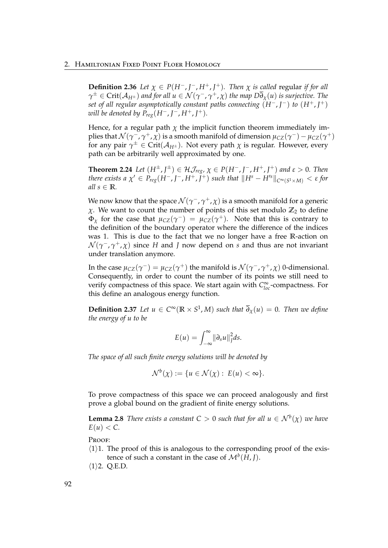**Definition 2.36** *Let*  $\chi \in P(H^-, J^-, H^+, J^+)$ *. Then*  $\chi$  *is called regular if for all*  $\gamma^{\pm}\in$  Crit $(\mathcal{A}_{H^{\pm}})$  and for all  $u\in\mathcal{N}(\gamma^-,\gamma^+,\chi)$  the map  $D\overline{\partial}_{\chi}(u)$  is surjective. The *set of all regular asymptotically constant paths connecting* (*H*−, *J* <sup>−</sup>) *to* (*H*+, *J* +) *will be denoted by*  $P_{reg}(H^-, J^-, H^+, J^+).$ 

Hence, for a regular path  $\chi$  the implicit function theorem immediately implies that  $\mathcal{N}(\gamma^-,\gamma^+,\chi)$  is a smooth manifold of dimension  $\mu_{CZ}(\gamma^-)-\mu_{CZ}(\gamma^+)$ for any pair  $\gamma^{\pm} \in \mathrm{Crit}(\mathcal{A}_{H^{\pm}})$ . Not every path  $\chi$  is regular. However, every path can be arbitrarily well approximated by one.

**Theorem 2.24** Let  $(H^{\pm}, J^{\pm}) \in \mathcal{HJ}_{reg}$ ,  $\chi \in P(H^{\pm}, J^{\pm}, H^{\pm}, J^{\pm})$  and  $\varepsilon > 0$ . Then  $\int f \, dr$  *there exists a*  $\chi' \in P_{reg}(H^-, J^-, H^+, \tilde{J}^+)$  *such that*  $\|H^s - H'^s\|_{C^\infty(S^1 \times M)} < \varepsilon$  *for all*  $s \in \mathbb{R}$ *.* 

We now know that the space  $\mathcal{N}(\gamma^-,\gamma^+,\chi)$  is a smooth manifold for a generic *χ*. We want to count the number of points of this set modulo **Z**<sup>2</sup> to define  $\Phi_{\chi}$  for the case that  $\mu_{CZ}(\gamma^-) = \mu_{CZ}(\gamma^+)$ . Note that this is contrary to the definition of the boundary operator where the difference of the indices was 1. This is due to the fact that we no longer have a free **R**-action on  $\mathcal{N}(\gamma^{-},\gamma^{+},\chi)$  since  $H$  and  $J$  now depend on  $s$  and thus are not invariant under translation anymore.

In the case  $\mu_{CZ}(\gamma^-) = \mu_{CZ}(\gamma^+)$  the manifold is  $\mathcal{N}(\gamma^-, \gamma^+, \chi)$  0-dimensional. Consequently, in order to count the number of its points we still need to verify compactness of this space. We start again with *C*<sup>∞</sup><sub>*loc*</sub>-compactness. For this define an analogous energy function.

**Definition 2.37** Let  $u \in C^{\infty}(\mathbb{R} \times S^1, M)$  such that  $\overline{\partial}_{\chi}(u) = 0$ . Then we define *the energy of u to be*

$$
E(u) = \int_{-\infty}^{\infty} ||\partial_s u||_J^2 ds.
$$

*The space of all such finite energy solutions will be denoted by*

$$
\mathcal{N}^b(\chi) := \{ u \in \mathcal{N}(\chi) : E(u) < \infty \}.
$$

To prove compactness of this space we can proceed analogously and first prove a global bound on the gradient of finite energy solutions.

**Lemma 2.8** *There exists a constant*  $C > 0$  *such that for all*  $u \in \mathcal{N}^b(\chi)$  *we have*  $E(u) < C$ .

PROOF:

- $\langle 1 \rangle$ 1. The proof of this is analogous to the corresponding proof of the existence of such a constant in the case of  $\mathcal{M}^b(H, J)$ .
- $\langle 1 \rangle$ 2. Q.E.D.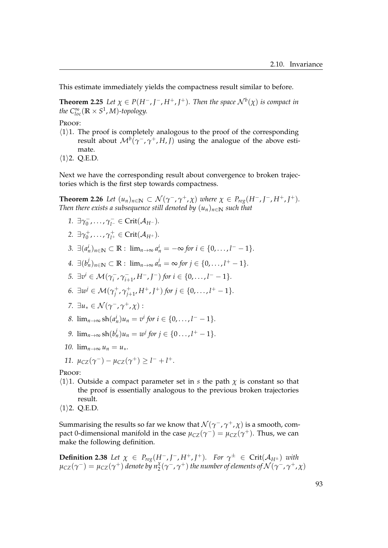This estimate immediately yields the compactness result similar to before.

**Theorem 2.25** Let  $\chi \in P(H^-, I^-, H^+, I^+)$ . Then the space  $\mathcal{N}^b(\chi)$  is compact in *the*  $C^{\infty}_{loc}(\mathbb{R} \times S^1, M)$ -topology.

Proof:

- $\langle 1 \rangle$ 1. The proof is completely analogous to the proof of the corresponding result about  $\mathcal{M}^{b}(\gamma^{-},\gamma^{+},H,J)$  using the analogue of the above estimate.
- $\langle 1 \rangle$ 2. Q.E.D.

Next we have the corresponding result about convergence to broken trajectories which is the first step towards compactness.

<span id="page-98-0"></span>**Theorem 2.26** *Let*  $(u_n)_{n \in \mathbb{N}} \subset \mathcal{N}(\gamma^-, \gamma^+, \chi)$  *where*  $\chi \in P_{reg}(H^-, J^-, H^+, J^+)$ *. Then there exists a subsequence still denoted by*  $(u_n)_{n \in \mathbb{N}}$  *such that* 

- *1.* ∃γ<sub>0</sub><sup>-</sup>  $\overline{\gamma}_0^-, \ldots, \overline{\gamma}_{l^-} \in \mathrm{Crit}(\mathcal{A}_{H^-}).$
- 2. ∃γ<sup>+</sup><sub>0</sub>  $\gamma_0^+$ , $\ldots$ ,  $\gamma_{l^+}^+\in \mathrm{Crit}(\mathcal{A}_{H^+}).$
- *3.* ∃ $(a_n^i)_{n \in \mathbb{N}}$  ⊂ **R** :  $\lim_{n \to \infty} a_n^i = -\infty$  for  $i \in \{0, ..., l^ -1\}.$
- *4.*  $\exists (b_n^j)_{n \in \mathbb{N}} \subset \mathbb{R} : \lim_{n \to \infty} a_n^j = \infty$  for  $j \in \{0, ..., l^+ 1\}.$
- *5.*  $\exists v^{i} \in \mathcal{M}(\gamma_{i}^{-})$ *i* , *γ* −  $\int_{i+1}^{1} H^{-}$ , *J*<sup>-</sup>) for  $i \in \{0, \ldots, l^{-} - 1\}.$
- *6.* ∃ $w^j$  ∈  $\mathcal{M}(\gamma_i^+)$ *j* , *γ* +  $j_{j+1}^+, H^+, J^+)$  for  $j \in \{0, \ldots, l^+ - 1\}.$
- *7.*  $\exists u_* \in \mathcal{N}(\gamma^-,\gamma^+,\chi):$
- *8.*  $\lim_{n\to\infty}$  sh $(a_n^i)u_n = v^i$  for  $i \in \{0,\ldots, l^--1\}.$
- *9.*  $\lim_{n \to \infty} \frac{\sin(b_n^j)}{u_n} = w^j$  *for*  $j \in \{0, ..., l^+ 1\}.$
- *10.*  $\lim_{n \to \infty} u_n = u_*$ .
- *11.*  $\mu_{CZ}(\gamma^-) \mu_{CZ}(\gamma^+) \geq l^- + l^+.$

PROOF:

- $\langle 1 \rangle$ 1. Outside a compact parameter set in *s* the path  $\chi$  is constant so that the proof is essentially analogous to the previous broken trajectories result.
- $\langle 1 \rangle$ 2. Q.E.D.

Summarising the results so far we know that  $\mathcal{N}(\gamma^-, \gamma^+, \chi)$  is a smooth*,* compact 0-dimensional manifold in the case  $\mu_{CZ}(\gamma^-) = \mu_{CZ}(\gamma^+)$ . Thus, we can make the following definition.

**Definition 2.38** Let  $\chi \in P_{reg}(H^-, J^-, H^+, J^+)$ *. For*  $\gamma^{\pm} \in \text{Crit}(\mathcal{A}_{H^{\pm}})$  *with*  $\mu_{\text{CZ}}(\gamma^-)=\mu_{\text{CZ}}(\gamma^+)$  denote by  $n_2^{\chi}(\gamma^-,\gamma^+)$  the number of elements of  $\mathcal{N}(\gamma^-,\gamma^+,\chi)$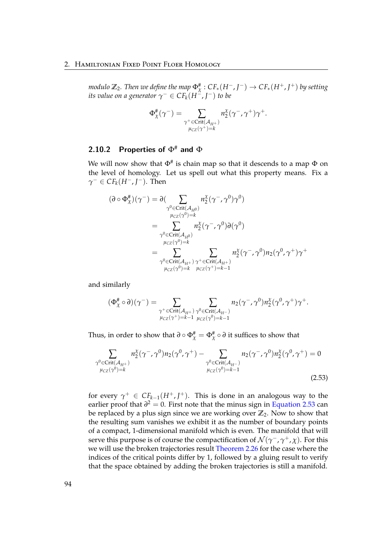*modulo*  $\mathbb{Z}_2$ . *Then we define the map*  $\Phi_{\chi}^{\#}:\mathit{CF}_*(H^-, J^-)\to \mathit{CF}_*(H^+, J^+)$  *by setting its value on a generator*  $\gamma^- \in CF_k(H^{\sim}, J^-)$  *to be* 

$$
\Phi_{\chi}^{\#}(\gamma^-) = \sum_{\substack{\gamma^+\in \text{Crit}(\mathcal{A}_{H^+})\\ \mu_{\text{CZ}}(\gamma^+)=k}} n_2^{\chi}(\gamma^-,\gamma^+)\gamma^+.
$$

# 2.10.2 Properties of  $\Phi^{\#}$  and  $\Phi$

We will now show that  $\Phi^{\#}$  is chain map so that it descends to a map  $\Phi$  on the level of homology. Let us spell out what this property means. Fix a  $\gamma^- \in CF_k(H^-, J^-)$ . Then

$$
(\partial \circ \Phi_{\chi}^{\#})(\gamma^{-}) = \partial \left( \sum_{\substack{\gamma^{0} \in \text{Crit}(\mathcal{A}_{H^{0}}) \\ \mu_{CZ}(\gamma^{0}) = k}} n_{2}^{\chi}(\gamma^{-}, \gamma^{0}) \gamma^{0} \right)
$$
  

$$
= \sum_{\substack{\gamma^{0} \in \text{Crit}(\mathcal{A}_{H^{0}}) \\ \mu_{CZ}(\gamma^{0}) = k}} n_{2}^{\chi}(\gamma^{-}, \gamma^{0}) \partial(\gamma^{0})
$$
  

$$
= \sum_{\substack{\gamma^{0} \in \text{Crit}(\mathcal{A}_{H^{+}}) \\ \mu_{CZ}(\gamma^{0}) = k}} \sum_{\substack{\mu \in \text{Crit}(\mathcal{A}_{H^{+}}) \\ \mu_{CZ}(\gamma^{+}) = k - 1}} n_{2}^{\chi}(\gamma^{-}, \gamma^{0}) n_{2}(\gamma^{0}, \gamma^{+}) \gamma^{+}
$$

and similarly

<span id="page-99-0"></span>
$$
(\Phi_\chi^{\#}\circ\partial)(\gamma^-)=\sum_{\substack{\gamma^+\in \text{Crit}(\mathcal{A}_{H^+})\\ \mu_{CZ}(\gamma^+)=k-1}}\sum_{\substack{n_2\in \text{Crit}(\mathcal{A}_{H^-})\\ \mu_{CZ}(\gamma^0)=k-1}}n_2(\gamma^-,\gamma^0)n_2^{\chi}(\gamma^0,\gamma^+)\gamma^+.
$$

Thus, in order to show that  $\partial \circ \Phi_{\chi}^{\#} = \Phi_{\chi}^{\#} \circ \partial$  it suffices to show that

$$
\sum_{\substack{\gamma^0 \in \text{Crit}(\mathcal{A}_{H^+}) \\ \mu_{CZ}(\gamma^0) = k}} n_2^{\chi}(\gamma^-, \gamma^0) n_2(\gamma^0, \gamma^+) - \sum_{\substack{\gamma^0 \in \text{Crit}(\mathcal{A}_{H^-}) \\ \mu_{CZ}(\gamma^0) = k-1}} n_2(\gamma^-, \gamma^0) n_2^{\chi}(\gamma^0, \gamma^+) = 0
$$
\n(2.53)

for every  $\gamma^+ \in CF_{k-1}(H^+, J^+)$ . This is done in an analogous way to the earlier proof that  $\partial^2 = 0$ . First note that the minus sign in [Equation 2.53](#page-99-0) can be replaced by a plus sign since we are working over **Z**2. Now to show that the resulting sum vanishes we exhibit it as the number of boundary points of a compact, 1-dimensional manifold which is even. The manifold that will serve this purpose is of course the compactification of  $\mathcal{N}(\gamma^-,\gamma^+,\chi)$ . For this we will use the broken trajectories result [Theorem 2.26](#page-98-0) for the case where the indices of the critical points differ by 1, followed by a gluing result to verify that the space obtained by adding the broken trajectories is still a manifold.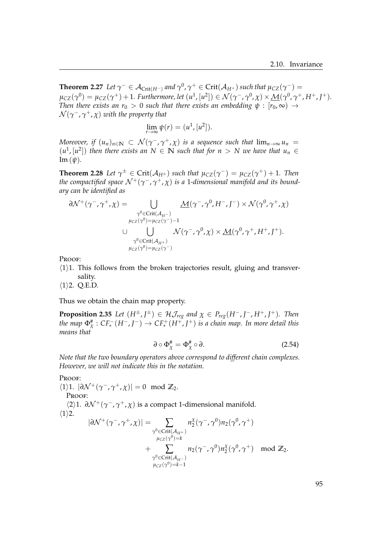**Theorem 2.27** Let  $\gamma^- \in \mathcal{A}_{\text{Crit}(H^-)}$  and  $\gamma^0$ ,  $\gamma^+ \in \text{Crit}(\mathcal{A}_{H^+})$  such that  $\mu_{CZ}(\gamma^-)$  =  $\mu_{CZ}(\gamma^0) = \mu_{CZ}(\gamma^+) + 1$ *. Furthermore, let*  $(u^1, [u^2]) \in \mathcal{N}(\gamma^-, \gamma^0, \chi) \times \underline{\mathcal{M}}(\gamma^0, \gamma^+, H^+, J^+)$ *. Then there exists an r*<sub>0</sub> > 0 *such that there exists an embedding*  $\psi$  :  $[r_0, \infty) \rightarrow$  $\mathcal{N}$ ( $\gamma$ <sup>−</sup>, $\gamma$ <sup>+</sup>,χ) with the property that

$$
\lim_{r \to \infty} \psi(r) = (u^1, [u^2]).
$$

*Moreover, if*  $(u_n)_{n\in\mathbb{N}}\subset\mathcal{N}(\gamma^-, \gamma^+, \chi)$  *is a sequence such that*  $\lim_{n\to\infty}u_n=$  $(u^1, [u^2])$  then there exists an  $N \in \mathbb{N}$  such that for  $n > N$  we have that  $u_n \in \mathbb{N}$ Im (*ψ*)*.*

**Theorem 2.28** Let  $\gamma^{\pm} \in \text{Crit}(\mathcal{A}_{H^{\pm}})$  such that  $\mu_{CZ}(\gamma^-) = \mu_{CZ}(\gamma^+) + 1$ . Then *the compactified space*  $\mathcal{N}^+(\gamma^-,\gamma^+,\chi)$  *is a 1-dimensional manifold and its boundary can be identified as*

$$
\partial \mathcal{N}^+(\gamma^-, \gamma^+, \chi) = \bigcup_{\substack{\gamma^0 \in \text{Crit}(\mathcal{A}_{H^-}) \\ \mu_{CZ}(\gamma^0) = \mu_{CZ}(\gamma^-) - 1}} \underline{\mathcal{M}}(\gamma^-, \gamma^0, H^-, J^-) \times \mathcal{N}(\gamma^0, \gamma^+, \chi) \\ \cup \bigcup_{\substack{\gamma^0 \in \text{Crit}(\mathcal{A}_{H^+}) \\ \mu_{CZ}(\gamma^0) = \mu_{CZ}(\gamma^-)}} \mathcal{N}(\gamma^-, \gamma^0, \chi) \times \underline{\mathcal{M}}(\gamma^0, \gamma^+, H^+, J^+).
$$

PROOF:

- $\langle 1 \rangle$ 1. This follows from the broken trajectories result, gluing and transversality.
- $\langle 1 \rangle$ 2. Q.E.D.

Thus we obtain the chain map property.

**Proposition 2.35** Let  $(H^{\pm}, J^{\pm}) \in \mathcal{H}$ *J*<sub>reg</sub> and  $\chi \in P_{reg}(H^-, J^-, H^+, J^+)$ *. Then the map*  $\Phi_{\chi}^{\#}: CF_*^-(H^-, J^-) \to CF_*^+(H^+, J^+)$  *is a chain map. In more detail this means that*

<span id="page-100-0"></span>
$$
\partial \circ \Phi_{\chi}^{\#} = \Phi_{\chi}^{\#} \circ \partial. \tag{2.54}
$$

*Note that the two boundary operators above correspond to different chain complexes. However, we will not indicate this in the notation.*

PROOF:

 $\langle 1 \rangle 1$ .  $|\partial \mathcal{N}^+(\gamma^-, \gamma^+, \chi)| = 0 \mod \mathbb{Z}_2$ .

PROOF:

h2i1. *∂*N <sup>+</sup>(*γ* <sup>−</sup>, *γ* <sup>+</sup>, *χ*) is a compact 1-dimensional manifold.  $\langle 1 \rangle$ 2.

$$
|\partial \mathcal{N}^+(\gamma^-, \gamma^+, \chi)| = \sum_{\substack{\gamma^0 \in \text{Crit}(\mathcal{A}_{H^+}) \\ \mu_{CZ}(\gamma^0) = k}} n_2^{\chi}(\gamma^-, \gamma^0) n_2(\gamma^0, \gamma^+)
$$
  
+ 
$$
\sum_{\substack{\gamma^0 \in \text{Crit}(\mathcal{A}_{H^-}) \\ \mu_{CZ}(\gamma^0) = k-1}} n_2(\gamma^-, \gamma^0) n_2^{\chi}(\gamma^0, \gamma^+) \mod \mathbb{Z}_2.
$$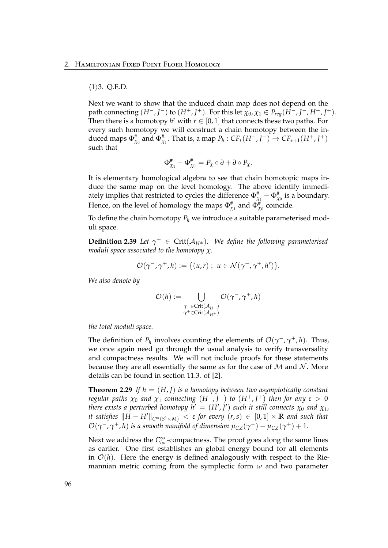### $\langle 1 \rangle$ 3. Q.E.D.

Next we want to show that the induced chain map does not depend on the  $\mathcal{L}$  path connecting  $(H^-, J^-)$  to  $(H^+, J^+)$ . For this let  $\chi_0, \chi_1 \in P_{reg}(H^-, J^-, H^+, J^+)$ . Then there is a homotopy  $h^r$  with  $r \in [0,1]$  that connects these two paths. For every such homotopy we will construct a chain homotopy between the induced maps  $\Phi_{\chi_0}^{\#}$  and  $\Phi_{\chi_1}^{\#}$ . That is, a map  $P_h: CF_*(H^-, J^-) \to CF_{*+1}(H^+, J^+)$ such that

$$
\Phi_{\chi_1}^{\#} - \Phi_{\chi_0}^{\#} = P_{\chi} \circ \partial + \partial \circ P_{\chi}.
$$

It is elementary homological algebra to see that chain homotopic maps induce the same map on the level homology. The above identify immediately implies that restricted to cycles the difference  $\Phi_{\chi_1}^\# - \Phi_{\chi_0}^\#$  is a boundary. Hence, on the level of homology the maps  $\Phi_{\chi_1}^{\#}$  and  $\Phi_{\chi_0}^{\#}$  coincide.

To define the chain homotopy  $P_h$  we introduce a suitable parameterised moduli space.

**Definition 2.39** Let  $\gamma^{\pm} \in \text{Crit}(\mathcal{A}_{H^{\pm}})$ . We define the following parameterised *moduli space associated to the homotopy χ.*

$$
\mathcal{O}(\gamma^-, \gamma^+, h) := \{ (u, r) : u \in \mathcal{N}(\gamma^-, \gamma^+, h^r) \}.
$$

*We also denote by*

$$
\mathcal{O}(h) := \bigcup_{\substack{\gamma^- \in \text{Crit}(\mathcal{A}_{H^-})\\ \gamma^+ \in \text{Crit}(\mathcal{A}_{H^+})}} \mathcal{O}(\gamma^-, \gamma^+, h)
$$

*the total moduli space.*

The definition of  $P_h$  involves counting the elements of  $\mathcal{O}(\gamma^-$ ,  $\gamma^+$ , *h*). Thus, we once again need go through the usual analysis to verify transversality and compactness results. We will not include proofs for these statements because they are all essentially the same as for the case of  $M$  and  $N$ . More details can be found in section 11.3. of [\[2\]](#page-118-0).

**Theorem 2.29** If  $h = (H, I)$  is a homotopy between two asymptotically constant *regular paths*  $\chi_0$  *and*  $\chi_1$  *connecting*  $(H^-, J^-)$  *to*  $(H^+, J^+)$  *then for any*  $\varepsilon > 0$ *there exists a perturbed homotopy*  $h' = (H', J')$  *such it still connects*  $\chi_0$  *and*  $\chi_1$ *, it satisfies*  $\|H - H'\|_{C^{\infty}(S^1 \times M)} < \varepsilon$  *for every*  $(r, s) \in [0, 1] \times \mathbb{R}$  *and such that*  $\mathcal{O}(\gamma^-,\gamma^+,h)$  *is a smooth manifold of dimension*  $\mu_{CZ}(\gamma^-)-\mu_{CZ}(\gamma^+)+1.$ 

Next we address the  $C^{\infty}_{loc}$ -compactness. The proof goes along the same lines as earlier. One first establishes an global energy bound for all elements in  $\mathcal{O}(h)$ . Here the energy is defined analogously with respect to the Riemannian metric coming from the symplectic form *ω* and two parameter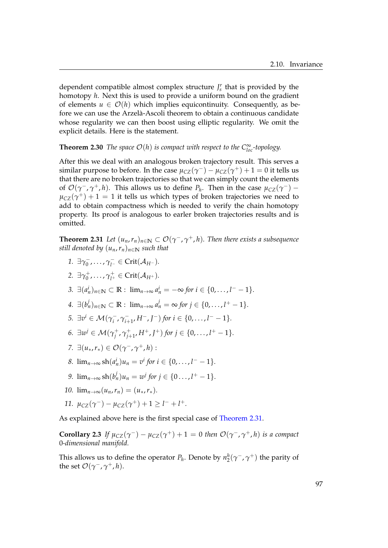dependent compatible almost complex structure  $J_s^r$  that is provided by the homotopy *h*. Next this is used to provide a uniform bound on the gradient of elements  $u \in \mathcal{O}(h)$  which implies equicontinuity. Consequently, as before we can use the Arzelà-Ascoli theorem to obtain a continuous candidate whose regularity we can then boost using elliptic regularity. We omit the explicit details. Here is the statement.

# **Theorem 2.30** *The space*  $O(h)$  *is compact with respect to the*  $C^{\infty}_{loc}$ *-topology.*

After this we deal with an analogous broken trajectory result. This serves a similar purpose to before. In the case  $\mu_{CZ}(\gamma^-) - \mu_{CZ}(\gamma^+) + 1 = 0$  it tells us that there are no broken trajectories so that we can simply count the elements of  $\mathcal{O}(\gamma^-, \gamma^+, h)$ . This allows us to define  $P_h$ . Then in the case  $\mu_{CZ}(\gamma^-)$  –  $\mu_{CZ}(\gamma^+) + 1 = 1$  it tells us which types of broken trajectories we need to add to obtain compactness which is needed to verify the chain homotopy property. Its proof is analogous to earler broken trajectories results and is omitted.

<span id="page-102-0"></span>**Theorem 2.31** *Let*  $(u_n, r_n)_{n \in \mathbb{N}} \subset \mathcal{O}(\gamma^-, \gamma^+, h)$ . Then there exists a subsequence *still denoted by*  $(u_n, r_n)_{n \in \mathbb{N}}$  *such that* 

- *1.* ∃γ<sub>0</sub><sup>-</sup>  $\overline{\gamma}_0^-, \ldots, \gamma_{l^-}^- \in \mathrm{Crit}(\mathcal{A}_{H^-}).$
- *2.* ∃*γ* +  $\gamma_0^+$ , $\ldots$ ,  $\gamma_{l^+}^+$   $\in$  Crit $(\mathcal{A}_{H^+})$ .
- *3.* ∃ $(a_n^i)_{n \in \mathbb{N}}$  ⊂ **R** :  $\lim_{n \to \infty} a_n^i = -\infty$  for  $i \in \{0, ..., l^ -1\}.$
- *4.*  $\exists (b_n^j)_{n \in \mathbb{N}} \subset \mathbb{R} : \lim_{n \to \infty} a_n^j = \infty$  for  $j \in \{0, ..., l^+ 1\}.$
- *5.*  $\exists v^{i} \in \mathcal{M}(\gamma_{i}^{-})$ *i* , *γ* −  $\sum_{i+1}^{+}$ , *H*<sup>-</sup>, *J*<sup>-</sup>) *for*  $i \in \{0, \ldots, l^{-} - 1\}$ .
- *6.* ∃ $w^j$  ∈  $\mathcal{M}(\gamma_i^+)$ *j* , *γ* +  $j_{j+1}^+, H^+, J^+)$  for  $j \in \{0, \ldots, l^+ - 1\}.$
- *7.* ∃(*u*<sub>∗</sub>, *r*<sub>∗</sub>) ∈  $O(γ^-$ ,  $γ^+$ , *h*) :
- *8.*  $\lim_{n\to\infty}$  sh $(a_n^i)u_n = v^i$  for  $i \in \{0,\ldots, l^--1\}.$
- *9.*  $\lim_{n \to \infty} \frac{\sin(b_n^j)}{u_n} = w^j$  *for*  $j \in \{0, ..., l^+ 1\}$ *.*
- *10.*  $\lim_{n\to\infty}(u_n, r_n) = (u_*, r_*).$
- *11.*  $\mu_{CZ}(\gamma^-) \mu_{CZ}(\gamma^+) + 1 \ge l^- + l^+.$

As explained above here is the first special case of [Theorem 2.31.](#page-102-0)

**Corollary 2.3** *If*  $\mu_{CZ}(\gamma^-) - \mu_{CZ}(\gamma^+) + 1 = 0$  *then*  $\mathcal{O}(\gamma^-$ ,  $\gamma^+$ , *h*) *is a compact* 0*-dimensional manifold.*

<span id="page-102-1"></span>This allows us to define the operator  $P_h$ . Denote by  $n_2^h(\gamma^-,\gamma^+)$  the parity of the set  $\mathcal{O}(\gamma^-, \gamma^+, h)$ .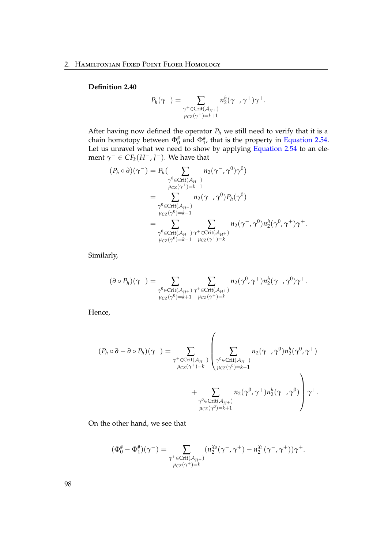### **Definition 2.40**

$$
P_h(\gamma^-) = \sum_{\substack{\gamma^+ \in \text{Crit}(\mathcal{A}_{H^+})\\ \mu_{CZ}(\gamma^+) = k+1}} n_2^h(\gamma^-,\gamma^+) \gamma^+.
$$

After having now defined the operator  $P_h$  we still need to verify that it is a chain homotopy between  $\Phi_0^{\#}$  and  $\Phi_1^{\#}$ , that is the property in [Equation 2.54.](#page-100-0) Let us unravel what we need to show by applying [Equation 2.54](#page-100-0) to an element  $\gamma^- \in CF_k(H^-, J^-)$ . We have that

$$
(P_h \circ \partial)(\gamma^{-}) = P_h(\sum_{\substack{\gamma^0 \in \text{Crit}(\mathcal{A}_{H^-})\\ \mu_{CZ}(\gamma^+) = k-1}} n_2(\gamma^{-}, \gamma^0) \gamma^0)
$$
  

$$
= \sum_{\substack{\gamma^0 \in \text{Crit}(\mathcal{A}_{H^-})\\ \mu_{CZ}(\gamma^0) = k-1}} n_2(\gamma^{-}, \gamma^0) P_h(\gamma^0)
$$
  

$$
= \sum_{\substack{\gamma^0 \in \text{Crit}(\mathcal{A}_{H^-})\\ \mu_{CZ}(\gamma^0) = k-1}} \sum_{\substack{\gamma^0 \in \text{Crit}(\mathcal{A}_{H^+})\\ \mu_{CZ}(\gamma^0) = k-1}} n_2(\gamma^{-}, \gamma^0) n_2^h(\gamma^0, \gamma^{+}) \gamma^{+}.
$$

Similarly,

$$
(\partial \circ P_h)(\gamma^-) = \sum_{\substack{\gamma^0 \in \text{Crit}(\mathcal{A}_{H^+}) \\ \mu_{CZ}(\gamma^0)=k+1}} \sum_{\substack{\gamma^+ \in \text{Crit}(\mathcal{A}_{H^+}) \\ \mu_{CZ}(\gamma^+) = k}} n_2(\gamma^0, \gamma^+) n_2^h(\gamma^-, \gamma^0) \gamma^+.
$$

Hence,

$$
(P_h \circ \partial - \partial \circ P_h)(\gamma^{-}) = \sum_{\substack{\gamma^{+} \in \text{Crit}(\mathcal{A}_{H^{+}}) \\ \mu_{CZ}(\gamma^{+}) = k}} \left( \sum_{\substack{\gamma^{0} \in \text{Crit}(\mathcal{A}_{H^{-}}) \\ \mu_{CZ}(\gamma^{0}) = k-1}} n_{2}(\gamma^{-}, \gamma^{0}) n_{2}^{h}(\gamma^{0}, \gamma^{+}) + \sum_{\substack{\gamma^{0} \in \text{Crit}(\mathcal{A}_{H^{+}}) \\ \mu_{CZ}(\gamma^{0}) = k+1}} n_{2}(\gamma^{0}, \gamma^{+}) n_{2}^{h}(\gamma^{-}, \gamma^{0}) \right) \gamma^{+}.
$$

On the other hand, we see that

$$
(\Phi_0^{\#} - \Phi_1^{\#})(\gamma^{-}) = \sum_{\substack{\gamma^+ \in \text{Crit}(\mathcal{A}_{H^+}) \\ \mu_{CZ}(\gamma^+) = k}} (n_2^{\chi_0}(\gamma^-, \gamma^+) - n_2^{\chi_1}(\gamma^-, \gamma^+))\gamma^+.
$$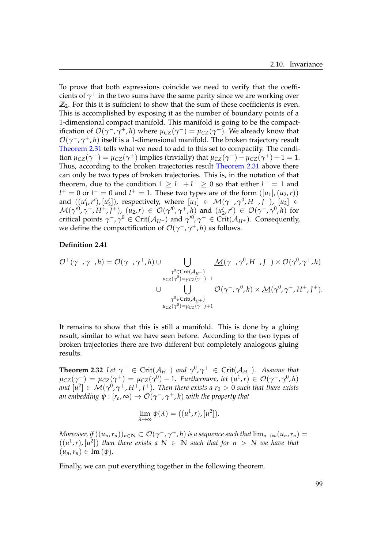To prove that both expressions coincide we need to verify that the coefficients of  $\gamma^+$  in the two sums have the same parity since we are working over **Z**2. For this it is sufficient to show that the sum of these coefficients is even. This is accomplished by exposing it as the number of boundary points of a 1-dimensional compact manifold. This manifold is going to be the compactification of  $\mathcal{O}(\gamma^-, \gamma^+, h)$  where  $\mu_{CZ}(\gamma^-) = \mu_{CZ}(\gamma^+)$ . We already know that  $\mathcal{O}(\gamma^-, \gamma^+, h)$  itself is a 1-dimensional manifold. The broken trajectory result [Theorem 2.31](#page-102-0) tells what we need to add to this set to compactify. The condition  $\mu_{CZ}(\gamma^-) = \mu_{CZ}(\gamma^+)$  implies (trivially) that  $\mu_{CZ}(\gamma^-) - \mu_{CZ}(\gamma^+) + 1 = 1$ . Thus, according to the broken trajectories result [Theorem 2.31](#page-102-0) above there can only be two types of broken trajectories. This is, in the notation of that theorem, due to the condition  $1 \ge l^- + l^+ \ge 0$  so that either  $l^- = 1$  and *l*<sup>+</sup> = 0 or *l*<sup>−</sup> = 0 and *l*<sup>+</sup> = 1. These two types are of the form ([*u*<sub>1</sub>],(*u*<sub>2</sub>,*r*)) and  $((u'_1, r'), [u'_2])$ , respectively, where  $[u_1] \in \mathcal{M}(\gamma^-, \gamma^0, H^-, J^-)$ ,  $[u_2] \in$  $\underline{\mathcal{M}}(\gamma^{0},\gamma^{+},H^{+},J^{+}), (u_{2},r) \in \mathcal{O}(\gamma^{0},\gamma^{+},h)$  and  $(u'_{2},r') \in \mathcal{O}(\gamma^{-},\gamma^{0},h)$  for 2 critical points  $\gamma^-$ ,  $\gamma^0 \in \mathrm{Crit}(\mathcal{A}_{H^-})$  and  $\gamma'^0$ ,  $\gamma^+ \in \mathrm{Crit}(\mathcal{A}_{H^+})$ . Consequently, we define the compactification of  $\mathcal{O}(\gamma^-, \gamma^+, h)$  as follows.

### **Definition 2.41**

$$
\mathcal{O}^+(\gamma^-, \gamma^+, h) = \mathcal{O}(\gamma^-, \gamma^+, h) \cup \bigcup_{\substack{\gamma^0 \in \text{Crit}(\mathcal{A}_{H^-}) \\ \mu_{CZ}(\gamma^0) = \mu_{CZ}(\gamma^-) - 1}} \underbrace{\mathcal{M}(\gamma^-, \gamma^0, H^-, J^-) \times \mathcal{O}(\gamma^0, \gamma^+, h)}_{\mathcal{V}^0 \in \text{Crit}(\mathcal{A}_{H^+})} \cup \underbrace{\mathcal{O}(\gamma^-, \gamma^0, h) \times \underline{\mathcal{M}}(\gamma^0, \gamma^+, H^+, J^+)}_{\mu_{CZ}(\gamma^0) = \mu_{CZ}(\gamma^+) + 1}.
$$

It remains to show that this is still a manifold. This is done by a gluing result, similar to what we have seen before. According to the two types of broken trajectories there are two different but completely analogous gluing results.

**Theorem 2.32** *Let*  $\gamma^- \in \mathrm{Crit}(\mathcal{A}_{H^-})$  *and*  $\gamma^0$ ,  $\gamma^+ \in \mathrm{Crit}(\mathcal{A}_{H^+})$ *. Assume that*  $\mu_{CZ}(\gamma^-) = \mu_{CZ}(\gamma^+) = \mu_{CZ}(\gamma^0) - 1$ . Furthermore, let  $(u^1, r) \in \mathcal{O}(\gamma^-, \gamma^0, h)$ and  $[u^2] \in \underline{\mathcal{M}}(\gamma^0,\gamma^+,H^+,J^+).$  Then there exists a  $r_0 > 0$  such that there exists  $\alpha$ *n embedding*  $\psi: [r_o,\infty) \to \mathcal{O}(\gamma^-,\gamma^+,h)$  *with the property that* 

$$
\lim_{\lambda \to \infty} \psi(\lambda) = ((u^1, r), [u^2]).
$$

 $M$ oreover, if  $((u_n,r_n))_{n\in\mathbb{N}}\subset\mathcal{O}(\gamma^-,\gamma^+,h)$  is a sequence such that  $\lim_{n\to\infty}(u_n,r_n)=0$  $((u^1, r), [u^2])$  then there exists a  $N \in \mathbb{N}$  such that for  $n > N$  we have that  $(u_n, r_n) \in \text{Im}(\psi).$ 

Finally, we can put everything together in the following theorem.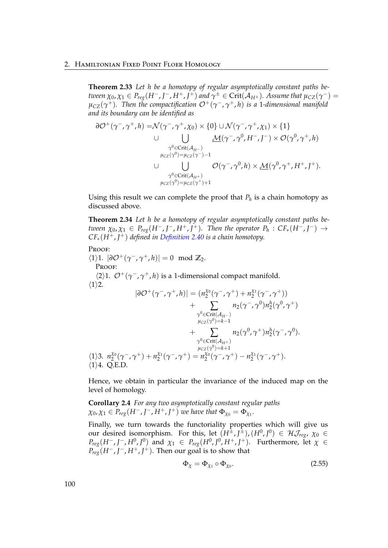### 2. Hamiltonian Fixed Point Floer Homology

**Theorem 2.33** *Let h be a homotopy of regular asymptotically constant paths be* $t$ ween  $\chi_0$ ,  $\chi_1\in P_{reg}(H^-,I^-,H^+,I^+)$  and  $\gamma^\pm\in\mathrm{Crit}(\mathcal{A}_{H^\pm}).$  Assume that  $\mu_{CZ}(\gamma^-)=0$ *µCZ*(*γ* <sup>+</sup>)*. Then the compactification* O+(*γ* <sup>−</sup>, *γ* <sup>+</sup>, *h*) *is a* 1*-dimensional manifold and its boundary can be identified as*

$$
\partial \mathcal{O}^+(\gamma^-, \gamma^+, h) = \mathcal{N}(\gamma^-, \gamma^+, \chi_0) \times \{0\} \cup \mathcal{N}(\gamma^-, \gamma^+, \chi_1) \times \{1\}
$$
  
\n
$$
\cup \bigcup_{\substack{\gamma^0 \in \text{Crit}(\mathcal{A}_{H^-}) \\ \mu_{CZ}(\gamma^0) = \mu_{CZ}(\gamma^-) - 1}} \underline{\mathcal{M}}(\gamma^-, \gamma^0, H^-, J^-) \times \mathcal{O}(\gamma^0, \gamma^+, h)
$$
  
\n
$$
\cup \bigcup_{\substack{\gamma^0 \in \text{Crit}(\mathcal{A}_{H^+}) \\ \mu_{CZ}(\gamma^0) = \mu_{CZ}(\gamma^+) + 1}} \mathcal{O}(\gamma^-, \gamma^0, h) \times \underline{\mathcal{M}}(\gamma^0, \gamma^+, H^+, J^+).
$$

Using this result we can complete the proof that  $P_h$  is a chain homotopy as discussed above.

**Theorem 2.34** *Let h be a homotopy of regular asymptotically constant paths between*  $\chi_0, \chi_1 \in P_{reg}(H^-, J^-, H^+, J^+)$ *. Then the operator*  $P_h : CF_*(H^-, J^-) \rightarrow$ *CF*∗(*H*+, *J* <sup>+</sup>) *defined in [Definition 2.40](#page-102-1) is a chain homotopy.*

### Proof:

 $\langle 1 \rangle 1$ .  $|\partial \mathcal{O}^+(\gamma^-, \gamma^+, h)| = 0 \mod \mathbb{Z}_2$ . Proof:  $\langle 2 \rangle$ 1.  $\mathcal{O}^+(\gamma^-$ ,  $\gamma^+$ , *h*) is a 1-dimensional compact manifold.  $\langle 1 \rangle$ 2.  $|\partial \mathcal{O}^+(\gamma^-,\gamma^+,h)| = (n_2^{\chi_0})$  $\chi_0^{\chi_0}(\gamma^-, \gamma^+) + n_2^{\chi_1}$ 2 (*γ* <sup>−</sup>, *γ* <sup>+</sup>))

$$
+ \sum_{\substack{\gamma^0 \in \text{Crit}(A_{H-}) \\ \mu_{CZ}(\gamma^0) = k-1}} n_2(\gamma^-, \gamma^0) n_2^h(\gamma^0, \gamma^+) \\ + \sum_{\substack{\gamma^0 \in \text{Crit}(A_{H-}) \\ \gamma^0 \in \text{Crit}(A_{H+}) \\ \mu_{CZ}(\gamma^0) = k+1}} n_2(\gamma^0, \gamma^+) n_2^h(\gamma^-, \gamma^0).
$$
\n
$$
\langle 1 \rangle 3. n_2^{\chi_0}(\gamma^-, \gamma^+) + n_2^{\chi_1}(\gamma^-, \gamma^+) = n_2^{\chi_1}(\gamma^-, \gamma^+) - n_2^{\chi_1}(\gamma^-, \gamma^+).
$$
\n
$$
\langle 1 \rangle 4. Q.E.D.
$$

Hence, we obtain in particular the invariance of the induced map on the level of homology.

<span id="page-105-1"></span>**Corollary 2.4** *For any two asymptotically constant regular paths*  $\chi_0, \chi_1 \in P_{reg}(H^-, J^-, H^+, J^+)$  *we have that*  $\Phi_{\chi_0} = \Phi_{\chi_1}$ *.* 

Finally, we turn towards the functoriality properties which will give us our desired isomorphism. For this, let  $(H^{\pm},J^{\pm})$ ,  $(H^{0},J^{0}) \in \mathcal{H}$ *J<sub>reg</sub>*,  $\chi_{0} \in$ *P*<sup>*reg*</sup>(*H*<sup>−</sup>, *J*<sup>−</sup>, *H*<sup>0</sup>, *J*<sup>0</sup>) and *χ*<sub>1</sub> ∈ *P*<sub>*reg*</sub>(*H*<sup>0</sup>, *J*<sup>0</sup>, *H*<sup>+</sup>, *J*<sup>+</sup>). Furthermore, let *χ* ∈  $P_{reg}(H^-, J^-, H^+, J^+)$ . Then our goal is to show that

<span id="page-105-0"></span>
$$
\Phi_{\chi} = \Phi_{\chi_1} \circ \Phi_{\chi_0}.\tag{2.55}
$$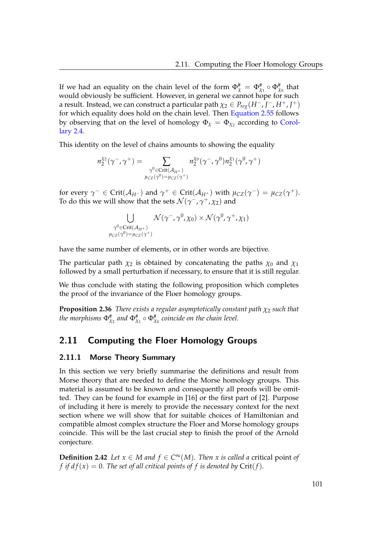If we had an equality on the chain level of the form  $\Phi_\chi^\#=\Phi_{\chi_1}^\# \circ \Phi_{\chi_0}^\#$  that would obviously be sufficient. However, in general we cannot hope for such a result. Instead, we can construct a particular path  $\chi_2 \in P_{reg}(H^-, J^-, H^+, J^+)$ for which equality does hold on the chain level. Then [Equation 2.55](#page-105-0) follows by observing that on the level of homology  $\Phi_\chi = \Phi_{\chi_2}$  according to [Corol](#page-105-1)[lary 2.4.](#page-105-1)

This identity on the level of chains amounts to showing the equality

$$
n_2^{\chi_2}(\gamma^-,\gamma^+) = \sum_{\substack{\gamma^0 \in \text{Crit}(\mathcal{A}_{H^+})\\ \mu_{CZ}(\gamma^0) = \mu_{CZ}(\gamma^+)}} n_2^{\chi_0}(\gamma^-,\gamma^0) n_2^{\chi_1}(\gamma^0,\gamma^+)
$$

for every  $\gamma^- \in \text{Crit}(\mathcal{A}_{H^-})$  and  $\gamma^+ \in \text{Crit}(\mathcal{A}_{H^+})$  with  $\mu_{CZ}(\gamma^-) = \mu_{CZ}(\gamma^+)$ . To do this we will show that the sets  $\mathcal{N}(\gamma^-, \gamma^+, \chi_2)$  and

$$
\bigcup_{\substack{\gamma^0 \in \text{Crit}(\mathcal{A}_{H^+}) \\ \mu_{CZ}(\gamma^0) = \mu_{CZ}(\gamma^+)}} \mathcal{N}(\gamma^-, \gamma^0, \chi_0) \times \mathcal{N}(\gamma^0, \gamma^+, \chi_1)
$$

have the same number of elements, or in other words are bijective.

The particular path  $\chi_2$  is obtained by concatenating the paths  $\chi_0$  and  $\chi_1$ followed by a small perturbation if necessary, to ensure that it is still regular.

We thus conclude with stating the following proposition which completes the proof of the invariance of the Floer homology groups.

**Proposition 2.36** *There exists a regular asymptotically constant path*  $\chi_2$  *such that* the morphisms  $\Phi_{\chi_2}^\#$  and  $\Phi_{\chi_1}^\# \circ \Phi_{\chi_0}^\#$  coincide on the chain level.

# 2.11 Computing the Floer Homology Groups

### 2.11.1 Morse Theory Summary

In this section we very briefly summarise the definitions and result from Morse theory that are needed to define the Morse homology groups. This material is assumed to be known and consequently all proofs will be omitted. They can be found for example in [\[16\]](#page-119-1) or the first part of [\[2\]](#page-118-0). Purpose of including it here is merely to provide the necessary context for the next section where we will show that for suitable choices of Hamiltonian and compatible almost complex structure the Floer and Morse homology groups coincide. This will be the last crucial step to finish the proof of the Arnold conjecture.

**Definition 2.42** *Let*  $x \in M$  *and*  $f \in C^{\infty}(M)$ *. Then*  $x$  *is called a* critical point *of f* if  $df(x) = 0$ . The set of all critical points of f is denoted by Crit(f).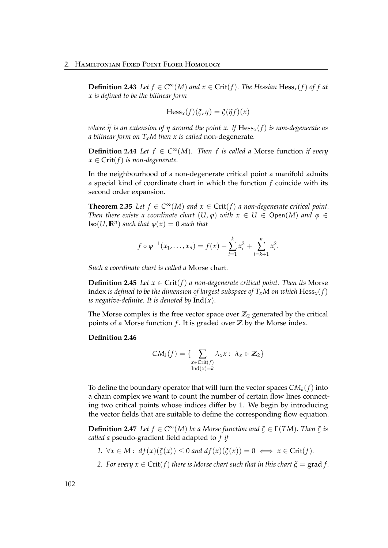**Definition 2.43** *Let*  $f$  ∈  $C^{\infty}(M)$  *and*  $x$  ∈  $Crit(f)$ *. The Hessian* Hess<sub>*x*</sub>( $f$ ) *of*  $f$  *at x is defined to be the bilinear form*

$$
\mathrm{Hess}_x(f)(\xi,\eta)=\xi(\widetilde{\eta}f)(x)
$$

*where*  $\tilde{\eta}$  *is an extension of*  $\eta$  *around the point x. If* Hess<sub>*x*</sub>(*f*) *is non-degenerate as a bilinear form on TxM then x is called* non-degenerate*.*

**Definition 2.44** *Let*  $f \in C^{\infty}(M)$ *. Then*  $f$  *is called a* Morse function *if every*  $x \in Crit(f)$  *is non-degenerate.* 

In the neighbourhood of a non-degenerate critical point a manifold admits a special kind of coordinate chart in which the function *f* coincide with its second order expansion.

**Theorem 2.35** Let  $f \in C^{\infty}(M)$  and  $x \in Crit(f)$  a non-degenerate critical point. *Then there exists a coordinate chart*  $(U, \varphi)$  *with*  $x \in U \in \mathsf{Open}(M)$  *and*  $\varphi \in$  $\textsf{Iso}(U,\mathbb{R}^n)$  *such that*  $\varphi(x) = 0$  *such that* 

$$
f \circ \varphi^{-1}(x_1, ..., x_n) = f(x) - \sum_{i=1}^k x_i^2 + \sum_{i=k+1}^n x_i^2.
$$

*Such a coordinate chart is called a* Morse chart*.*

**Definition 2.45** *Let*  $x \in Crit(f)$  *a non-degenerate critical point. Then its* Morse index *is defined to be the dimension of largest subspace of*  $T_xM$  *on which*  $Hess_x(f)$ *is negative-definite. It is denoted by*  $Ind(x)$ *.* 

The Morse complex is the free vector space over  $\mathbb{Z}_2$  generated by the critical points of a Morse function  $f$ . It is graded over  $\mathbb{Z}$  by the Morse index.

### **Definition 2.46**

$$
CM_k(f) = \{ \sum_{\substack{x \in Crit(f) \\ Ind(x) = k}} \lambda_x x : \lambda_x \in \mathbb{Z}_2 \}
$$

To define the boundary operator that will turn the vector spaces  $CM_k(f)$  into a chain complex we want to count the number of certain flow lines connecting two critical points whose indices differ by 1. We begin by introducing the vector fields that are suitable to define the corresponding flow equation.

**Definition 2.47** *Let*  $f \in C^{\infty}(M)$  *be a Morse function and*  $\xi \in \Gamma(TM)$ *. Then*  $\xi$  *is called a* pseudo-gradient field adapted to *f if*

- *1.*  $\forall x \in M : df(x)(\xi(x)) \leq 0$  and  $df(x)(\xi(x)) = 0 \iff x \in Crit(f)$ .
- *2. For every*  $x \in Crit(f)$  *there is Morse chart such that in this chart*  $\xi = \text{grad } f$ *.*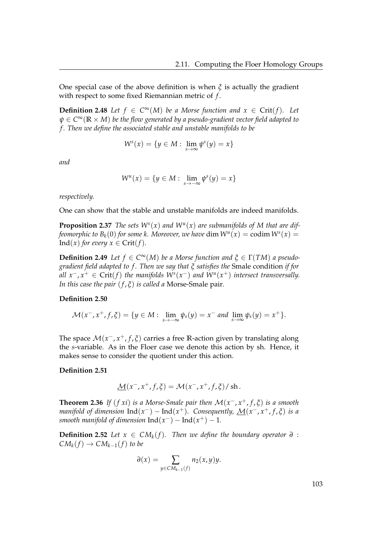One special case of the above definition is when *ξ* is actually the gradient with respect to some fixed Riemannian metric of *f* .

**Definition 2.48** *Let*  $f \in C^{\infty}(M)$  *be a Morse function and*  $x \in Crit(f)$ *. Let ψ* ∈ *C* <sup>∞</sup>(**R** × *M*) *be the flow generated by a pseudo-gradient vector field adapted to f . Then we define the associated stable and unstable manifolds to be*

$$
W^s(x) = \{y \in M: \lim_{s \to \infty} \psi^s(y) = x\}
$$

*and*

$$
W^{u}(x) = \{ y \in M : \lim_{s \to -\infty} \psi^{s}(y) = x \}
$$

*respectively.*

One can show that the stable and unstable manifolds are indeed manifolds.

**Proposition 2.37** *The sets*  $W^s(x)$  *and*  $W^u(x)$  *are submanifolds of* M that are dif*feomorphic to*  $B_k(0)$  *for some k. Moreover, we have*  $\dim W^u(x) = \text{codim } W^s(x) = 0$ Ind(*x*) *for every*  $x \in Crit(f)$ *.* 

**Definition 2.49** *Let*  $f \in C^{\infty}(M)$  *be a Morse function and*  $\xi \in \Gamma(TM)$  *a pseudogradient field adapted to f . Then we say that ξ satisfies the* Smale condition *if for*  $all \ x^-$ ,  $x^+ ∈ \text{Crit}(f)$  the manifolds  $W^s(x^-)$  and  $W^u(x^+)$  intersect transversally. *In this case the pair* (*f* , *ξ*) *is called a* Morse-Smale pair*.*

## **Definition 2.50**

$$
\mathcal{M}(x^-, x^+, f, \xi) = \{y \in M: \lim_{s \to -\infty} \psi_s(y) = x^- \text{ and } \lim_{s \to \infty} \psi_s(y) = x^+\}.
$$

The space M(*x* <sup>−</sup>, *x* <sup>+</sup>, *f* , *ξ*) carries a free **R**-action given by translating along the *s*-variable. As in the Floer case we denote this action by sh. Hence, it makes sense to consider the quotient under this action.

### **Definition 2.51**

$$
\underline{\mathcal{M}}(x^-, x^+, f, \xi) = \mathcal{M}(x^-, x^+, f, \xi) / \operatorname{sh}.
$$

**Theorem 2.36** *If* (*f xi*) *is a Morse-Smale pair then* M(*x* <sup>−</sup>, *x* <sup>+</sup>, *f* , *ξ*) *is a smooth manifold of dimension*  $\text{Ind}(x^-) - \text{Ind}(x^+)$ *. Consequently,*  $\underline{\mathcal{M}}(x^-, x^+, f, \xi)$  *is a smooth manifold of dimension*  $\text{Ind}(x^-) - \text{Ind}(x^+) - 1$ *.* 

**Definition 2.52** *Let*  $x \in CM_k(f)$ *. Then we define the boundary operator*  $\partial$  :  $CM_k(f) \to CM_{k-1}(f)$  *to be* 

$$
\partial(x) = \sum_{y \in CM_{k-1}(f)} n_2(x, y) y.
$$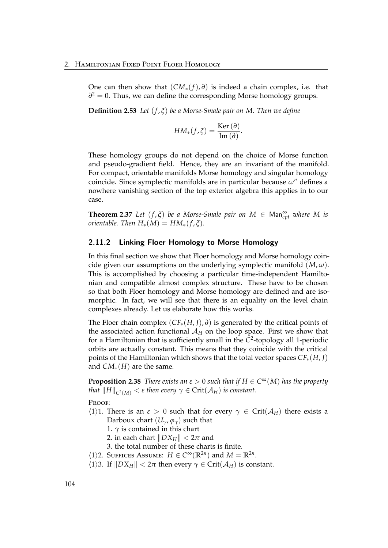One can then show that  $(CM_*(f), \partial)$  is indeed a chain complex, i.e. that *∂*<sup>2</sup> = 0. Thus, we can define the corresponding Morse homology groups.

**Definition 2.53** *Let* (*f* , *ξ*) *be a Morse-Smale pair on M. Then we define*

$$
HM_*(f,\xi)=\frac{\text{Ker}\,(\partial)}{\text{Im}\,(\partial)}.
$$

These homology groups do not depend on the choice of Morse function and pseudo-gradient field. Hence, they are an invariant of the manifold. For compact, orientable manifolds Morse homology and singular homology coincide. Since symplectic manifolds are in particular because *ω<sup>n</sup>* defines a nowhere vanishing section of the top exterior algebra this applies in to our case.

**Theorem 2.37** *Let*  $(f, \xi)$  *be a Morse-Smale pair on*  $M \in \text{Man}^{\infty}_{cpt}$  *where*  $M$  *is orientable.* Then  $H_*(M) = HM_*(f, \xi)$ .

## 2.11.2 Linking Floer Homology to Morse Homology

In this final section we show that Floer homology and Morse homology coincide given our assumptions on the underlying symplectic manifold  $(M, \omega)$ . This is accomplished by choosing a particular time-independent Hamiltonian and compatible almost complex structure. These have to be chosen so that both Floer homology and Morse homology are defined and are isomorphic. In fact, we will see that there is an equality on the level chain complexes already. Let us elaborate how this works.

The Floer chain complex (*CF*∗(*H*, *J*), *∂*) is generated by the critical points of the associated action functional  $A_H$  on the loop space. First we show that for a Hamiltonian that is sufficiently small in the *C* 2 -topology all 1-periodic orbits are actually constant. This means that they coincide with the critical points of the Hamiltonian which shows that the total vector spaces *CF*∗(*H*, *J*) and *CM*∗(*H*) are the same.

**Proposition 2.38** *There exists an*  $\varepsilon > 0$  *such that if*  $H \in C^{\infty}(M)$  *has the property that*  $||H||_{C^2(M)} < \varepsilon$  *then every*  $\gamma \in \mathrm{Crit}(\mathcal{A}_H)$  *is constant.* 

PROOF:

- $\langle 1 \rangle$ 1. There is an  $\varepsilon > 0$  such that for every  $\gamma \in \text{Crit}(\mathcal{A}_H)$  there exists a Darboux chart  $(U_\gamma, \varphi_\gamma)$  such that
	- 1.  $\gamma$  is contained in this chart
	- 2. in each chart  $\|DX_H\| < 2\pi$  and
	- 3. the total number of these charts is finite.
- $\langle 1 \rangle$ 2. SUFFICES ASSUME:  $H \in C^{\infty}(\mathbb{R}^{2n})$  and  $M = \mathbb{R}^{2n}$ .
- $\langle 1 \rangle$ 3. If  $\|DX_H\| < 2\pi$  then every  $\gamma \in \text{Crit}(\mathcal{A}_H)$  is constant.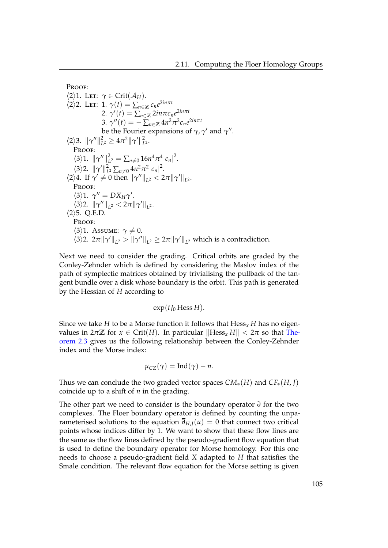```
Proof:
\langle 2 \rangle1. Let: \gamma \in \text{Crit}(\mathcal{A}_H).
\langle 2 \rangle2. Let: 1. \gamma(t) = \sum_{n \in \mathbb{Z}} c_n e^{2in\pi t}2. \gamma'(t) = \sum_{n \in \mathbb{Z}} 2in\pi c_n e^{2in\pi t}3. \gamma''(t) = -\sum_{n \in \mathbb{Z}} 4n^2 \pi^2 c_n e^{2in\pi t}be the Fourier expansions of \gamma, \gamma' and \gamma''.
\langle 2 \rangle3. \|\gamma''\|_{L}^{2}\mathcal{L}_L^2 \geq 4\pi^2 \|\gamma'\|_L^2L
2 .
    PROOF:
     \langle 3 \rangle 1. \|\gamma''\|_L^2L^2 = \sum_{n \neq 0} 16n^4 \pi^4 |c_n|^2.\langle 3 \rangle2. \|\gamma'\|_{L}^{2}\sum_{L^2} \sum_{n \neq 0} 4n^2 \pi^2 |c_n|^2.
\langle 2 \rangle 4. If \gamma' \neq 0 then \|\gamma''\|_{L^2} < 2\pi \|\gamma'\|_{L^2}.
     PROOF:
     \langle 3 \rangle 1. \gamma'' = DX_H \gamma'.
     \langle 3 \rangle2. \|\gamma''\|_{L^2} < 2\pi \|\gamma'\|_{L^2}.
\langle 2 \rangle5. Q.E.D.
    PROOF:
     \langle 3 \rangle1. Assume: \gamma \neq 0.
     \langle 3 \rangle2. 2\pi \|\gamma'\|_{L^2} > \|\gamma''\|_{L^2} \geq 2\pi \|\gamma'\|_{L^2} which is a contradiction.
```
Next we need to consider the grading. Critical orbits are graded by the Conley-Zehnder which is defined by considering the Maslov index of the path of symplectic matrices obtained by trivialising the pullback of the tangent bundle over a disk whose boundary is the orbit. This path is generated by the Hessian of *H* according to

 $\exp(tI_0$  Hess *H*).

Since we take *H* to be a Morse function it follows that  $Hess<sub>x</sub>$  *H* has no eigenvalues in  $2\pi\mathbb{Z}$  for  $x \in \text{Crit}(H)$ . In particular  $\|\text{Hess}_x H\| < 2\pi$  so that [The](#page-39-0)[orem 2.3](#page-39-0) gives us the following relationship between the Conley-Zehnder index and the Morse index:

$$
\mu_{CZ}(\gamma) = \text{Ind}(\gamma) - n.
$$

Thus we can conclude the two graded vector spaces  $CM_*(H)$  and  $CF_*(H, I)$ coincide up to a shift of *n* in the grading.

The other part we need to consider is the boundary operator *∂* for the two complexes. The Floer boundary operator is defined by counting the unparameterised solutions to the equation  $\overline{\partial}_{H,J}(u) = 0$  that connect two critical points whose indices differ by 1. We want to show that these flow lines are the same as the flow lines defined by the pseudo-gradient flow equation that is used to define the boundary operator for Morse homology. For this one needs to choose a pseudo-gradient field *X* adapted to *H* that satisfies the Smale condition. The relevant flow equation for the Morse setting is given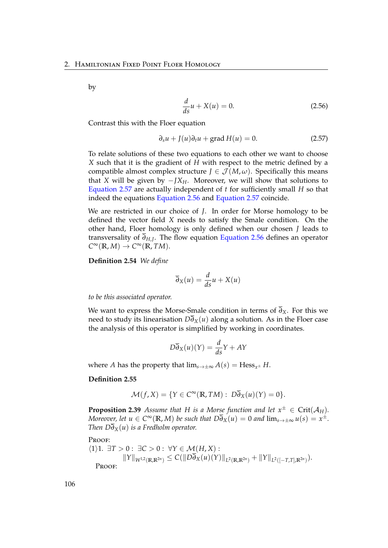by

<span id="page-111-1"></span><span id="page-111-0"></span>
$$
\frac{d}{ds}u + X(u) = 0.\t(2.56)
$$

Contrast this with the Floer equation

$$
\partial_s u + J(u)\partial_t u + \text{grad } H(u) = 0. \tag{2.57}
$$

To relate solutions of these two equations to each other we want to choose *X* such that it is the gradient of *H* with respect to the metric defined by a compatible almost complex structure  $J \in \mathcal{J}(M,\omega)$ . Specifically this means that *X* will be given by  $-IX_H$ . Moreover, we will show that solutions to [Equation 2.57](#page-111-0) are actually independent of *t* for sufficiently small *H* so that indeed the equations [Equation 2.56](#page-111-1) and [Equation 2.57](#page-111-0) coincide.

We are restricted in our choice of *J*. In order for Morse homology to be defined the vector field *X* needs to satisfy the Smale condition. On the other hand, Floer homology is only defined when our chosen *J* leads to transversality of *∂H*,*<sup>J</sup>* . The flow equation [Equation 2.56](#page-111-1) defines an operator  $C^{\infty}(\mathbb{R}, M) \to C^{\infty}(\mathbb{R}, TM).$ 

**Definition 2.54** *We define*

$$
\overline{\partial}_X(u) = \frac{d}{ds}u + X(u)
$$

*to be this associated operator.*

We want to express the Morse-Smale condition in terms of  $\overline{\partial}_X$ . For this we need to study its linearisation  $D\overline{\partial}_X(u)$  along a solution. As in the Floer case the analysis of this operator is simplified by working in coordinates.

$$
D\overline{\partial}_X(u)(Y) = \frac{d}{ds}Y + AY
$$

where *A* has the property that  $\lim_{s\to\pm\infty} A(s) = \text{Hess}_{x^{\pm}} H$ .

### **Definition 2.55**

$$
\mathcal{M}(f, X) = \{ Y \in C^{\infty}(\mathbb{R}, TM) : D\overline{\partial}_X(u)(Y) = 0 \}.
$$

**Proposition 2.39** *Assume that H is a Morse function and let*  $x^{\pm} \in \text{Crit}(\mathcal{A}_H)$ *. Moreover, let*  $u \in C^{\infty}(\mathbb{R}, M)$  *be such that*  $D\overline{\partial}_X(u) = 0$  *and*  $\lim_{s \to \pm \infty} u(s) = x^{\pm}$ *. Then*  $D\overline{\partial}_X(u)$  *is a Fredholm operator.* 

Proof:

$$
\langle 1 \rangle 1. \exists T > 0 : \exists C > 0 : \forall Y \in \mathcal{M}(H, X) : \\ \|Y\|_{W^{1,2}(\mathbb{R}, \mathbb{R}^{2n})} \leq C (\|D\overline{\partial}_X(u)(Y)\|_{L^2(\mathbb{R}, \mathbb{R}^{2n})} + \|Y\|_{L^2([-T,T], \mathbb{R}^{2n})}).
$$
  
Proof: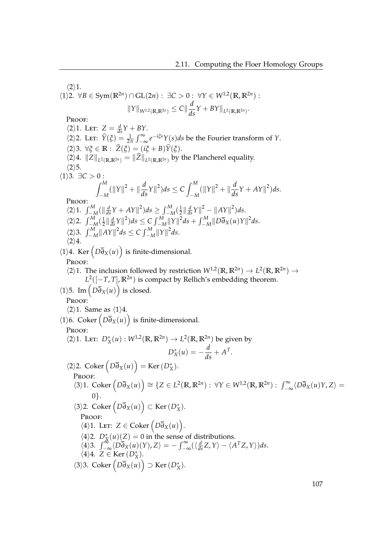$\langle 2 \rangle 1$ .  $\forall$ 1\2.  $\forall$ *B* ∈ Sym( $\mathbb{R}^{2n}$ ) ∩ GL(2*n*) : ∃*C* > 0 :  $\forall$ *Y* ∈  $W^{1,2}(\mathbb{R}, \mathbb{R}^{2n})$  :  $||Y||_{W^{1,2}(\mathbb{R}, \mathbb{R}^{2n})} \leq C || \frac{d}{ds}Y + BY||_{L^2(\mathbb{R}, \mathbb{R}^{2n})}.$ Proof:  $\langle 2 \rangle 1$ . Let:  $Z = \frac{d}{ds}Y + BY$ .  $\langle 2 \rangle$ 2. Let:  $\hat{Y}(\xi) = \frac{1}{2\pi} \int_{-\infty}^{\infty} e^{-i\xi s} Y(s) ds$  be the Fourier transform of *Y*.  $\langle 2 \rangle$ 3.  $\forall \xi \in \mathbb{R} : \hat{Z}(\xi) = (i\xi + B)\hat{Y}(\xi).$  $\langle 2 \rangle 4$ .  $\|Z\|_{L^2(\mathbb{R}, \mathbb{R}^{2n})} = \|Z\|_{L^2(\mathbb{R}, \mathbb{R}^{2n})}$  by the Plancherel equality.  $\langle 2 \rangle$ 5.  $\langle 1 \rangle$ 3.  $\exists C > 0$ :  $\int^M$  $\int_{-M}^{M} (\|Y\|^2 + \|\frac{d}{ds}Y\|^2) ds \leq C \int_{-N}^{M}$  $\int_{-M}^{M} (\|Y\|^2 + \|\frac{d}{ds}Y + AY\|^2) ds.$ Proof:  $\int_{-M}^{M} (\|\frac{d}{ds}Y + AY\|^2) ds \ge \int_{-M}^{M} (\frac{1}{2})$  $\frac{1}{2} \left\| \frac{d}{ds} Y \right\|^2 - \left\| AY \right\|^2 \right) ds.$  $\langle 2 \rangle$ 2.  $\int_{-M}^{M} (\frac{1}{2})$  $\frac{1}{2} \left\| \frac{d}{ds} \gamma \right\|^2 ds \leq C \int_{-M}^{M} \left\| \gamma \right\|^2 ds + \int_{-M}^{M} \left\| D \overline{\partial}_X(u) \gamma \right\|^2 ds.$  $\langle 2 \rangle$ 3.  $\int_{-M}^{M} ||AY||^2 ds \leq C \int_{-M}^{M} ||Y||^2 ds.$  $\langle 2 \rangle 4$ .  $\langle 1 \rangle 4$ . Ker  $\left( D\overline{\partial}_X(u) \right)$  is finite-dimensional. Proof:  $\langle 2 \rangle$ 1. The inclusion followed by restriction  $W^{1,2}(\mathbb{R}, \mathbb{R}^{2n}) \to L^2(\mathbb{R}, \mathbb{R}^{2n}) \to$  $L^2([-T, T], \mathbb{R}^{2n})$  is compact by Rellich's embedding theorem.  $\langle 1 \rangle$ 5. Im  $\left( D\overline{\partial}_X(u) \right)$  is closed. Proof:  $\langle 2 \rangle$ 1. Same as  $\langle 1 \rangle$ 4.  $\langle 1 \rangle$ 6. Coker  $\left( D\overline{\partial}_X(u) \right)$  is finite-dimensional. Proof:  $\langle 2 \rangle$ 1. LET: *D*<sup>∗</sup><sub>X</sub></sub> $(u)$  : *W*<sup>1,2</sup>(**R**, **R**<sup>2*n*</sup>) → *L*<sup>2</sup>(**R**, **R**<sup>2*n*</sup>) be given by  $D_X^*(u) = -\frac{d}{ds} + A^T.$  $\langle 2 \rangle$ 2. Coker  $(D\overline{\partial}_X(u)) = \text{Ker}(D_X^*)$ . Proof:  $\langle 3 \rangle$ 1. Coker  $(D\overline{\partial}_X(u)) \cong \{Z \in L^2(\mathbb{R}, \mathbb{R}^{2n}) : \forall Y \in W^{1,2}(\mathbb{R}, \mathbb{R}^{2n}) : \int_{-\infty}^{\infty} \langle D\overline{\partial}_X(u)Y, Z \rangle =$ 0}.  $\langle 3 \rangle$ 2. Coker  $(D\overline{\partial}_X(u))$  ⊂ Ker  $(D^*_X)$ . Proof:  $\langle 4 \rangle$ 1. Let:  $Z \in \text{Coker}\left(D\overline{\partial}_X(u)\right)$ .  $\langle 4 \rangle$ 2.  $D_X^*(u)(Z) = 0$  in the sense of distributions.  $\langle 4 \rangle$ 3.  $\int_{-\infty}^{\infty} \langle D \overline{\partial}_X(u)(Y), Z \rangle = - \int_{-\infty}^{\infty} (\langle \frac{d}{ds} Z, Y \rangle - \langle A^T Z, Y \rangle) ds.$  $\langle 4 \rangle 4$ .  $Z \in \text{Ker}(D_X^*)$ .  $\langle 3 \rangle$ 3. Coker  $(D\overline{\partial}_X(u)) \supset \text{Ker}(D_X^*)$ .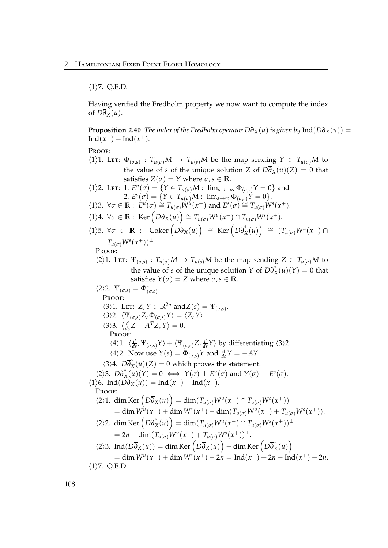$\langle 1 \rangle$ 7. Q.E.D.

Having verified the Fredholm property we now want to compute the index of  $D\overline{\partial}_X(u)$ .

**Proposition 2.40** *The index of the Fredholm operator*  $D\overline{\partial}_X(u)$  *is given by*  $Ind(D\overline{\partial}_X(u))$  =  $Ind(x^{-}) - Ind(x^{+})$ *.* 

PROOF:

 $\langle 1 \rangle$ 1. Let:  $\Phi_{(\sigma,s)}$ :  $T_{u(\sigma)}M \to T_{u(s)}M$  be the map sending  $Y \in T_{u(\sigma)}M$  to the value of *s* of the unique solution *Z* of  $D\overline{\partial}_X(u)(Z) = 0$  that satisfies  $Z(\sigma) = Y$  where  $\sigma, s \in \mathbb{R}$ .  $\langle 1 \rangle$ 2. Let: 1.  $E^u(\sigma) = \{ Y \in T_{u(\sigma)}M : \lim_{s \to -\infty} \Phi_{(\sigma,s)} Y = 0 \}$  and 2.  $E^{s}(\sigma) = \{ Y \in T_{u(\sigma)}M : \lim_{s \to \infty} \Phi_{(\sigma,s)} Y = 0 \}.$  $\forall$ *i*  $\forall$ *j*  $\in$  **R** :  $E^u(\sigma) \cong T_{u(\sigma)}W^u(x^-)$  and  $E^s(\sigma) \cong T_{u(\sigma)}W^s(x^+).$  $\langle 1 \rangle 4$ .  $\forall \sigma \in \mathbb{R}$ : Ker  $(D\overline{\partial}_X(u)) \cong T_{u(\sigma)}W^u(x^-) \cap T_{u(\sigma)}W^s(x^+).$  $\forall$ *D*  $\forall$ *C*  $\in$  **R** : Coker  $(D\overline{\partial}_X(u)) \cong \text{Ker}(D\overline{\partial}_X^*(u)) \cong (T_{u(\sigma)}W^u(x^{-}))$  $T_{u(\sigma)}W^s(x^+))^\perp$ . Proof:  $\langle 2 \rangle$ 1. Let:  $\Psi_{(\sigma,s)}$ :  $T_{u(\sigma)}M \to T_{u(s)}M$  be the map sending  $Z \in T_{u(\sigma)}M$  to the value of *s* of the unique solution *Y* of  $D\overline{\partial}_X^*(u)(Y) = 0$  that satisfies  $Y(\sigma) = Z$  where  $\sigma, s \in \mathbb{R}$ .  $\langle 2 \rangle 2$ .  $\Psi_{(\sigma,s)} = \Phi_{(\sigma,s)}^*$ . PROOF:  $\langle 3 \rangle$ 1. Let: *Z*,  $Y \in \mathbb{R}^{2n}$  and  $Z(s) = \Psi_{(\sigma,s)}$ .  $\langle 3 \rangle$ 2.  $\langle \Psi_{(\sigma,s)} Z, \Phi_{(\sigma,s)} Y \rangle = \langle Z, Y \rangle.$  $\langle 3 \rangle$ 3.  $\langle \frac{d}{ds} Z - A^T Z, Y \rangle = 0.$ PROOF:  $\langle 4 \rangle$ 1.  $\langle \frac{d}{ds}, \Psi_{(\sigma,s)} \gamma \rangle + \langle \Psi_{(\sigma,s)} Z, \frac{d}{ds} \gamma \rangle$  by differentiating  $\langle 3 \rangle$ 2.  $\langle 4 \rangle$ 2. Now use  $Y(s) = \Phi_{(\sigma,s)} Y$  and  $\frac{d}{ds} Y = -AY$ .  $\langle 3 \rangle 4$ .  $D\overline{\partial}_X^*(u)(Z) = 0$  which proves the statement.  $\overline{X}$ (2),  $\overline{X}$ ,  $\overline{D}$  $\overline{O}$  $\overline{X}$  $(\overline{u})(Y) = 0 \iff Y(\sigma) \perp E^u(\sigma)$  and  $Y(\sigma) \perp E^s(\sigma)$ .  $\langle 1 \rangle$ 6. Ind( $D\overline{\partial}_X(u)$ ) = Ind( $x^-$ ) – Ind( $x^+$ ). Proof:  $\langle 2 \rangle$ 1. dim Ker  $\left( D\overline{\partial}_X(u) \right) = \dim(T_{u(\sigma)}W^u(x^-) \cap T_{u(\sigma)}W^s(x^+))$  $=$  dim  $W^{u}(x^{-}) + \dim W^{s}(x^{+}) - \dim(T_{u(\sigma)}W^{u}(x^{-}) + T_{u(\sigma)}W^{s}(x^{+})).$  $\langle 2 \rangle$ 2. dim Ker  $(D\overline{\partial}_X^*(u)) = \dim(T_{u(\sigma)}W^u(x^-) \cap T_{u(\sigma)}W^s(x^+))$ <sup>⊥</sup>  $= 2n - \dim(T_{u(\sigma)}W^u(x^-) + T_{u(\sigma)}W^s(x^+))^\perp.$  $\langle 2 \rangle$ 3. Ind $(D\overline{\partial}_X(u)) = \dim \text{Ker} (D\overline{\partial}_X(u)) - \dim \text{Ker} (D\overline{\partial}_X^*(u))$  $=$  dim  $W^{\mu}(x^{-}) +$  dim  $W^{s}(x^{+}) - 2n = \text{Ind}(x^{-}) + 2n - \text{Ind}(x^{+}) - 2n$ .  $\langle 1 \rangle$ 7. Q.E.D.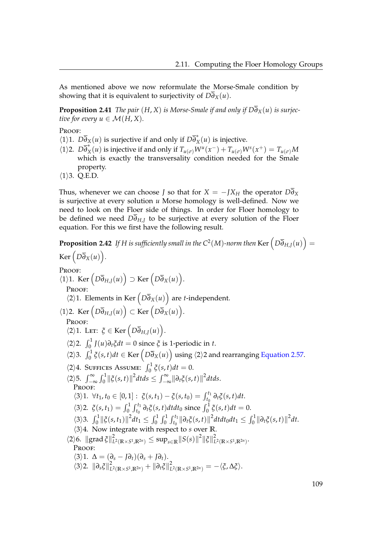As mentioned above we now reformulate the Morse-Smale condition by showing that it is equivalent to surjectivity of  $D\overline{\partial}_X(u)$ .

**Proposition 2.41** *The pair*  $(H, X)$  *is Morse-Smale if and only if*  $D\overline{\partial}_X(u)$  *is surjective for every*  $u \in \mathcal{M}(H, X)$ .

Proof:

- $\sqrt{\langle 1 \rangle 1}$ .  $D\overline{\partial}_X(u)$  is surjective if and only if  $D\overline{\partial}_X^*(u)$  is injective.
- $\sqrt{1/2}$ .  $D\overline{\partial}_X^*(u)$  is injective if and only if  $T_{u(\sigma)}W^u(x^-) + T_{u(\sigma)}W^s(x^+) = T_{u(\sigma)}M$ which is exactly the transversality condition needed for the Smale property.
- $\langle 1 \rangle$ 3. Q.E.D.

Thus, whenever we can choose *J* so that for  $X = -JX_H$  the operator  $D\partial_X$ is surjective at every solution *u* Morse homology is well-defined. Now we need to look on the Floer side of things. In order for Floer homology to be defined we need  $D\overline{\partial}_{H,J}$  to be surjective at every solution of the Floer equation. For this we first have the following result.

**Proposition 2.42** If H is sufficiently small in the C<sup>2</sup>(M)-norm then Ker  $\left( D\overline{\partial}_{H,J}(u) \right) =$  $\text{Ker}\left(D\overline{\partial}_X(u)\right)$ . PROOF:  $\langle 1 \rangle$ 1. Ker  $(D\overline{\partial}_{H,J}(u)) \supset \text{Ker}(D\overline{\partial}_X(u)).$ Proof:  $\langle 2 \rangle$ 1. Elements in Ker  $\left( D \overline{\partial}_X(u) \right)$  are *t*-independent.  $\langle 1 \rangle$ 2. Ker  $(D\overline{\partial}_{H,J}(u)) \subset \text{Ker } (D\overline{\partial}_X(u)).$ PROOF:  $\langle 2 \rangle$ 1. Let:  $\zeta \in \text{Ker} \left( D \overline{\partial}_{H,J}(u) \right)$ .  $\langle 2 \rangle$ 2.  $\int_0^1 J(u) \partial_t \xi dt = 0$  since  $\xi$  is 1-periodic in *t*.  $\langle 2 \rangle$ 3.  $\int_0^1 \xi(s,t)dt \in \text{Ker}\left(D\overline{\partial}_X(u)\right)$  using  $\langle 2 \rangle$ 2 and rearranging [Equation 2.57.](#page-111-0)  $\langle 2 \rangle 4$ . SUFFICES ASSUME:  $\int_0^1 \xi(s, t) dt = 0$ .  $\langle 2 \rangle$ 5.  $\int_{-\infty}^{\infty} \int_{0}^{1} ||\xi(s,t)||^{2} dt ds \leq \int_{-\infty}^{\infty} ||\partial_{t} \xi(s,t)||^{2} dt ds.$ PROOF:  $\langle 3 \rangle 1. \ \forall t_1, t_0 \in [0, 1]: \ \xi(s, t_1) - \xi(s, t_0) = \int_{t_0}^{t_1} \partial_t \xi(s, t) dt.$  $\langle 3 \rangle 2$ .  $\zeta(s, t_1) = \int_0^1 \int_{t_0}^{t_1} \partial_t \zeta(s, t) dt dt_0$  since  $\int_0^1 \zeta(s, t) dt = 0$ .  $\langle 3 \rangle 3. \int_0^1 ||\xi(s,t_1)||^2 dt_1 \leq \int_0^1 \int_0^1 \int_{t_0}^{t_1} ||\partial_t \xi(s,t)||^2 dt dt_0 dt_1 \leq \int_0^1 ||\partial_t \xi(s,t)||^2 dt.$  $\langle 3 \rangle 4$ . Now integrate with respect to *s* over **R**.  $\langle 2 \rangle 6$ .  $\| \operatorname{grad} \xi \|^2$  $\frac{2}{L^2(\mathbb{R}\times S^1,\mathbb{R}^{2n})}\leq \sup_{s\in\mathbb{R}}\lVert S(s)\rVert^2\lVert \tilde{\zeta}\rVert^2_L$  $\stackrel{\sim}{L}^2(\mathbb{R}\times S^1,\mathbb{R}^{2n})$ Proof:  $\langle 3 \rangle$ 1.  $\Delta = (\partial_s - J\partial_t)(\partial_s + J\partial_t).$  $\langle 3 \rangle$ 2.  $\|\partial_s \xi\|_L^2$  $\frac{2}{L^2(\mathbb{R}\times S^1,\mathbb{R}^{2n})} + \|\partial_t \xi\|_L^2$  $\frac{Z}{L^2(\mathbb{R}\times S^1,\mathbb{R}^{2n})}=-\langle \boldsymbol{\xi}, \Delta \boldsymbol{\xi}\rangle.$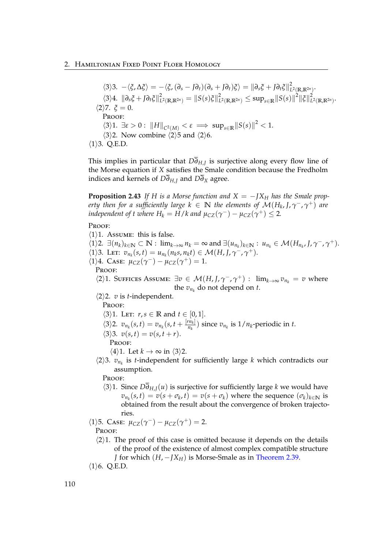$\langle 3 \rangle 3. \ -\langle \xi, \Delta \xi \rangle = -\langle \xi, (\partial_s - J \partial_t)(\partial_s + J \partial_t)\xi \rangle = \|\partial_s \xi + J \partial_t \xi\|_L^2$ *L* <sup>2</sup>(**R**,**R**2*n*) .  $\langle 3 \rangle 4$ .  $\left\| \partial_s \xi + J \partial_t \xi \right\|_L^2$  $\frac{2}{L^2(\mathbb{R},\mathbb{R}^{2n})} = \left\|S(s)\xi\right\|_L^2$  $\sup_{L^2(\mathbb{R},\mathbb{R}^{2n})} \leq \sup_{s\in\mathbb{R}}\|S(s)\|^2\|\xi\|^2_L$ *L* <sup>2</sup>(**R**,**R**2*n*) .  $\langle 2 \rangle$ 7.  $\xi = 0$ . PROOF:  $\langle 3 \rangle 1. \exists \varepsilon > 0 : ||H||_{C^2(M)} < \varepsilon \implies \sup_{s \in \mathbb{R}} ||S(s)||^2 < 1.$  $\langle 3 \rangle$ 2. Now combine  $\langle 2 \rangle$ 5 and  $\langle 2 \rangle$ 6.  $\langle 1 \rangle$ 3. Q.E.D.

This implies in particular that *D∂H*,*<sup>J</sup>* is surjective along every flow line of the Morse equation if *X* satisfies the Smale condition because the Fredholm indices and kernels of  $D\overline{\partial}_{H,J}$  and  $D\overline{\partial}_{X}$  agree.

**Proposition 2.43** If H is a Morse function and  $X = -JX_H$  has the Smale prop*erty then for a sufficiently large*  $k \in \mathbb{N}$  *the elements of*  $\mathcal{M}(H_k, J, \gamma^-, \gamma^+)$  *are independent of t where*  $H_k = H/k$  *and*  $\mu_{CZ}(\gamma^-) - \mu_{CZ}(\gamma^+) \leq 2$ *.* 

PROOF:

- $\langle 1 \rangle$ 1. Assume: this is false.
- $\langle 1 \rangle$ 2.  $\exists (n_k)_{k \in \mathbb{N}} \subset \mathbb{N}$ :  $\lim_{k \to \infty} n_k = \infty$  and  $\exists (u_{n_k})_{k \in \mathbb{N}}$ :  $u_{n_k} \in \mathcal{M}(H_{n_k}, J, \gamma^-, \gamma^+)$ .
- $\langle 1 \rangle$ 3. Lett:  $v_{n_k}(s,t) = u_{n_k}(n_k s, n_k t) \in \mathcal{M}(H, J, \gamma^-, \gamma^+).$
- $\langle 1 \rangle$ 4. Case:  $\mu_{CZ}(\gamma^-) \mu_{CZ}(\gamma^+) = 1$ .

Proof:

 $\langle 2 \rangle$ 1. Suffices Assume:  $\exists v \in \mathcal{M}(H, J, \gamma^-, \gamma^+)$ :  $\lim_{k \to \infty} v_{n_k} = v$  where the  $v_{n_k}$  do not depend on *t*.

 $\langle 2 \rangle$ 2. *v* is *t*-independent.

PROOF:

 $\langle 3 \rangle$ 1. LET:  $r, s \in \mathbb{R}$  and  $t \in [0, 1]$ .

- $\langle 3 \rangle$ 2.  $v_{n_k}(s,t) = v_{n_k}(s,t + \frac{[rn_k]}{n_k})$  $\frac{m_k}{n_k}$ ) since  $v_{n_k}$  is  $1/n_k$ -periodic in *t*.
- $\langle 3 \rangle 3$ .  $v(s,t) = v(s,t+r)$ .

PROOF:

- $\langle 4 \rangle$ 1. Let  $k \to \infty$  in  $\langle 3 \rangle$ 2.
- $\langle 2 \rangle$ 3.  $v_{n_k}$  is *t*-independent for sufficiently large *k* which contradicts our assumption.

PROOF:

- h3i1. Since *D∂H*,*J*(*u*) is surjective for sufficiently large *k* we would have  $v_{n_k}(s,t) = v(s + \sigma_k, t) = v(s + \sigma_k)$  where the sequence  $(\sigma_k)_{k \in \mathbb{N}}$  is obtained from the result about the convergence of broken trajectories.
- $\langle 1 \rangle$ 5. Case:  $\mu_{CZ}(\gamma^-) \mu_{CZ}(\gamma^+) = 2$ . PROOF:
	- $\langle 2 \rangle$ 1. The proof of this case is omitted because it depends on the details of the proof of the existence of almost complex compatible structure *J* for which (*H*, −*JX*<sup>*H*</sup>) is Morse-Smale as in [Theorem 2.39.](#page-116-0)
- $\langle 1 \rangle$ 6. Q.E.D.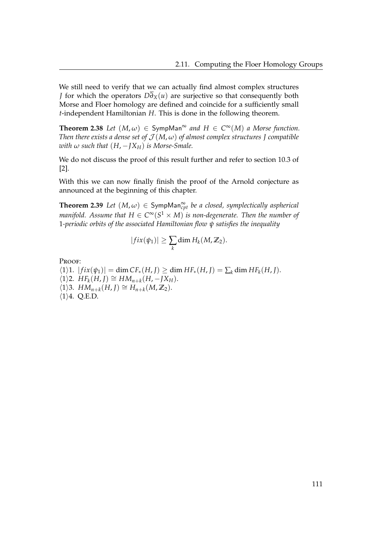We still need to verify that we can actually find almost complex structures *J* for which the operators  $D\overline{\partial}_X(u)$  are surjective so that consequently both Morse and Floer homology are defined and coincide for a sufficiently small *t*-independent Hamiltonian *H*. This is done in the following theorem.

**Theorem 2.38** *Let*  $(M, \omega) \in \text{SympMan}^{\infty}$  *and*  $H \in C^{\infty}(M)$  *a Morse function. Then there exists a dense set of*  $\mathcal{J}(M,\omega)$  *of almost complex structures J compatible with*  $\omega$  *such that*  $(H, -\frac{X}{H})$  *is Morse-Smale.* 

We do not discuss the proof of this result further and refer to section 10.3 of [\[2\]](#page-118-0).

With this we can now finally finish the proof of the Arnold conjecture as announced at the beginning of this chapter.

<span id="page-116-0"></span>**Theorem 2.39** *Let*  $(M, \omega) \in \mathsf{SympMan}_{cpt}^{\infty}$  *be a closed, symplectically aspherical manifold. Assume that*  $H \in C^\infty(S^1 \times M)$  *is non-degenerate. Then the number of* 1*-periodic orbits of the associated Hamiltonian flow ψ satisfies the inequality*

$$
|fix(\psi_1)| \geq \sum_k \dim H_k(M,\mathbb{Z}_2).
$$

PROOF:

 $\langle 1 \rangle 1$ .  $| f i x(\psi_1) | = \dim CF_*(H, J) \ge \dim HF_*(H, J) = \sum_k \dim HF_k(H, J)$ .  $\langle 1 \rangle$ 2. *HF*<sub>*k*</sub>(*H*, *J*) ≅ *HM*<sub>*n*+*k*</sub>(*H*, −*JXH*).  $\langle 1 \rangle$ 3. *HM*<sub>*n*+*k*</sub>(*H*, *J*) ≅ *H*<sub>*n*+*k*</sub>(*M*, **Z**<sub>2</sub>).  $\langle 1 \rangle 4$ . Q.E.D.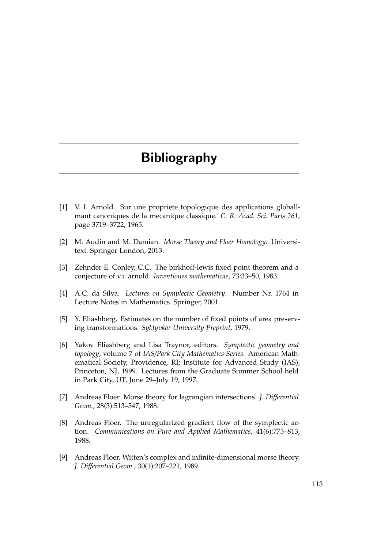# Bibliography

- [1] V. I. Arnold. Sur une propriete topologique des applications globallmant canoniques de la mecanique classique. *C. R. Acad. Sci. Paris 261*, page 3719–3722, 1965.
- <span id="page-118-0"></span>[2] M. Audin and M. Damian. *Morse Theory and Floer Homology*. Universitext. Springer London, 2013.
- [3] Zehnder E. Conley, C.C. The birkhoff-lewis fixed point theorem and a conjecture of v.i. arnold. *Inventiones mathematicae*, 73:33–50, 1983.
- [4] A.C. da Silva. *Lectures on Symplectic Geometry*. Number Nr. 1764 in Lecture Notes in Mathematics. Springer, 2001.
- [5] Y. Eliashberg. Estimates on the number of fixed points of area preserving transformations. *Syktyvkar University Preprint*, 1979.
- [6] Yakov Eliashberg and Lisa Traynor, editors. *Symplectic geometry and topology*, volume 7 of *IAS/Park City Mathematics Series*. American Mathematical Society, Providence, RI; Institute for Advanced Study (IAS), Princeton, NJ, 1999. Lectures from the Graduate Summer School held in Park City, UT, June 29–July 19, 1997.
- [7] Andreas Floer. Morse theory for lagrangian intersections. *J. Differential Geom.*, 28(3):513–547, 1988.
- [8] Andreas Floer. The unregularized gradient flow of the symplectic action. *Communications on Pure and Applied Mathematics*, 41(6):775–813, 1988.
- [9] Andreas Floer. Witten's complex and infinite-dimensional morse theory. *J. Differential Geom.*, 30(1):207–221, 1989.